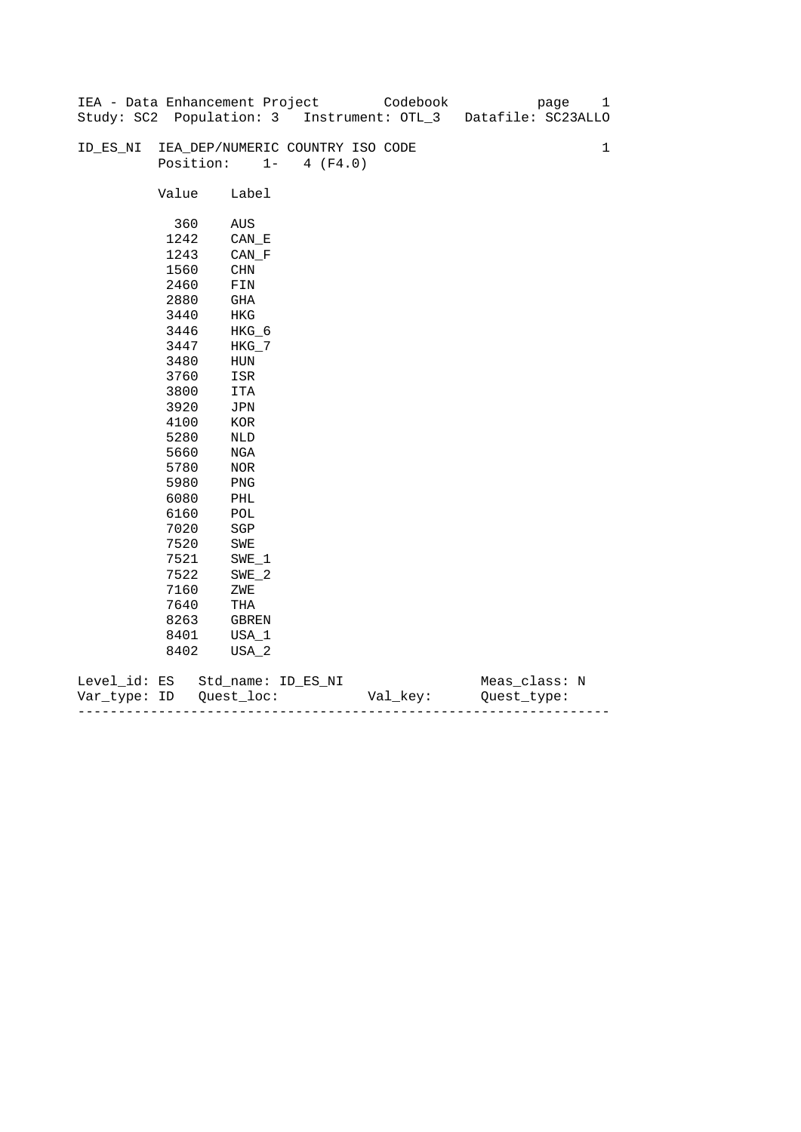|              |       | IEA - Data Enhancement Project   |                   | Codebook | page                                                          | 1           |
|--------------|-------|----------------------------------|-------------------|----------|---------------------------------------------------------------|-------------|
|              |       |                                  |                   |          | Study: SC2 Population: 3 Instrument: OTL_3 Datafile: SC23ALLO |             |
|              |       |                                  |                   |          |                                                               |             |
| ID_ES_NI     |       | IEA_DEP/NUMERIC COUNTRY ISO CODE |                   |          |                                                               | $\mathbf 1$ |
|              |       | Position:                        | $1 -$<br>4 (F4.0) |          |                                                               |             |
|              |       |                                  |                   |          |                                                               |             |
|              | Value | Label                            |                   |          |                                                               |             |
|              |       |                                  |                   |          |                                                               |             |
|              | 360   | AUS                              |                   |          |                                                               |             |
|              | 1242  | $CAN$ <sub><math>E</math></sub>  |                   |          |                                                               |             |
|              | 1243  | $CAN_F$                          |                   |          |                                                               |             |
|              | 1560  | <b>CHN</b>                       |                   |          |                                                               |             |
|              | 2460  | ${\tt FIN}$                      |                   |          |                                                               |             |
|              | 2880  | GHA                              |                   |          |                                                               |             |
|              | 3440  | HKG                              |                   |          |                                                               |             |
|              | 3446  | HKG_6                            |                   |          |                                                               |             |
|              | 3447  | $HKG_7$                          |                   |          |                                                               |             |
|              | 3480  | HUN                              |                   |          |                                                               |             |
|              | 3760  | ISR                              |                   |          |                                                               |             |
|              | 3800  | ITA                              |                   |          |                                                               |             |
|              | 3920  | JPN                              |                   |          |                                                               |             |
|              | 4100  | $_{\rm KOR}$                     |                   |          |                                                               |             |
|              | 5280  | NLD                              |                   |          |                                                               |             |
|              | 5660  | NGA                              |                   |          |                                                               |             |
|              | 5780  | NOR                              |                   |          |                                                               |             |
|              | 5980  | PNG                              |                   |          |                                                               |             |
|              | 6080  | PHL                              |                   |          |                                                               |             |
|              | 6160  | $\mathop{\rm POL}\nolimits$      |                   |          |                                                               |             |
|              | 7020  | $_{\rm SGP}$                     |                   |          |                                                               |             |
|              | 7520  | SWE                              |                   |          |                                                               |             |
|              | 7521  | SWE 1                            |                   |          |                                                               |             |
|              | 7522  | $SWE_2$                          |                   |          |                                                               |             |
|              | 7160  | ZWE                              |                   |          |                                                               |             |
|              | 7640  | THA                              |                   |          |                                                               |             |
|              | 8263  | GBREN                            |                   |          |                                                               |             |
|              | 8401  | USA_1                            |                   |          |                                                               |             |
|              | 8402  | USA_2                            |                   |          |                                                               |             |
|              |       |                                  |                   |          |                                                               |             |
| Level_id: ES |       | Std_name: ID_ES_NI               |                   |          | Meas_class: N                                                 |             |

| Var<br>тvpe.<br>. | TΡ | $ -$ | - |
|-------------------|----|------|---|
|                   |    |      |   |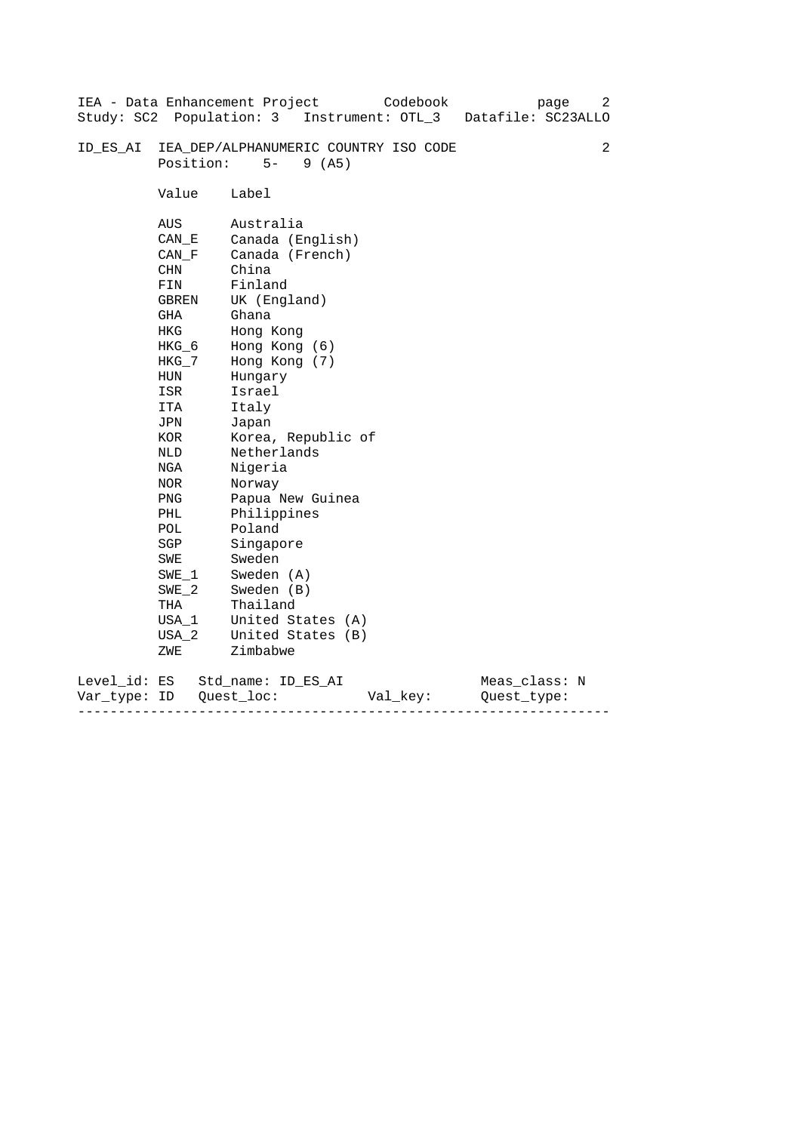|                              |                                                                                                                                                                                                                             | IEA - Data Enhancement Project<br>Codebook<br>page<br>Study: SC2 Population: 3 Instrument: OTL_3<br>Datafile: SC23ALLO                                                                                                                                                                                                                                                         | 2 |
|------------------------------|-----------------------------------------------------------------------------------------------------------------------------------------------------------------------------------------------------------------------------|--------------------------------------------------------------------------------------------------------------------------------------------------------------------------------------------------------------------------------------------------------------------------------------------------------------------------------------------------------------------------------|---|
| ID ES AI                     | Position:                                                                                                                                                                                                                   | IEA_DEP/ALPHANUMERIC COUNTRY ISO CODE<br>$5-$<br>9(AB)                                                                                                                                                                                                                                                                                                                         | 2 |
|                              | Value                                                                                                                                                                                                                       | Label                                                                                                                                                                                                                                                                                                                                                                          |   |
|                              | AUS<br>CAN E<br>CAN F<br>CHN<br>FIN<br>GBREN<br>GHA<br><b>HKG</b><br>HKG_6<br>$HKG_7$<br>HUN<br>ISR<br>ITA<br>JPN<br>KOR<br>NLD<br>NGA<br>NOR<br><b>PNG</b><br>PHL<br>POL<br>SGP<br>SWE<br>SWE 1<br>$SWE_2$<br>THA<br>USA_1 | Australia<br>Canada (English)<br>Canada (French)<br>China<br>Finland<br>UK (England)<br>Ghana<br>Hong Kong<br>Hong Kong (6)<br>Hong Kong (7)<br>Hungary<br>Israel<br>Italy<br>Japan<br>Korea, Republic of<br>Netherlands<br>Nigeria<br>Norway<br>Papua New Guinea<br>Philippines<br>Poland<br>Singapore<br>Sweden<br>Sweden (A)<br>Sweden (B)<br>Thailand<br>United States (A) |   |
|                              | $USA_2$<br>ZWE                                                                                                                                                                                                              | United States (B)<br>Zimbabwe                                                                                                                                                                                                                                                                                                                                                  |   |
| Level_id: ES<br>Var type: ID |                                                                                                                                                                                                                             | Meas_class: N<br>Std name: ID ES AI<br>Quest loc:<br>Val_key:<br>Ouest type:                                                                                                                                                                                                                                                                                                   |   |

------------------------------------------------------------------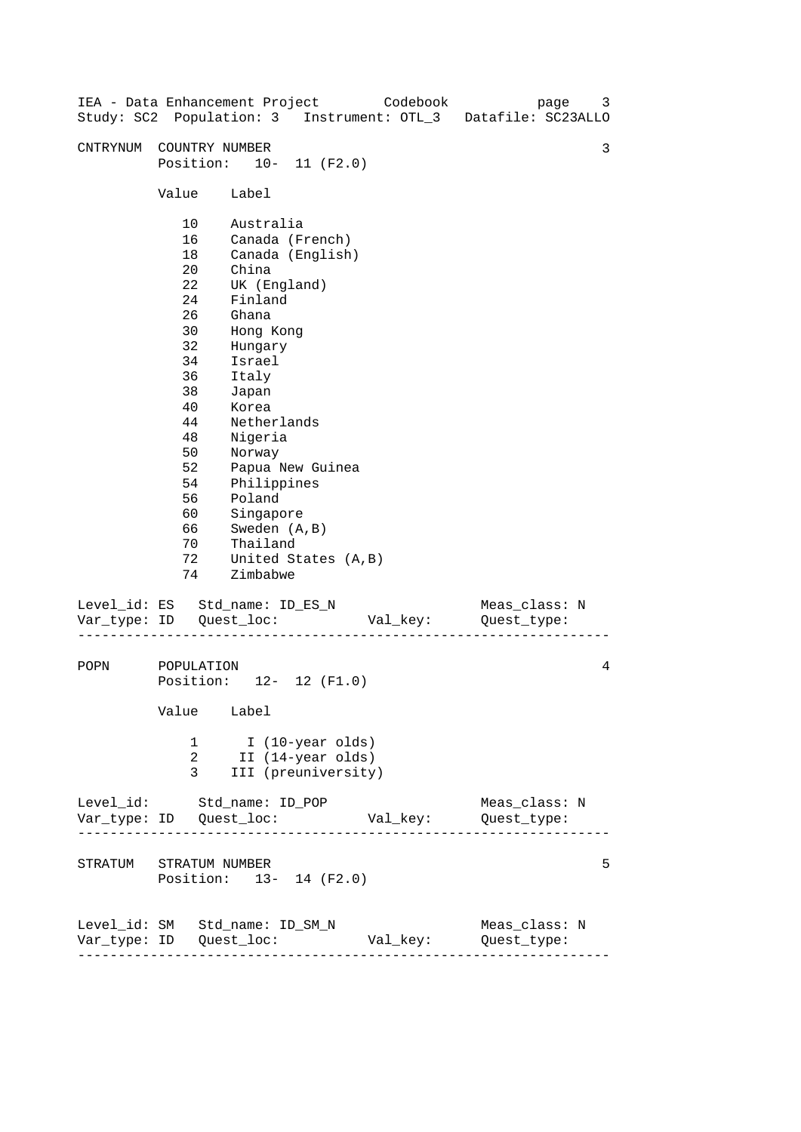|                                |                                                                                                                                  |                                                                                                                                                                                                                                               |                                                              | IEA - Data Enhancement Project Codebook | Study: SC2 Population: 3 Instrument: OTL_3 Datafile: SC23ALLO | 3<br>page     |
|--------------------------------|----------------------------------------------------------------------------------------------------------------------------------|-----------------------------------------------------------------------------------------------------------------------------------------------------------------------------------------------------------------------------------------------|--------------------------------------------------------------|-----------------------------------------|---------------------------------------------------------------|---------------|
| CNTRYNUM                       | COUNTRY NUMBER<br>Position: 10- 11 (F2.0)                                                                                        |                                                                                                                                                                                                                                               |                                                              |                                         |                                                               | 3             |
|                                | Value Label                                                                                                                      |                                                                                                                                                                                                                                               |                                                              |                                         |                                                               |               |
|                                | 10<br>16<br>18<br>20<br>22<br>24<br>26<br>30<br>32<br>34<br>36<br>38<br>40<br>44<br>48<br>50<br>52<br>54<br>56<br>60<br>66<br>70 | Australia<br>Canada (French)<br>China<br>UK (England)<br>Finland<br>Ghana<br>Hong Kong<br>Hungary<br>Israel<br>Italy<br>Japan<br>Korea<br>Netherlands<br>Nigeria<br>Norway<br>Philippines<br>Poland<br>Singapore<br>Sweden (A, B)<br>Thailand | Canada (English)<br>Papua New Guinea                         |                                         |                                                               |               |
|                                | 72<br>74                                                                                                                         | Zimbabwe                                                                                                                                                                                                                                      | United States (A, B)                                         |                                         |                                                               |               |
| Level_id: ES Std_name: ID_ES_N |                                                                                                                                  |                                                                                                                                                                                                                                               |                                                              | Val_key:                                | Quest_type:                                                   | Meas_class: N |
| POPN                           | POPULATION<br>Position: 12- 12 (F1.0)<br>Value Label                                                                             |                                                                                                                                                                                                                                               |                                                              |                                         |                                                               | 4             |
|                                | 1<br>2<br>3                                                                                                                      |                                                                                                                                                                                                                                               | I (10-year olds)<br>II (14-year olds)<br>III (preuniversity) |                                         |                                                               |               |
| Level_id: Std_name: ID_POP     |                                                                                                                                  |                                                                                                                                                                                                                                               |                                                              |                                         |                                                               | Meas_class: N |
| STRATUM STRATUM NUMBER         | Position: 13- 14 (F2.0)                                                                                                          |                                                                                                                                                                                                                                               |                                                              |                                         |                                                               | 5             |
| Level_id: SM Std_name: ID_SM_N | ---------------------                                                                                                            |                                                                                                                                                                                                                                               |                                                              | Val_key:                                | Quest_type:                                                   | Meas_class: N |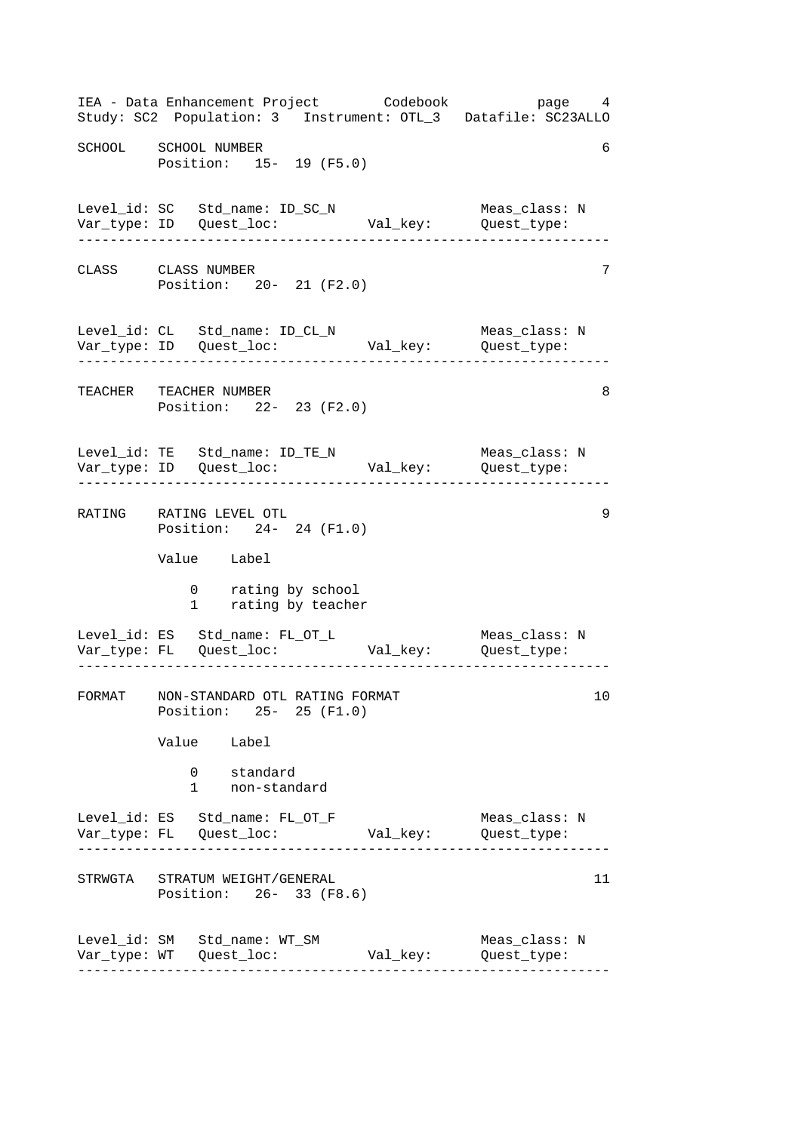------------------------------------------------------------------ ------------------------------------------------------------------ ------------------------------------------------------------------ ------------------------------------------------------------------ ------------------------------------------------------------------ ------------------------------------------------------------------ IEA - Data Enhancement Project Codebook page 4 Study: SC2 Population: 3 Instrument: OTL\_3 Datafile: SC23ALLO SCHOOL SCHOOL NUMBER 6 Position: 15- 19 (F5.0) Level\_id: SC Std\_name: ID\_SC\_N Meas\_class: N Var\_type: ID Quest\_loc: Val\_key: Quest\_type: CLASS CLASS NUMBER 7 Position: 20- 21 (F2.0) Level\_id: CL Std\_name: ID\_CL\_N Meas\_class: N Var\_type: ID Quest\_loc: Val\_key: Quest\_type: TEACHER TEACHER NUMBER 8 Position: 22- 23 (F2.0) Level\_id: TE Std\_name: ID\_TE\_N Meas\_class: N Var\_type: ID Quest\_loc: Val\_key: Quest\_type: RATING RATING LEVEL OTL 9 Position: 24- 24 (F1.0) Value Label 0 rating by school 1 rating by teacher Level\_id: ES Std\_name: FL\_OT\_L Meas\_class: N Var\_type: FL Quest\_loc: Val\_key: Quest\_type: FORMAT NON-STANDARD OTL RATING FORMAT 10 Position: 25- 25 (F1.0) Value Label 0 standard 1 non-standard Level\_id: ES Std\_name: FL\_OT\_F Meas\_class: N Var\_type: FL Quest\_loc: Val\_key: Quest\_type: STRWGTA STRATUM WEIGHT/GENERAL 11 11 Position: 26- 33 (F8.6) Level\_id: SM Std\_name: WT\_SM Meas\_class: N Var\_type: WT Quest\_loc: Val\_key: Quest\_type: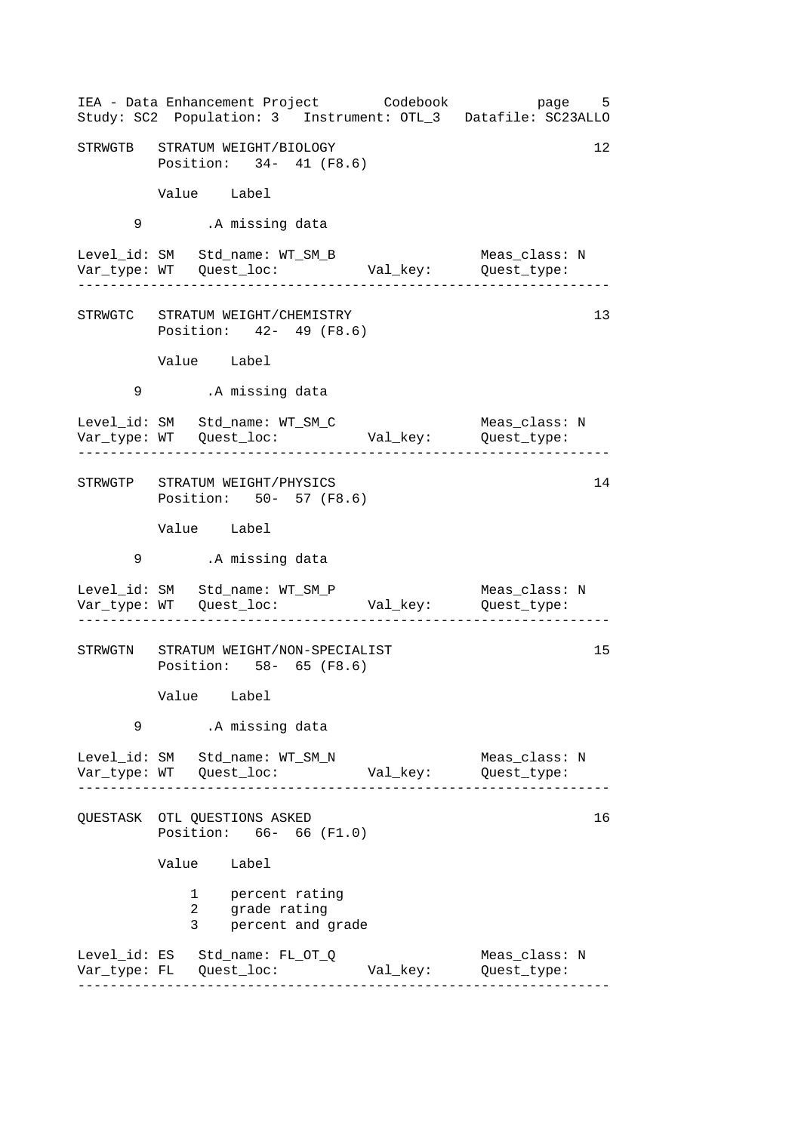|   | IEA - Data Enhancement Project Codebook<br>Study: SC2 Population: 3 Instrument: OTL_3 Datafile: SC23ALLO |                      | page 5                        |
|---|----------------------------------------------------------------------------------------------------------|----------------------|-------------------------------|
|   | STRWGTB STRATUM WEIGHT/BIOLOGY<br>Position: 34- 41 (F8.6)                                                |                      | 12                            |
|   | Value Label                                                                                              |                      |                               |
| 9 | .A missing data                                                                                          |                      |                               |
|   | Level_id: SM Std_name: WT_SM_B                                                                           | Val_key: Quest_type: | Meas_class: N<br>____________ |
|   | STRWGTC STRATUM WEIGHT/CHEMISTRY<br>Position: 42- 49 (F8.6)                                              |                      | 13                            |
|   | Value Label                                                                                              |                      |                               |
| 9 | .A missing data                                                                                          |                      |                               |
|   | Level_id: SM Std_name: WT_SM_C                                                                           |                      | Meas_class: N                 |
|   | STRWGTP STRATUM WEIGHT/PHYSICS<br>Position: 50- 57 (F8.6)                                                |                      | 14                            |
|   | Value Label                                                                                              |                      |                               |
| 9 | .A missing data                                                                                          |                      |                               |
|   | Level_id: SM Std_name: WT_SM_P                                                                           |                      | Meas_class: N                 |
|   | STRWGTN STRATUM WEIGHT/NON-SPECIALIST<br>Position: 58- 65 (F8.6)                                         |                      | 15                            |
|   | Value Label                                                                                              |                      |                               |
| 9 | .A missing data                                                                                          |                      |                               |
|   | Level_id: SM Std_name: WT_SM_N                                                                           |                      | Meas_class: N                 |
|   | QUESTASK OTL QUESTIONS ASKED<br>Position: 66- 66 (F1.0)                                                  |                      | 16                            |
|   | Value Label                                                                                              |                      |                               |
|   | 1 percent rating<br>$\overline{a}$<br>grade rating<br>3<br>percent and grade                             |                      |                               |
|   | Level_id: ES Std_name: FL_OT_Q                                                                           | Val_key:             | Meas_class: N<br>Quest_type:  |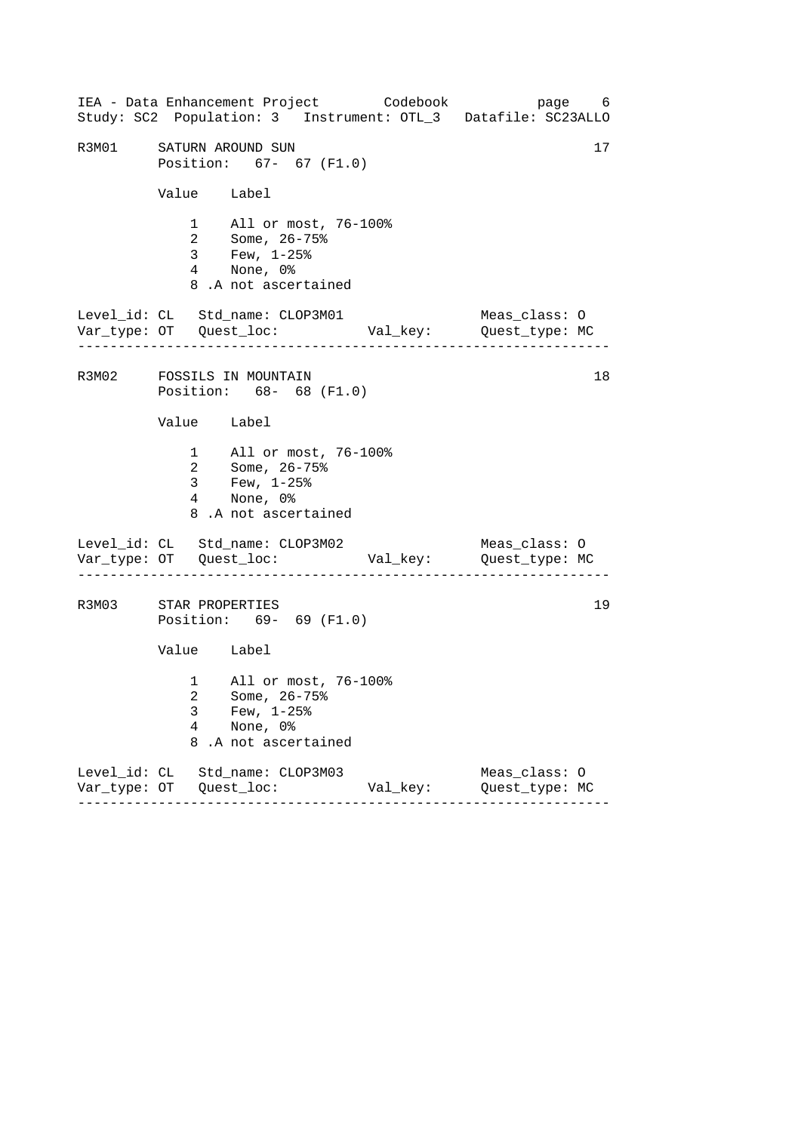------------------------------------------------------------------ ------------------------------------------------------------------ ------------------------------------------------------------------ IEA - Data Enhancement Project Codebook page 6 Study: SC2 Population: 3 Instrument: OTL\_3 Datafile: SC23ALLO R3M01 SATURN AROUND SUN 17 Position: 67- 67 (F1.0) Value Label 1 All or most, 76-100% 2 Some, 26-75% 3 Few, 1-25% 4 None, 0% 8 .A not ascertained Level\_id: CL Std\_name: CLOP3M01 Meas\_class: O Var\_type: OT Quest\_loc: Val\_key: Quest\_type: MC R3M02 FOSSILS IN MOUNTAIN 18 Position: 68- 68 (F1.0) Value Label 1 All or most, 76-100% 2 Some, 26-75% 3 Few, 1-25% 4 None, 0% 8 .A not ascertained Level\_id: CL Std\_name: CLOP3M02 Meas\_class: 0 Var\_type: OT Quest\_loc: Val\_key: Quest\_type: MC R3M03 STAR PROPERTIES 19 Position: 69- 69 (F1.0) Value Label 1 All or most, 76-100% 2 Some, 26-75% 3 Few, 1-25% 4 None, 0% 8 .A not ascertained Level\_id: CL Std\_name: CLOP3M03 Meas\_class: O Var\_type: OT Quest\_loc: Val\_key: Quest\_type: MC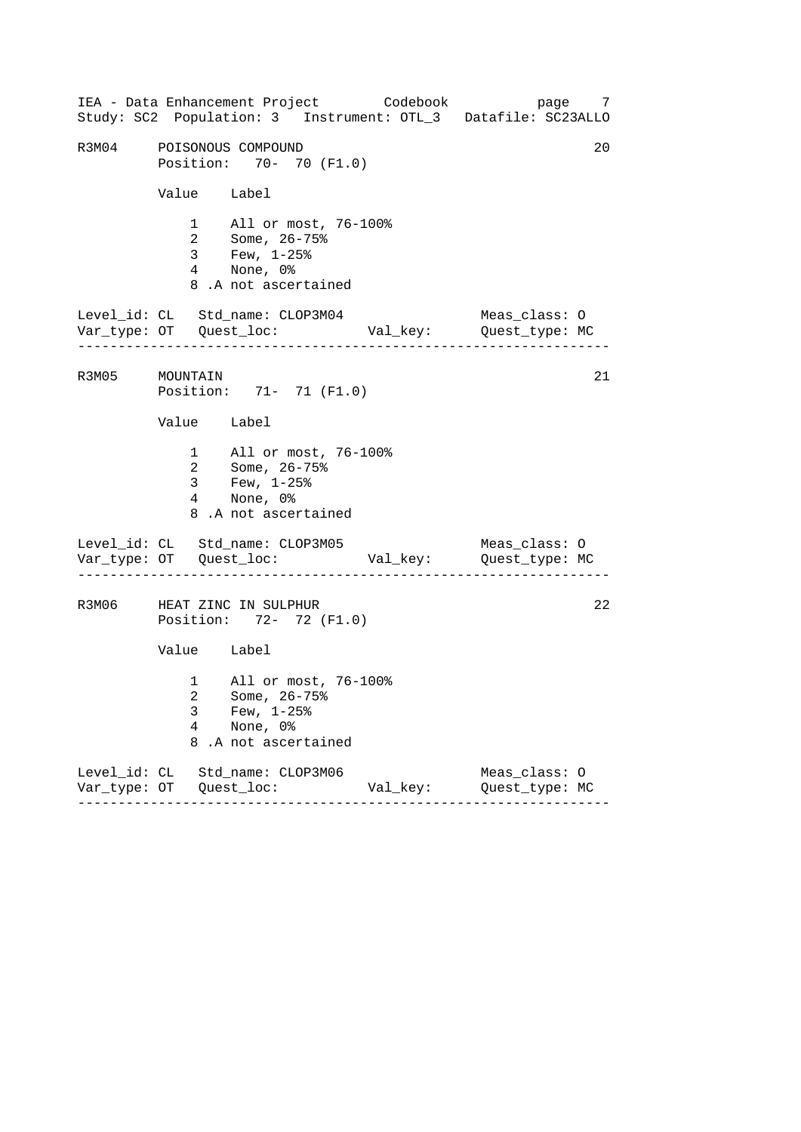------------------------------------------------------------------ ------------------------------------------------------------------ ------------------------------------------------------------------ IEA - Data Enhancement Project Codebook page 7 Study: SC2 Population: 3 Instrument: OTL\_3 Datafile: SC23ALLO R3M04 POISONOUS COMPOUND 20 Position: 70- 70 (F1.0) Value Label 1 All or most, 76-100% 2 Some, 26-75% 3 Few, 1-25% 4 None, 0% 8 .A not ascertained Level\_id: CL Std\_name: CLOP3M04 Meas\_class: O Var\_type: OT Quest\_loc: Val\_key: Quest\_type: MC R3M05 MOUNTAIN 21 Position: 71- 71 (F1.0) Value Label 1 All or most, 76-100% 2 Some, 26-75% 3 Few, 1-25% 4 None, 0% 8 .A not ascertained Level\_id: CL Std\_name: CLOP3M05 Meas\_class: O Var\_type: OT Quest\_loc: Val\_key: Quest\_type: MC R3M06 HEAT ZINC IN SULPHUR 22 Position: 72- 72 (F1.0) Value Label 1 All or most, 76-100% 2 Some, 26-75% 3 Few, 1-25% 4 None, 0% 8 .A not ascertained Level\_id: CL Std\_name: CLOP3M06 Meas\_class: O Var\_type: OT Quest\_loc: Val\_key: Quest\_type: MC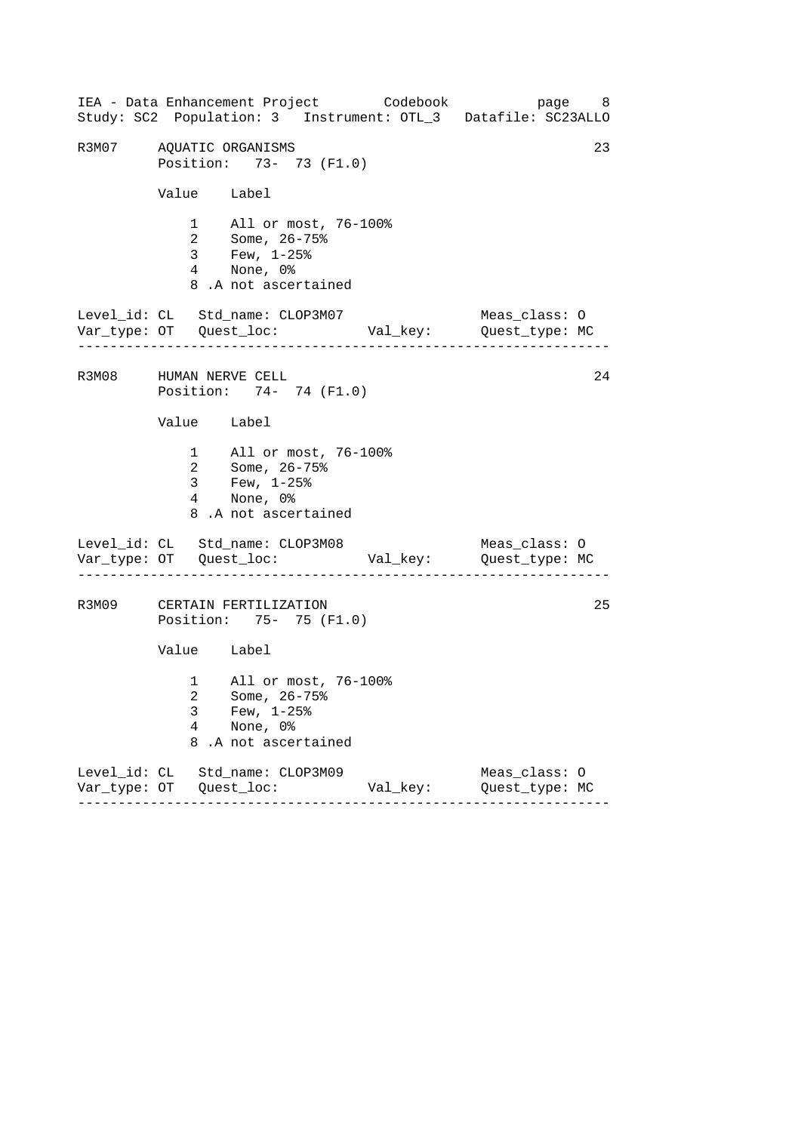------------------------------------------------------------------ ------------------------------------------------------------------ ------------------------------------------------------------------ IEA - Data Enhancement Project Codebook page 8 Study: SC2 Population: 3 Instrument: OTL\_3 Datafile: SC23ALLO R3M07 AQUATIC ORGANISMS 23 Position: 73- 73 (F1.0) Value Label 1 All or most, 76-100% 2 Some, 26-75% 3 Few, 1-25% 4 None, 0% 8 .A not ascertained Level\_id: CL Std\_name: CLOP3M07 Meas\_class: O Var\_type: OT Quest\_loc: Val\_key: Quest\_type: MC R3M08 HUMAN NERVE CELL 24 Position: 74- 74 (F1.0) Value Label 1 All or most, 76-100% 2 Some, 26-75% 3 Few, 1-25% 4 None, 0% 8 .A not ascertained Level\_id: CL Std\_name: CLOP3M08 Meas\_class: 0 Var\_type: OT Quest\_loc: Val\_key: Quest\_type: MC R3M09 CERTAIN FERTILIZATION 25 Position: 75- 75 (F1.0) Value Label 1 All or most, 76-100% 2 Some, 26-75% 3 Few, 1-25% 4 None, 0% 8 .A not ascertained Level\_id: CL Std\_name: CLOP3M09 Meas\_class: O Var\_type: OT Quest\_loc: Val\_key: Quest\_type: MC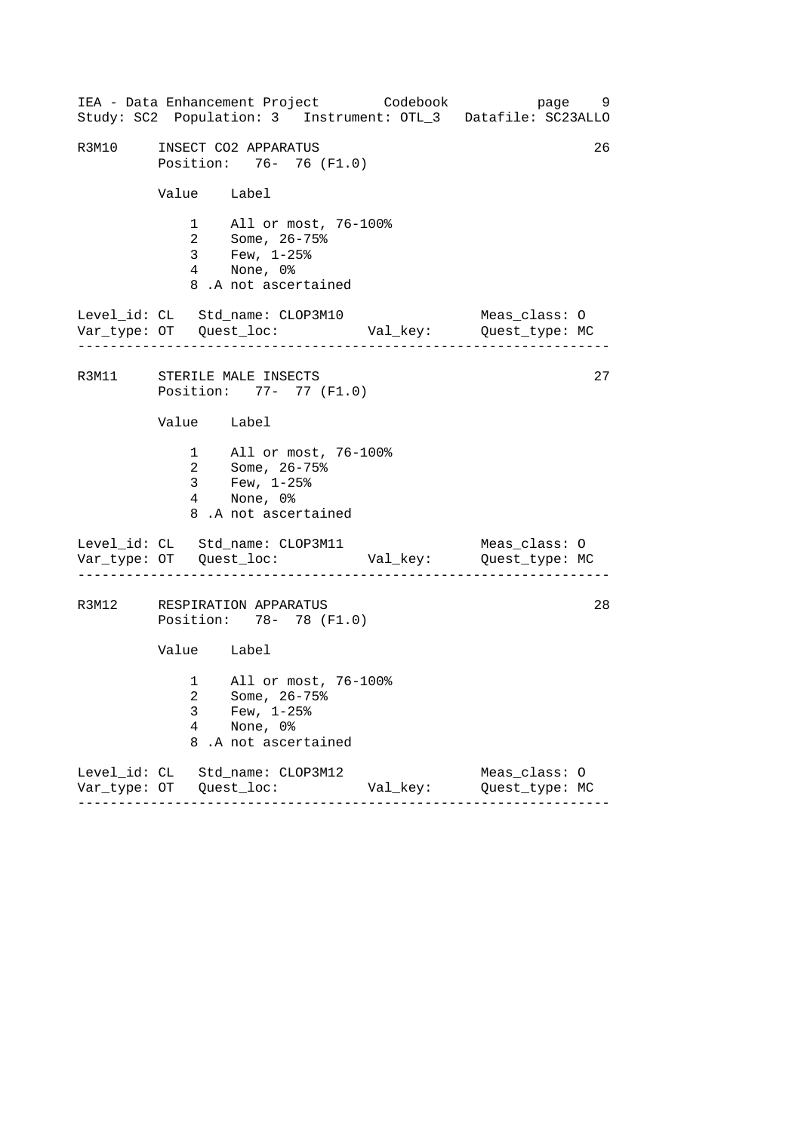------------------------------------------------------------------ ------------------------------------------------------------------ ------------------------------------------------------------------ IEA - Data Enhancement Project Codebook page 9 Study: SC2 Population: 3 Instrument: OTL\_3 Datafile: SC23ALLO R3M10 INSECT CO2 APPARATUS 26 Position: 76- 76 (F1.0) Value Label 1 All or most, 76-100% 2 Some, 26-75% 3 Few, 1-25% 4 None, 0% 8 .A not ascertained Level\_id: CL Std\_name: CLOP3M10 Meas\_class: O Var\_type: OT Quest\_loc: Val\_key: Quest\_type: MC R3M11 STERILE MALE INSECTS 27 Position: 77- 77 (F1.0) Value Label 1 All or most, 76-100% 2 Some, 26-75% 3 Few, 1-25% 4 None, 0% 8 .A not ascertained Level\_id: CL Std\_name: CLOP3M11 Meas\_class: O Var\_type: OT Quest\_loc: Val\_key: Quest\_type: MC R3M12 RESPIRATION APPARATUS 28 Position: 78- 78 (F1.0) Value Label 1 All or most, 76-100% 2 Some, 26-75% 3 Few, 1-25% 4 None, 0% 8 .A not ascertained Level\_id: CL Std\_name: CLOP3M12 Meas\_class: O Var\_type: OT Quest\_loc: Val\_key: Quest\_type: MC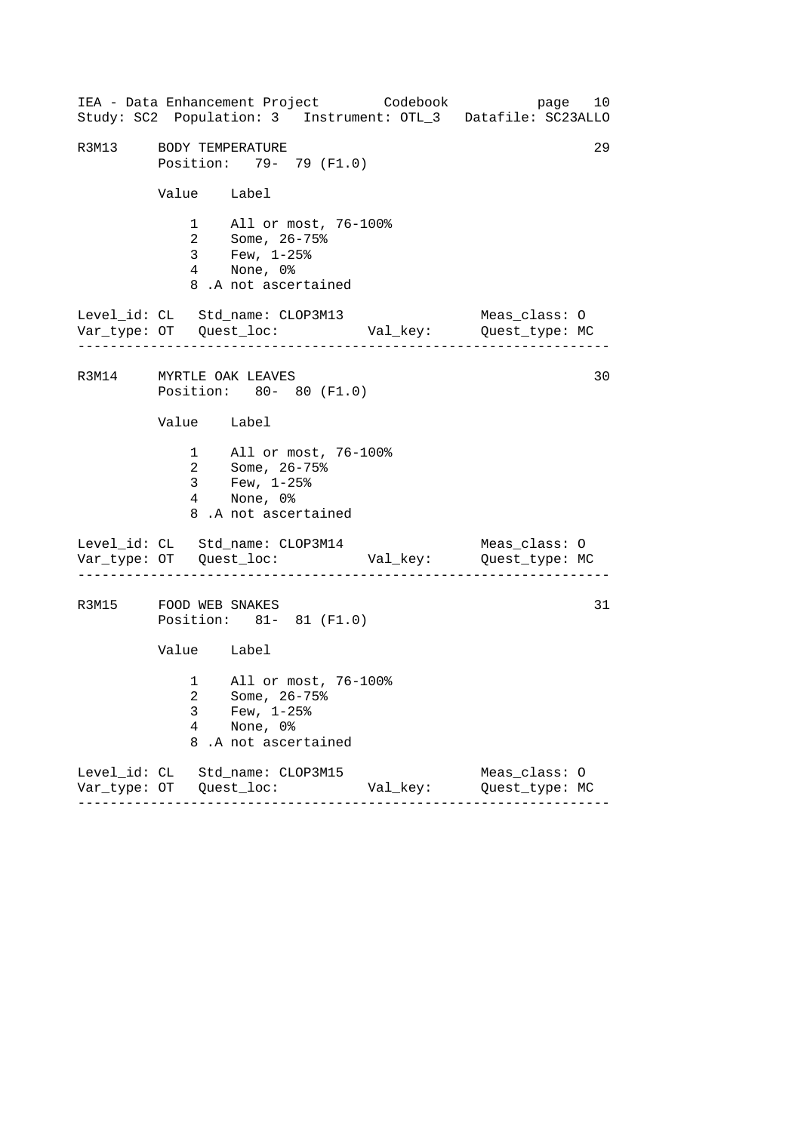------------------------------------------------------------------ ------------------------------------------------------------------ ------------------------------------------------------------------ IEA - Data Enhancement Project Codebook page 10 Study: SC2 Population: 3 Instrument: OTL\_3 Datafile: SC23ALLO R3M13 BODY TEMPERATURE 29 Position: 79- 79 (F1.0) Value Label 1 All or most, 76-100% 2 Some, 26-75% 3 Few, 1-25% 4 None, 0% 8 .A not ascertained Level\_id: CL Std\_name: CLOP3M13 Meas\_class: O Var\_type: OT Quest\_loc: Val\_key: Quest\_type: MC R3M14 MYRTLE OAK LEAVES 30 Position: 80- 80 (F1.0) Value Label 1 All or most, 76-100% 2 Some, 26-75% 3 Few, 1-25% 4 None, 0% 8 .A not ascertained Level\_id: CL Std\_name: CLOP3M14 Meas\_class: 0 Var\_type: OT Quest\_loc: Val\_key: Quest\_type: MC R3M15 FOOD WEB SNAKES 31 Position: 81- 81 (F1.0) Value Label 1 All or most, 76-100% 2 Some, 26-75% 3 Few, 1-25% 4 None, 0% 8 .A not ascertained Level\_id: CL Std\_name: CLOP3M15 Meas\_class: O Var\_type: OT Quest\_loc: Val\_key: Quest\_type: MC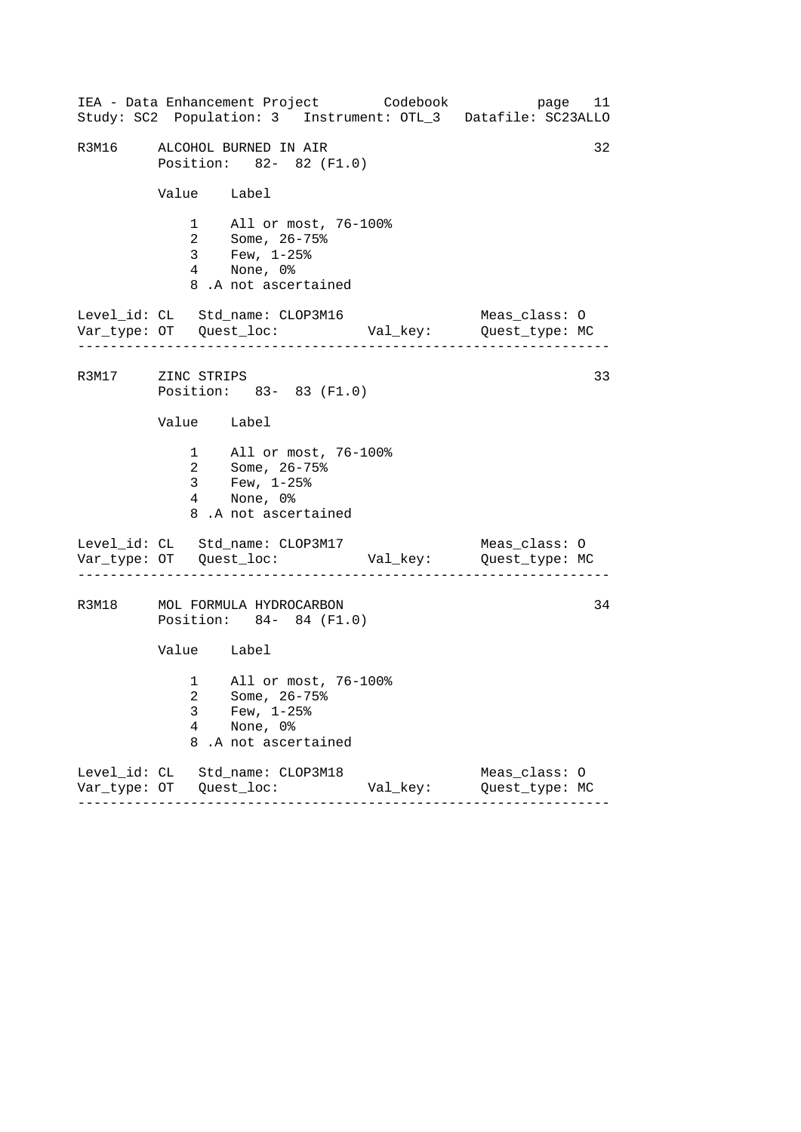------------------------------------------------------------------ ------------------------------------------------------------------ ------------------------------------------------------------------ IEA - Data Enhancement Project Codebook page 11 Study: SC2 Population: 3 Instrument: OTL\_3 Datafile: SC23ALLO R3M16 ALCOHOL BURNED IN AIR 32 Position: 82- 82 (F1.0) Value Label 1 All or most, 76-100% 2 Some, 26-75% 3 Few, 1-25% 4 None, 0% 8 .A not ascertained Level\_id: CL Std\_name: CLOP3M16 Meas\_class: O Var\_type: OT Quest\_loc: Val\_key: Quest\_type: MC R3M17 ZINC STRIPS 33 Position: 83- 83 (F1.0) Value Label 1 All or most, 76-100% 2 Some, 26-75% 3 Few, 1-25% 4 None, 0% 8 .A not ascertained Level\_id: CL Std\_name: CLOP3M17 Meas\_class: O Var\_type: OT Quest\_loc: Val\_key: Quest\_type: MC R3M18 MOL FORMULA HYDROCARBON 34 Position: 84- 84 (F1.0) Value Label 1 All or most, 76-100% 2 Some, 26-75% 3 Few, 1-25% 4 None, 0% 8 .A not ascertained Level\_id: CL Std\_name: CLOP3M18 Meas\_class: O Var\_type: OT Quest\_loc: Val\_key: Quest\_type: MC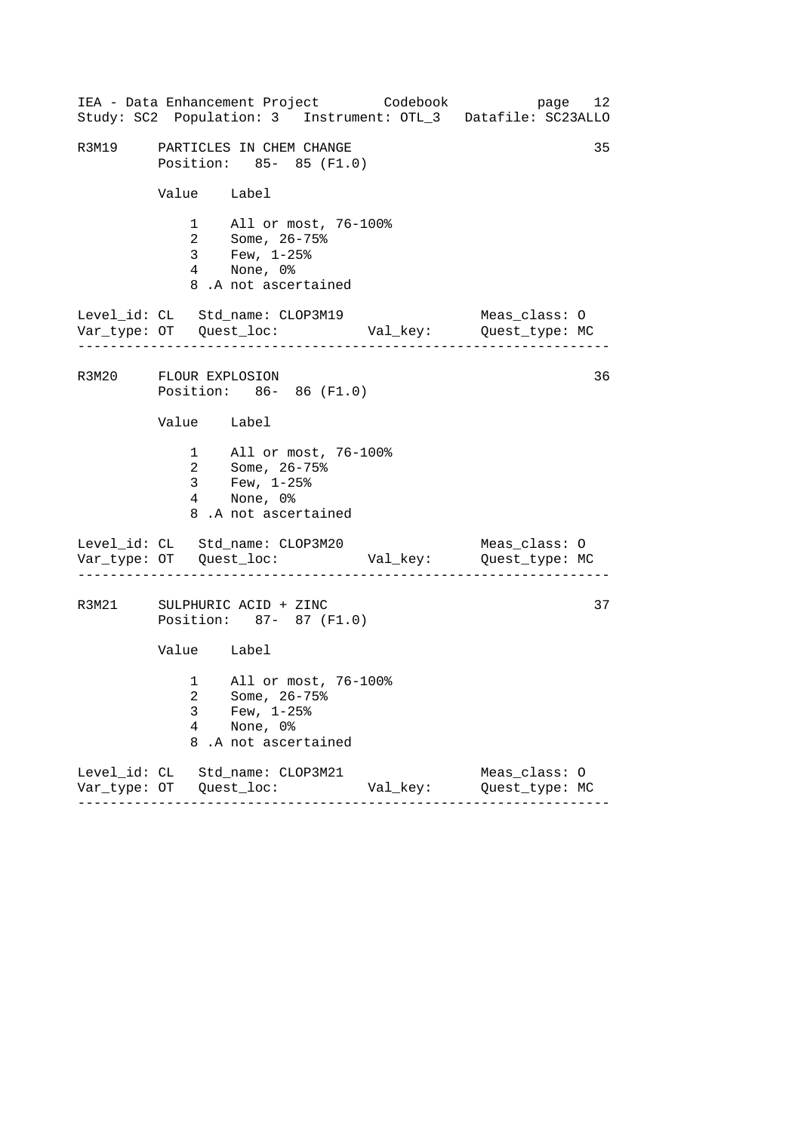------------------------------------------------------------------ ------------------------------------------------------------------ ------------------------------------------------------------------ IEA - Data Enhancement Project Codebook page 12 Study: SC2 Population: 3 Instrument: OTL\_3 Datafile: SC23ALLO R3M19 PARTICLES IN CHEM CHANGE 35 Position: 85- 85 (F1.0) Value Label 1 All or most, 76-100% 2 Some, 26-75% 3 Few, 1-25% 4 None, 0% 8 .A not ascertained Level\_id: CL Std\_name: CLOP3M19 Meas\_class: O Var\_type: OT Quest\_loc: Val\_key: Quest\_type: MC R3M20 FLOUR EXPLOSION 36 Position: 86- 86 (F1.0) Value Label 1 All or most, 76-100% 2 Some, 26-75% 3 Few, 1-25% 4 None, 0% 8 .A not ascertained Level\_id: CL Std\_name: CLOP3M20 Meas\_class: 0 Var\_type: OT Quest\_loc: Val\_key: Quest\_type: MC R3M21 SULPHURIC ACID + ZINC 37 Position: 87- 87 (F1.0) Value Label 1 All or most, 76-100% 2 Some, 26-75% 3 Few, 1-25% 4 None, 0% 8 .A not ascertained Level\_id: CL Std\_name: CLOP3M21 Meas\_class: O Var\_type: OT Quest\_loc: Val\_key: Quest\_type: MC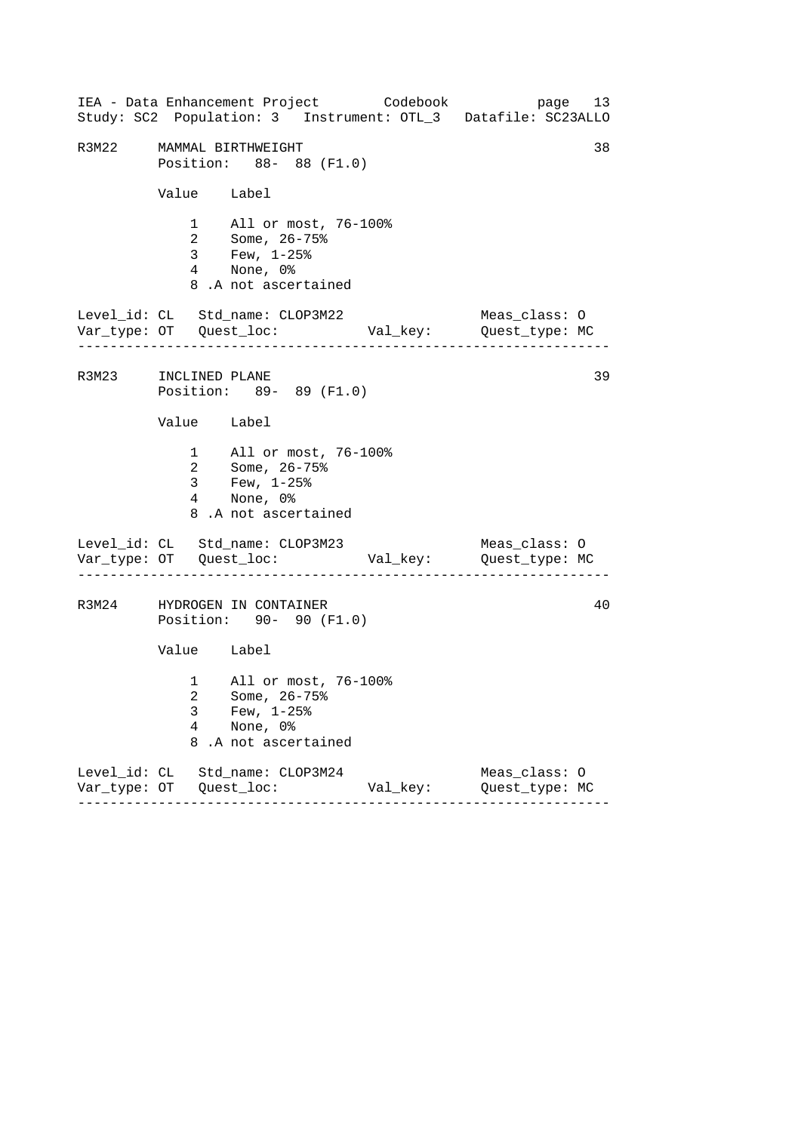------------------------------------------------------------------ ------------------------------------------------------------------ ------------------------------------------------------------------ IEA - Data Enhancement Project Codebook page 13 Study: SC2 Population: 3 Instrument: OTL\_3 Datafile: SC23ALLO R3M22 MAMMAL BIRTHWEIGHT 38 Position: 88- 88 (F1.0) Value Label 1 All or most, 76-100% 2 Some, 26-75% 3 Few, 1-25% 4 None, 0% 8 .A not ascertained Level\_id: CL Std\_name: CLOP3M22 Meas\_class: O Var\_type: OT Quest\_loc: Val\_key: Quest\_type: MC R3M23 INCLINED PLANE 39 Position: 89- 89 (F1.0) Value Label 1 All or most, 76-100% 2 Some, 26-75% 3 Few, 1-25% 4 None, 0% 8 .A not ascertained Level\_id: CL Std\_name: CLOP3M23 Meas\_class: 0 Var\_type: OT Quest\_loc: Val\_key: Quest\_type: MC R3M24 HYDROGEN IN CONTAINER 40 Position: 90- 90 (F1.0) Value Label 1 All or most, 76-100% 2 Some, 26-75% 3 Few, 1-25% 4 None, 0% 8 .A not ascertained Level\_id: CL Std\_name: CLOP3M24 Meas\_class: O Var\_type: OT Quest\_loc: Val\_key: Quest\_type: MC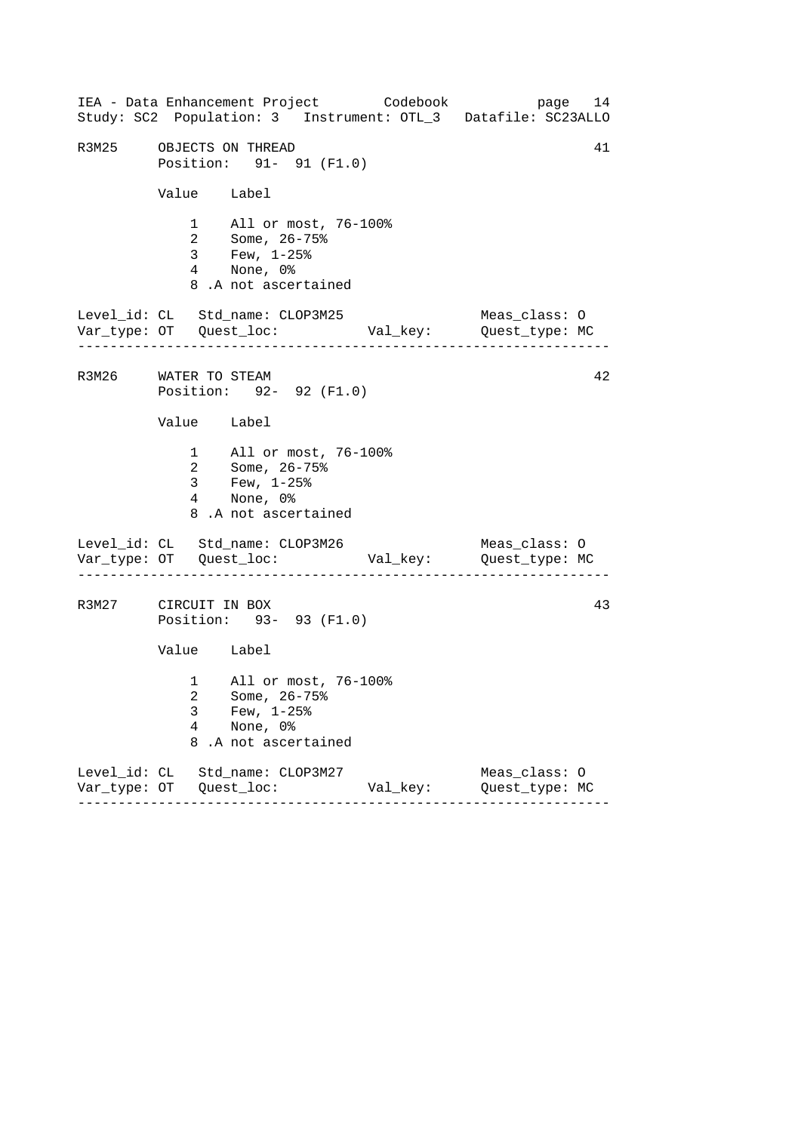------------------------------------------------------------------ ------------------------------------------------------------------ ------------------------------------------------------------------ IEA - Data Enhancement Project Codebook page 14 Study: SC2 Population: 3 Instrument: OTL\_3 Datafile: SC23ALLO R3M25 OBJECTS ON THREAD 41 Position: 91- 91 (F1.0) Value Label 1 All or most, 76-100% 2 Some, 26-75% 3 Few, 1-25% 4 None, 0% 8 .A not ascertained Level\_id: CL Std\_name: CLOP3M25 Meas\_class: O Var\_type: OT Quest\_loc: Val\_key: Quest\_type: MC R3M26 WATER TO STEAM 42 Position: 92- 92 (F1.0) Value Label 1 All or most, 76-100% 2 Some, 26-75% 3 Few, 1-25% 4 None, 0% 8 .A not ascertained Level\_id: CL Std\_name: CLOP3M26 Meas\_class: 0 Var\_type: OT Quest\_loc: Val\_key: Quest\_type: MC R3M27 CIRCUIT IN BOX 43 Position: 93- 93 (F1.0) Value Label 1 All or most, 76-100% 2 Some, 26-75% 3 Few, 1-25% 4 None, 0% 8 .A not ascertained Level\_id: CL Std\_name: CLOP3M27 Meas\_class: O Var\_type: OT Quest\_loc: Val\_key: Quest\_type: MC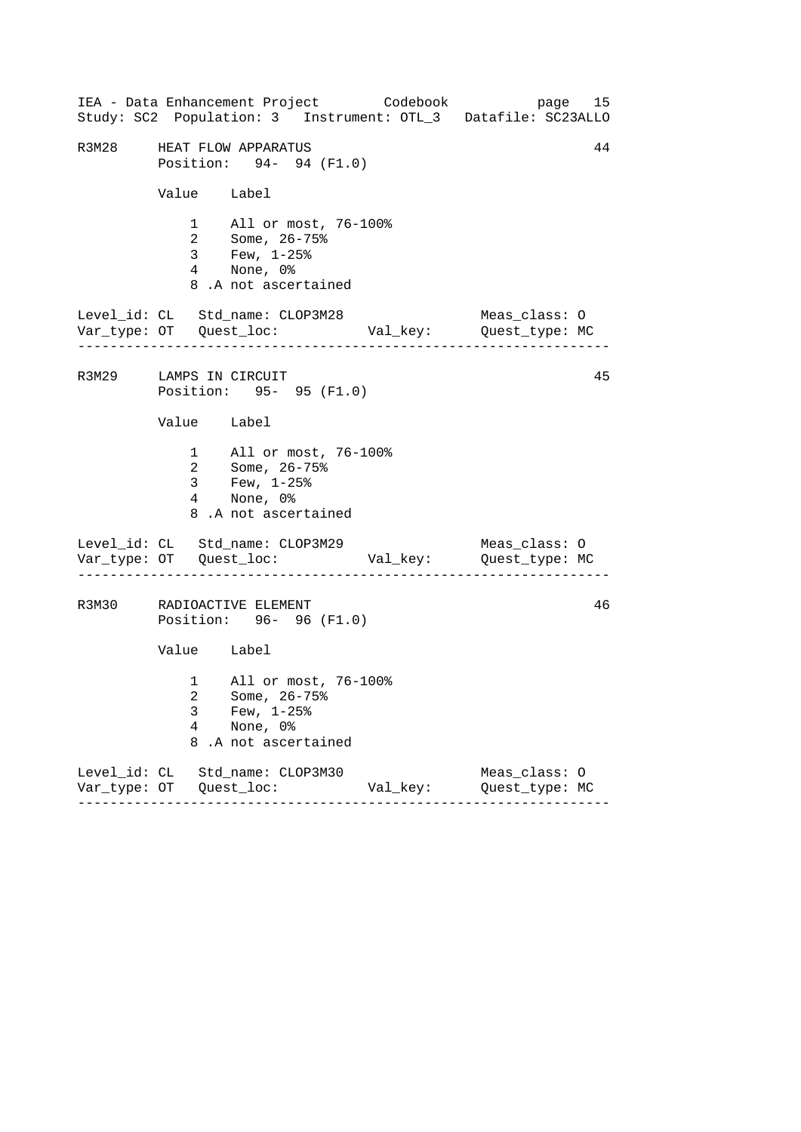------------------------------------------------------------------ ------------------------------------------------------------------ ------------------------------------------------------------------ IEA - Data Enhancement Project Codebook page 15 Study: SC2 Population: 3 Instrument: OTL\_3 Datafile: SC23ALLO R3M28 HEAT FLOW APPARATUS 44 Position: 94- 94 (F1.0) Value Label 1 All or most, 76-100% 2 Some, 26-75% 3 Few, 1-25% 4 None, 0% 8 .A not ascertained Level\_id: CL Std\_name: CLOP3M28 Meas\_class: O Var\_type: OT Quest\_loc: Val\_key: Quest\_type: MC R3M29 LAMPS IN CIRCUIT 45 Position: 95- 95 (F1.0) Value Label 1 All or most, 76-100% 2 Some, 26-75% 3 Few, 1-25% 4 None, 0% 8 .A not ascertained Level\_id: CL Std\_name: CLOP3M29 Meas\_class: 0 Var\_type: OT Quest\_loc: Val\_key: Quest\_type: MC R3M30 RADIOACTIVE ELEMENT 46 Position: 96- 96 (F1.0) Value Label 1 All or most, 76-100% 2 Some, 26-75% 3 Few, 1-25% 4 None, 0% 8 .A not ascertained Level\_id: CL Std\_name: CLOP3M30 Meas\_class: O Var\_type: OT Quest\_loc: Val\_key: Quest\_type: MC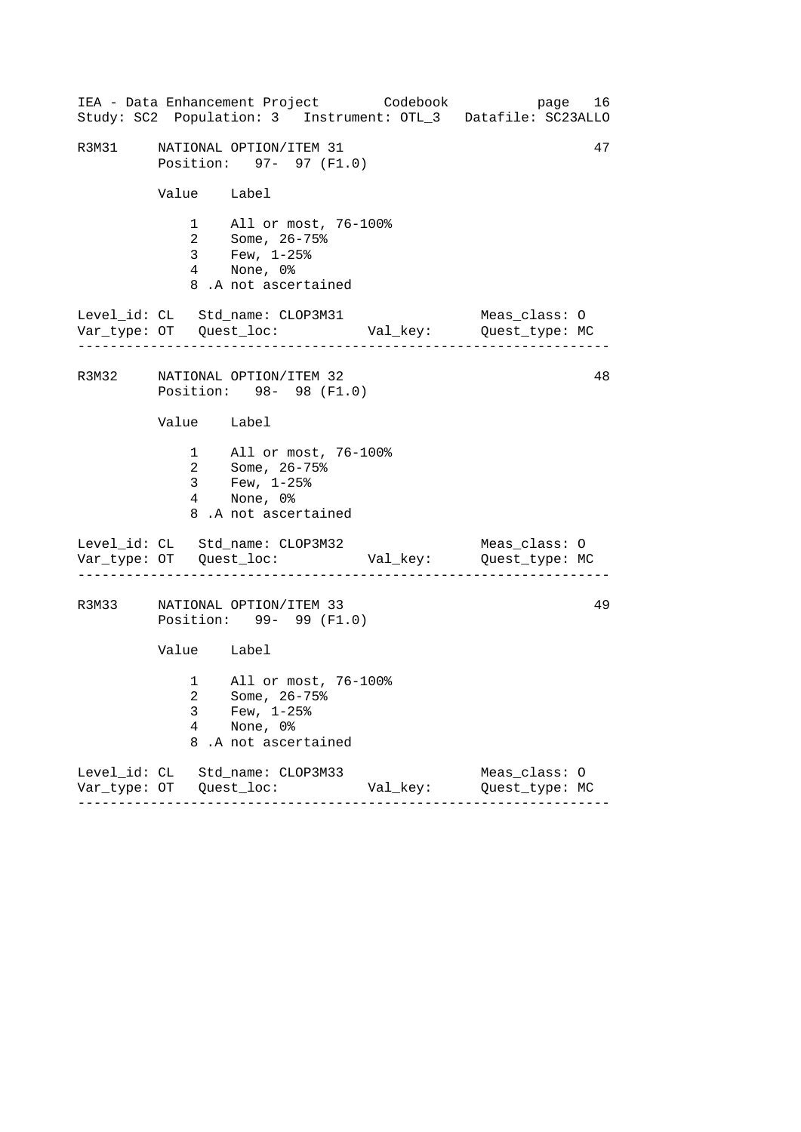------------------------------------------------------------------ ------------------------------------------------------------------ ------------------------------------------------------------------ IEA - Data Enhancement Project Codebook page 16 Study: SC2 Population: 3 Instrument: OTL\_3 Datafile: SC23ALLO R3M31 NATIONAL OPTION/ITEM 31 47 Position: 97- 97 (F1.0) Value Label 1 All or most, 76-100% 2 Some, 26-75% 3 Few, 1-25% 4 None, 0% 8 .A not ascertained Level\_id: CL Std\_name: CLOP3M31 Meas\_class: O Var\_type: OT Quest\_loc: Val\_key: Quest\_type: MC R3M32 NATIONAL OPTION/ITEM 32 48 Position: 98- 98 (F1.0) Value Label 1 All or most, 76-100% 2 Some, 26-75% 3 Few, 1-25% 4 None, 0% 8 .A not ascertained Level\_id: CL Std\_name: CLOP3M32 Meas\_class: 0 Var\_type: OT Quest\_loc: Val\_key: Quest\_type: MC R3M33 NATIONAL OPTION/ITEM 33 49 Position: 99- 99 (F1.0) Value Label 1 All or most, 76-100% 2 Some, 26-75% 3 Few, 1-25% 4 None, 0% 8 .A not ascertained Level\_id: CL Std\_name: CLOP3M33 Meas\_class: O Var\_type: OT Quest\_loc: Val\_key: Quest\_type: MC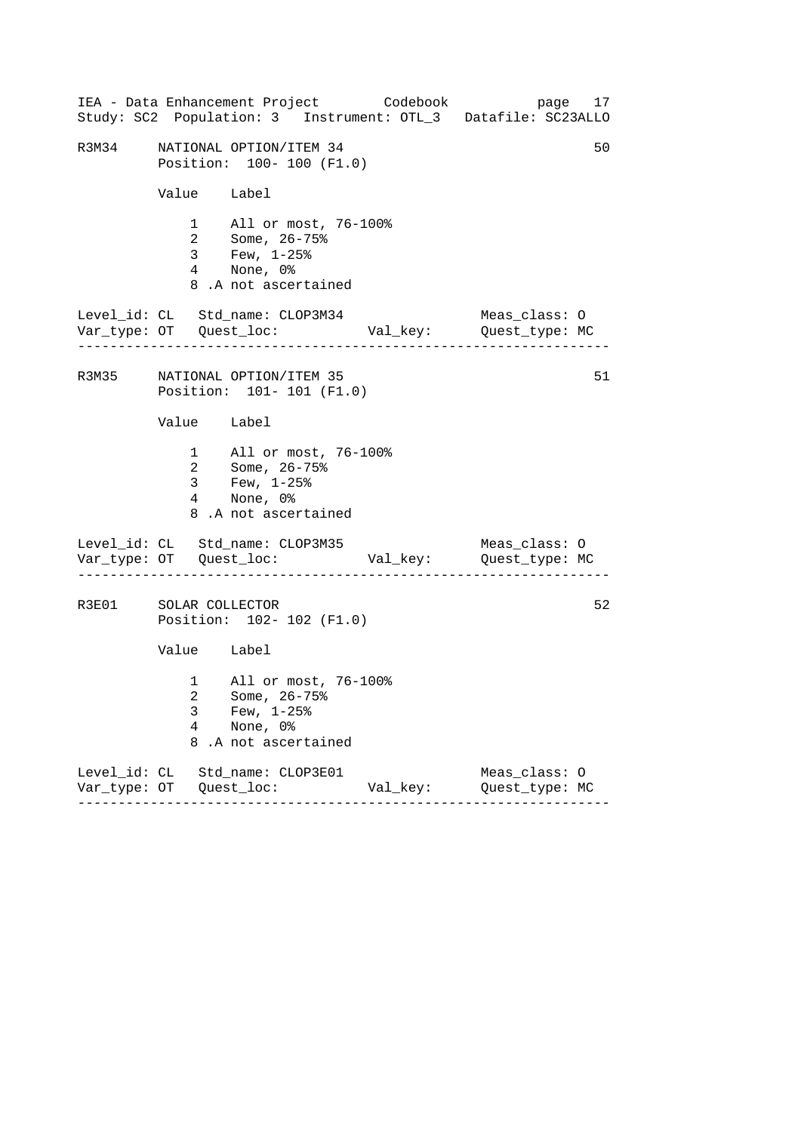|                       |                           | IEA - Data Enhancement Project Codebook<br>Study: SC2 Population: 3 Instrument: OTL_3 Datafile: SC23ALLO                    |          | page 17                         |    |
|-----------------------|---------------------------|-----------------------------------------------------------------------------------------------------------------------------|----------|---------------------------------|----|
| R3M34                 |                           | NATIONAL OPTION/ITEM 34<br>Position: 100- 100 (F1.0)                                                                        |          |                                 | 50 |
|                       | Value Label               |                                                                                                                             |          |                                 |    |
|                       |                           | 1 All or most, 76-100%<br>2 Some, $26 - 75$ <sup>2</sup><br>$3$ Few, $1-25$ $^{\circ}$<br>4 None, 0%<br>8.A not ascertained |          |                                 |    |
|                       | . _ _ _ _ _ _ _ _ _ _ _ _ | Level_id: CL Std_name: CLOP3M34                                                                                             |          | Meas_class: O                   |    |
|                       |                           | R3M35 NATIONAL OPTION/ITEM 35<br>Position: 101- 101 (F1.0)                                                                  |          |                                 | 51 |
|                       | Value Label               |                                                                                                                             |          |                                 |    |
|                       |                           | 1 All or most, 76-100%<br>2 Some, 26-75%<br>3 Few, 1-25%<br>4 None, 0%<br>8.A not ascertained                               |          |                                 |    |
|                       |                           | Level_id: CL Std_name: CLOP3M35                                                                                             |          | Meas_class: O                   |    |
| R3E01 SOLAR COLLECTOR |                           | Position: 102- 102 (F1.0)                                                                                                   |          |                                 | 52 |
|                       | Value Label               |                                                                                                                             |          |                                 |    |
|                       | 3<br>4<br>8               | 1 All or most, 76-100%<br>2 Some, 26-75%<br>Few, $1-25$ %<br>None, 0%<br>.A not ascertained                                 |          |                                 |    |
|                       |                           | Level_id: CL Std_name: CLOP3E01                                                                                             | Val_key: | Meas_class: 0<br>Quest_type: MC |    |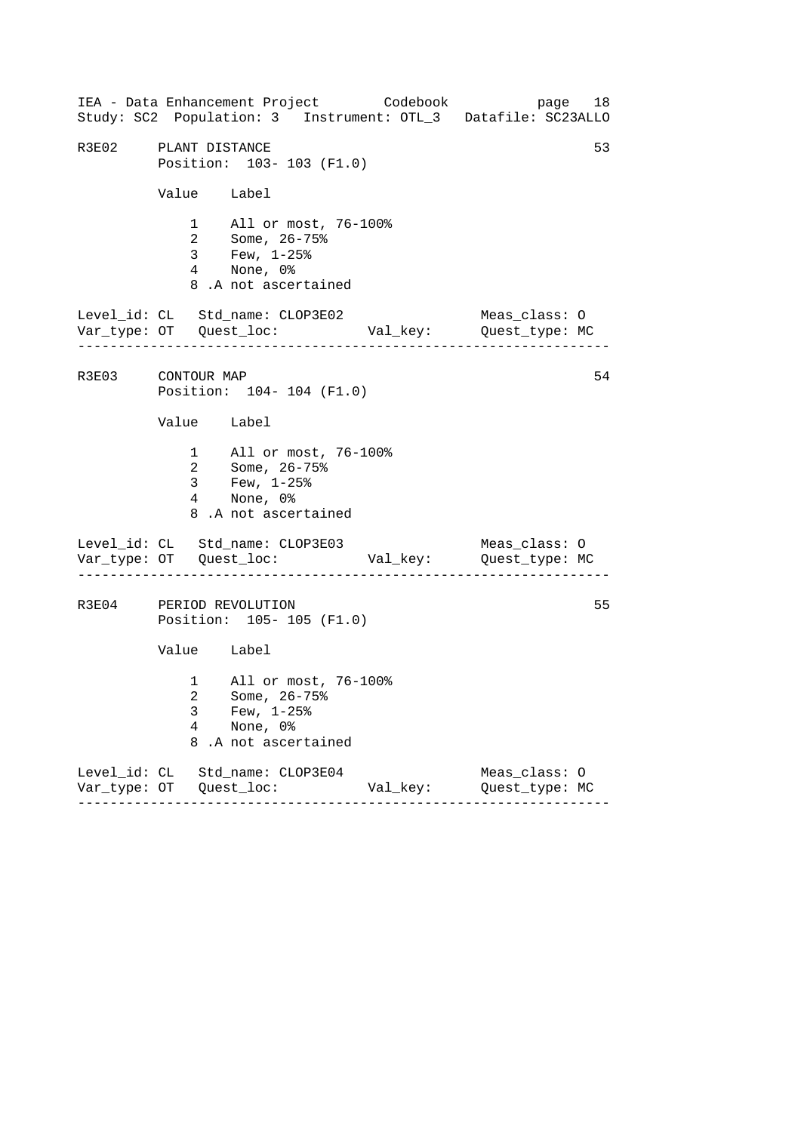------------------------------------------------------------------ ------------------------------------------------------------------ ------------------------------------------------------------------ IEA - Data Enhancement Project Codebook page 18 Study: SC2 Population: 3 Instrument: OTL\_3 Datafile: SC23ALLO R3E02 PLANT DISTANCE 53 Position: 103- 103 (F1.0) Value Label 1 All or most, 76-100% 2 Some, 26-75% 3 Few, 1-25% 4 None, 0% 8 .A not ascertained Level\_id: CL Std\_name: CLOP3E02 Meas\_class: O Var\_type: OT Quest\_loc: Val\_key: Quest\_type: MC R3E03 CONTOUR MAP 54 Position: 104- 104 (F1.0) Value Label 1 All or most, 76-100% 2 Some, 26-75% 3 Few, 1-25% 4 None, 0% 8 .A not ascertained Level\_id: CL Std\_name: CLOP3E03 Meas\_class: 0 Var\_type: OT Quest\_loc: Val\_key: Quest\_type: MC R3E04 PERIOD REVOLUTION 55 Position: 105- 105 (F1.0) Value Label 1 All or most, 76-100% 2 Some, 26-75% 3 Few, 1-25% 4 None, 0% 8 .A not ascertained Level\_id: CL Std\_name: CLOP3E04 Meas\_class: O Var\_type: OT Quest\_loc: Val\_key: Quest\_type: MC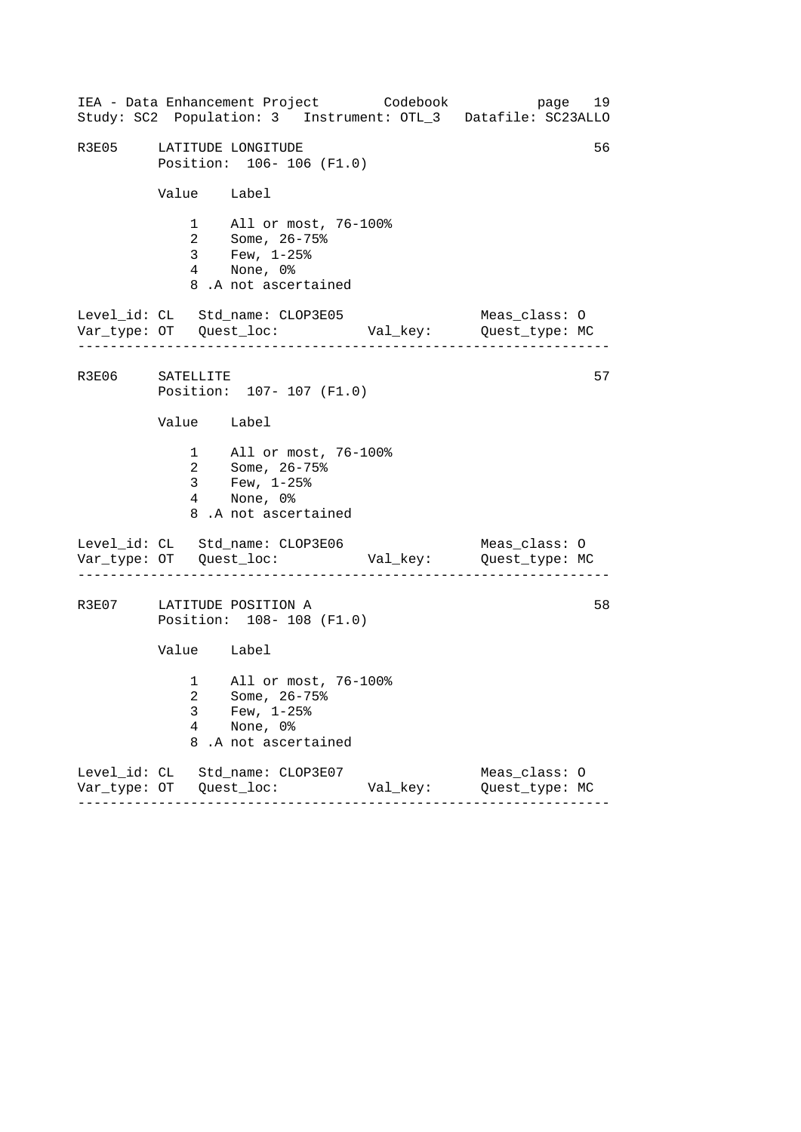|                 |                           | IEA - Data Enhancement Project Codebook<br>Study: SC2 Population: 3 Instrument: OTL_3 Datafile: SC23ALLO                        |          | page 19                         |    |
|-----------------|---------------------------|---------------------------------------------------------------------------------------------------------------------------------|----------|---------------------------------|----|
| R3E05           |                           | LATITUDE LONGITUDE<br>Position: 106-106 (F1.0)                                                                                  |          |                                 | 56 |
|                 | Value Label               |                                                                                                                                 |          |                                 |    |
|                 |                           | 1 All or most, 76-100%<br>2 Some, $26 - 75$ <sup>2</sup><br>$3$ Few, $1-25$ $\frac{25}{3}$<br>4 None, 0%<br>8.A not ascertained |          |                                 |    |
|                 | . _ _ _ _ _ _ _ _ _ _ _ . | Level_id: CL Std_name: CLOP3E05                                                                                                 |          | Meas_class: O                   |    |
| R3E06 SATELLITE |                           | Position: 107- 107 (F1.0)                                                                                                       |          |                                 | 57 |
|                 | Value Label               |                                                                                                                                 |          |                                 |    |
|                 | 3 <sup>7</sup>            | 1 All or most, 76-100%<br>2 Some, 26-75%<br>Few, $1-25$ %<br>4 None, 0%<br>8.A not ascertained                                  |          |                                 |    |
|                 |                           | Level_id: CL Std_name: CLOP3E06                                                                                                 |          | Meas_class: O                   |    |
|                 |                           | R3E07 LATITUDE POSITION A<br>Position: 108-108 (F1.0)                                                                           |          |                                 | 58 |
|                 | Value Label               |                                                                                                                                 |          |                                 |    |
|                 | 3<br>4<br>8               | 1 All or most, 76-100%<br>2 Some, 26-75%<br>Few, $1-25$ %<br>None, 0%<br>.A not ascertained                                     |          |                                 |    |
|                 |                           | Level_id: CL Std_name: CLOP3E07                                                                                                 | Val_key: | Meas_class: 0<br>Quest_type: MC |    |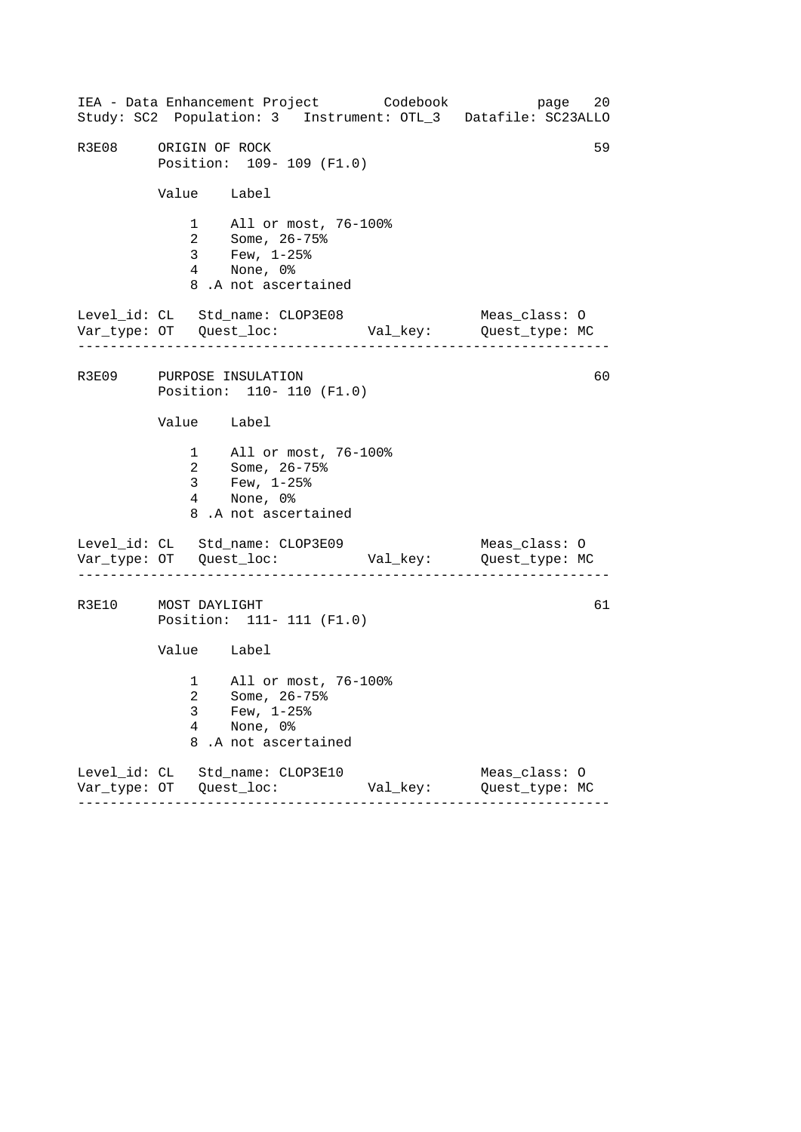------------------------------------------------------------------ ------------------------------------------------------------------ ------------------------------------------------------------------ IEA - Data Enhancement Project Codebook page 20 Study: SC2 Population: 3 Instrument: OTL\_3 Datafile: SC23ALLO R3E08 ORIGIN OF ROCK 59 Position: 109- 109 (F1.0) Value Label 1 All or most, 76-100% 2 Some, 26-75% 3 Few, 1-25% 4 None, 0% 8 .A not ascertained Level\_id: CL Std\_name: CLOP3E08 Meas\_class: O Var\_type: OT Quest\_loc: Val\_key: Quest\_type: MC R3E09 PURPOSE INSULATION 60 Position: 110- 110 (F1.0) Value Label 1 All or most, 76-100% 2 Some, 26-75% 3 Few, 1-25% 4 None, 0% 8 .A not ascertained Level\_id: CL Std\_name: CLOP3E09 Meas\_class: 0 Var\_type: OT Quest\_loc: Val\_key: Quest\_type: MC R3E10 MOST DAYLIGHT 61 Position: 111- 111 (F1.0) Value Label 1 All or most, 76-100% 2 Some, 26-75% 3 Few, 1-25% 4 None, 0% 8 .A not ascertained Level\_id: CL Std\_name: CLOP3E10 Meas\_class: O Var\_type: OT Quest\_loc: Val\_key: Quest\_type: MC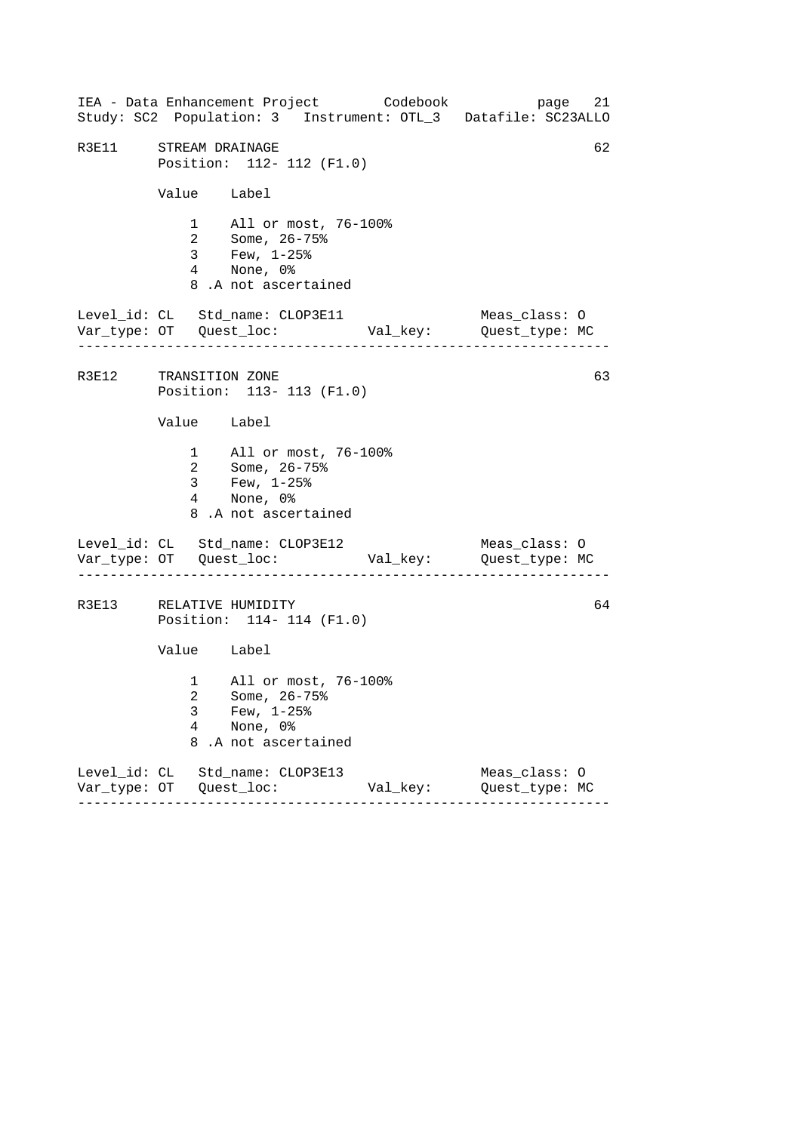------------------------------------------------------------------ ------------------------------------------------------------------ ------------------------------------------------------------------ IEA - Data Enhancement Project Codebook page 21 Study: SC2 Population: 3 Instrument: OTL\_3 Datafile: SC23ALLO R3E11 STREAM DRAINAGE 62 Position: 112- 112 (F1.0) Value Label 1 All or most, 76-100% 2 Some, 26-75% 3 Few, 1-25% 4 None, 0% 8 .A not ascertained Level\_id: CL Std\_name: CLOP3E11 Meas\_class: O Var\_type: OT Quest\_loc: Val\_key: Quest\_type: MC R3E12 TRANSITION ZONE 63 Position: 113- 113 (F1.0) Value Label 1 All or most, 76-100% 2 Some, 26-75% 3 Few, 1-25% 4 None, 0% 8 .A not ascertained Level\_id: CL Std\_name: CLOP3E12 Meas\_class: 0 Var\_type: OT Quest\_loc: Val\_key: Quest\_type: MC R3E13 RELATIVE HUMIDITY 64 Position: 114- 114 (F1.0) Value Label 1 All or most, 76-100% 2 Some, 26-75% 3 Few, 1-25% 4 None, 0% 8 .A not ascertained Level\_id: CL Std\_name: CLOP3E13 Meas\_class: O Var\_type: OT Quest\_loc: Val\_key: Quest\_type: MC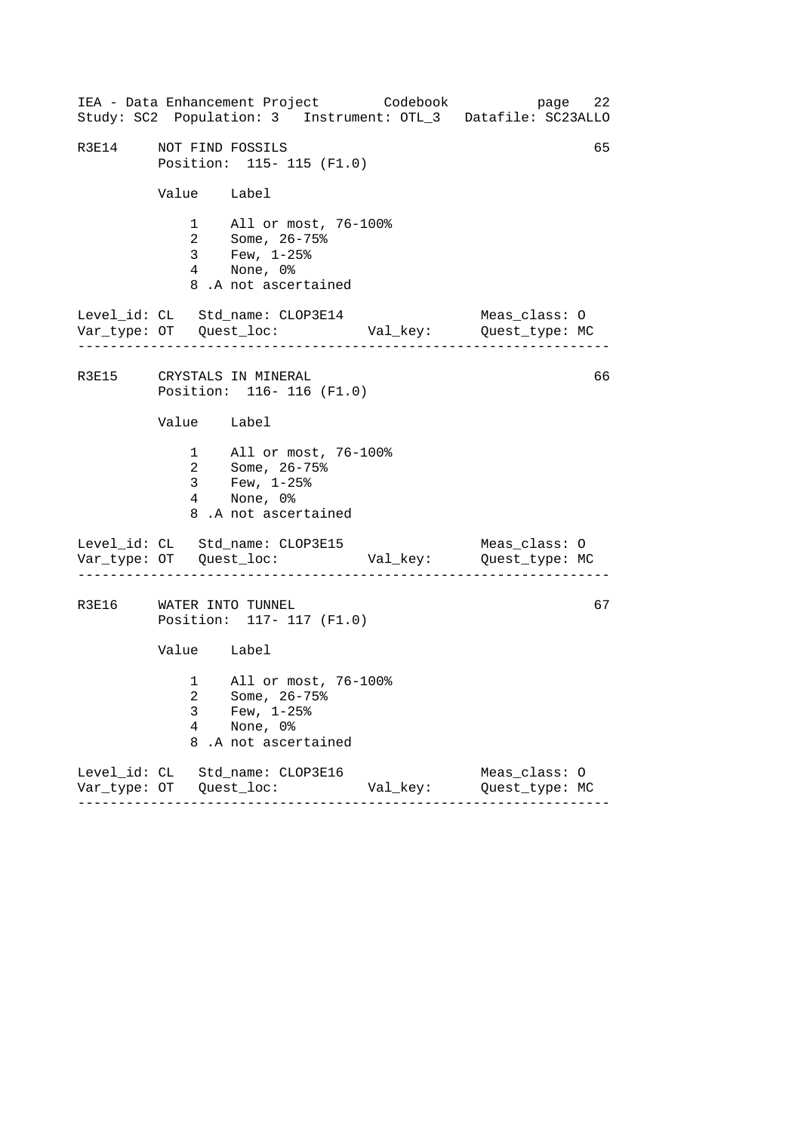------------------------------------------------------------------ ------------------------------------------------------------------ ------------------------------------------------------------------ IEA - Data Enhancement Project Codebook page 22 Study: SC2 Population: 3 Instrument: OTL\_3 Datafile: SC23ALLO R3E14 NOT FIND FOSSILS 65 Position: 115- 115 (F1.0) Value Label 1 All or most, 76-100% 2 Some, 26-75% 3 Few, 1-25% 4 None, 0% 8 .A not ascertained Level\_id: CL Std\_name: CLOP3E14 Meas\_class: O Var\_type: OT Quest\_loc: Val\_key: Quest\_type: MC R3E15 CRYSTALS IN MINERAL 66 Position: 116- 116 (F1.0) Value Label 1 All or most, 76-100% 2 Some, 26-75% 3 Few, 1-25% 4 None, 0% 8 .A not ascertained Level\_id: CL Std\_name: CLOP3E15 Meas\_class: 0 Var\_type: OT Quest\_loc: Val\_key: Quest\_type: MC R3E16 WATER INTO TUNNEL 67 Position: 117- 117 (F1.0) Value Label 1 All or most, 76-100% 2 Some, 26-75% 3 Few, 1-25% 4 None, 0% 8 .A not ascertained Level\_id: CL Std\_name: CLOP3E16 Meas\_class: O Var\_type: OT Quest\_loc: Val\_key: Quest\_type: MC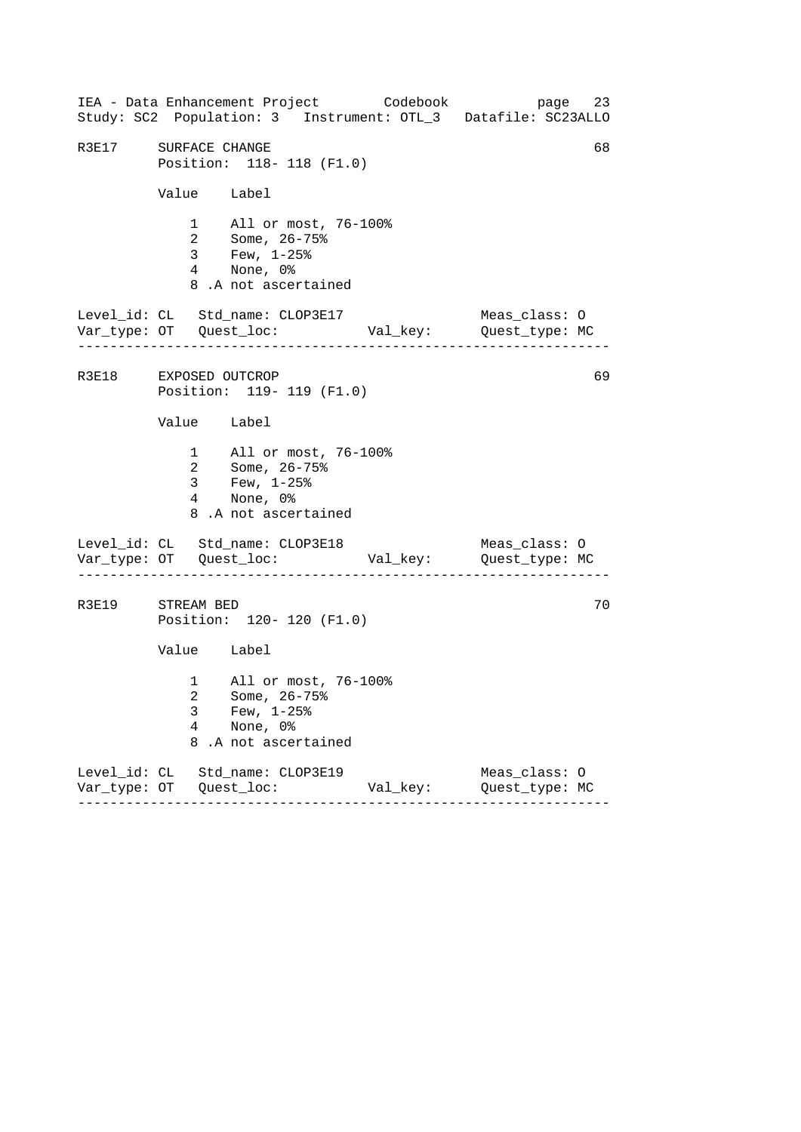------------------------------------------------------------------ ------------------------------------------------------------------ ------------------------------------------------------------------ IEA - Data Enhancement Project Codebook page 23 Study: SC2 Population: 3 Instrument: OTL\_3 Datafile: SC23ALLO R3E17 SURFACE CHANGE 68 Position: 118- 118 (F1.0) Value Label 1 All or most, 76-100% 2 Some, 26-75% 3 Few, 1-25% 4 None, 0% 8 .A not ascertained Level\_id: CL Std\_name: CLOP3E17 Meas\_class: O Var\_type: OT Quest\_loc: Val\_key: Quest\_type: MC R3E18 EXPOSED OUTCROP 69 Position: 119- 119 (F1.0) Value Label 1 All or most, 76-100% 2 Some, 26-75% 3 Few, 1-25% 4 None, 0% 8 .A not ascertained Level\_id: CL Std\_name: CLOP3E18 Meas\_class: 0 Var\_type: OT Quest\_loc: Val\_key: Quest\_type: MC R3E19 STREAM BED 70 Position: 120- 120 (F1.0) Value Label 1 All or most, 76-100% 2 Some, 26-75% 3 Few, 1-25% 4 None, 0% 8 .A not ascertained Level\_id: CL Std\_name: CLOP3E19 Meas\_class: O Var\_type: OT Quest\_loc: Val\_key: Quest\_type: MC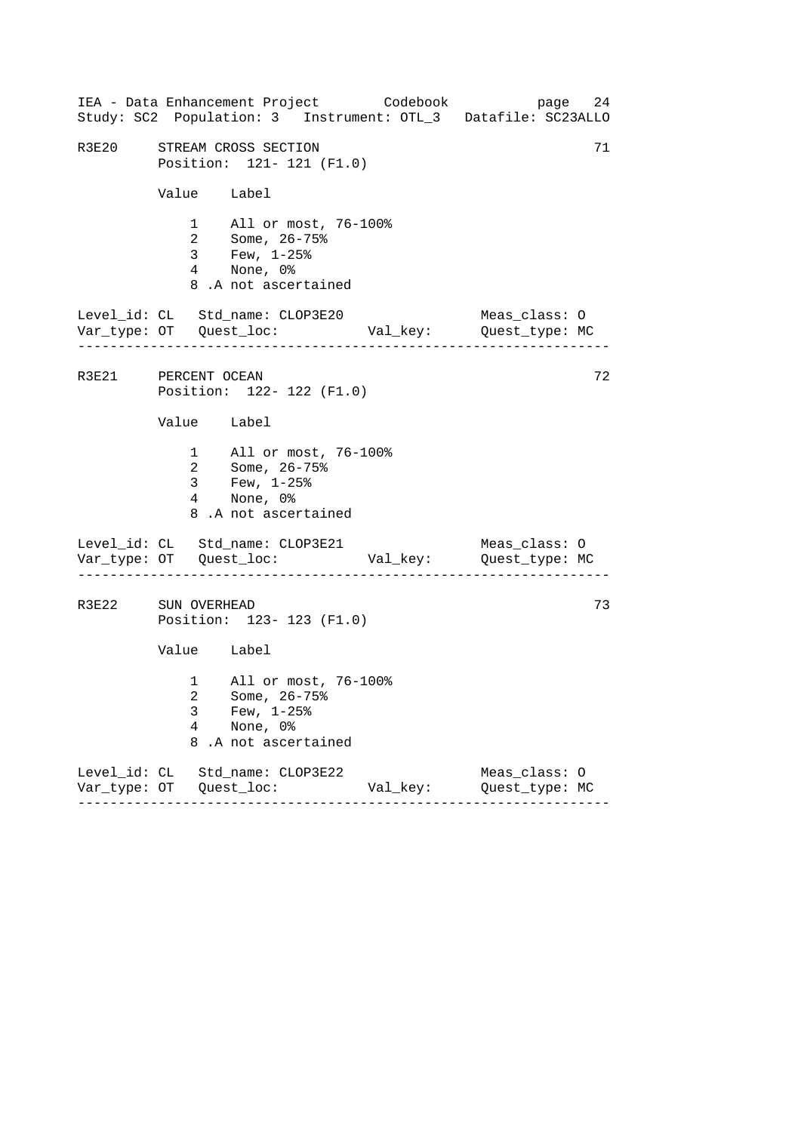|                     |                                                 |                                                                                                                           | IEA - Data Enhancement Project Codebook | page 24<br>Study: SC2 Population: 3 Instrument: OTL_3 Datafile: SC23ALLO |  |
|---------------------|-------------------------------------------------|---------------------------------------------------------------------------------------------------------------------------|-----------------------------------------|--------------------------------------------------------------------------|--|
|                     |                                                 | R3E20 STREAM CROSS SECTION<br>Position: 121- 121 (F1.0)                                                                   |                                         | 71                                                                       |  |
|                     | Value Label                                     |                                                                                                                           |                                         |                                                                          |  |
|                     |                                                 | 1 All or most, 76-100%<br>2 Some, $26 - 75$ <sup>2</sup><br>3 Few, $1-25$ $% 3 = 25$<br>4 None, 0%<br>8.A not ascertained |                                         |                                                                          |  |
|                     | . _ _ _ _ _ _ _ _ _ _ _ _ _                     | Level_id: CL Std_name: CLOP3E20                                                                                           |                                         | Meas_class: O                                                            |  |
| R3E21 PERCENT OCEAN |                                                 | Position: 122- 122 (F1.0)                                                                                                 |                                         | 72                                                                       |  |
|                     | Value Label                                     |                                                                                                                           |                                         |                                                                          |  |
|                     |                                                 | 1 All or most, 76-100%<br>2 Some, 26-75%<br>3 Few, 1-25%<br>4 None, 0%<br>8.A not ascertained                             |                                         |                                                                          |  |
|                     |                                                 | Level_id: CL Std_name: CLOP3E21                                                                                           |                                         | Meas_class: O                                                            |  |
|                     | R3E22 SUN OVERHEAD<br>Position: 123- 123 (F1.0) |                                                                                                                           |                                         |                                                                          |  |
|                     | Value Label                                     |                                                                                                                           |                                         |                                                                          |  |
|                     | 3<br>4<br>8                                     | 1 All or most, 76-100%<br>2   Some, 26-75%<br>Few, $1-25$ %<br>None, 0%<br>.A not ascertained                             |                                         |                                                                          |  |
|                     |                                                 | Level_id: CL Std_name: CLOP3E22                                                                                           | Val_key:                                | Meas_class: 0<br>Quest_type: MC                                          |  |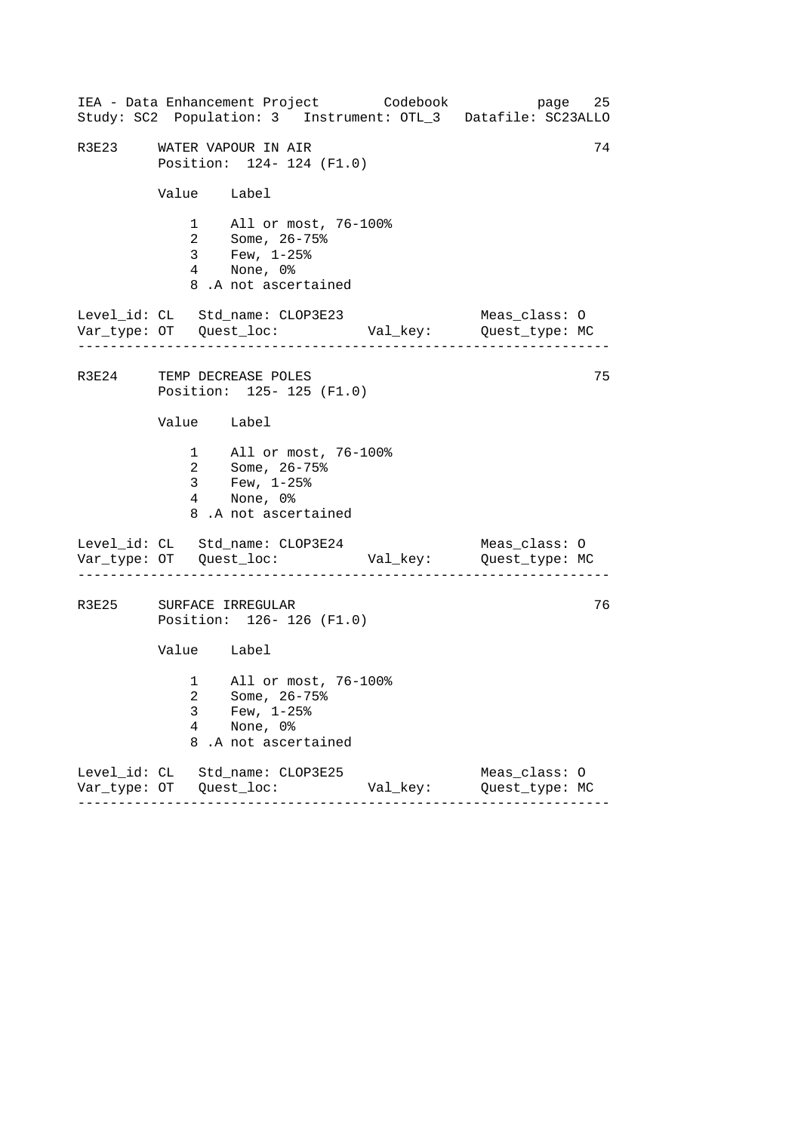|       |                          | IEA - Data Enhancement Project Codebook<br>Study: SC2 Population: 3 Instrument: OTL_3 Datafile: SC23ALLO |          |                                 | 25<br>page |
|-------|--------------------------|----------------------------------------------------------------------------------------------------------|----------|---------------------------------|------------|
| R3E23 |                          | WATER VAPOUR IN AIR<br>Position: 124- 124 (F1.0)                                                         |          |                                 | 74         |
|       | Value Label              |                                                                                                          |          |                                 |            |
|       |                          | 1 All or most, 76-100%<br>2 Some, 26-75%<br>3 Few, 1-25%<br>4 None, 0%<br>8.A not ascertained            |          |                                 |            |
|       |                          | Level_id: CL Std_name: CLOP3E23                                                                          |          | Meas_class: O                   |            |
|       |                          | R3E24 TEMP DECREASE POLES<br>Position: 125- 125 (F1.0)                                                   |          |                                 | 75         |
|       | Value Label              |                                                                                                          |          |                                 |            |
|       |                          | 1 All or most, 76-100%<br>2 Some, 26-75%<br>3 Few, $1-25$ $%$<br>4 None, 0%<br>8.A not ascertained       |          |                                 |            |
|       |                          | Level_id: CL Std_name: CLOP3E24                                                                          |          | Meas_class: O                   |            |
|       |                          | R3E25 SURFACE IRREGULAR<br>Position: 126-126 (F1.0)                                                      |          |                                 | 76         |
|       | Value Label              |                                                                                                          |          |                                 |            |
|       | 3<br>$\overline{4}$<br>8 | 1 All or most, 76-100%<br>2 Some, 26-75%<br>Few, $1-25$ $%$<br>None, 0%<br>.A not ascertained            |          |                                 |            |
|       |                          | Level_id: CL Std_name: CLOP3E25                                                                          | Val_key: | Meas_class: 0<br>Quest_type: MC |            |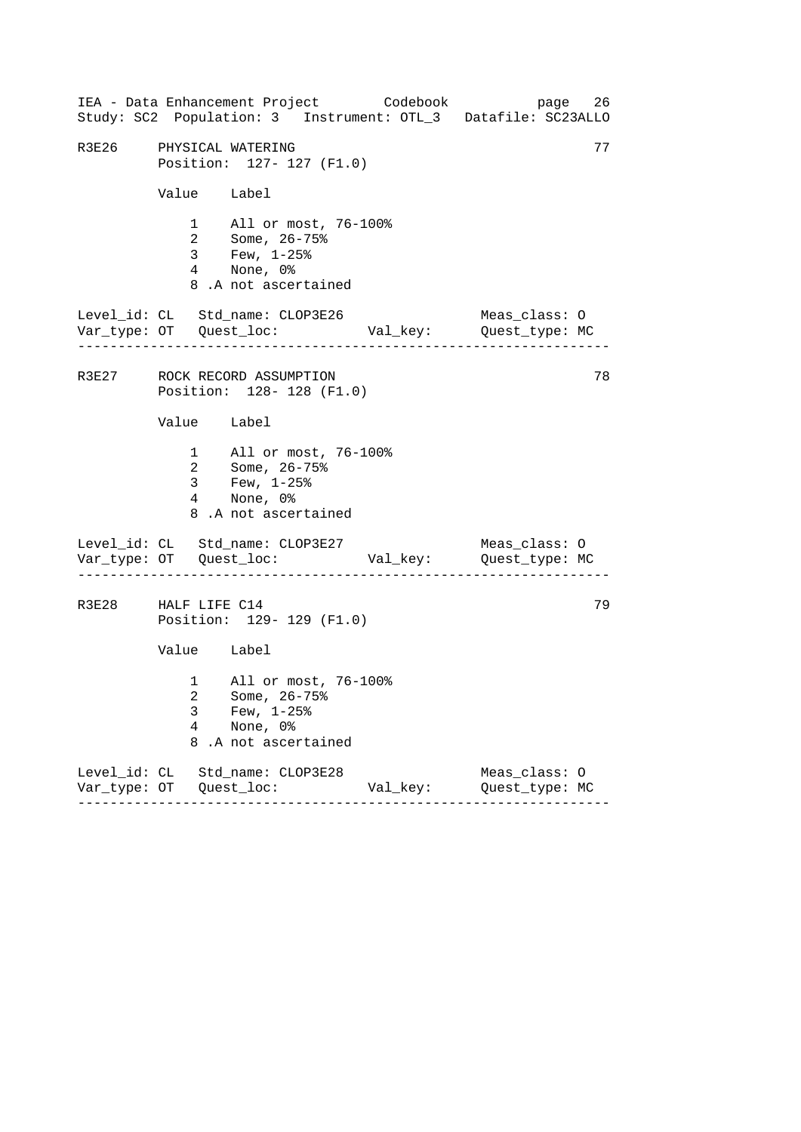------------------------------------------------------------------ ------------------------------------------------------------------ ------------------------------------------------------------------ IEA - Data Enhancement Project Codebook page 26 Study: SC2 Population: 3 Instrument: OTL\_3 Datafile: SC23ALLO R3E26 PHYSICAL WATERING 77 Position: 127- 127 (F1.0) Value Label 1 All or most, 76-100% 2 Some, 26-75% 3 Few, 1-25% 4 None, 0% 8 .A not ascertained Level\_id: CL Std\_name: CLOP3E26 Meas\_class: O Var\_type: OT Quest\_loc: Val\_key: Quest\_type: MC R3E27 ROCK RECORD ASSUMPTION 78 Position: 128- 128 (F1.0) Value Label 1 All or most, 76-100% 2 Some, 26-75% 3 Few, 1-25% 4 None, 0% 8 .A not ascertained Level\_id: CL Std\_name: CLOP3E27 Meas\_class: 0 Var\_type: OT Quest\_loc: Val\_key: Quest\_type: MC R3E28 HALF LIFE C14 79 Position: 129- 129 (F1.0) Value Label 1 All or most, 76-100% 2 Some, 26-75% 3 Few, 1-25% 4 None, 0% 8 .A not ascertained Level\_id: CL Std\_name: CLOP3E28 Meas\_class: O Var\_type: OT Quest\_loc: Val\_key: Quest\_type: MC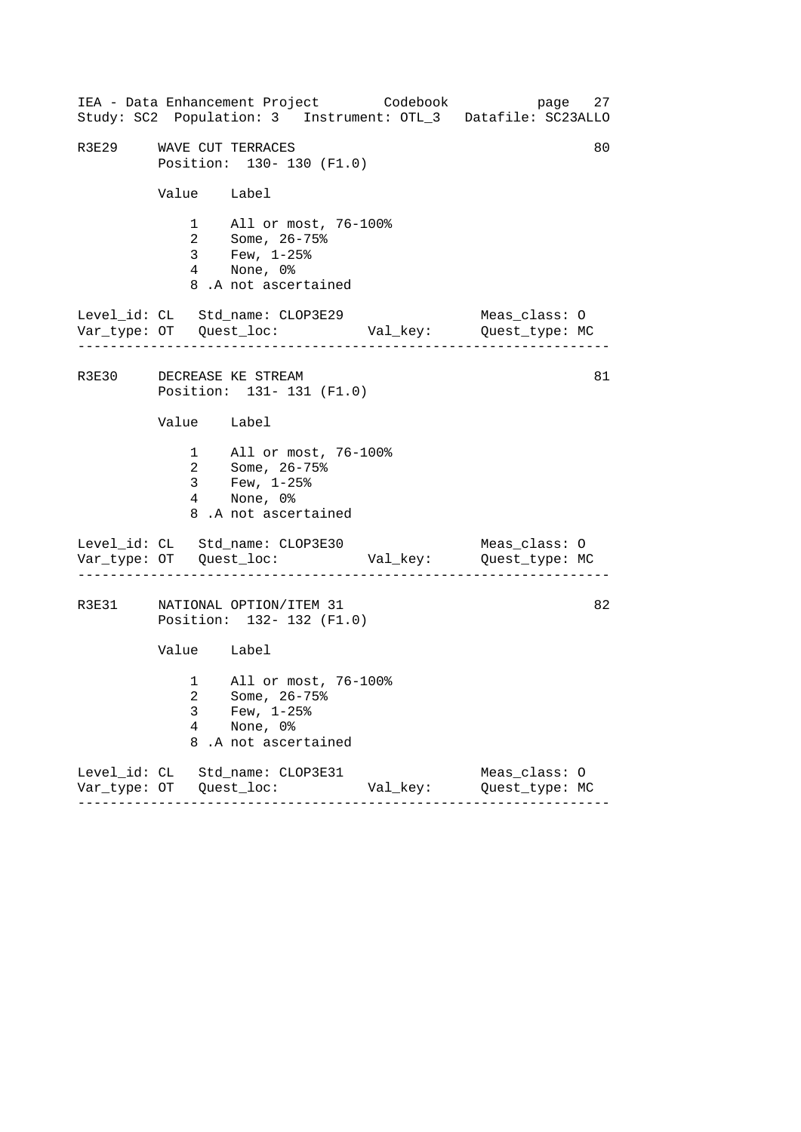------------------------------------------------------------------ ------------------------------------------------------------------ ------------------------------------------------------------------ IEA - Data Enhancement Project Codebook page 27 Study: SC2 Population: 3 Instrument: OTL\_3 Datafile: SC23ALLO R3E29 WAVE CUT TERRACES 80 Position: 130- 130 (F1.0) Value Label 1 All or most, 76-100% 2 Some, 26-75% 3 Few, 1-25% 4 None, 0% 8 .A not ascertained Level\_id: CL Std\_name: CLOP3E29 Meas\_class: O Var\_type: OT Quest\_loc: Val\_key: Quest\_type: MC R3E30 DECREASE KE STREAM 81 Position: 131- 131 (F1.0) Value Label 1 All or most, 76-100% 2 Some, 26-75% 3 Few, 1-25% 4 None, 0% 8 .A not ascertained Level\_id: CL Std\_name: CLOP3E30 Meas\_class: 0 Var\_type: OT Quest\_loc: Val\_key: Quest\_type: MC R3E31 NATIONAL OPTION/ITEM 31 82 Position: 132- 132 (F1.0) Value Label 1 All or most, 76-100% 2 Some, 26-75% 3 Few,  $1-25$ %<br>4 None, 0% None, 0% 8 .A not ascertained Level\_id: CL Std\_name: CLOP3E31 Meas\_class: O Var\_type: OT Quest\_loc: Val\_key: Quest\_type: MC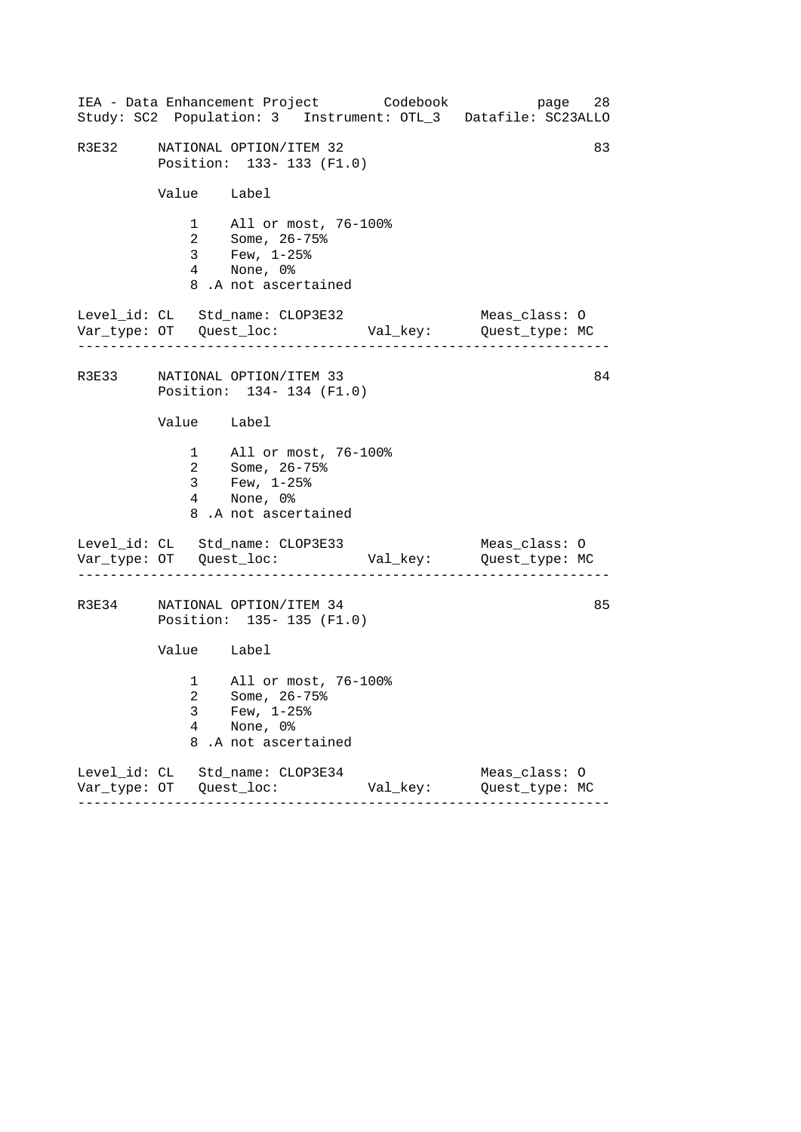|       |                           | IEA - Data Enhancement Project Codebook<br>Study: SC2 Population: 3 Instrument: OTL_3 Datafile: SC23ALLO                    |          | page                            | 28 |
|-------|---------------------------|-----------------------------------------------------------------------------------------------------------------------------|----------|---------------------------------|----|
| R3E32 |                           | NATIONAL OPTION/ITEM 32<br>Position: 133- 133 (F1.0)                                                                        |          |                                 | 83 |
|       | Value Label               |                                                                                                                             |          |                                 |    |
|       |                           | 1 All or most, 76-100%<br>2 Some, $26 - 75$ <sup>2</sup><br>$3$ Few, $1-25$ $^{\circ}$<br>4 None, 0%<br>8.A not ascertained |          |                                 |    |
|       | . _ _ _ _ _ _ _ _ _ _ _ _ | Level_id: CL Std_name: CLOP3E32                                                                                             |          | Meas_class: O                   |    |
|       |                           | R3E33 NATIONAL OPTION/ITEM 33<br>Position: 134- 134 (F1.0)                                                                  |          |                                 | 84 |
|       | Value Label               |                                                                                                                             |          |                                 |    |
|       |                           | 1 All or most, 76-100%<br>2 Some, 26-75%<br>3 Few, 1-25%<br>4 None, 0%<br>8.A not ascertained                               |          |                                 |    |
|       |                           | Level_id: CL Std_name: CLOP3E33                                                                                             |          | Meas_class: O                   |    |
|       |                           | R3E34 NATIONAL OPTION/ITEM 34<br>Position: 135- 135 (F1.0)                                                                  |          |                                 | 85 |
|       | Value Label               |                                                                                                                             |          |                                 |    |
|       | 3<br>4<br>8               | 1 All or most, 76-100%<br>2   Some, 26-75%<br>Few, $1-25$ %<br>None, 0%<br>.A not ascertained                               |          |                                 |    |
|       |                           | Level_id: CL Std_name: CLOP3E34                                                                                             | Val_key: | Meas_class: 0<br>Quest_type: MC |    |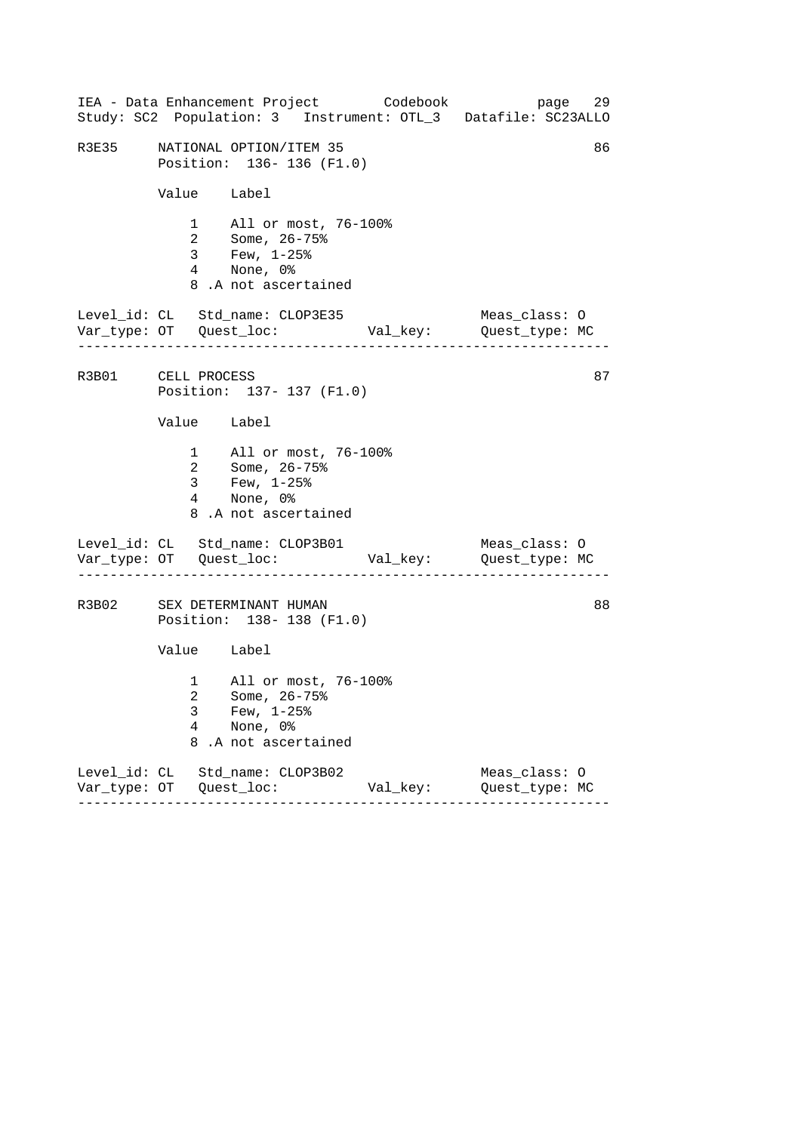|                    |                | IEA - Data Enhancement Project Codebook<br>Study: SC2 Population: 3 Instrument: OTL_3 Datafile: SC23ALLO |          | page                            | 29 |
|--------------------|----------------|----------------------------------------------------------------------------------------------------------|----------|---------------------------------|----|
| R3E35              |                | NATIONAL OPTION/ITEM 35<br>Position: 136-136 (F1.0)                                                      |          |                                 | 86 |
|                    | Value Label    |                                                                                                          |          |                                 |    |
|                    |                | 1 All or most, 76-100%<br>2 Some, 26-75%<br>3 Few, $1-25%$<br>4 None, 0%<br>8.A not ascertained          |          |                                 |    |
|                    | .              | Level_id: CL Std_name: CLOP3E35                                                                          |          | Meas_class: O                   |    |
| R3B01 CELL PROCESS |                | Position: 137- 137 (F1.0)                                                                                |          |                                 | 87 |
|                    | Value Label    |                                                                                                          |          |                                 |    |
|                    | 3 <sup>7</sup> | 1 All or most, 76-100%<br>2 Some, 26-75%<br>Few, 1-25%<br>$\frac{3}{4}$ None, 0%<br>8.A not ascertained  |          |                                 |    |
|                    |                | Level_id: CL Std_name: CLOP3B01                                                                          |          | Meas_class: O                   |    |
|                    |                | R3B02 SEX DETERMINANT HUMAN<br>Position: 138-138 (F1.0)                                                  |          |                                 | 88 |
|                    | Value Label    |                                                                                                          |          |                                 |    |
|                    | 3<br>4<br>8    | 1 All or most, 76-100%<br>2 Some, 26-75%<br>Few, $1-25$ %<br>None, 0%<br>.A not ascertained              |          |                                 |    |
|                    |                | Level_id: CL Std_name: CLOP3B02                                                                          | Val_key: | Meas_class: 0<br>Quest_type: MC |    |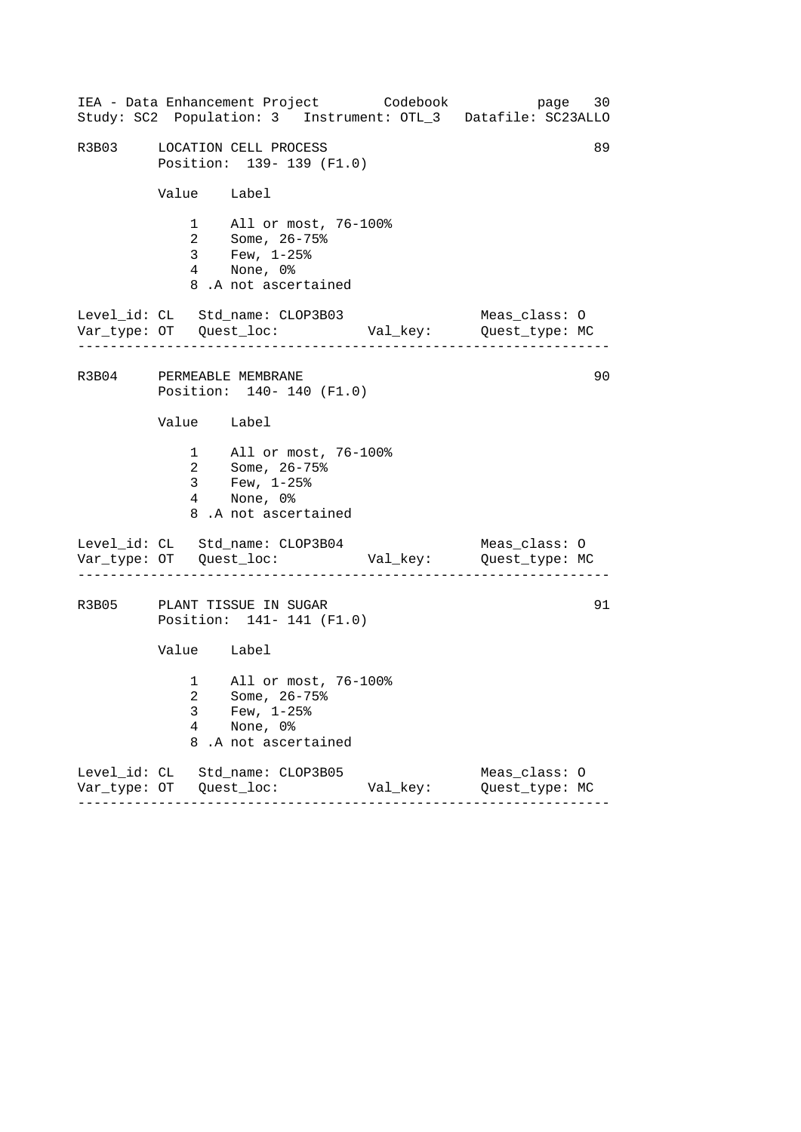|       |                | IEA - Data Enhancement Project Codebook<br>Study: SC2 Population: 3 Instrument: OTL_3 Datafile: SC23ALLO |          | page 30                         |    |
|-------|----------------|----------------------------------------------------------------------------------------------------------|----------|---------------------------------|----|
| R3B03 |                | LOCATION CELL PROCESS<br>Position: 139- 139 (F1.0)                                                       |          |                                 | 89 |
|       | Value Label    |                                                                                                          |          |                                 |    |
|       |                | 1 All or most, 76-100%<br>2 Some, 26-75%<br>3 Few, 1-25%<br>4 None, 0%<br>8.A not ascertained            |          |                                 |    |
|       |                | Level_id: CL Std_name: CLOP3B03                                                                          |          | Meas_class: O                   |    |
|       |                | R3B04 PERMEABLE MEMBRANE<br>Position: 140- 140 (F1.0)                                                    |          |                                 | 90 |
|       | Value Label    |                                                                                                          |          |                                 |    |
|       | 3 <sup>7</sup> | 1 All or most, 76-100%<br>2 Some, 26-75%<br>Few, $1-25$ %<br>4 None, 0%<br>8.A not ascertained           |          |                                 |    |
|       |                | Level_id: CL Std_name: CLOP3B04                                                                          |          | Meas_class: O                   |    |
|       |                | R3B05 PLANT TISSUE IN SUGAR<br>Position: 141- 141 (F1.0)                                                 |          |                                 | 91 |
|       | Value Label    |                                                                                                          |          |                                 |    |
|       | 3<br>4<br>8    | 1 All or most, 76-100%<br>2 Some, 26-75%<br>Few, $1-25$ %<br>None, 0%<br>.A not ascertained              |          |                                 |    |
|       |                | Level_id: CL Std_name: CLOP3B05                                                                          | Val_key: | Meas_class: 0<br>Quest_type: MC |    |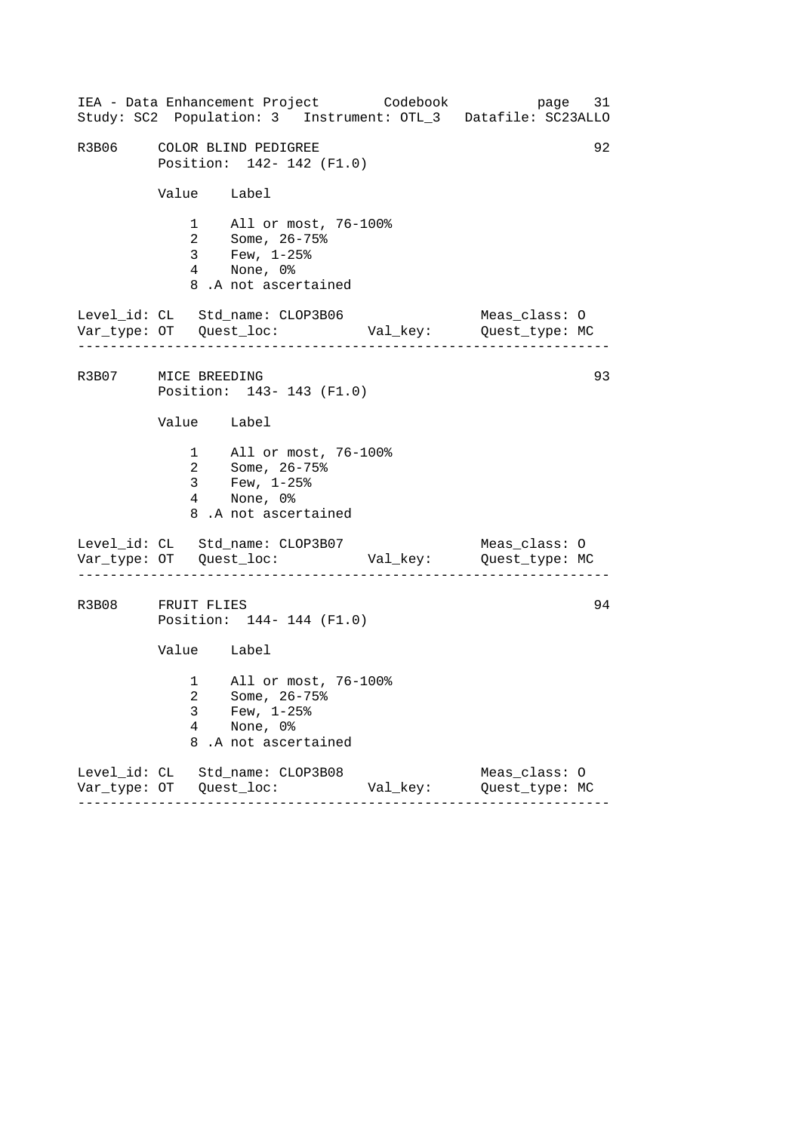|                     |                                                         | IEA - Data Enhancement Project Codebook                                                                                         |          | page 31<br>Study: SC2 Population: 3 Instrument: OTL_3 Datafile: SC23ALLO |  |  |  |
|---------------------|---------------------------------------------------------|---------------------------------------------------------------------------------------------------------------------------------|----------|--------------------------------------------------------------------------|--|--|--|
|                     | R3B06 COLOR BLIND PEDIGREE<br>Position: 142- 142 (F1.0) |                                                                                                                                 |          |                                                                          |  |  |  |
|                     | Value Label                                             |                                                                                                                                 |          |                                                                          |  |  |  |
|                     |                                                         | 1 All or most, 76-100%<br>2 Some, $26 - 75$ <sup>2</sup><br>$3$ Few, $1-25$ $\frac{25}{3}$<br>4 None, 0%<br>8.A not ascertained |          |                                                                          |  |  |  |
|                     | . <u>.</u> .                                            | Level_id: CL Std_name: CLOP3B06                                                                                                 |          | Meas_class: O                                                            |  |  |  |
| R3B07 MICE BREEDING |                                                         | Position: 143- 143 (F1.0)                                                                                                       |          | 93                                                                       |  |  |  |
|                     | Value Label                                             |                                                                                                                                 |          |                                                                          |  |  |  |
|                     | 3 <sup>7</sup>                                          | 1 All or most, 76-100%<br>2 Some, 26-75%<br>Few, $1-25$ %<br>4 None, 0%<br>8.A not ascertained                                  |          |                                                                          |  |  |  |
|                     |                                                         | Level_id: CL Std_name: CLOP3B07                                                                                                 |          | Meas_class: O                                                            |  |  |  |
|                     | 94<br>R3B08 FRUIT FLIES<br>Position: 144- 144 (F1.0)    |                                                                                                                                 |          |                                                                          |  |  |  |
|                     | Value Label                                             |                                                                                                                                 |          |                                                                          |  |  |  |
|                     | 3<br>4<br>8                                             | 1 All or most, 76-100%<br>2 Some, 26-75%<br>Few, $1-25$ %<br>None, 0%<br>.A not ascertained                                     |          |                                                                          |  |  |  |
|                     |                                                         | Level_id: CL Std_name: CLOP3B08                                                                                                 | Val_key: | Meas_class: 0<br>Quest_type: MC                                          |  |  |  |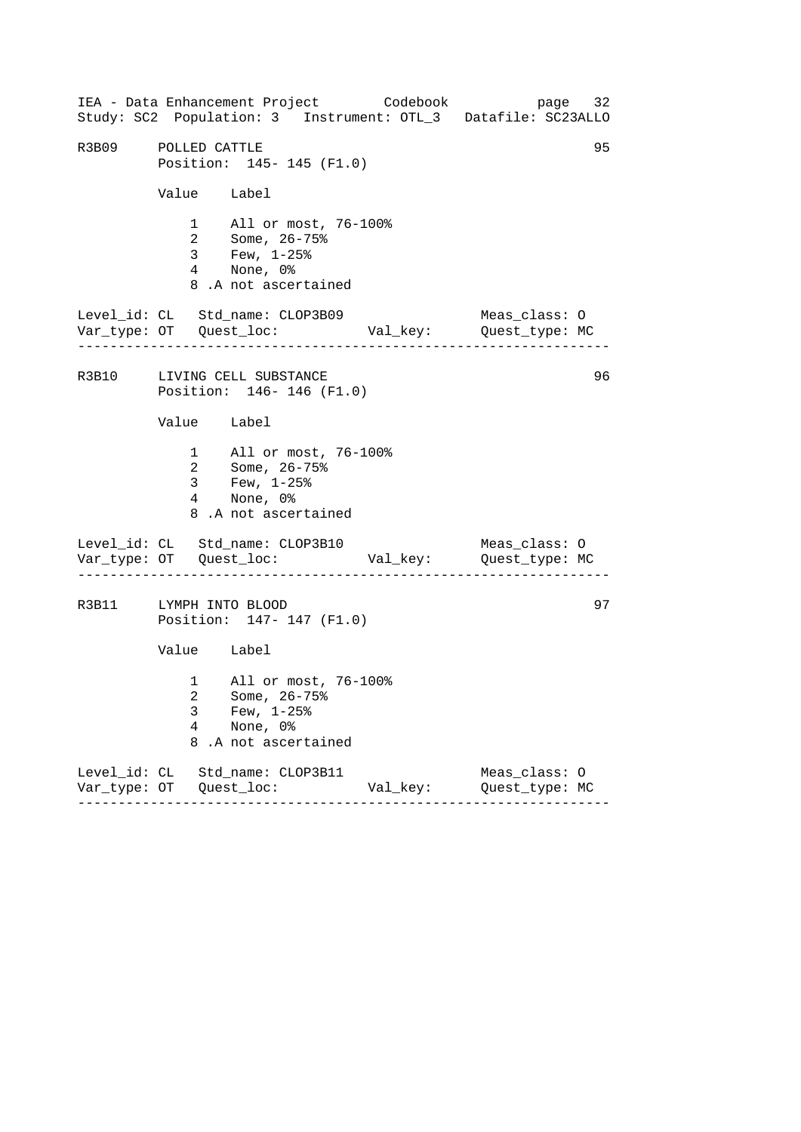------------------------------------------------------------------ ------------------------------------------------------------------ ------------------------------------------------------------------ IEA - Data Enhancement Project Codebook page 32 Study: SC2 Population: 3 Instrument: OTL\_3 Datafile: SC23ALLO R3B09 POLLED CATTLE 2000 POLLED CATTLE Position: 145- 145 (F1.0) Value Label 1 All or most, 76-100% 2 Some, 26-75% 3 Few, 1-25% 4 None, 0% 8 .A not ascertained Level\_id: CL Std\_name: CLOP3B09 Meas\_class: O Var\_type: OT Quest\_loc: Val\_key: Quest\_type: MC R3B10 LIVING CELL SUBSTANCE 96 Position: 146- 146 (F1.0) Value Label 1 All or most, 76-100% 2 Some, 26-75% 3 Few, 1-25% 4 None, 0% 8 .A not ascertained Level\_id: CL Std\_name: CLOP3B10 Meas\_class: 0 Var\_type: OT Quest\_loc: Val\_key: Quest\_type: MC R3B11 LYMPH INTO BLOOD 97 Position: 147- 147 (F1.0) Value Label 1 All or most, 76-100% 2 Some, 26-75% 3 Few, 1-25% 4 None, 0% 8 .A not ascertained Level\_id: CL Std\_name: CLOP3B11 Meas\_class: O Var\_type: OT Quest\_loc: Val\_key: Quest\_type: MC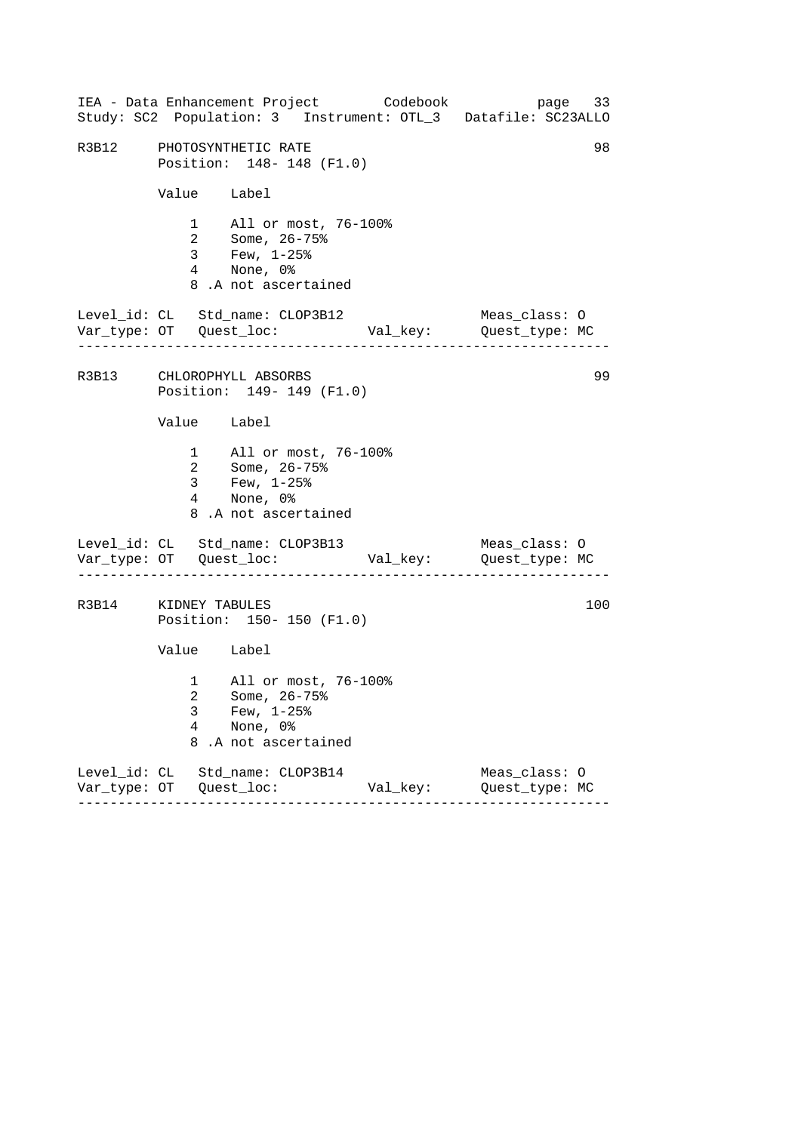| IEA - Data Enhancement Project Codebook<br>Study: SC2 Population: 3 Instrument: OTL_3 Datafile: SC23ALLO |                                                        |                          |                                                                          |                                                          |          |  |                                 | page 33 |    |
|----------------------------------------------------------------------------------------------------------|--------------------------------------------------------|--------------------------|--------------------------------------------------------------------------|----------------------------------------------------------|----------|--|---------------------------------|---------|----|
|                                                                                                          | R3B12 PHOTOSYNTHETIC RATE<br>Position: 148- 148 (F1.0) |                          |                                                                          |                                                          |          |  |                                 |         | 98 |
|                                                                                                          |                                                        |                          | Value Label                                                              |                                                          |          |  |                                 |         |    |
|                                                                                                          |                                                        |                          | 4 None, 0%<br>8.A not ascertained                                        | 1 All or most, 76-100%<br>2 Some, 26-75%<br>3 Few, 1-25% |          |  |                                 |         |    |
| Level_id: CL Std_name: CLOP3B12                                                                          |                                                        |                          |                                                                          |                                                          |          |  | Meas_class: O                   |         |    |
| R3B13 CHLOROPHYLL ABSORBS                                                                                |                                                        |                          |                                                                          | Position: 149- 149 (F1.0)                                |          |  |                                 |         | 99 |
|                                                                                                          |                                                        |                          | Value Label                                                              |                                                          |          |  |                                 |         |    |
|                                                                                                          |                                                        |                          | 2 Some, 26-75%<br>3 Few, $1-25$ $%$<br>4 None, 0%<br>8.A not ascertained | 1 All or most, 76-100%                                   |          |  |                                 |         |    |
| Level_id: CL Std_name: CLOP3B13                                                                          |                                                        |                          |                                                                          |                                                          |          |  | Meas_class: O                   |         |    |
| R3B14 KIDNEY TABULES                                                                                     |                                                        |                          |                                                                          | Position: 150- 150 (F1.0)                                |          |  |                                 | 100     |    |
|                                                                                                          |                                                        |                          | Value Label                                                              |                                                          |          |  |                                 |         |    |
|                                                                                                          |                                                        | 3<br>$\overline{4}$<br>8 | Few, $1-25$ $%$<br>None, 0%<br>.A not ascertained                        | 1 All or most, 76-100%<br>2 Some, 26-75%                 |          |  |                                 |         |    |
| Level_id: CL Std_name: CLOP3B14                                                                          |                                                        |                          |                                                                          |                                                          | Val_key: |  | Meas_class: O<br>Quest_type: MC |         |    |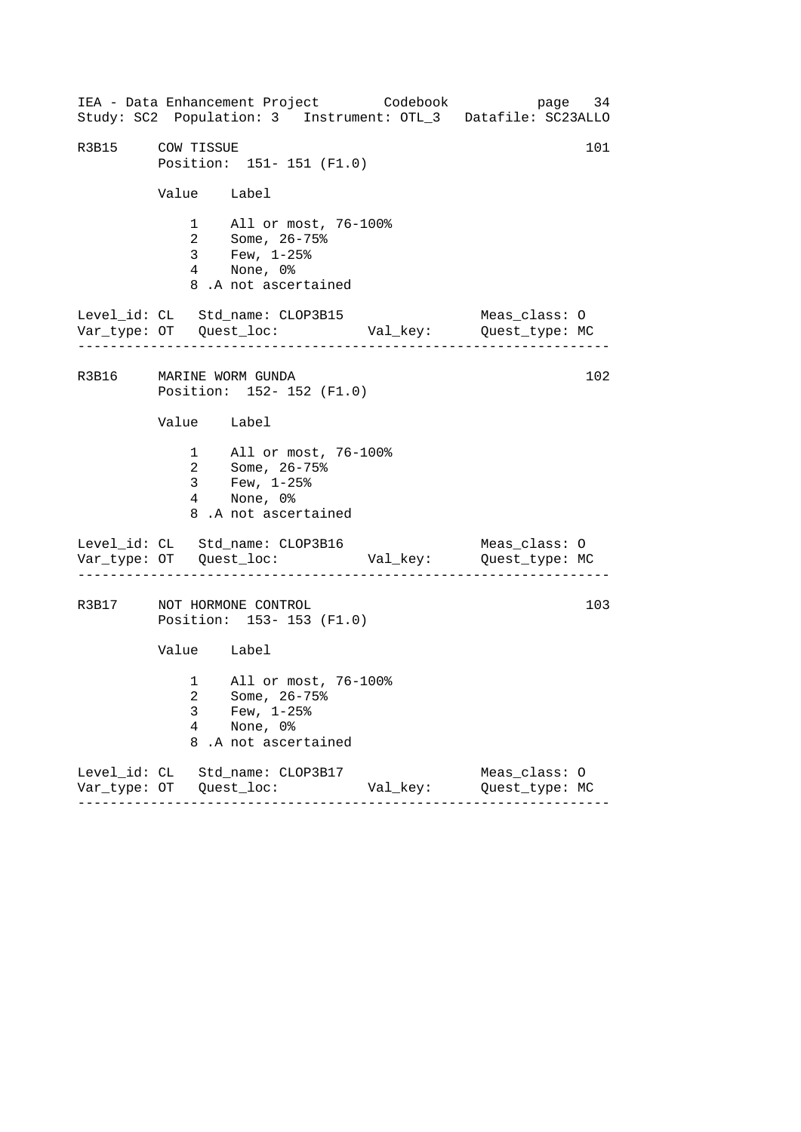------------------------------------------------------------------ ------------------------------------------------------------------ ------------------------------------------------------------------ IEA - Data Enhancement Project Codebook page 34 Study: SC2 Population: 3 Instrument: OTL\_3 Datafile: SC23ALLO R3B15 COW TISSUE 101 Position: 151- 151 (F1.0) Value Label 1 All or most, 76-100% 2 Some, 26-75% 3 Few, 1-25% 4 None, 0% 8 .A not ascertained Level\_id: CL Std\_name: CLOP3B15 Meas\_class: O Var\_type: OT Quest\_loc: Val\_key: Quest\_type: MC R3B16 MARINE WORM GUNDA 102 Position: 152- 152 (F1.0) Value Label 1 All or most, 76-100% 2 Some, 26-75% 3 Few, 1-25% 4 None, 0% 8 .A not ascertained Level\_id: CL Std\_name: CLOP3B16 Meas\_class: O Var\_type: OT Quest\_loc: Val\_key: Quest\_type: MC R3B17 NOT HORMONE CONTROL 203 Position: 153- 153 (F1.0) Value Label 1 All or most, 76-100% 2 Some, 26-75% 3 Few, 1-25% 4 None, 0% 8 .A not ascertained Level\_id: CL Std\_name: CLOP3B17 Meas\_class: O Var\_type: OT Quest\_loc: Val\_key: Quest\_type: MC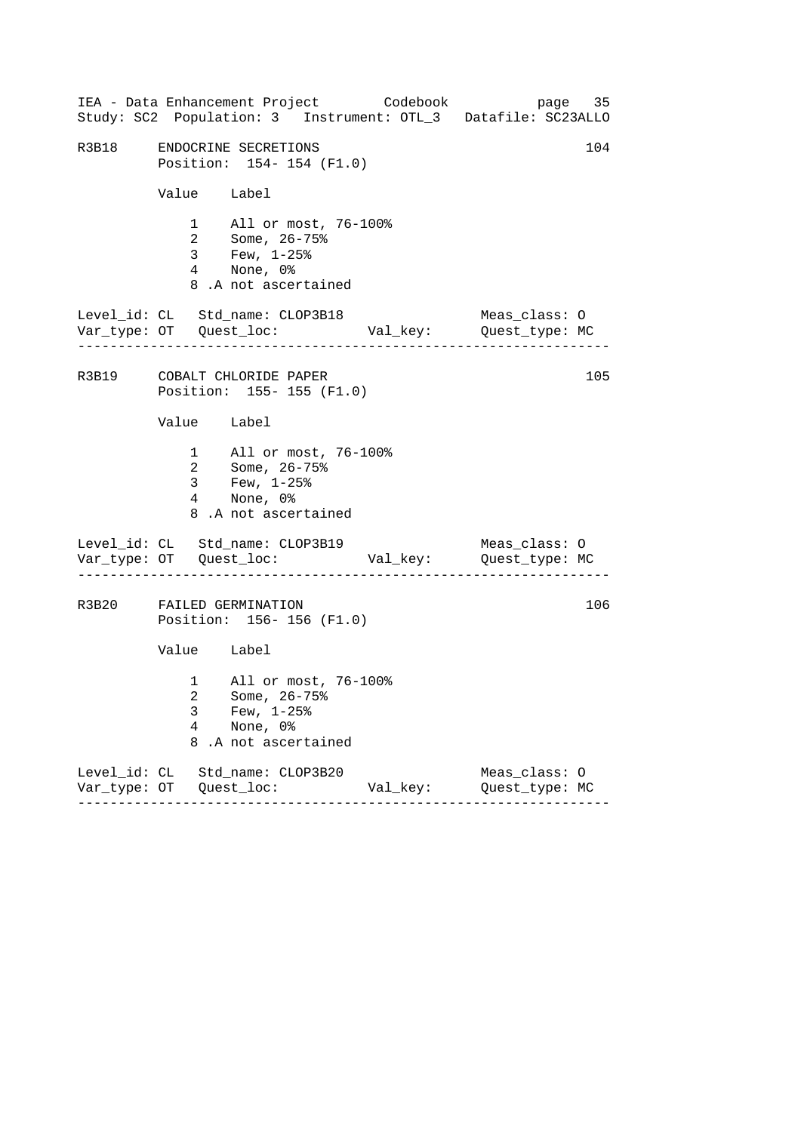| IEA - Data Enhancement Project Codebook<br>Study: SC2 Population: 3 Instrument: OTL_3 Datafile: SC23ALLO |             |                                                                                                     |          |                                 | page 35 |
|----------------------------------------------------------------------------------------------------------|-------------|-----------------------------------------------------------------------------------------------------|----------|---------------------------------|---------|
| R3B18                                                                                                    |             | ENDOCRINE SECRETIONS<br>Position: 154-154 (F1.0)                                                    |          |                                 | 104     |
|                                                                                                          |             | Value Label                                                                                         |          |                                 |         |
|                                                                                                          |             | 1 All or most, 76-100%<br>2 Some, 26-75%<br>3 Few, 1-25%<br>4 None, 0%<br>8.A not ascertained       |          |                                 |         |
| Level_id: CL Std_name: CLOP3B18<br>. _ _ _ _ _ _ _ _ _ _ _ _ _ _ _ _ _ _                                 |             |                                                                                                     |          | Meas_class: O                   |         |
| R3B19 COBALT CHLORIDE PAPER                                                                              |             | Position: 155-155 (F1.0)                                                                            |          |                                 | 105     |
|                                                                                                          |             | Value Label                                                                                         |          |                                 |         |
|                                                                                                          |             | 1 All or most, 76-100%<br>2 Some, 26-75%<br>$3 \t Few, 1-25\%$<br>4 None, 0%<br>8.A not ascertained |          |                                 |         |
| Level_id: CL Std_name: CLOP3B19                                                                          |             |                                                                                                     |          | Meas_class: O                   |         |
| R3B20 FAILED GERMINATION                                                                                 |             | Position: 156-156 (F1.0)                                                                            |          |                                 | 106     |
|                                                                                                          |             | Value Label                                                                                         |          |                                 |         |
|                                                                                                          | 3<br>4<br>8 | 1 All or most, 76-100%<br>2 Some, 26-75%<br>Few, $1-25$ %<br>None, 0%<br>.A not ascertained         |          |                                 |         |
| Level_id: CL Std_name: CLOP3B20                                                                          |             |                                                                                                     | Val_key: | Meas_class: 0<br>Quest_type: MC |         |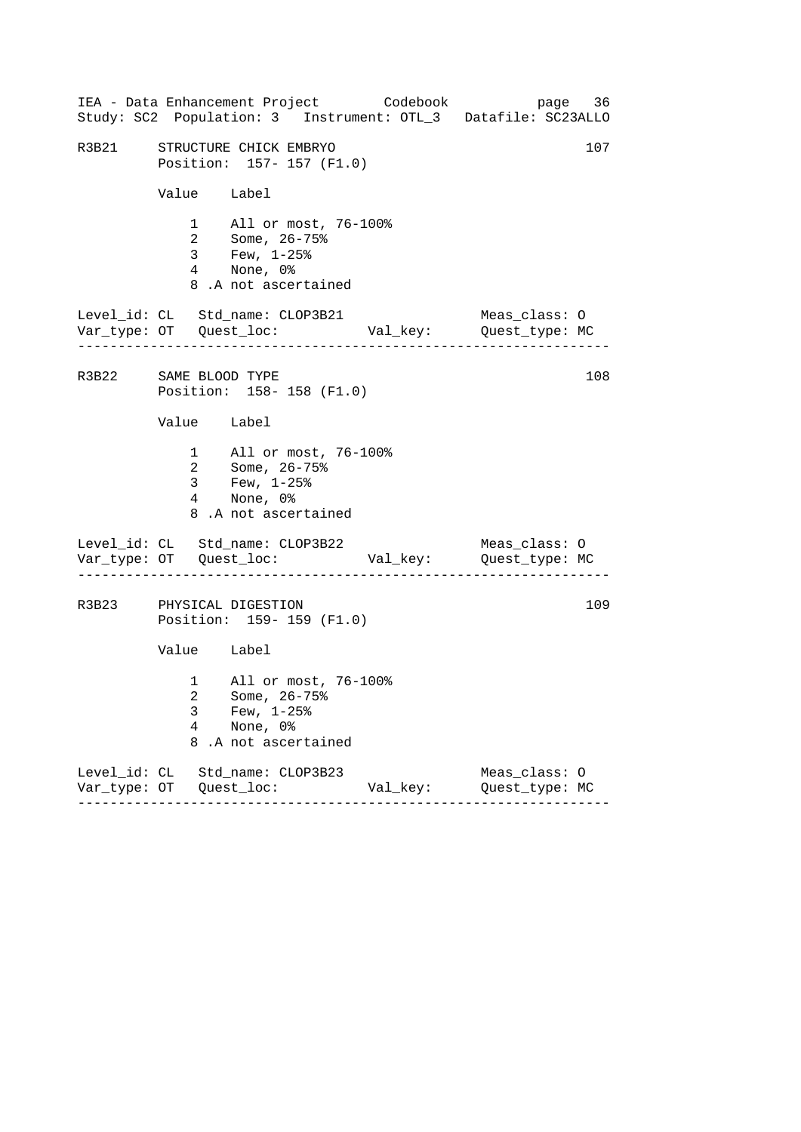|                       |                                                           | IEA - Data Enhancement Project Codebook                                                            |          | page 36<br>Study: SC2 Population: 3 Instrument: OTL_3 Datafile: SC23ALLO |  |  |  |
|-----------------------|-----------------------------------------------------------|----------------------------------------------------------------------------------------------------|----------|--------------------------------------------------------------------------|--|--|--|
|                       | R3B21 STRUCTURE CHICK EMBRYO<br>Position: 157- 157 (F1.0) |                                                                                                    |          |                                                                          |  |  |  |
|                       |                                                           | Value Label                                                                                        |          |                                                                          |  |  |  |
|                       |                                                           | 1 All or most, 76-100%<br>2 Some, 26-75%<br>3 Few, 1-25%<br>4 None, 0%<br>8.A not ascertained      |          |                                                                          |  |  |  |
|                       |                                                           | Level_id: CL Std_name: CLOP3B21                                                                    |          | Meas_class: O                                                            |  |  |  |
| R3B22 SAME BLOOD TYPE |                                                           | Position: 158-158 (F1.0)                                                                           |          | 108                                                                      |  |  |  |
|                       |                                                           | Value Label                                                                                        |          |                                                                          |  |  |  |
|                       |                                                           | 1 All or most, 76-100%<br>2 Some, 26-75%<br>3 Few, $1-25$ $%$<br>4 None, 0%<br>8.A not ascertained |          |                                                                          |  |  |  |
|                       |                                                           | Level_id: CL Std_name: CLOP3B22                                                                    |          | Meas_class: O                                                            |  |  |  |
|                       |                                                           | R3B23 PHYSICAL DIGESTION<br>Position: 159- 159 (F1.0)                                              |          | 109                                                                      |  |  |  |
|                       |                                                           | Value Label                                                                                        |          |                                                                          |  |  |  |
|                       | 3<br>$\overline{4}$<br>8                                  | 1 All or most, 76-100%<br>2 Some, 26-75%<br>Few, $1-25$ $%$<br>None, 0%<br>.A not ascertained      |          |                                                                          |  |  |  |
|                       |                                                           | Level_id: CL Std_name: CLOP3B23                                                                    | Val_key: | Meas_class: 0<br>Quest_type: MC                                          |  |  |  |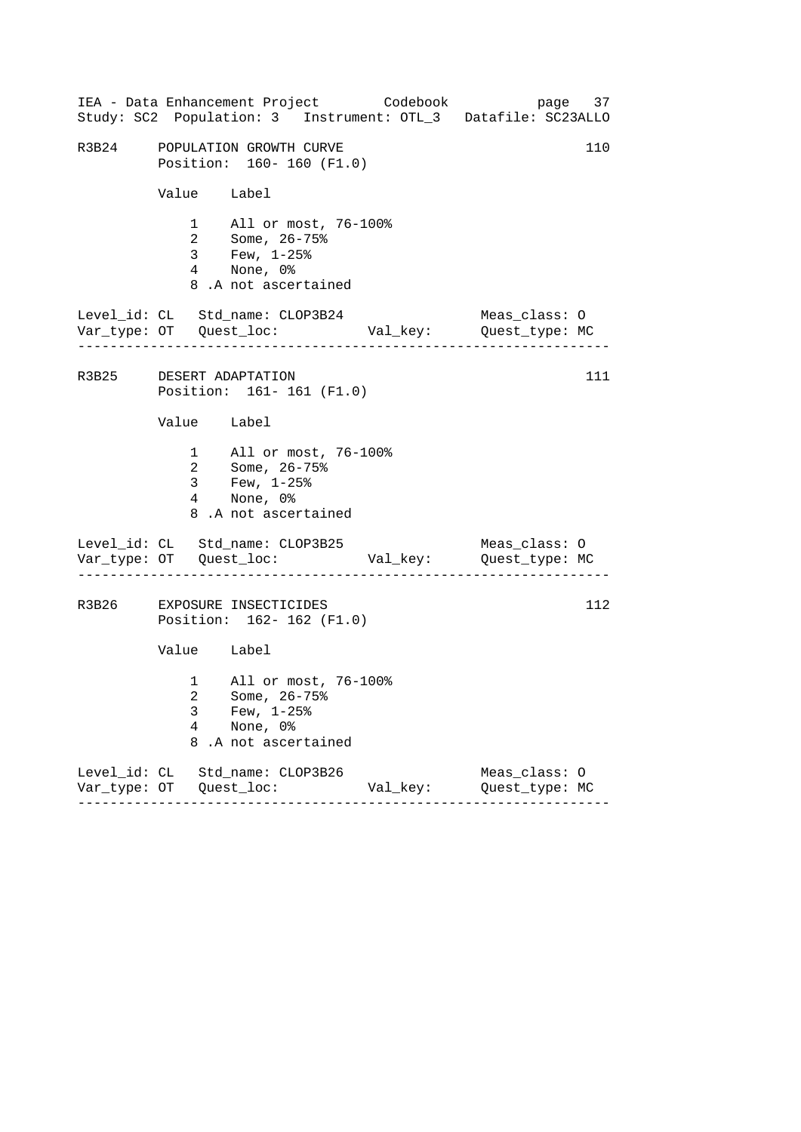|                                       | IEA - Data Enhancement Project Codebook                                                             |          | page 37<br>Study: SC2 Population: 3 Instrument: OTL_3 Datafile: SC23ALLO |  |  |
|---------------------------------------|-----------------------------------------------------------------------------------------------------|----------|--------------------------------------------------------------------------|--|--|
|                                       | R3B24 POPULATION GROWTH CURVE<br>Position: 160- 160 (F1.0)                                          |          |                                                                          |  |  |
|                                       | Value Label                                                                                         |          |                                                                          |  |  |
|                                       | 1 All or most, 76-100%<br>2 Some, 26-75%<br>3 Few, 1-25%<br>4 None, 0%<br>8.A not ascertained       |          |                                                                          |  |  |
| . _ _ _ _ _ _ _ _ _ _ _ _ _ _ _ _ _ _ | Level_id: CL Std_name: CLOP3B24                                                                     |          | Meas_class: O                                                            |  |  |
|                                       | R3B25 DESERT ADAPTATION<br>Position: 161-161 (F1.0)                                                 |          | 111                                                                      |  |  |
|                                       | Value Label                                                                                         |          |                                                                          |  |  |
|                                       | 1 All or most, 76-100%<br>2 Some, 26-75%<br>$3 \t Few, 1-25\%$<br>4 None, 0%<br>8.A not ascertained |          |                                                                          |  |  |
|                                       | Level_id: CL Std_name: CLOP3B25                                                                     |          | Meas_class: O                                                            |  |  |
|                                       | R3B26 EXPOSURE INSECTICIDES<br>Position: 162- 162 (F1.0)                                            |          | 112                                                                      |  |  |
|                                       | Value Label                                                                                         |          |                                                                          |  |  |
| 3<br>4<br>8                           | 1 All or most, 76-100%<br>2 Some, 26-75%<br>Few, $1-25$ %<br>None, 0%<br>.A not ascertained         |          |                                                                          |  |  |
|                                       | Level_id: CL Std_name: CLOP3B26                                                                     | Val_key: | Meas_class: 0<br>Quest_type: MC                                          |  |  |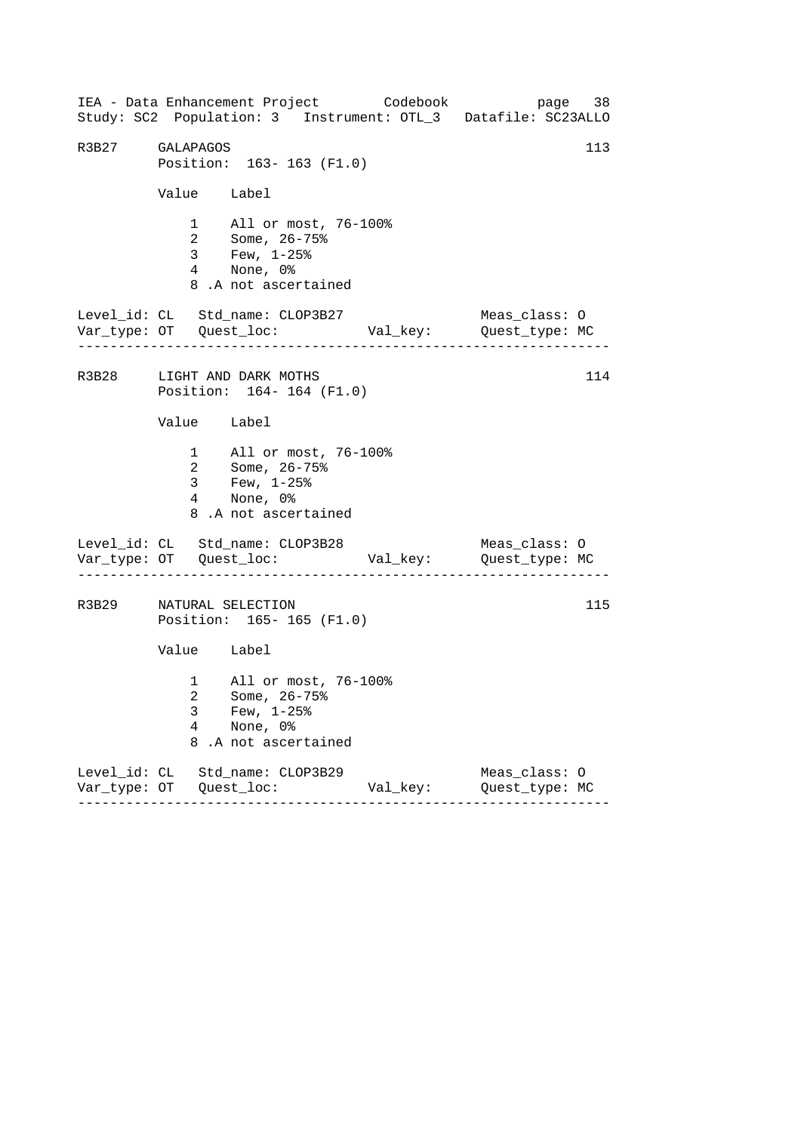------------------------------------------------------------------ ------------------------------------------------------------------ ------------------------------------------------------------------ IEA - Data Enhancement Project Codebook page 38 Study: SC2 Population: 3 Instrument: OTL\_3 Datafile: SC23ALLO R3B27 GALAPAGOS 113 Position: 163- 163 (F1.0) Value Label 1 All or most, 76-100% 2 Some, 26-75% 3 Few, 1-25% 4 None, 0% 8 .A not ascertained Level\_id: CL Std\_name: CLOP3B27 Meas\_class: O Var\_type: OT Quest\_loc: Val\_key: Quest\_type: MC R3B28 LIGHT AND DARK MOTHS 114 Position: 164- 164 (F1.0) Value Label 1 All or most, 76-100% 2 Some, 26-75% 3 Few, 1-25% 4 None, 0% 8 .A not ascertained Level\_id: CL Std\_name: CLOP3B28 Meas\_class: O Var\_type: OT Quest\_loc: Val\_key: Quest\_type: MC R3B29 NATURAL SELECTION 115 Position: 165- 165 (F1.0) Value Label 1 All or most, 76-100% 2 Some, 26-75% 3 Few, 1-25% 4 None, 0% 8 .A not ascertained Level\_id: CL Std\_name: CLOP3B29 Meas\_class: O Var\_type: OT Quest\_loc: Val\_key: Quest\_type: MC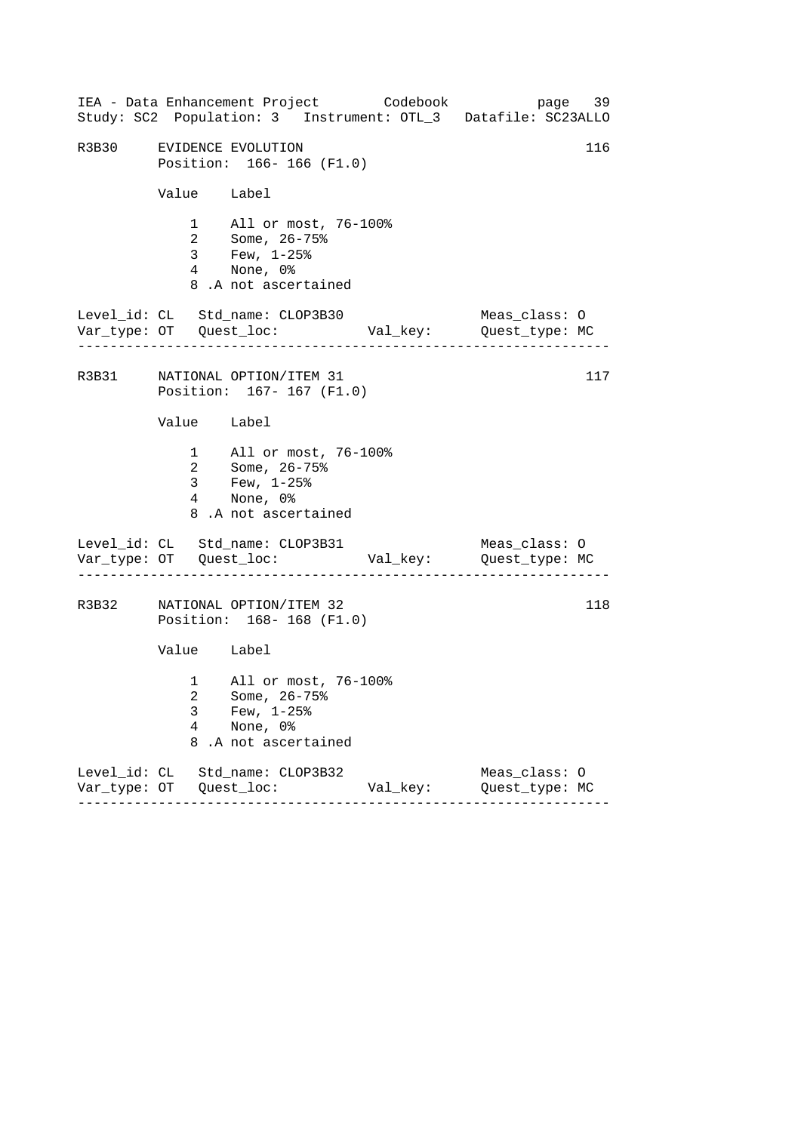|                          | IEA - Data Enhancement Project Codebook<br>Study: SC2 Population: 3 Instrument: OTL_3 Datafile: SC23ALLO |          | page 39                         |  |
|--------------------------|----------------------------------------------------------------------------------------------------------|----------|---------------------------------|--|
|                          | R3B30 EVIDENCE EVOLUTION<br>Position: 166-166 (F1.0)                                                     |          | 116                             |  |
| Value Label              |                                                                                                          |          |                                 |  |
|                          | 1 All or most, 76-100%<br>2 Some, 26-75%<br>3 Few, 1-25%<br>4 None, 0%<br>8.A not ascertained            |          |                                 |  |
|                          | Level_id: CL Std_name: CLOP3B30                                                                          |          | Meas_class: O                   |  |
|                          | R3B31 NATIONAL OPTION/ITEM 31<br>Position: 167- 167 (F1.0)                                               |          | 117                             |  |
| Value Label              |                                                                                                          |          |                                 |  |
|                          | 1 All or most, 76-100%<br>2 Some, 26-75%<br>3 Few, $1-25$ $%$<br>4 None, 0%<br>8.A not ascertained       |          |                                 |  |
|                          | Level_id: CL Std_name: CLOP3B31                                                                          |          | Meas_class: O                   |  |
|                          | R3B32 NATIONAL OPTION/ITEM 32<br>Position: 168-168 (F1.0)                                                |          | 118                             |  |
| Value Label              |                                                                                                          |          |                                 |  |
| 3<br>$\overline{4}$<br>8 | 1 All or most, 76-100%<br>2 Some, 26-75%<br>Few, $1-25$ $%$<br>None, 0%<br>.A not ascertained            |          |                                 |  |
|                          | Level_id: CL Std_name: CLOP3B32                                                                          | Val_key: | Meas_class: 0<br>Quest_type: MC |  |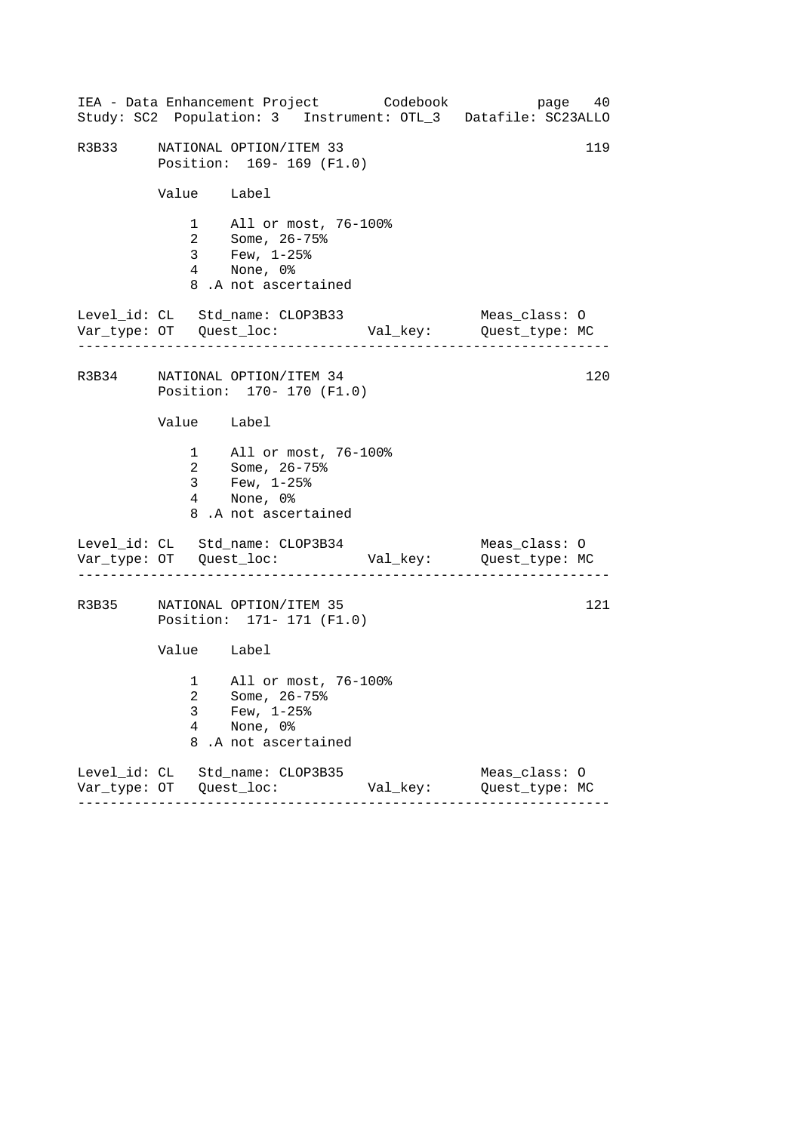|       |                          | IEA - Data Enhancement Project Codebook<br>Study: SC2 Population: 3 Instrument: OTL_3 Datafile: SC23ALLO |          |                                 | page 40 |
|-------|--------------------------|----------------------------------------------------------------------------------------------------------|----------|---------------------------------|---------|
| R3B33 |                          | NATIONAL OPTION/ITEM 33<br>Position: 169-169 (F1.0)                                                      |          |                                 | 119     |
|       | Value Label              |                                                                                                          |          |                                 |         |
|       |                          | 1 All or most, 76-100%<br>2 Some, 26-75%<br>3 Few, 1-25%<br>4 None, 0%<br>8.A not ascertained            |          |                                 |         |
|       |                          | Level_id: CL Std_name: CLOP3B33                                                                          |          | Meas_class: O                   |         |
|       |                          | R3B34 NATIONAL OPTION/ITEM 34<br>Position: 170- 170 (F1.0)                                               |          |                                 | 120     |
|       | Value Label              |                                                                                                          |          |                                 |         |
|       |                          | 1 All or most, 76-100%<br>2 Some, 26-75%<br>3 Few, $1-25$ $%$<br>4 None, 0%<br>8.A not ascertained       |          |                                 |         |
|       |                          | Level_id: CL Std_name: CLOP3B34                                                                          |          | Meas_class: O                   |         |
|       |                          | R3B35 NATIONAL OPTION/ITEM 35<br>Position: 171- 171 (F1.0)                                               |          |                                 | 121     |
|       | Value Label              |                                                                                                          |          |                                 |         |
|       | 3<br>$\overline{4}$<br>8 | 1 All or most, 76-100%<br>2 Some, 26-75%<br>Few, $1-25$ $%$<br>None, 0%<br>.A not ascertained            |          |                                 |         |
|       |                          | Level_id: CL Std_name: CLOP3B35                                                                          | Val_key: | Meas_class: 0<br>Quest_type: MC |         |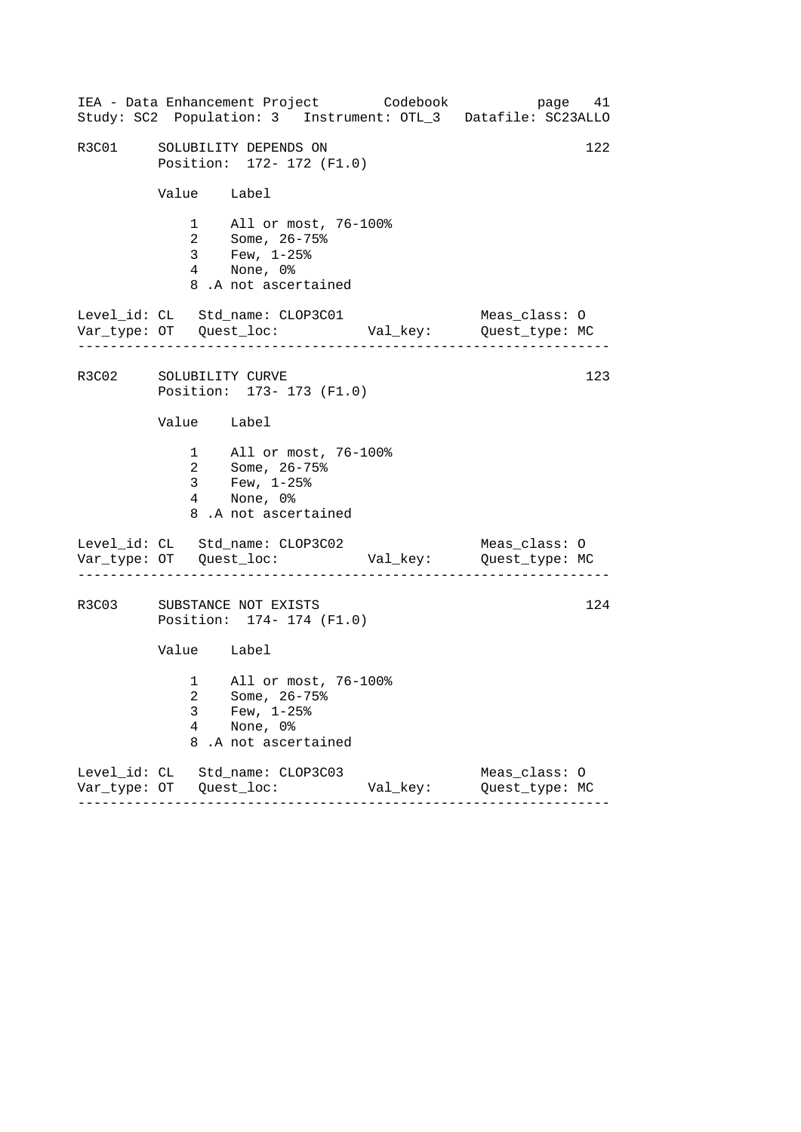|                        |             | IEA - Data Enhancement Project Codebook<br>Study: SC2 Population: 3 Instrument: OTL_3 Datafile: SC23ALLO |          | page 41                         |     |  |
|------------------------|-------------|----------------------------------------------------------------------------------------------------------|----------|---------------------------------|-----|--|
| R3C01                  |             | 122<br>SOLUBILITY DEPENDS ON<br>Position: 172- 172 (F1.0)                                                |          |                                 |     |  |
|                        | Value Label |                                                                                                          |          |                                 |     |  |
|                        |             | 1 All or most, 76-100%<br>2 Some, 26-75%<br>3 Few, 1-25%<br>4 None, 0%<br>8.A not ascertained            |          |                                 |     |  |
|                        | .           | Level_id: CL Std_name: CLOP3C01                                                                          |          | Meas_class: O                   |     |  |
| R3C02 SOLUBILITY CURVE |             | Position: 173- 173 (F1.0)                                                                                |          |                                 | 123 |  |
|                        | Value Label |                                                                                                          |          |                                 |     |  |
|                        |             | 1 All or most, 76-100%<br>2 Some, 26-75%<br>$3 \t Few, 1-25\%$<br>4 None, 0%<br>8.A not ascertained      |          |                                 |     |  |
|                        |             | Level_id: CL Std_name: CLOP3C02                                                                          |          | Meas_class: O                   |     |  |
| R3C03                  |             | SUBSTANCE NOT EXISTS<br>Position: 174- 174 (F1.0)                                                        |          |                                 | 124 |  |
|                        | Value Label |                                                                                                          |          |                                 |     |  |
|                        | 3<br>4<br>8 | 1 All or most, 76-100%<br>2 Some, 26-75%<br>Few, $1-25$ %<br>None, 0%<br>.A not ascertained              |          |                                 |     |  |
|                        |             | Level_id: CL Std_name: CLOP3C03                                                                          | Val_key: | Meas_class: 0<br>Quest_type: MC |     |  |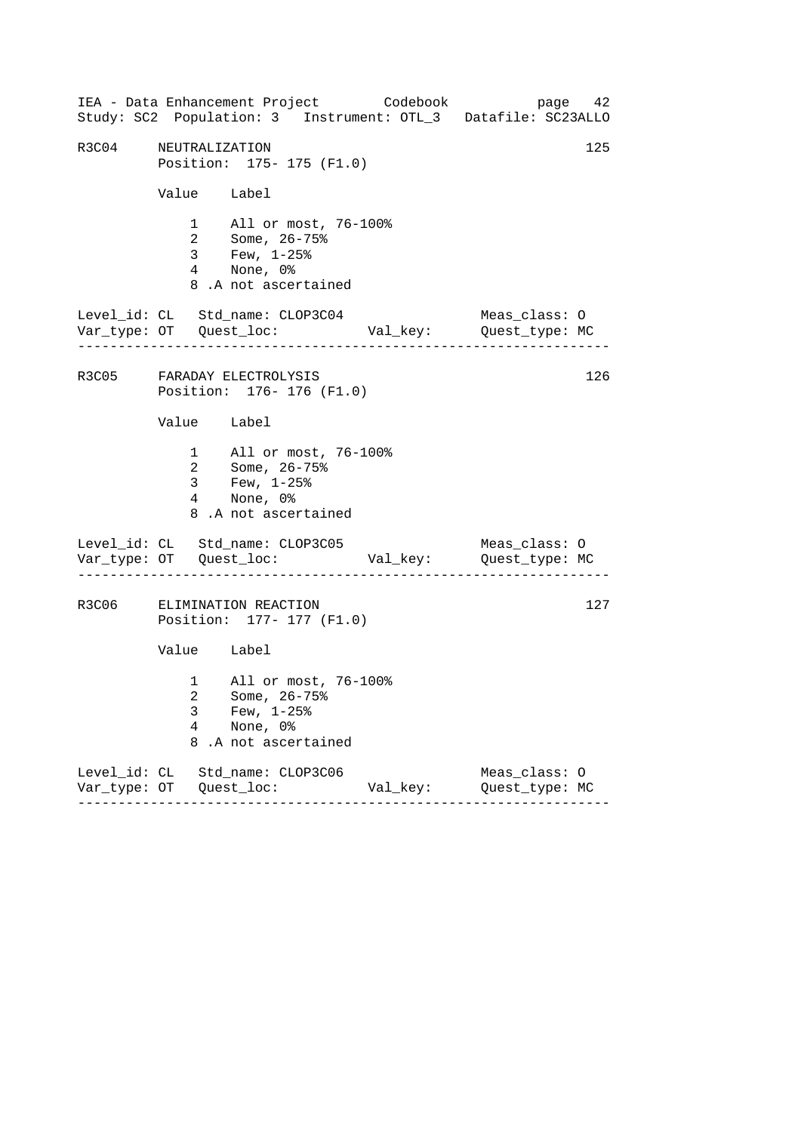|                                                                | IEA - Data Enhancement Project Codebook<br>Study: SC2 Population: 3 Instrument: OTL_3 Datafile: SC23ALLO |          | page 42                         |     |  |
|----------------------------------------------------------------|----------------------------------------------------------------------------------------------------------|----------|---------------------------------|-----|--|
| R3C04 NEUTRALIZATION<br>125<br>Position: 175- 175 (F1.0)       |                                                                                                          |          |                                 |     |  |
| Value Label                                                    |                                                                                                          |          |                                 |     |  |
|                                                                | 1 All or most, 76-100%<br>2 Some, 26-75%<br>3 Few, 1-25%<br>4 None, 0%<br>8.A not ascertained            |          |                                 |     |  |
|                                                                | Level_id: CL Std_name: CLOP3C04                                                                          |          | Meas_class: O                   |     |  |
|                                                                | R3C05 FARADAY ELECTROLYSIS<br>Position: 176- 176 (F1.0)                                                  |          |                                 | 126 |  |
| Value Label                                                    |                                                                                                          |          |                                 |     |  |
|                                                                | 1 All or most, 76-100%<br>2 Some, 26-75%<br>3 Few, $1-25$ %<br>4 None, 0%<br>8.A not ascertained         |          |                                 |     |  |
|                                                                | Level_id: CL Std_name: CLOP3C05                                                                          |          | Meas_class: O                   |     |  |
| 127<br>R3C06 ELIMINATION REACTION<br>Position: 177- 177 (F1.0) |                                                                                                          |          |                                 |     |  |
| Value Label                                                    |                                                                                                          |          |                                 |     |  |
| 3<br>4<br>8                                                    | 1 All or most, 76-100%<br>2 Some, 26-75%<br>Few, $1-25$ %<br>None, 0%<br>.A not ascertained              |          |                                 |     |  |
|                                                                | Level_id: CL Std_name: CLOP3C06<br>- - - - - - - - - -                                                   | Val_key: | Meas_class: 0<br>Quest_type: MC |     |  |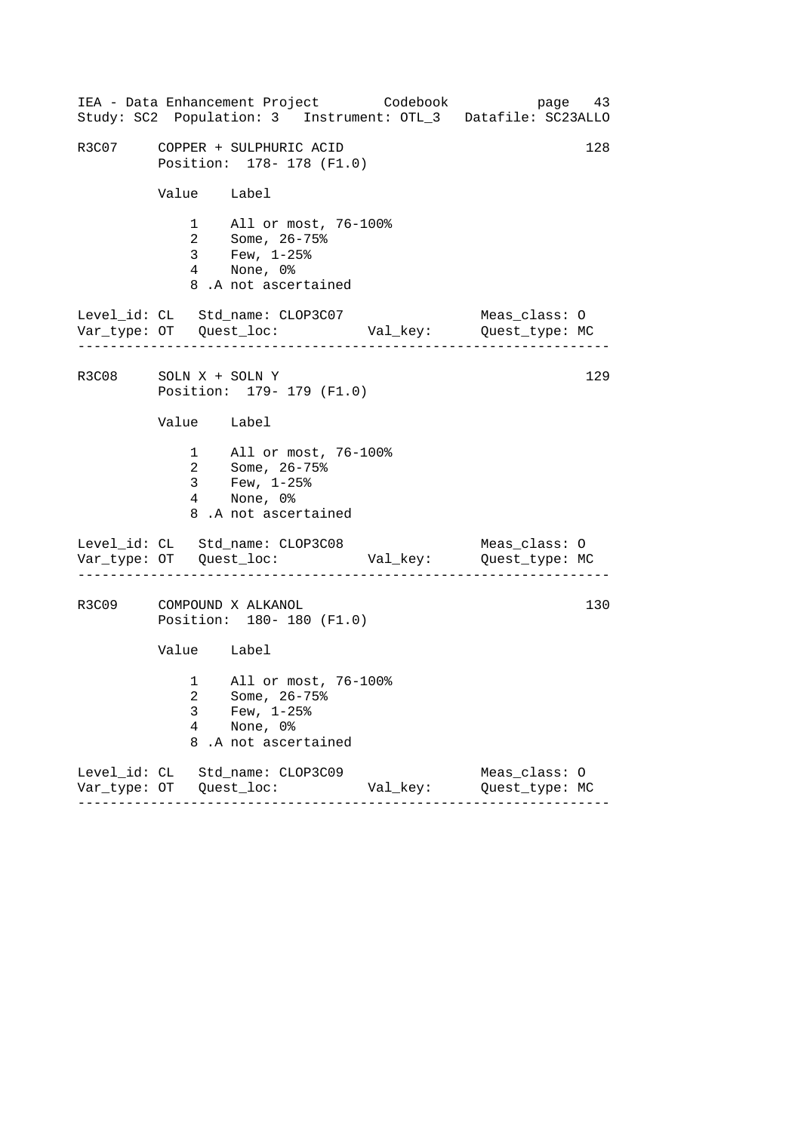|                       |                                       | IEA - Data Enhancement Project Codebook<br>Study: SC2 Population: 3 Instrument: OTL_3 Datafile: SC23ALLO           |          |                                 | page 43 |
|-----------------------|---------------------------------------|--------------------------------------------------------------------------------------------------------------------|----------|---------------------------------|---------|
|                       |                                       | R3C07 COPPER + SULPHURIC ACID<br>Position: 178- 178 (F1.0)                                                         |          |                                 | 128     |
|                       | Value Label                           |                                                                                                                    |          |                                 |         |
|                       |                                       | 1 All or most, 76-100%<br>2 Some, $26 - 75$ <sup>2</sup><br>$3$ Few, $1-25$ %<br>4 None, 0%<br>8.A not ascertained |          |                                 |         |
|                       | . _ _ _ _ _ _ _ _ _ _ _ _ _ _ _ _ _ _ | Level_id: CL Std_name: CLOP3C07                                                                                    |          | Meas_class: O                   |         |
| R3C08 SOLN X + SOLN Y |                                       | Position: 179- 179 (F1.0)                                                                                          |          |                                 | 129     |
|                       | Value Label                           |                                                                                                                    |          |                                 |         |
|                       |                                       | 1 All or most, 76-100%<br>2 Some, 26-75%<br>3 Few, $1-25$ $\frac{8}{1}$<br>4 None, 0%<br>8.A not ascertained       |          |                                 |         |
|                       |                                       | Level_id: CL Std_name: CLOP3C08                                                                                    |          | Meas_class: O                   |         |
| R3C09                 |                                       | COMPOUND X ALKANOL<br>Position: 180- 180 (F1.0)                                                                    |          |                                 | 130     |
|                       | Value Label                           |                                                                                                                    |          |                                 |         |
|                       | 3<br>4<br>8                           | 1 All or most, 76-100%<br>2 Some, 26-75%<br>Few, $1-25$ %<br>None, 0%<br>.A not ascertained                        |          |                                 |         |
|                       |                                       | Level_id: CL Std_name: CLOP3C09                                                                                    | Val_key: | Meas_class: 0<br>Quest_type: MC |         |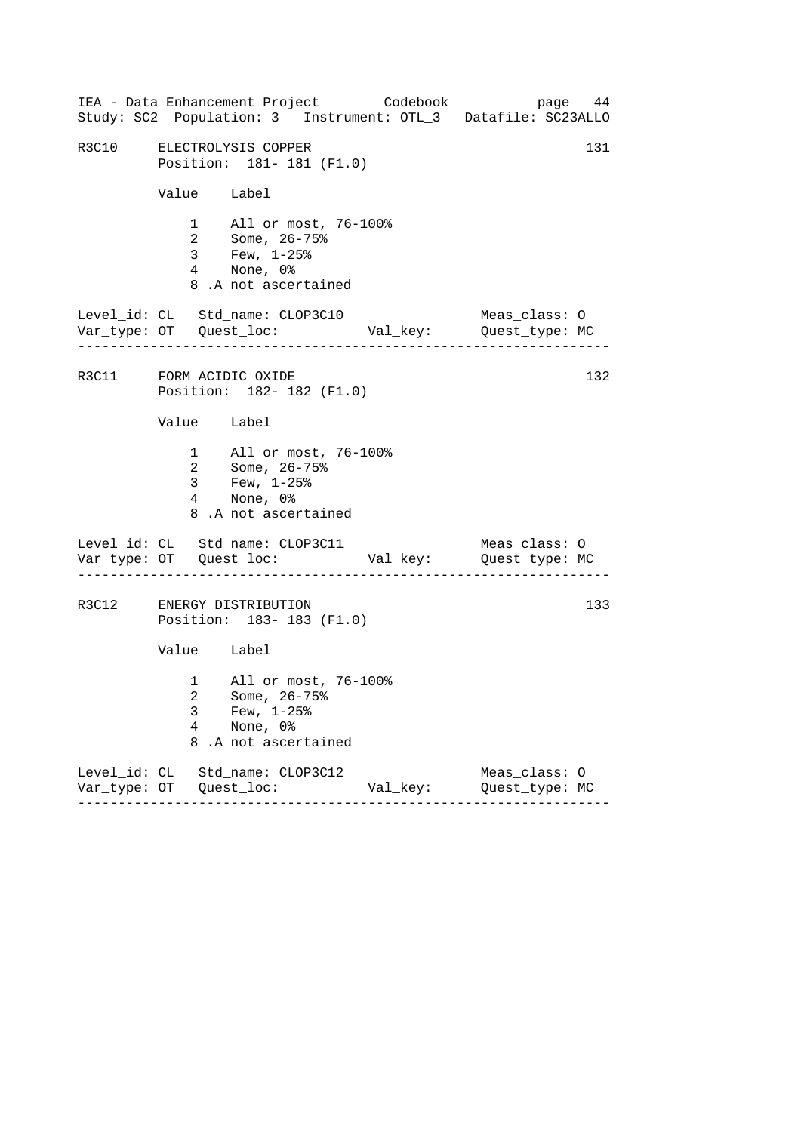|                                       | IEA - Data Enhancement Project Codebook                                                       |  |          | Study: SC2 Population: 3 Instrument: OTL_3 Datafile: SC23ALLO | page 44 |
|---------------------------------------|-----------------------------------------------------------------------------------------------|--|----------|---------------------------------------------------------------|---------|
|                                       | R3C10 ELECTROLYSIS COPPER<br>Position: 181- 181 (F1.0)                                        |  |          |                                                               |         |
|                                       | Value Label                                                                                   |  |          |                                                               |         |
|                                       | 1 All or most, 76-100%<br>2 Some, 26-75%<br>3 Few, 1-25%<br>4 None, 0%<br>8.A not ascertained |  |          |                                                               |         |
| . _ _ _ _ _ _ _ _ _ _ _ _ _ _ _ _ _ _ | Level_id: CL Std_name: CLOP3C10                                                               |  |          | Meas_class: O                                                 |         |
|                                       | R3C11 FORM ACIDIC OXIDE<br>Position: 182- 182 (F1.0)                                          |  |          |                                                               | 132     |
|                                       | Value Label                                                                                   |  |          |                                                               |         |
|                                       | 1 All or most, 76-100%<br>2 Some, 26-75%<br>3 Few, 1-25%<br>4 None, 0%<br>8.A not ascertained |  |          |                                                               |         |
|                                       | Level_id: CL Std_name: CLOP3C11                                                               |  |          | Meas_class: O                                                 |         |
|                                       | R3C12 ENERGY DISTRIBUTION<br>Position: 183-183 (F1.0)                                         |  |          |                                                               | 133     |
|                                       | Value Label                                                                                   |  |          |                                                               |         |
| 3<br>4<br>8                           | 1 All or most, 76-100%<br>2 Some, 26-75%<br>Few, $1-25$ %<br>None, 0%<br>.A not ascertained   |  |          |                                                               |         |
|                                       | Level_id: CL Std_name: CLOP3C12                                                               |  | Val_key: | Meas_class: 0<br>Quest_type: MC                               |         |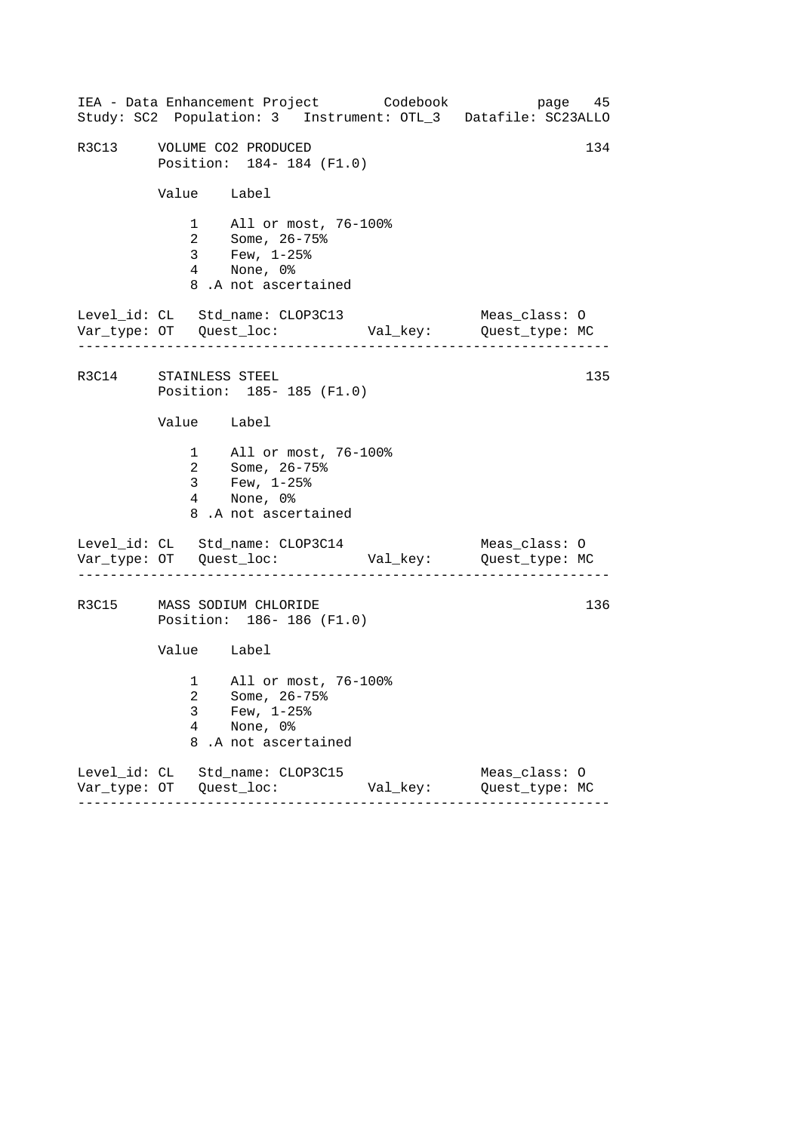|                       |                          | IEA - Data Enhancement Project Codebook<br>Study: SC2 Population: 3 Instrument: OTL_3 Datafile: SC23ALLO |         |          |                                 | page 45 |
|-----------------------|--------------------------|----------------------------------------------------------------------------------------------------------|---------|----------|---------------------------------|---------|
|                       |                          | R3C13 VOLUME CO2 PRODUCED<br>Position: 184-184 (F1.0)                                                    |         |          |                                 | 134     |
|                       |                          | Value Label                                                                                              |         |          |                                 |         |
|                       |                          | 1 All or most, 76-100%<br>2 Some, 26-75%<br>3 Few, 1-25%<br>4 None, 0%<br>8.A not ascertained            |         |          |                                 |         |
|                       |                          | Level_id: CL Std_name: CLOP3C13                                                                          |         |          | Meas_class: O                   |         |
| R3C14 STAINLESS STEEL |                          | Position: 185-185 (F1.0)                                                                                 |         |          |                                 | 135     |
|                       | Value Label              |                                                                                                          |         |          |                                 |         |
|                       |                          | 1 All or most, 76-100%<br>2 Some, 26-75%<br>3 Few, $1-25$ %<br>4 None, 0%<br>8.A not ascertained         |         |          |                                 |         |
|                       |                          | Level_id: CL Std_name: CLOP3C14                                                                          | .       |          | Meas_class: O                   |         |
|                       |                          | R3C15 MASS SODIUM CHLORIDE<br>Position: 186-186 (F1.0)                                                   |         |          |                                 | 136     |
|                       |                          | Value Label                                                                                              |         |          |                                 |         |
|                       | 3<br>$\overline{4}$<br>8 | 1 All or most, 76-100%<br>2 Some, 26-75%<br>Few, $1-25$ $%$<br>None, 0%<br>.A not ascertained            |         |          |                                 |         |
|                       |                          | Level_id: CL Std_name: CLOP3C15                                                                          | ------- | Val_key: | Meas_class: O<br>Quest_type: MC |         |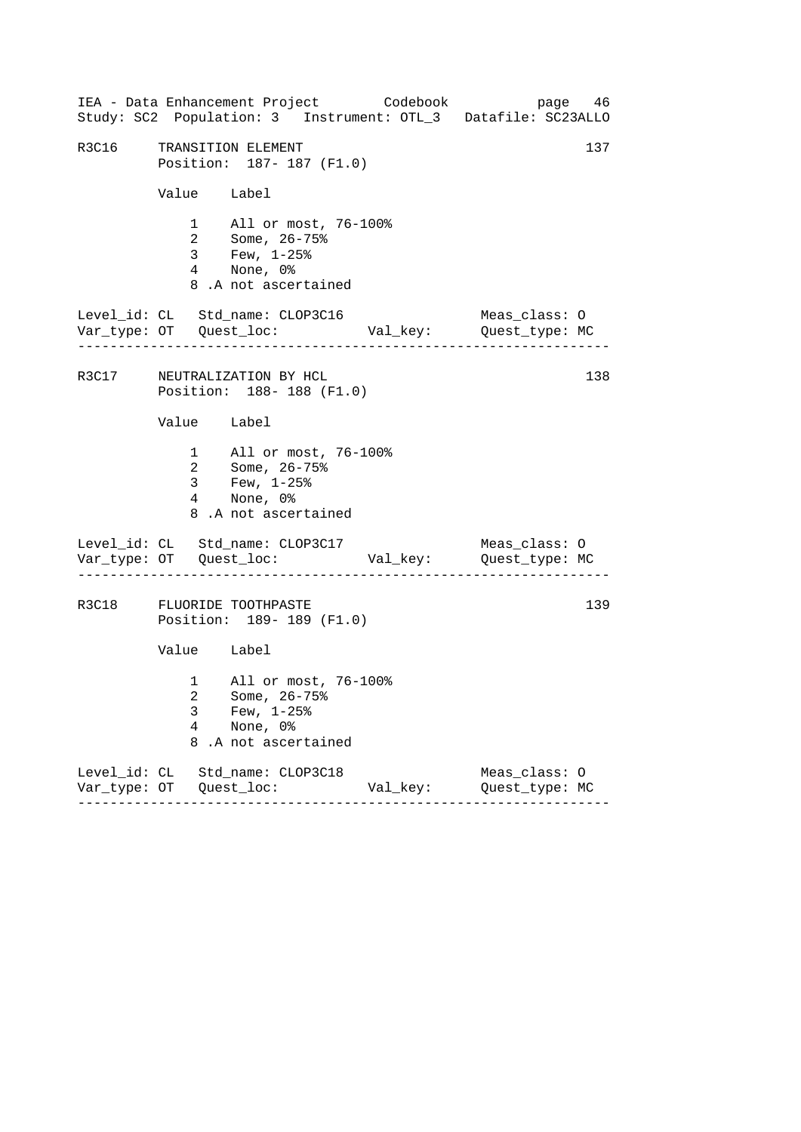|                          | IEA - Data Enhancement Project Codebook                                                            |          | page 46<br>Study: SC2 Population: 3 Instrument: OTL_3 Datafile: SC23ALLO |
|--------------------------|----------------------------------------------------------------------------------------------------|----------|--------------------------------------------------------------------------|
|                          | R3C16 TRANSITION ELEMENT<br>Position: 187- 187 (F1.0)                                              |          | 137                                                                      |
|                          | Value Label                                                                                        |          |                                                                          |
|                          | 1 All or most, 76-100%<br>2 Some, 26-75%<br>3 Few, 1-25%<br>4 None, 0%<br>8.A not ascertained      |          |                                                                          |
|                          | Level_id: CL Std_name: CLOP3C16                                                                    |          | Meas_class: O                                                            |
|                          | R3C17 NEUTRALIZATION BY HCL<br>Position: 188-188 (F1.0)                                            |          | 138                                                                      |
| Value Label              |                                                                                                    |          |                                                                          |
|                          | 1 All or most, 76-100%<br>2 Some, 26-75%<br>3 Few, $1-25$ $%$<br>4 None, 0%<br>8.A not ascertained |          |                                                                          |
|                          | Level_id: CL Std_name: CLOP3C17                                                                    |          | Meas_class: O                                                            |
|                          | R3C18 FLUORIDE TOOTHPASTE<br>Position: 189- 189 (F1.0)                                             |          | 139                                                                      |
|                          | Value Label                                                                                        |          |                                                                          |
| 3<br>$\overline{4}$<br>8 | 1 All or most, 76-100%<br>2 Some, 26-75%<br>Few, $1-25$ $%$<br>None, 0%<br>.A not ascertained      |          |                                                                          |
|                          | Level_id: CL Std_name: CLOP3C18                                                                    | Val_key: | Meas_class: 0<br>Quest_type: MC                                          |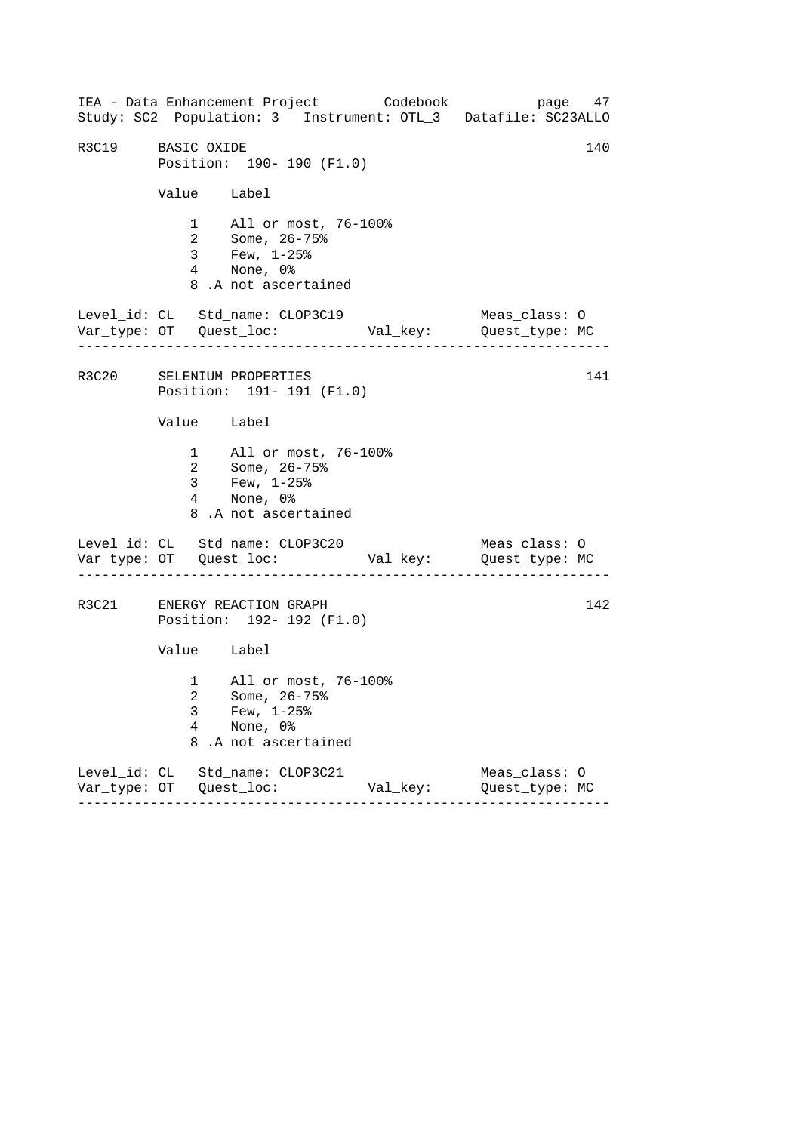------------------------------------------------------------------ ------------------------------------------------------------------ ------------------------------------------------------------------ IEA - Data Enhancement Project Codebook page 47 Study: SC2 Population: 3 Instrument: OTL\_3 Datafile: SC23ALLO R3C19 BASIC OXIDE 140 Position: 190- 190 (F1.0) Value Label 1 All or most, 76-100% 2 Some, 26-75% 3 Few, 1-25% 4 None, 0% 8 .A not ascertained Level\_id: CL Std\_name: CLOP3C19 Meas\_class: O Var\_type: OT Quest\_loc: Val\_key: Quest\_type: MC R3C20 SELENIUM PROPERTIES 141 Position: 191- 191 (F1.0) Value Label 1 All or most, 76-100% 2 Some, 26-75% 3 Few, 1-25% 4 None, 0% 8 .A not ascertained Level\_id: CL Std\_name: CLOP3C20 Meas\_class: O Var\_type: OT Quest\_loc: Val\_key: Quest\_type: MC R3C21 ENERGY REACTION GRAPH 142 Position: 192- 192 (F1.0) Value Label 1 All or most, 76-100% 2 Some, 26-75% 3 Few, 1-25% 4 None, 0% 8 .A not ascertained Level\_id: CL Std\_name: CLOP3C21 Meas\_class: O Var\_type: OT Quest\_loc: Val\_key: Quest\_type: MC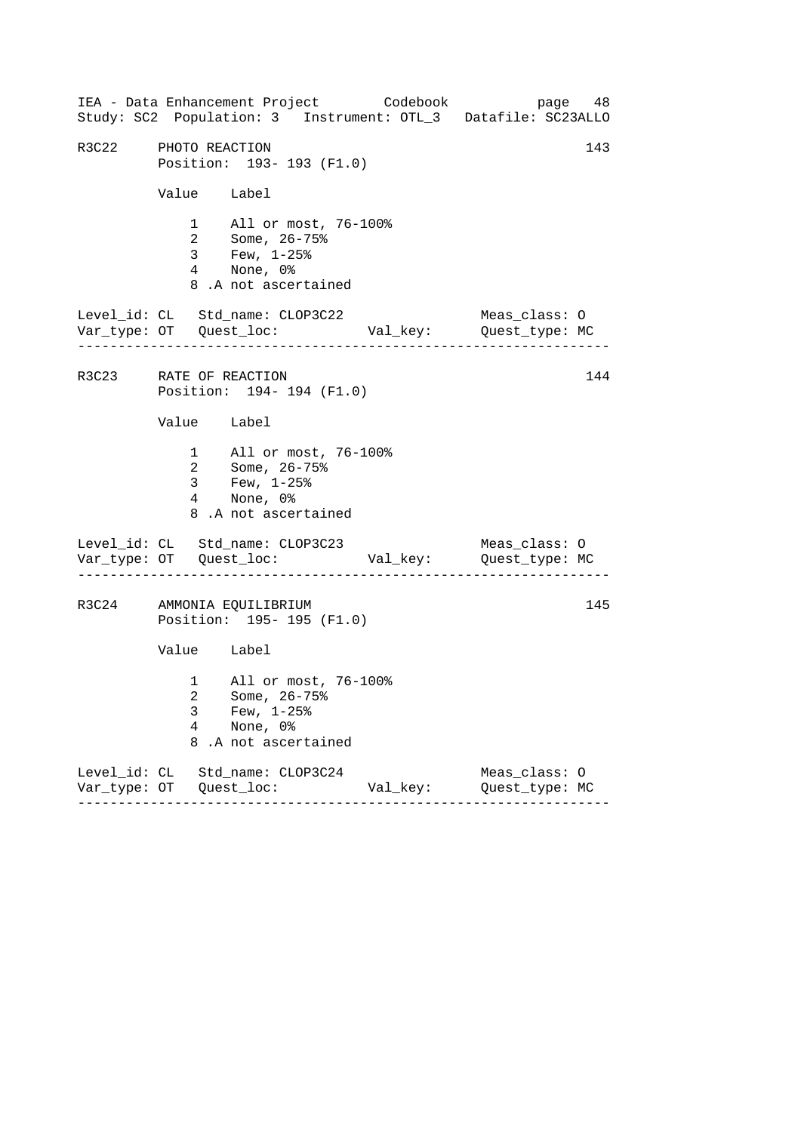------------------------------------------------------------------ ------------------------------------------------------------------ ------------------------------------------------------------------ IEA - Data Enhancement Project Codebook page 48 Study: SC2 Population: 3 Instrument: OTL\_3 Datafile: SC23ALLO R3C22 PHOTO REACTION 143 Position: 193- 193 (F1.0) Value Label 1 All or most, 76-100% 2 Some, 26-75% 3 Few, 1-25% 4 None, 0% 8 .A not ascertained Level\_id: CL Std\_name: CLOP3C22 Meas\_class: O Var\_type: OT Quest\_loc: Val\_key: Quest\_type: MC R3C23 RATE OF REACTION 144 Position: 194- 194 (F1.0) Value Label 1 All or most, 76-100% 2 Some, 26-75% 3 Few, 1-25% 4 None, 0% 8 .A not ascertained Level\_id: CL Std\_name: CLOP3C23 Meas\_class: O Var\_type: OT Quest\_loc: Val\_key: Quest\_type: MC R3C24 AMMONIA EQUILIBRIUM 145 Position: 195- 195 (F1.0) Value Label 1 All or most, 76-100% 2 Some, 26-75% 3 Few, 1-25% 4 None, 0% 8 .A not ascertained Level\_id: CL Std\_name: CLOP3C24 Meas\_class: O Var\_type: OT Quest\_loc: Val\_key: Quest\_type: MC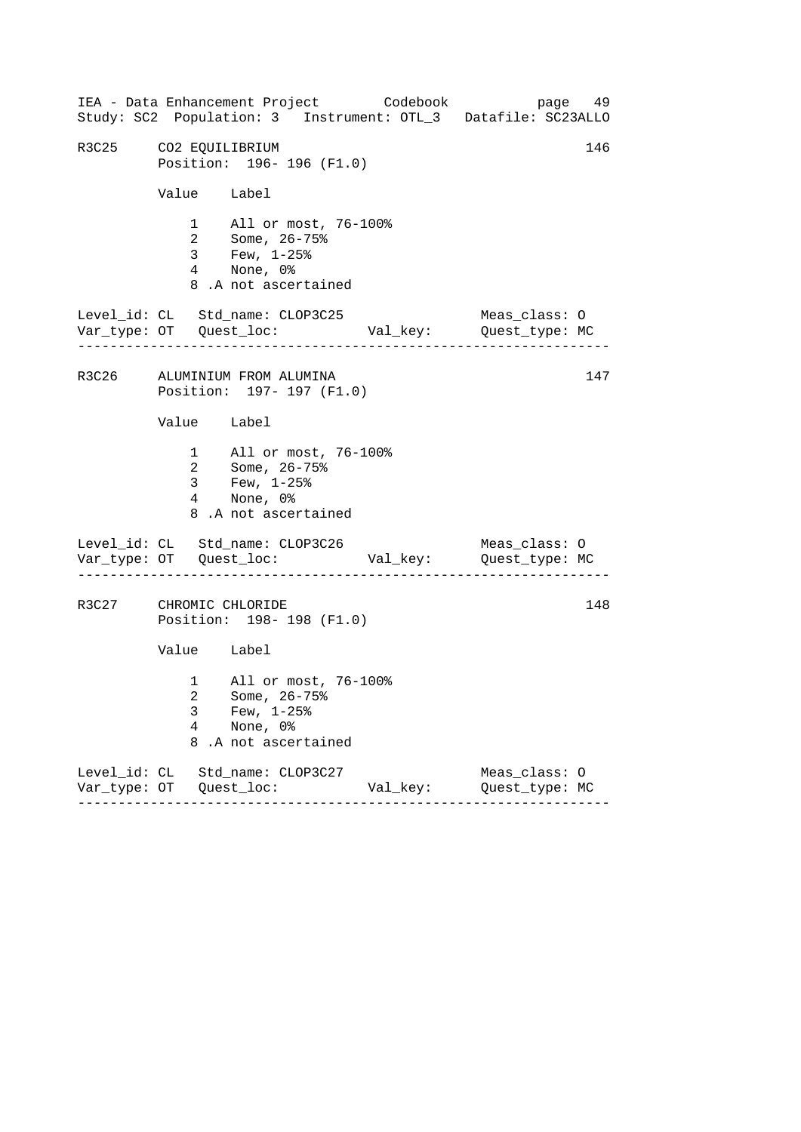|             | IEA - Data Enhancement Project Codebook<br>Study: SC2 Population: 3 Instrument: OTL_3 Datafile: SC23ALLO |  |          |                                 | page 49 |
|-------------|----------------------------------------------------------------------------------------------------------|--|----------|---------------------------------|---------|
|             | 146<br>R3C25 CO2 EQUILIBRIUM<br>Position: 196-196 (F1.0)                                                 |  |          |                                 |         |
|             | Value Label                                                                                              |  |          |                                 |         |
|             | 1 All or most, 76-100%<br>2 Some, 26-75%<br>3 Few, 1-25%<br>4 None, 0%<br>8.A not ascertained            |  |          |                                 |         |
|             | Level_id: CL Std_name: CLOP3C25                                                                          |  |          | Meas_class: O                   |         |
|             | R3C26 ALUMINIUM FROM ALUMINA<br>Position: 197- 197 (F1.0)                                                |  |          |                                 | 147     |
|             | Value Label                                                                                              |  |          |                                 |         |
|             | 1 All or most, 76-100%<br>2 Some, 26-75%<br>3 Few, $1-25$ %<br>4 None, 0%<br>8.A not ascertained         |  |          |                                 |         |
|             | Level_id: CL Std_name: CLOP3C26                                                                          |  |          | Meas_class: O                   |         |
|             | R3C27 CHROMIC CHLORIDE<br>148<br>Position: 198-198 (F1.0)                                                |  |          |                                 |         |
|             | Value Label                                                                                              |  |          |                                 |         |
| 3<br>4<br>8 | 1 All or most, 76-100%<br>2 Some, 26-75%<br>Few, $1-25$ $%$<br>None, 0%<br>.A not ascertained            |  |          |                                 |         |
|             | Level_id: CL Std_name: CLOP3C27                                                                          |  | Val_key: | Meas_class: 0<br>Quest_type: MC |         |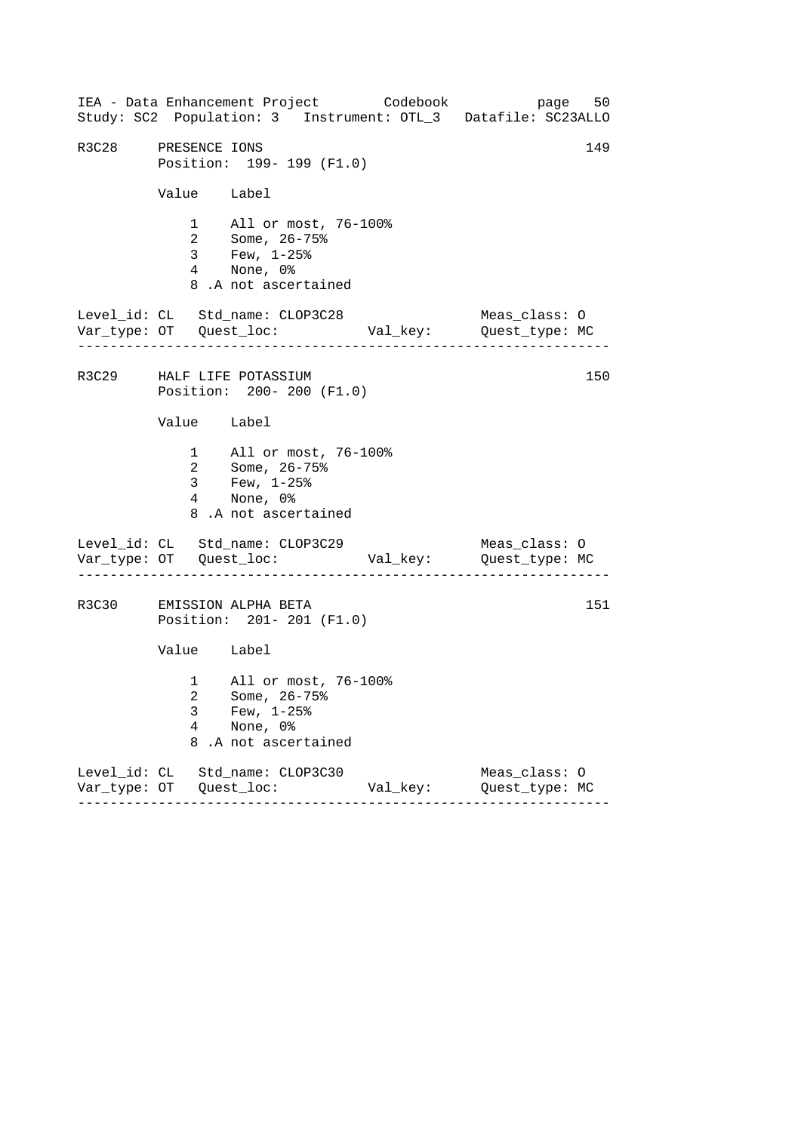------------------------------------------------------------------ ------------------------------------------------------------------ ------------------------------------------------------------------ IEA - Data Enhancement Project Codebook page 50 Study: SC2 Population: 3 Instrument: OTL\_3 Datafile: SC23ALLO R3C28 PRESENCE IONS 149 Position: 199- 199 (F1.0) Value Label 1 All or most, 76-100% 2 Some, 26-75% 3 Few, 1-25% 4 None, 0% 8 .A not ascertained Level\_id: CL Std\_name: CLOP3C28 Meas\_class: O Var\_type: OT Quest\_loc: Val\_key: Quest\_type: MC R3C29 HALF LIFE POTASSIUM 150 Position: 200- 200 (F1.0) Value Label 1 All or most, 76-100% 2 Some, 26-75% 3 Few, 1-25% 4 None, 0% 8 .A not ascertained Level\_id: CL Std\_name: CLOP3C29 Meas\_class: 0 Var\_type: OT Quest\_loc: Val\_key: Quest\_type: MC R3C30 EMISSION ALPHA BETA 151 Position: 201- 201 (F1.0) Value Label 1 All or most, 76-100% 2 Some, 26-75% 3 Few, 1-25% 4 None, 0% 8 .A not ascertained Level\_id: CL Std\_name: CLOP3C30 Meas\_class: O Var\_type: OT Quest\_loc: Val\_key: Quest\_type: MC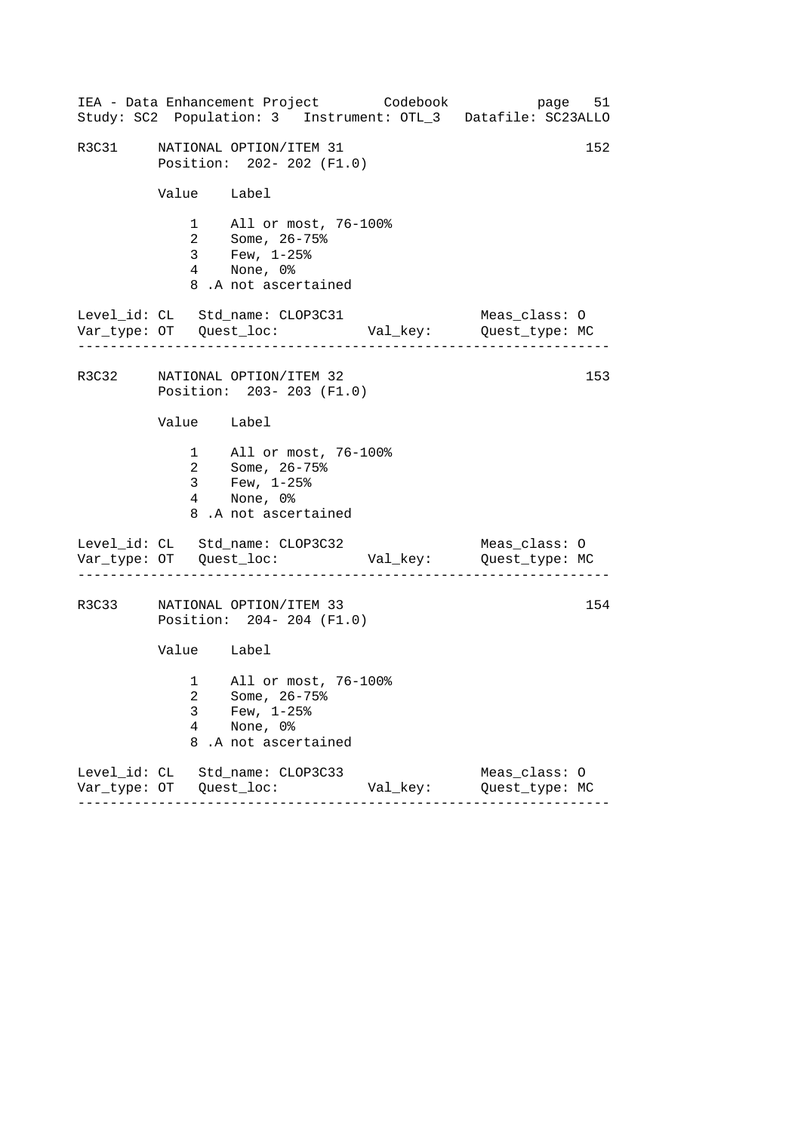|       |                          | IEA - Data Enhancement Project Codebook<br>Study: SC2 Population: 3 Instrument: OTL_3 Datafile: SC23ALLO |          | page 51                         |     |
|-------|--------------------------|----------------------------------------------------------------------------------------------------------|----------|---------------------------------|-----|
| R3C31 |                          | NATIONAL OPTION/ITEM 31<br>Position: 202- 202 (F1.0)                                                     |          |                                 | 152 |
|       | Value Label              |                                                                                                          |          |                                 |     |
|       |                          | 1 All or most, 76-100%<br>2 Some, 26-75%<br>3 Few, 1-25%<br>4 None, 0%<br>8.A not ascertained            |          |                                 |     |
|       |                          | Level_id: CL Std_name: CLOP3C31                                                                          |          | Meas_class: O                   |     |
|       |                          | R3C32 NATIONAL OPTION/ITEM 32<br>Position: 203-203 (F1.0)                                                |          |                                 | 153 |
|       | Value Label              |                                                                                                          |          |                                 |     |
|       |                          | 1 All or most, 76-100%<br>2 Some, 26-75%<br>3 Few, $1-25$ $%$<br>4 None, 0%<br>8.A not ascertained       |          |                                 |     |
|       |                          | Level_id: CL Std_name: CLOP3C32                                                                          |          | Meas_class: O                   |     |
| R3C33 |                          | NATIONAL OPTION/ITEM 33<br>Position: 204-204 (F1.0)                                                      |          |                                 | 154 |
|       | Value Label              |                                                                                                          |          |                                 |     |
|       | 3<br>$\overline{4}$<br>8 | 1 All or most, 76-100%<br>2 Some, 26-75%<br>Few, $1-25$ $%$<br>None, 0%<br>.A not ascertained            |          |                                 |     |
|       |                          | Level_id: CL Std_name: CLOP3C33                                                                          | Val_key: | Meas_class: 0<br>Quest_type: MC |     |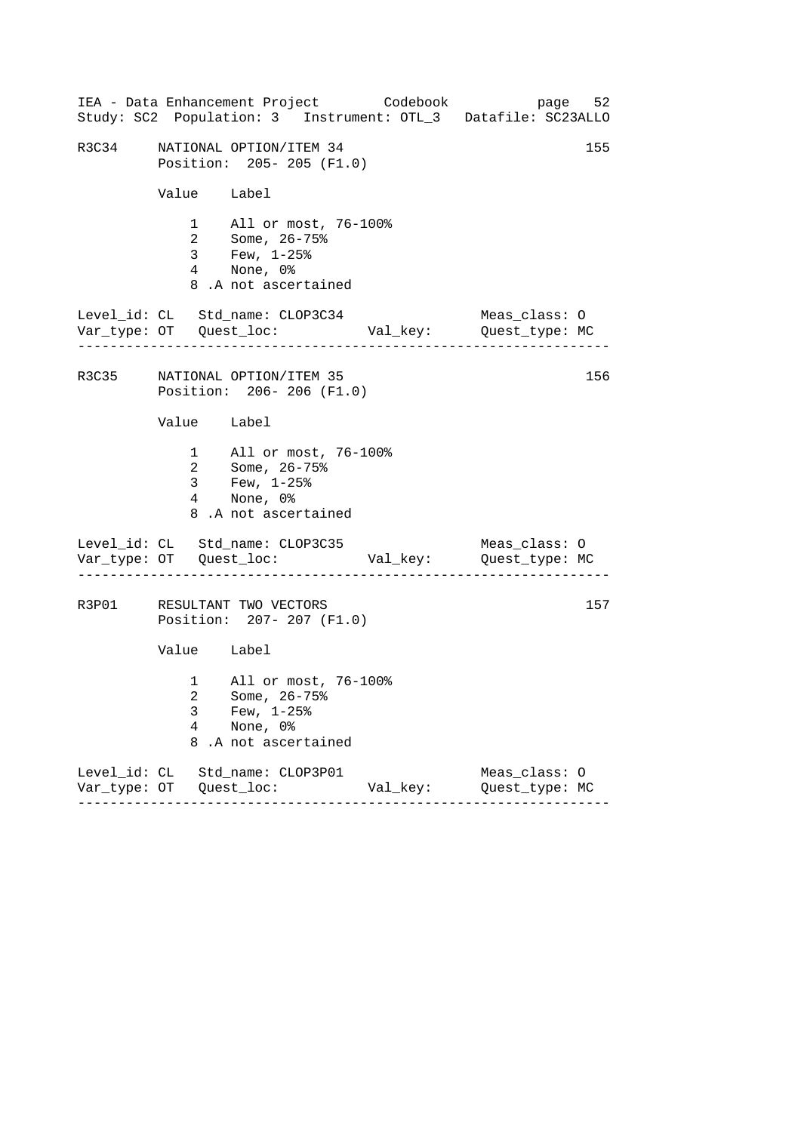|       |             | IEA - Data Enhancement Project Codebook                                                                      |          | page 52<br>Study: SC2 Population: 3 Instrument: OTL_3 Datafile: SC23ALLO |  |
|-------|-------------|--------------------------------------------------------------------------------------------------------------|----------|--------------------------------------------------------------------------|--|
| R3C34 |             | NATIONAL OPTION/ITEM 34<br>Position: 205-205 (F1.0)                                                          |          | 155                                                                      |  |
|       | Value Label |                                                                                                              |          |                                                                          |  |
|       |             | 1 All or most, 76-100%<br>2 Some, 26-75%<br>3 Few, 1-25%<br>4 None, 0%<br>8.A not ascertained                |          |                                                                          |  |
|       |             | Level_id: CL Std_name: CLOP3C34                                                                              |          | Meas_class: O                                                            |  |
|       |             | R3C35 NATIONAL OPTION/ITEM 35<br>Position: 206-206 (F1.0)                                                    |          | 156                                                                      |  |
|       | Value Label |                                                                                                              |          |                                                                          |  |
|       |             | 1 All or most, 76-100%<br>2 Some, 26-75%<br>3 Few, $1-25$ $\frac{8}{3}$<br>4 None, 0%<br>8.A not ascertained |          |                                                                          |  |
|       |             | Level_id: CL Std_name: CLOP3C35                                                                              |          | Meas_class: O                                                            |  |
|       |             | R3P01 RESULTANT TWO VECTORS<br>Position: 207- 207 (F1.0)                                                     |          | 157                                                                      |  |
|       | Value Label |                                                                                                              |          |                                                                          |  |
|       | 3<br>4<br>8 | 1 All or most, 76-100%<br>2 Some, 26-75%<br>Few, $1-25$ $%$<br>None, 0%<br>.A not ascertained                |          |                                                                          |  |
|       |             | Level_id: CL Std_name: CLOP3P01                                                                              | Val_key: | Meas_class: 0<br>Quest_type: MC                                          |  |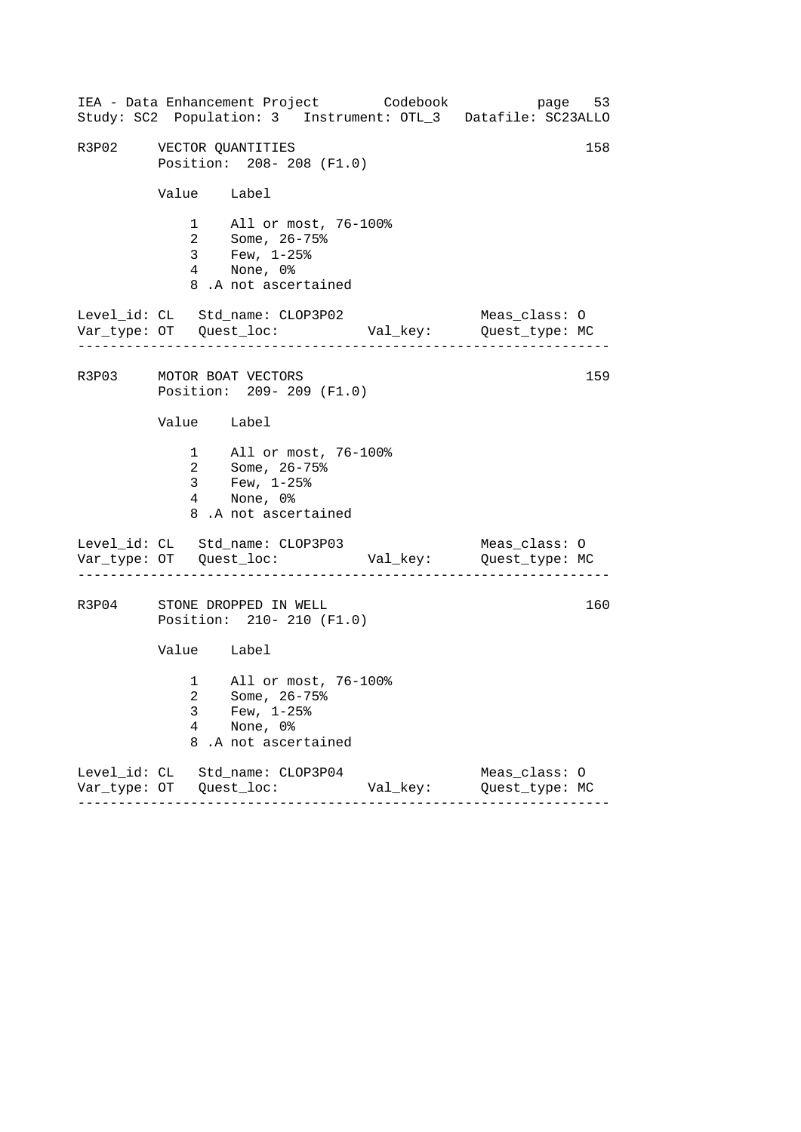|                         |                          | IEA - Data Enhancement Project Codebook<br>Study: SC2 Population: 3 Instrument: OTL_3 Datafile: SC23ALLO |          | page 53                         |     |
|-------------------------|--------------------------|----------------------------------------------------------------------------------------------------------|----------|---------------------------------|-----|
| R3P02 VECTOR QUANTITIES |                          | Position: 208-208 (F1.0)                                                                                 |          |                                 | 158 |
|                         | Value Label              |                                                                                                          |          |                                 |     |
|                         |                          | 1 All or most, 76-100%<br>2 Some, 26-75%<br>3 Few, 1-25%<br>4 None, 0%<br>8.A not ascertained            |          |                                 |     |
|                         |                          | Level_id: CL Std_name: CLOP3P02                                                                          |          | Meas_class: O                   |     |
|                         |                          | R3P03 MOTOR BOAT VECTORS<br>Position: 209-209 (F1.0)                                                     |          |                                 | 159 |
|                         | Value Label              |                                                                                                          |          |                                 |     |
|                         |                          | 1 All or most, 76-100%<br>2 Some, 26-75%<br>3 Few, $1-25$ $%$<br>4 None, 0%<br>8.A not ascertained       |          |                                 |     |
|                         |                          | Level_id: CL Std_name: CLOP3P03                                                                          |          | Meas_class: O                   |     |
|                         |                          | R3P04 STONE DROPPED IN WELL<br>Position: 210- 210 (F1.0)                                                 |          |                                 | 160 |
|                         | Value Label              |                                                                                                          |          |                                 |     |
|                         | 3<br>$\overline{4}$<br>8 | 1 All or most, 76-100%<br>2 Some, 26-75%<br>Few, $1-25$ $%$<br>None, 0%<br>.A not ascertained            |          |                                 |     |
|                         |                          | Level_id: CL Std_name: CLOP3P04                                                                          | Val_key: | Meas_class: 0<br>Quest_type: MC |     |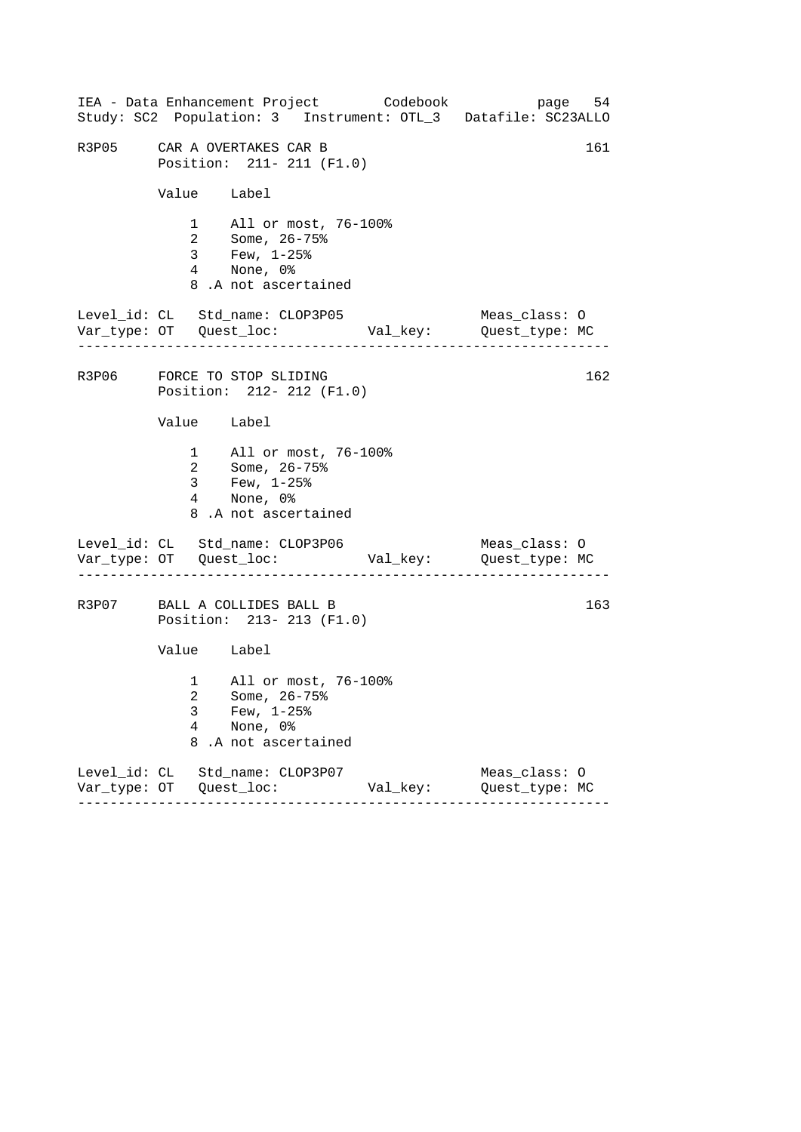|                          | IEA - Data Enhancement Project Codebook                                                            |          | page 54<br>Study: SC2 Population: 3 Instrument: OTL_3 Datafile: SC23ALLO |
|--------------------------|----------------------------------------------------------------------------------------------------|----------|--------------------------------------------------------------------------|
|                          | R3P05 CAR A OVERTAKES CAR B<br>Position: 211- 211 (F1.0)                                           |          | 161                                                                      |
|                          | Value Label                                                                                        |          |                                                                          |
|                          | 1 All or most, 76-100%<br>2 Some, 26-75%<br>3 Few, 1-25%<br>4 None, 0%<br>8.A not ascertained      |          |                                                                          |
|                          | Level_id: CL Std_name: CLOP3P05                                                                    |          | Meas_class: O                                                            |
|                          | R3P06 FORCE TO STOP SLIDING<br>Position: 212- 212 (F1.0)                                           |          | 162                                                                      |
|                          | Value Label                                                                                        |          |                                                                          |
|                          | 1 All or most, 76-100%<br>2 Some, 26-75%<br>3 Few, $1-25$ $%$<br>4 None, 0%<br>8.A not ascertained |          |                                                                          |
|                          | Level_id: CL Std_name: CLOP3P06                                                                    |          | Meas_class: O                                                            |
|                          | R3P07 BALL A COLLIDES BALL B<br>Position: 213-213 (F1.0)                                           |          | 163                                                                      |
|                          | Value Label                                                                                        |          |                                                                          |
| 3<br>$\overline{4}$<br>8 | 1 All or most, 76-100%<br>2 Some, 26-75%<br>Few, $1-25$ $%$<br>None, 0%<br>.A not ascertained      |          |                                                                          |
|                          | Level_id: CL Std_name: CLOP3P07                                                                    | Val_key: | Meas_class: 0<br>Quest_type: MC                                          |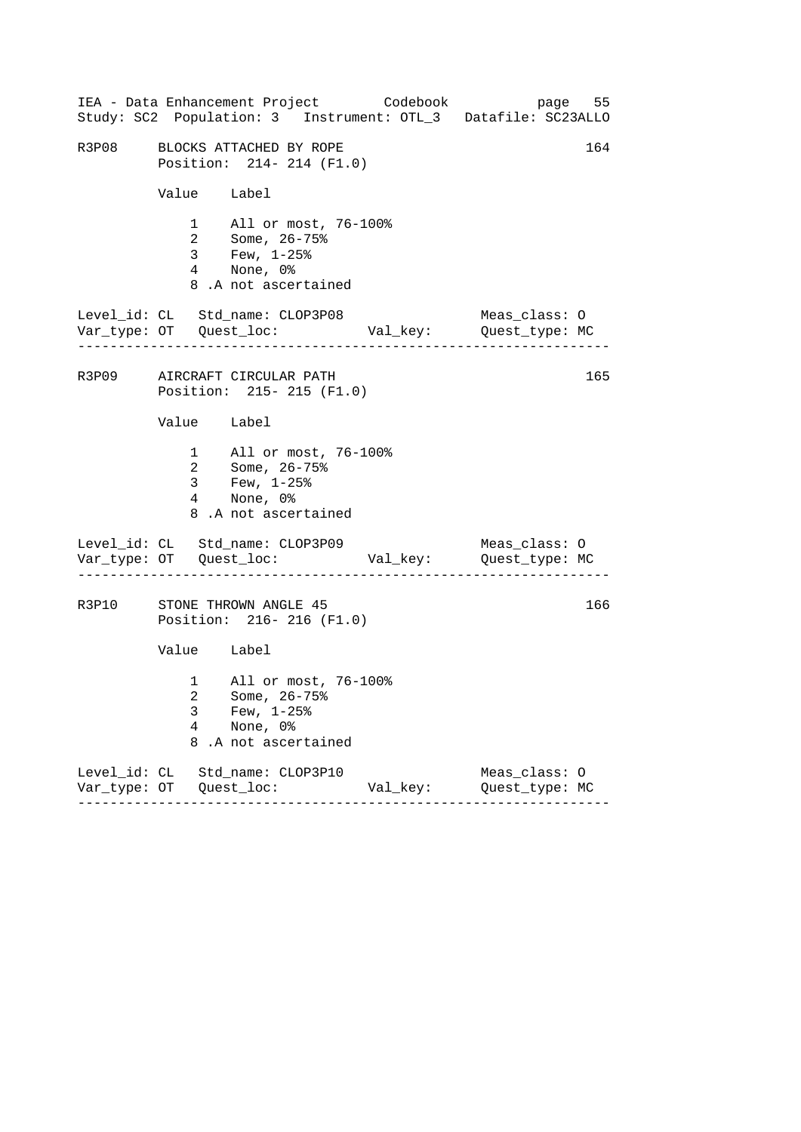|                          | IEA - Data Enhancement Project Codebook<br>Study: SC2 Population: 3 Instrument: OTL_3 Datafile: SC23ALLO |          | page 55                         |     |
|--------------------------|----------------------------------------------------------------------------------------------------------|----------|---------------------------------|-----|
|                          | R3P08 BLOCKS ATTACHED BY ROPE<br>Position: 214- 214 (F1.0)                                               |          |                                 | 164 |
| Value Label              |                                                                                                          |          |                                 |     |
|                          | 1 All or most, 76-100%<br>2 Some, 26-75%<br>3 Few, 1-25%<br>4 None, 0%<br>8.A not ascertained            |          |                                 |     |
|                          | Level_id: CL Std_name: CLOP3P08                                                                          |          | Meas_class: O                   |     |
|                          | R3P09 AIRCRAFT CIRCULAR PATH<br>Position: 215- 215 (F1.0)                                                |          |                                 | 165 |
| Value Label              |                                                                                                          |          |                                 |     |
|                          | 1 All or most, 76-100%<br>2 Some, 26-75%<br>3 Few, $1-25$ %<br>4 None, 0%<br>8.A not ascertained         |          |                                 |     |
|                          | Level_id: CL Std_name: CLOP3P09                                                                          |          | Meas_class: O                   |     |
|                          | R3P10 STONE THROWN ANGLE 45<br>Position: 216-216 (F1.0)                                                  |          |                                 | 166 |
| Value Label              |                                                                                                          |          |                                 |     |
| 3<br>$\overline{4}$<br>8 | 1 All or most, 76-100%<br>2 Some, 26-75%<br>Few, $1-25$ $%$<br>None, 0%<br>.A not ascertained            |          |                                 |     |
|                          | Level_id: CL Std_name: CLOP3P10                                                                          | Val_key: | Meas_class: 0<br>Quest_type: MC |     |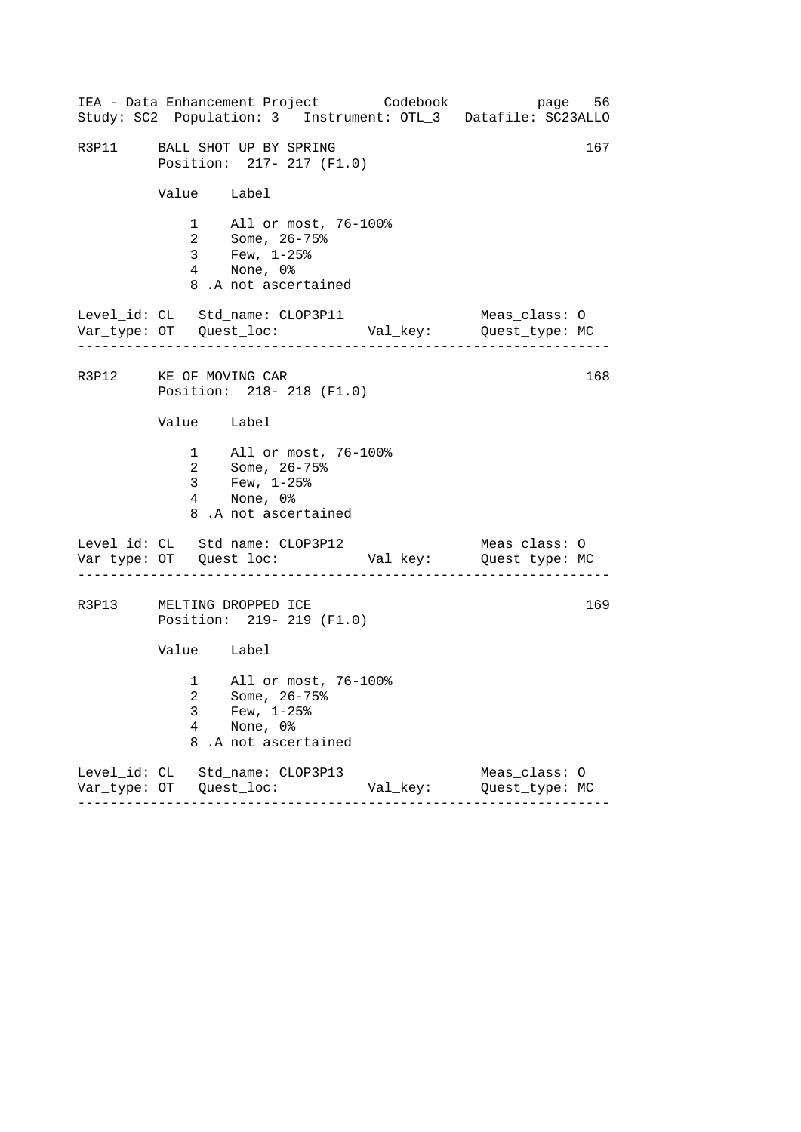|                        |                                       | IEA - Data Enhancement Project Codebook<br>Study: SC2 Population: 3 Instrument: OTL_3 Datafile: SC23ALLO |          | page 56                         |     |
|------------------------|---------------------------------------|----------------------------------------------------------------------------------------------------------|----------|---------------------------------|-----|
|                        |                                       | R3P11 BALL SHOT UP BY SPRING<br>Position: 217- 217 (F1.0)                                                |          |                                 | 167 |
|                        | Value Label                           |                                                                                                          |          |                                 |     |
|                        |                                       | 1 All or most, 76-100%<br>2 Some, 26-75%<br>3 Few, 1-25%<br>4 None, 0%<br>8.A not ascertained            |          |                                 |     |
|                        | . _ _ _ _ _ _ _ _ _ _ _ _ _ _ _ _ _ _ | Level_id: CL Std_name: CLOP3P11                                                                          |          | Meas_class: O                   |     |
| R3P12 KE OF MOVING CAR |                                       | Position: 218-218 (F1.0)                                                                                 |          |                                 | 168 |
|                        | Value Label                           |                                                                                                          |          |                                 |     |
|                        |                                       | 1 All or most, 76-100%<br>2 Some, 26-75%<br>$3 \t Few, 1-25\%$<br>4 None, 0%<br>8.A not ascertained      |          |                                 |     |
|                        |                                       | Level_id: CL Std_name: CLOP3P12                                                                          |          | Meas_class: O                   |     |
|                        |                                       | R3P13 MELTING DROPPED ICE<br>Position: 219- 219 (F1.0)                                                   |          |                                 | 169 |
|                        | Value Label                           |                                                                                                          |          |                                 |     |
|                        | 3<br>4<br>8                           | 1 All or most, 76-100%<br>2 Some, 26-75%<br>Few, $1-25$ %<br>None, 0%<br>.A not ascertained              |          |                                 |     |
|                        |                                       | Level_id: CL Std_name: CLOP3P13                                                                          | Val_key: | Meas_class: 0<br>Quest_type: MC |     |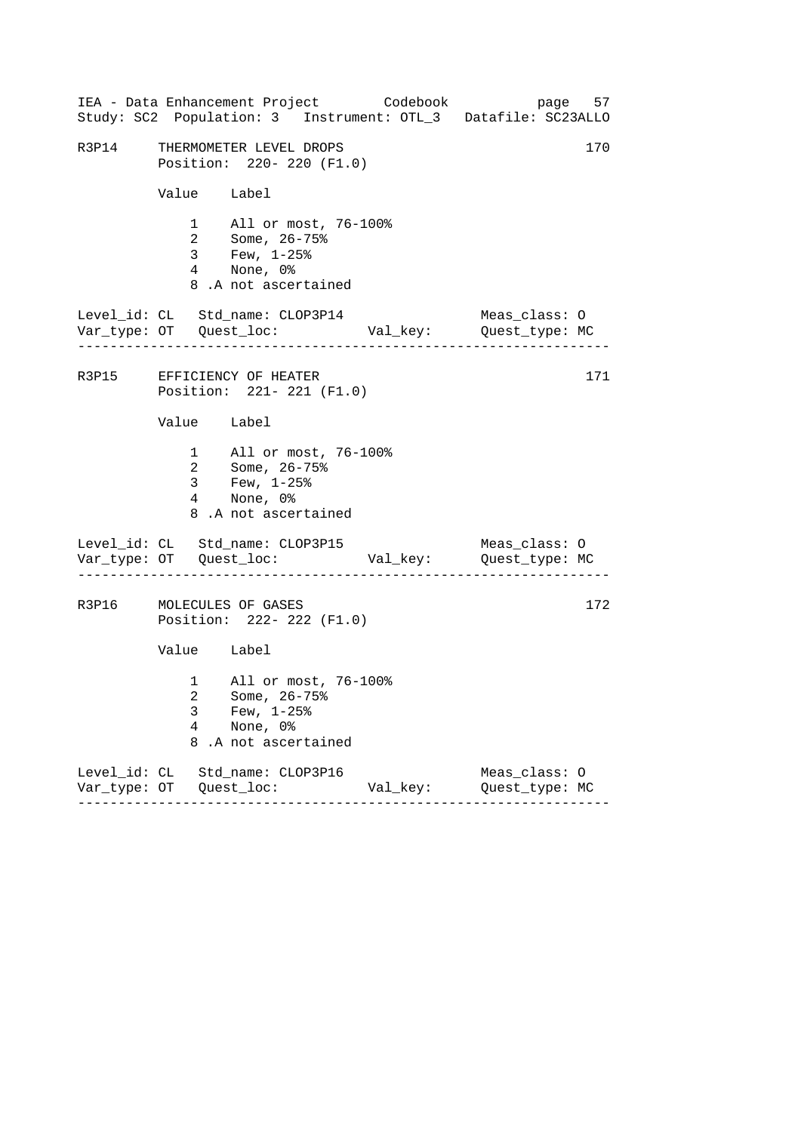|                          |                                                                                                    | IEA - Data Enhancement Project Codebook | page 57<br>Study: SC2 Population: 3 Instrument: OTL_3 Datafile: SC23ALLO |
|--------------------------|----------------------------------------------------------------------------------------------------|-----------------------------------------|--------------------------------------------------------------------------|
|                          | R3P14 THERMOMETER LEVEL DROPS<br>Position: 220- 220 (F1.0)                                         |                                         | 170                                                                      |
|                          | Value Label                                                                                        |                                         |                                                                          |
|                          | 1 All or most, 76-100%<br>2 Some, 26-75%<br>3 Few, 1-25%<br>4 None, 0%<br>8.A not ascertained      |                                         |                                                                          |
|                          | Level_id: CL Std_name: CLOP3P14                                                                    |                                         | Meas_class: O                                                            |
|                          | R3P15 EFFICIENCY OF HEATER<br>Position: 221- 221 (F1.0)                                            |                                         | 171                                                                      |
|                          | Value Label                                                                                        |                                         |                                                                          |
|                          | 1 All or most, 76-100%<br>2 Some, 26-75%<br>3 Few, $1-25$ $%$<br>4 None, 0%<br>8.A not ascertained |                                         |                                                                          |
|                          | Level_id: CL Std_name: CLOP3P15                                                                    |                                         | Meas_class: O                                                            |
|                          | R3P16 MOLECULES OF GASES<br>Position: 222- 222 (F1.0)                                              |                                         | 172                                                                      |
|                          | Value Label                                                                                        |                                         |                                                                          |
| 3<br>$\overline{4}$<br>8 | 1 All or most, 76-100%<br>2 Some, 26-75%<br>Few, $1-25$ $%$<br>None, 0%<br>.A not ascertained      |                                         |                                                                          |
|                          | Level_id: CL Std_name: CLOP3P16                                                                    | Val_key:                                | Meas_class: 0<br>Quest_type: MC                                          |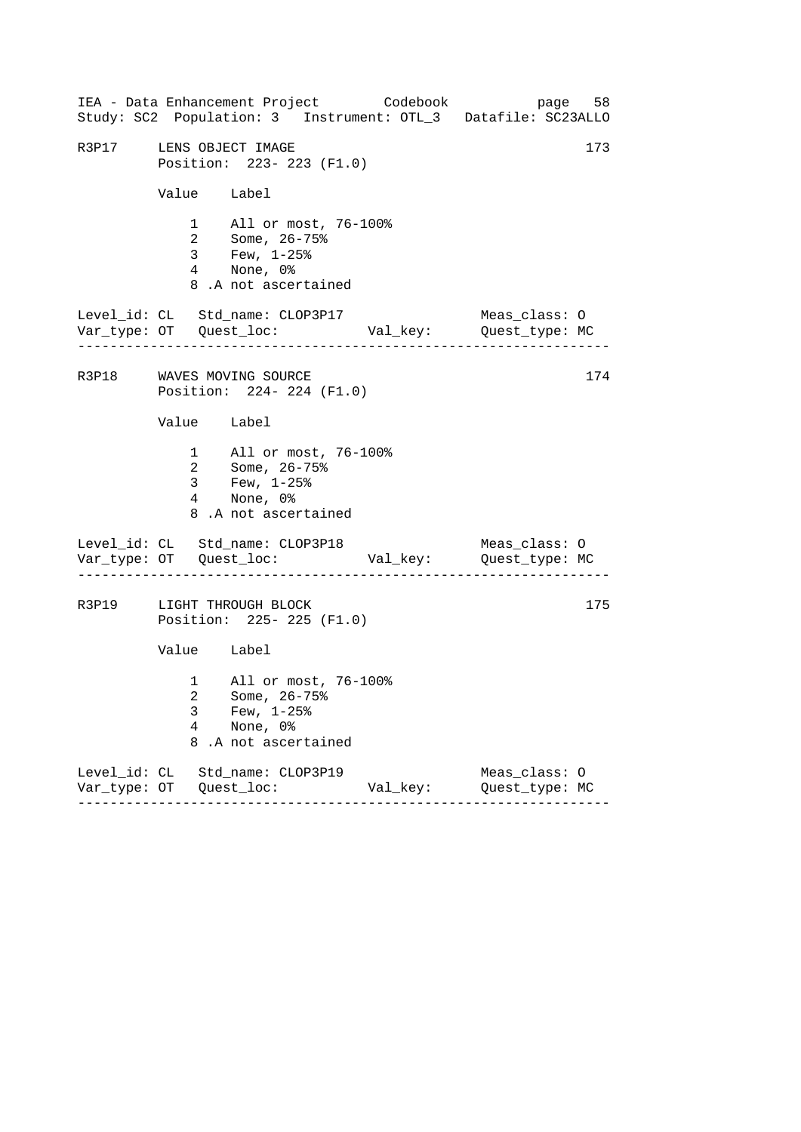|                         |                          | IEA - Data Enhancement Project Codebook                                                                |          | page 58<br>Study: SC2 Population: 3 Instrument: OTL_3 Datafile: SC23ALLO |
|-------------------------|--------------------------|--------------------------------------------------------------------------------------------------------|----------|--------------------------------------------------------------------------|
| R3P17 LENS OBJECT IMAGE |                          | Position: 223- 223 (F1.0)                                                                              |          | 173                                                                      |
|                         | Value Label              |                                                                                                        |          |                                                                          |
|                         |                          | 1 All or most, 76-100%<br>2 Some, 26-75%<br>3 Few, 1-25%<br>4 None, 0%<br>8.A not ascertained          |          |                                                                          |
|                         |                          | Level_id: CL Std_name: CLOP3P17                                                                        |          | Meas_class: O                                                            |
|                         |                          | R3P18 WAVES MOVING SOURCE<br>Position: 224- 224 (F1.0)                                                 |          | 174                                                                      |
|                         | Value Label              |                                                                                                        |          |                                                                          |
|                         |                          | 1 All or most, 76-100%<br>2 Some, 26-75%<br>3 Few, $1-25$ %<br>4 None, 0%<br>8.A not ascertained       |          |                                                                          |
|                         |                          | Level_id: CL Std_name: CLOP3P18<br>. <u>_ _ _ _ _ _ _ _ _ _ _ _ _ _ _ _ _ _</u> _ _                    |          | Meas_class: O                                                            |
|                         |                          | R3P19 LIGHT THROUGH BLOCK<br>Position: 225- 225 (F1.0)                                                 |          | 175                                                                      |
|                         | Value Label              |                                                                                                        |          |                                                                          |
|                         | 3<br>$\overline{4}$<br>8 | 1 All or most, 76-100%<br>2 Some, 26-75%<br>Few, $1-25$ <sup>8</sup><br>None, 0%<br>.A not ascertained |          |                                                                          |
|                         |                          | Level_id: CL Std_name: CLOP3P19<br>$- - - - - - -$                                                     | Val_key: | Meas_class: O<br>Quest_type: MC                                          |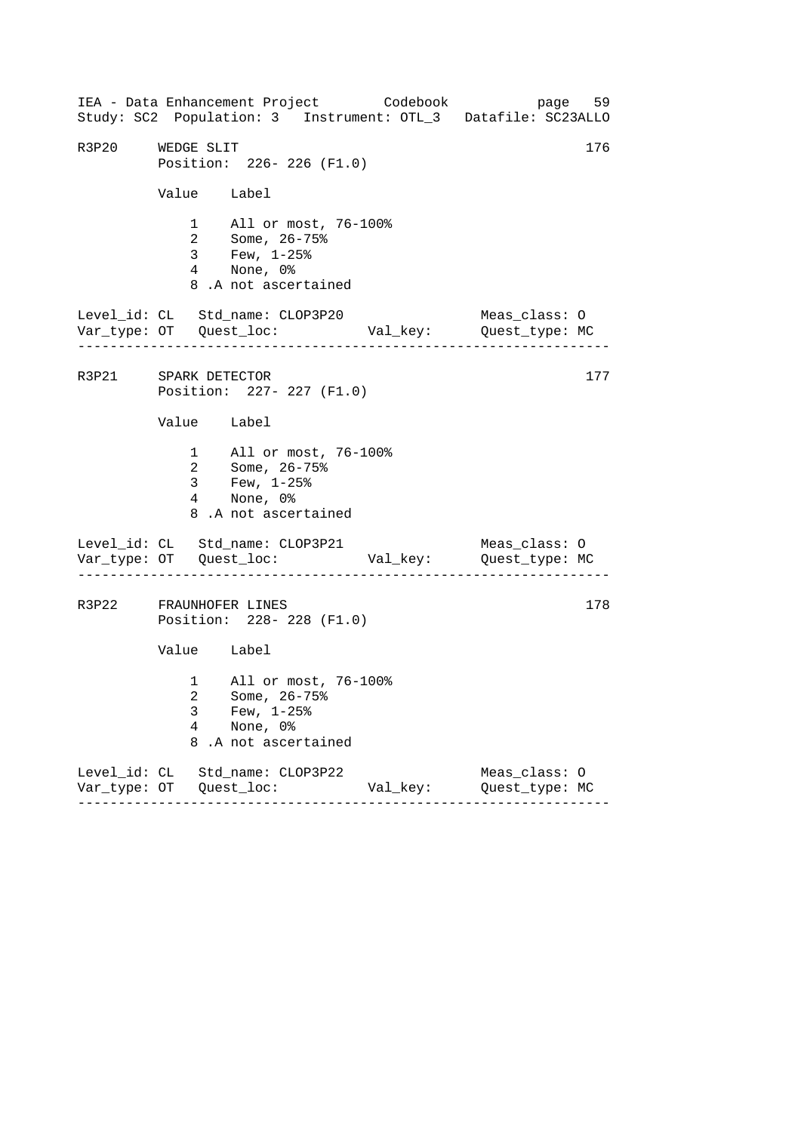------------------------------------------------------------------ ------------------------------------------------------------------ ------------------------------------------------------------------ IEA - Data Enhancement Project Codebook page 59 Study: SC2 Population: 3 Instrument: OTL\_3 Datafile: SC23ALLO R3P20 WEDGE SLIT Position: 226- 226 (F1.0) Value Label 1 All or most, 76-100% 2 Some, 26-75% 3 Few, 1-25% 4 None, 0% 8 .A not ascertained Level\_id: CL Std\_name: CLOP3P20 Meas\_class: O Var\_type: OT Quest\_loc: Val\_key: Quest\_type: MC R3P21 SPARK DETECTOR 177 Position: 227- 227 (F1.0) Value Label 1 All or most, 76-100% 2 Some, 26-75% 3 Few, 1-25% 4 None, 0% 8 .A not ascertained Level\_id: CL Std\_name: CLOP3P21 Meas\_class: O Var\_type: OT Quest\_loc: Val\_key: Quest\_type: MC R3P22 FRAUNHOFER LINES 178 Position: 228- 228 (F1.0) Value Label 1 All or most, 76-100% 2 Some, 26-75% 3 Few, 1-25% 4 None, 0% 8 .A not ascertained Level\_id: CL Std\_name: CLOP3P22 Meas\_class: O Var\_type: OT Quest\_loc: Val\_key: Quest\_type: MC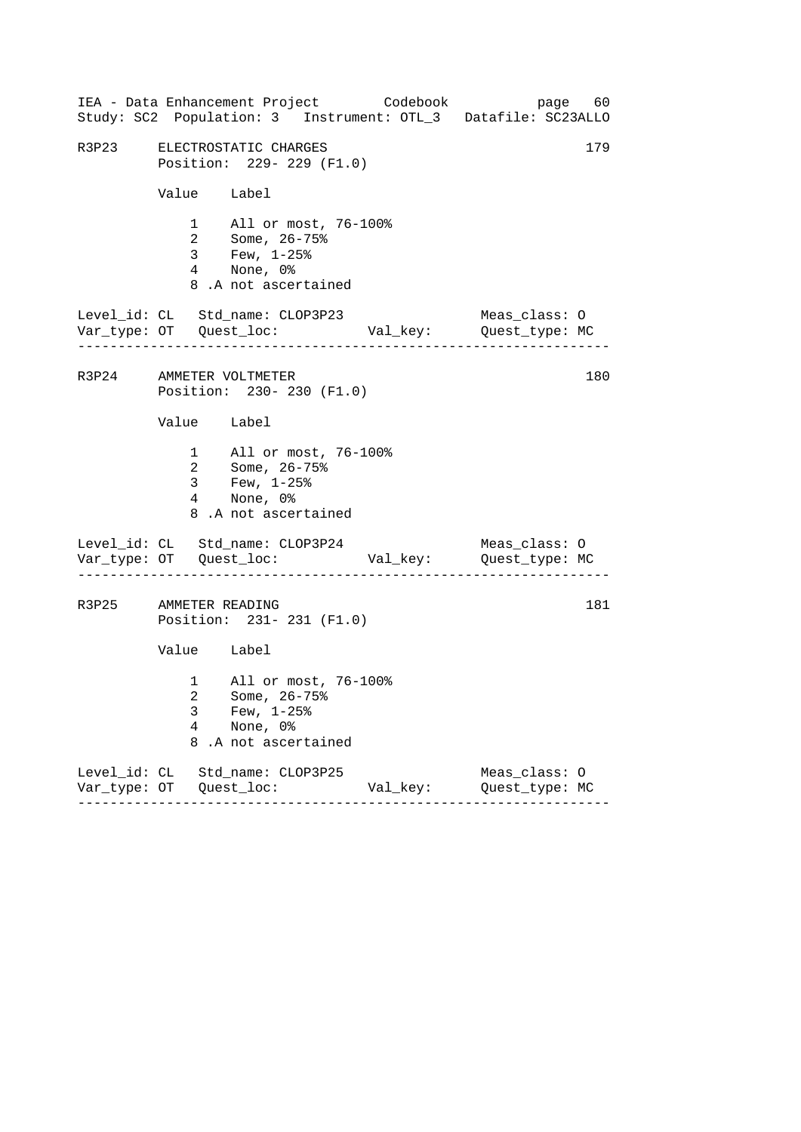|                                 |                          |                                                                          |                                                                | IEA - Data Enhancement Project Codebook<br>Study: SC2 Population: 3 Instrument: OTL_3 Datafile: SC23ALLO |                                 | page 60 |
|---------------------------------|--------------------------|--------------------------------------------------------------------------|----------------------------------------------------------------|----------------------------------------------------------------------------------------------------------|---------------------------------|---------|
| R3P23 ELECTROSTATIC CHARGES     |                          |                                                                          | Position: 229- 229 (F1.0)                                      |                                                                                                          |                                 | 179     |
|                                 |                          | Value Label                                                              |                                                                |                                                                                                          |                                 |         |
|                                 |                          | 4 None, 0%<br>8.A not ascertained                                        | 1 All or most, 76-100%<br>2 Some, 26-75%<br>3 Few, 1-25%       |                                                                                                          |                                 |         |
| Level_id: CL Std_name: CLOP3P23 |                          |                                                                          |                                                                |                                                                                                          | Meas_class: O                   |         |
| R3P24 AMMETER VOLTMETER         |                          |                                                                          | Position: 230- 230 (F1.0)                                      |                                                                                                          |                                 | 180     |
|                                 |                          | Value Label                                                              |                                                                |                                                                                                          |                                 |         |
|                                 |                          | 2 Some, 26-75%<br>3 Few, $1-25$ $%$<br>4 None, 0%<br>8.A not ascertained | 1 All or most, 76-100%                                         |                                                                                                          |                                 |         |
| Level_id: CL Std_name: CLOP3P24 |                          |                                                                          |                                                                |                                                                                                          | Meas_class: O                   |         |
| R3P25 AMMETER READING           |                          |                                                                          | Position: 231- 231 (F1.0)                                      |                                                                                                          |                                 | 181     |
|                                 |                          | Value Label                                                              |                                                                |                                                                                                          |                                 |         |
|                                 | 3<br>$\overline{4}$<br>8 | Few, $1-25$ $%$<br>None, 0%                                              | 1 All or most, 76-100%<br>2 Some, 26-75%<br>.A not ascertained |                                                                                                          |                                 |         |
| Level_id: CL Std_name: CLOP3P25 |                          |                                                                          |                                                                | Val_key:                                                                                                 | Meas_class: 0<br>Quest_type: MC |         |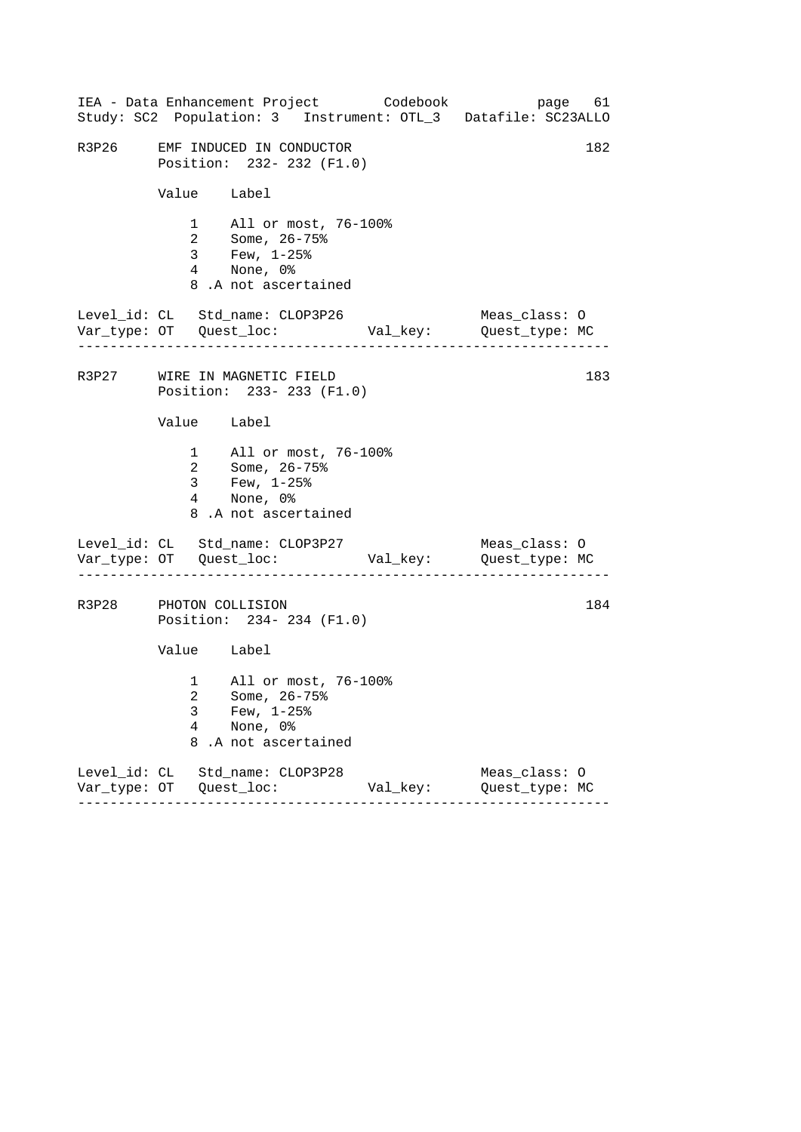|                                 |                          |                                                                                                    | IEA - Data Enhancement Project Codebook<br>Study: SC2 Population: 3 Instrument: OTL_3 Datafile: SC23ALLO |                                 | page 61 |
|---------------------------------|--------------------------|----------------------------------------------------------------------------------------------------|----------------------------------------------------------------------------------------------------------|---------------------------------|---------|
| R3P26                           |                          | EMF INDUCED IN CONDUCTOR<br>Position: 232- 232 (F1.0)                                              |                                                                                                          |                                 | 182     |
|                                 |                          | Value Label                                                                                        |                                                                                                          |                                 |         |
|                                 |                          | 1 All or most, 76-100%<br>2 Some, 26-75%<br>3 Few, 1-25%<br>4 None, 0%<br>8.A not ascertained      |                                                                                                          |                                 |         |
| Level_id: CL Std_name: CLOP3P26 |                          |                                                                                                    |                                                                                                          | Meas_class: O                   |         |
| R3P27 WIRE IN MAGNETIC FIELD    |                          | Position: 233- 233 (F1.0)                                                                          |                                                                                                          |                                 | 183     |
|                                 |                          | Value Label                                                                                        |                                                                                                          |                                 |         |
|                                 |                          | 1 All or most, 76-100%<br>2 Some, 26-75%<br>3 Few, $1-25$ $%$<br>4 None, 0%<br>8.A not ascertained |                                                                                                          |                                 |         |
| Level_id: CL Std_name: CLOP3P27 |                          |                                                                                                    |                                                                                                          | Meas_class: O                   |         |
| R3P28 PHOTON COLLISION          |                          | Position: 234-234 (F1.0)                                                                           |                                                                                                          |                                 | 184     |
|                                 |                          | Value Label                                                                                        |                                                                                                          |                                 |         |
|                                 | 3<br>$\overline{4}$<br>8 | 1 All or most, 76-100%<br>2 Some, 26-75%<br>Few, $1-25$ $%$<br>None, 0%<br>.A not ascertained      |                                                                                                          |                                 |         |
| Level_id: CL Std_name: CLOP3P28 |                          |                                                                                                    | Val_key:                                                                                                 | Meas_class: 0<br>Quest_type: MC |         |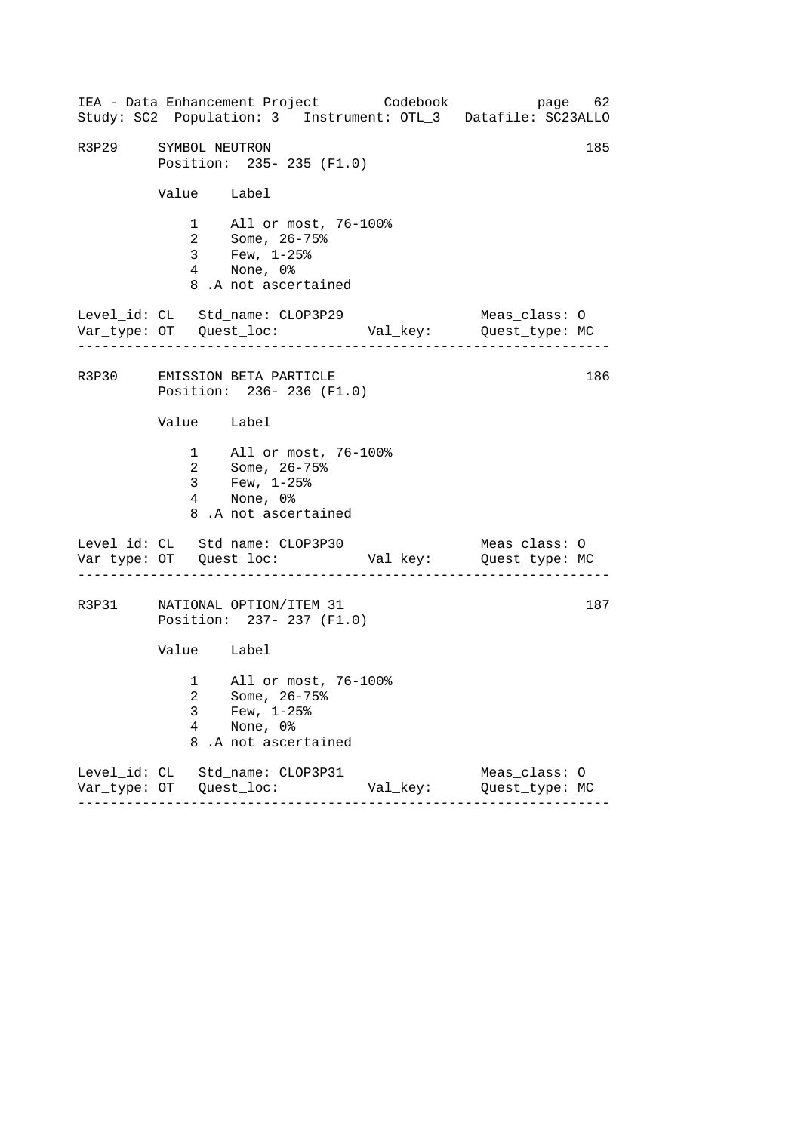------------------------------------------------------------------ ------------------------------------------------------------------ ------------------------------------------------------------------ IEA - Data Enhancement Project Codebook page 62 Study: SC2 Population: 3 Instrument: OTL\_3 Datafile: SC23ALLO R3P29 SYMBOL NEUTRON 185 Position: 235- 235 (F1.0) Value Label 1 All or most, 76-100% 2 Some, 26-75% 3 Few, 1-25% 4 None, 0% 8 .A not ascertained Level\_id: CL Std\_name: CLOP3P29 Meas\_class: O Var\_type: OT Quest\_loc: Val\_key: Quest\_type: MC R3P30 EMISSION BETA PARTICLE 186 Position: 236- 236 (F1.0) Value Label 1 All or most, 76-100% 2 Some, 26-75% 3 Few, 1-25% 4 None, 0% 8 .A not ascertained Level\_id: CL Std\_name: CLOP3P30 Meas\_class: O Var\_type: OT Quest\_loc: Val\_key: Quest\_type: MC R3P31 NATIONAL OPTION/ITEM 31 187 Position: 237- 237 (F1.0) Value Label 1 All or most, 76-100% 2 Some, 26-75% 3 Few,  $1-25$ %<br>4 None, 0% None, 0% 8 .A not ascertained Level\_id: CL Std\_name: CLOP3P31 Meas\_class: O Var\_type: OT Quest\_loc: Val\_key: Quest\_type: MC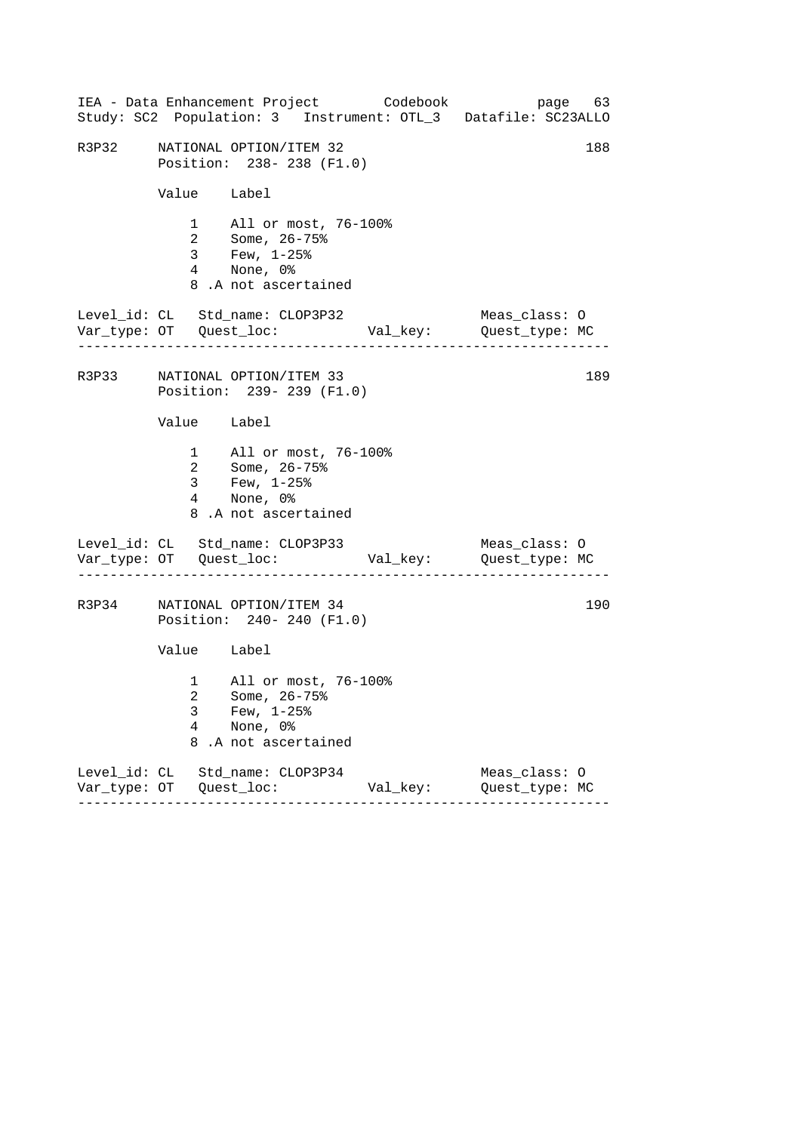|       |             | IEA - Data Enhancement Project Codebook<br>Study: SC2 Population: 3 Instrument: OTL_3 Datafile: SC23ALLO |          |                                 | page 63 |
|-------|-------------|----------------------------------------------------------------------------------------------------------|----------|---------------------------------|---------|
| R3P32 |             | NATIONAL OPTION/ITEM 32<br>Position: 238-238 (F1.0)                                                      |          |                                 | 188     |
|       | Value Label |                                                                                                          |          |                                 |         |
|       |             | 1 All or most, 76-100%<br>2 Some, 26-75%<br>3 Few, 1-25%<br>4 None, 0%<br>8.A not ascertained            |          |                                 |         |
|       |             | Level_id: CL Std_name: CLOP3P32                                                                          |          | Meas_class: O                   |         |
|       |             | R3P33 NATIONAL OPTION/ITEM 33<br>Position: 239- 239 (F1.0)                                               |          |                                 | 189     |
|       | Value Label |                                                                                                          |          |                                 |         |
|       |             | 1 All or most, 76-100%<br>2 Some, 26-75%<br>3 Few, $1-25\%$<br>4 None, 0%<br>8.A not ascertained         |          |                                 |         |
|       |             | Level_id: CL Std_name: CLOP3P33                                                                          |          | Meas_class: O                   |         |
|       |             | R3P34 NATIONAL OPTION/ITEM 34<br>Position: 240- 240 (F1.0)                                               |          |                                 | 190     |
|       | Value Label |                                                                                                          |          |                                 |         |
|       | 3<br>4<br>8 | 1 All or most, 76-100%<br>2 Some, 26-75%<br>Few, $1-25$ %<br>None, 0%<br>.A not ascertained              |          |                                 |         |
|       |             | Level_id: CL Std_name: CLOP3P34                                                                          | Val_key: | Meas_class: 0<br>Quest_type: MC |         |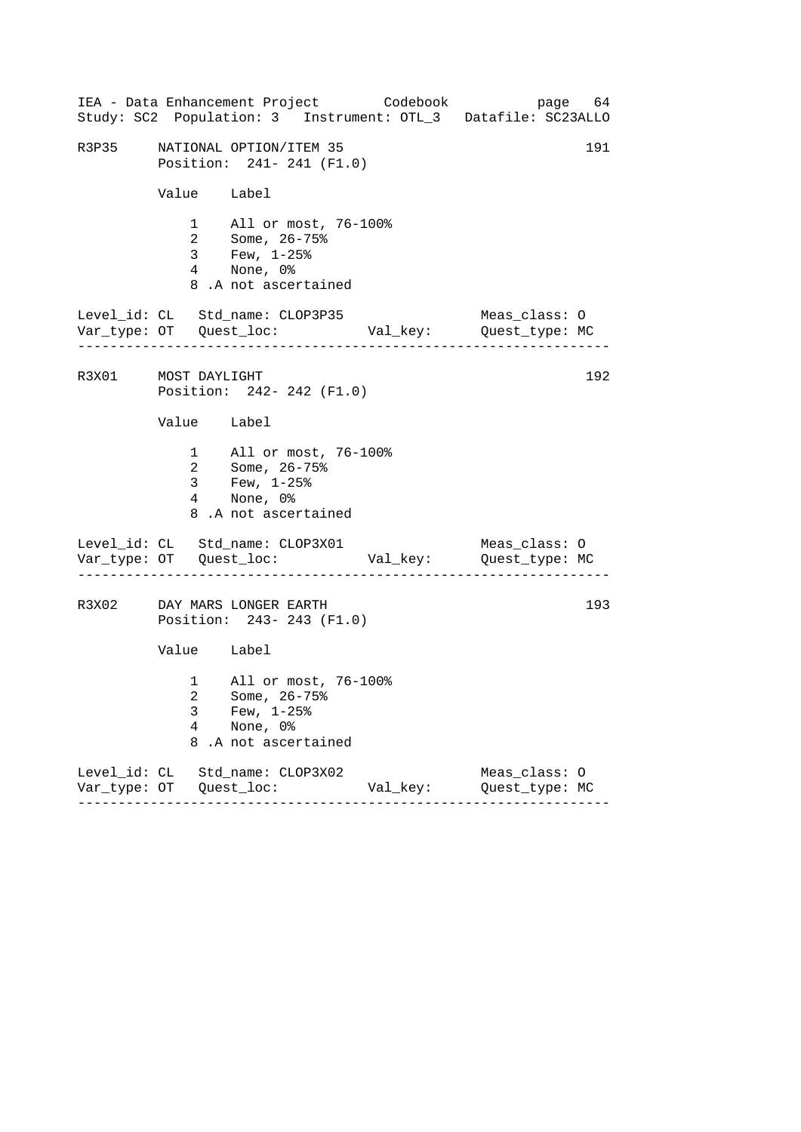|                     |                | IEA - Data Enhancement Project Codebook<br>Study: SC2 Population: 3 Instrument: OTL_3 Datafile: SC23ALLO |          | page 64                         |     |
|---------------------|----------------|----------------------------------------------------------------------------------------------------------|----------|---------------------------------|-----|
| R3P35               |                | NATIONAL OPTION/ITEM 35<br>Position: 241- 241 (F1.0)                                                     |          |                                 | 191 |
|                     | Value Label    |                                                                                                          |          |                                 |     |
|                     |                | 1 All or most, 76-100%<br>2 Some, 26-75%<br>3 Few, 1-25%<br>4 None, 0%<br>8.A not ascertained            |          |                                 |     |
|                     | .              | Level_id: CL Std_name: CLOP3P35                                                                          |          | Meas_class: O                   |     |
| R3X01 MOST DAYLIGHT |                | Position: 242- 242 (F1.0)                                                                                |          |                                 | 192 |
|                     | Value Label    |                                                                                                          |          |                                 |     |
|                     | 3 <sup>7</sup> | 1 All or most, 76-100%<br>2 Some, 26-75%<br>Few, $1-25$ %<br>4 None, 0%<br>8.A not ascertained           |          |                                 |     |
|                     |                | Level_id: CL Std_name: CLOP3X01                                                                          |          | Meas_class: O                   |     |
|                     |                | R3X02 DAY MARS LONGER EARTH<br>Position: 243- 243 (F1.0)                                                 |          |                                 | 193 |
|                     | Value Label    |                                                                                                          |          |                                 |     |
|                     | 3<br>4<br>8    | 1 All or most, 76-100%<br>2 Some, 26-75%<br>Few, $1-25$ %<br>None, 0%<br>.A not ascertained              |          |                                 |     |
|                     |                | Level_id: CL Std_name: CLOP3X02                                                                          | Val_key: | Meas_class: 0<br>Quest_type: MC |     |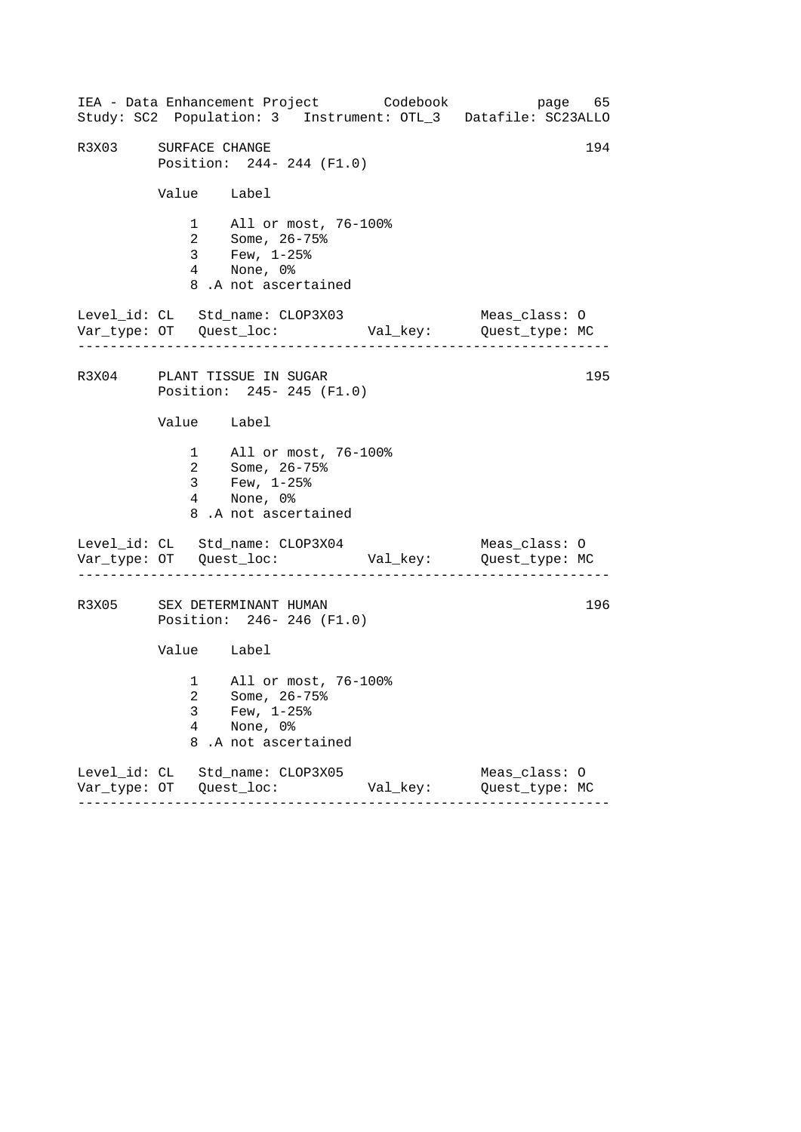------------------------------------------------------------------ ------------------------------------------------------------------ ------------------------------------------------------------------ IEA - Data Enhancement Project Codebook page 65 Study: SC2 Population: 3 Instrument: OTL\_3 Datafile: SC23ALLO R3X03 SURFACE CHANGE 194 Position: 244- 244 (F1.0) Value Label 1 All or most, 76-100% 2 Some, 26-75% 3 Few, 1-25% 4 None, 0% 8 .A not ascertained Level\_id: CL Std\_name: CLOP3X03 Meas\_class: O Var\_type: OT Quest\_loc: Val\_key: Quest\_type: MC R3X04 PLANT TISSUE IN SUGAR 195 Position: 245- 245 (F1.0) Value Label 1 All or most, 76-100% 2 Some, 26-75% 3 Few, 1-25% 4 None, 0% 8 .A not ascertained Level\_id: CL Std\_name: CLOP3X04 Meas\_class: 0 Var\_type: OT Quest\_loc: Val\_key: Quest\_type: MC R3X05 SEX DETERMINANT HUMAN 196 Position: 246- 246 (F1.0) Value Label 1 All or most, 76-100% 2 Some, 26-75% 3 Few,  $1-25$ %<br>4 None, 0% None, 0% 8 .A not ascertained Level\_id: CL Std\_name: CLOP3X05 Meas\_class: O Var\_type: OT Quest\_loc: Val\_key: Quest\_type: MC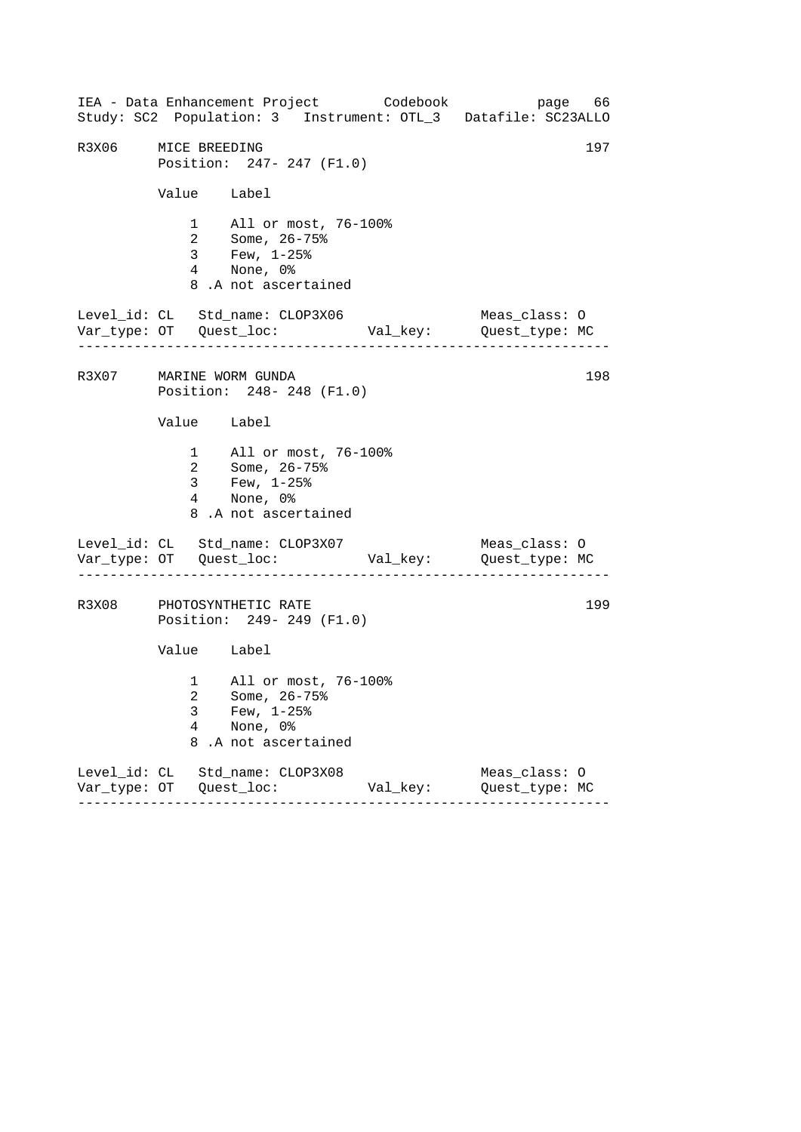------------------------------------------------------------------ ------------------------------------------------------------------ ------------------------------------------------------------------ IEA - Data Enhancement Project Codebook page 66 Study: SC2 Population: 3 Instrument: OTL\_3 Datafile: SC23ALLO R3X06 MICE BREEDING 197 Position: 247- 247 (F1.0) Value Label 1 All or most, 76-100% 2 Some, 26-75% 3 Few, 1-25% 4 None, 0% 8 .A not ascertained Level\_id: CL Std\_name: CLOP3X06 Meas\_class: O Var\_type: OT Quest\_loc: Val\_key: Quest\_type: MC R3X07 MARINE WORM GUNDA 198 Position: 248- 248 (F1.0) Value Label 1 All or most, 76-100% 2 Some, 26-75% 3 Few, 1-25% 4 None, 0% 8 .A not ascertained Level\_id: CL Std\_name: CLOP3X07 Meas\_class: 0 Var\_type: OT Quest\_loc: Val\_key: Quest\_type: MC R3X08 PHOTOSYNTHETIC RATE 199 Position: 249- 249 (F1.0) Value Label 1 All or most, 76-100% 2 Some, 26-75% 3 Few, 1-25%<br>4 None, 0% None, 0% 8 .A not ascertained Level\_id: CL Std\_name: CLOP3X08 Meas\_class: O Var\_type: OT Quest\_loc: Val\_key: Quest\_type: MC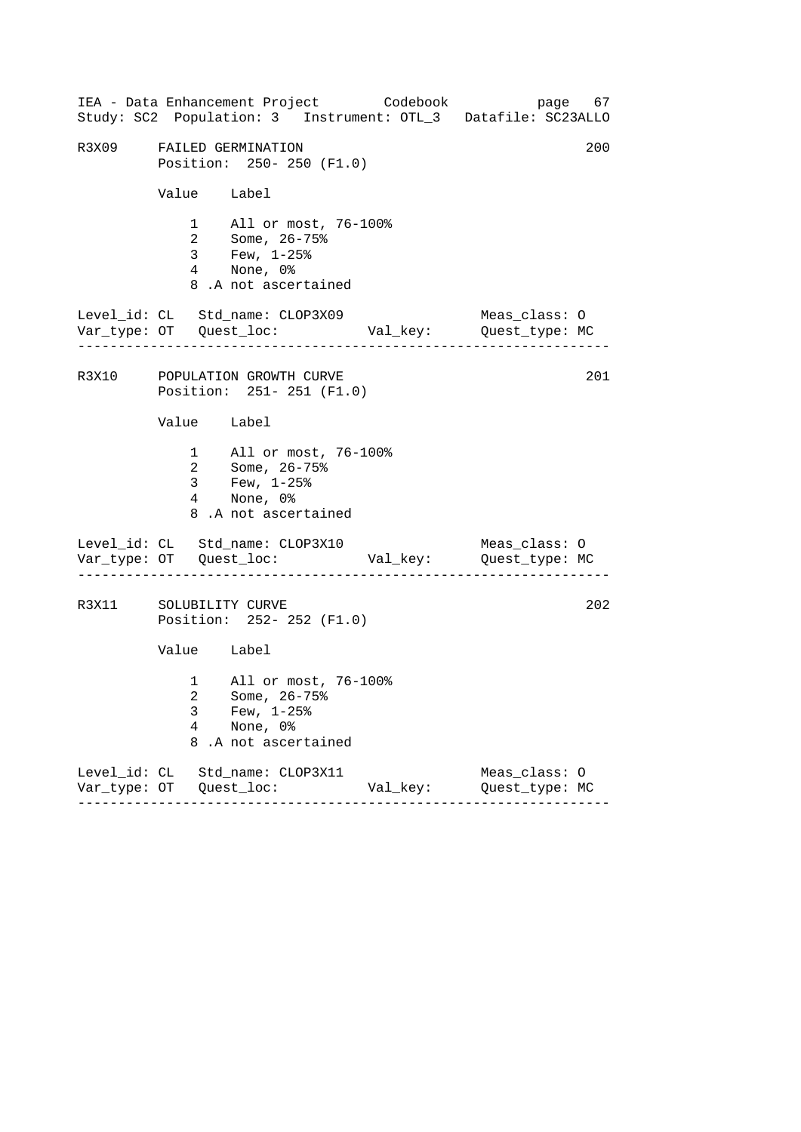|                          | IEA - Data Enhancement Project Codebook<br>Study: SC2 Population: 3 Instrument: OTL_3 Datafile: SC23ALLO |          |                                 | page 67 |
|--------------------------|----------------------------------------------------------------------------------------------------------|----------|---------------------------------|---------|
|                          | R3X09 FAILED GERMINATION<br>Position: 250- 250 (F1.0)                                                    |          |                                 | 200     |
|                          | Value Label                                                                                              |          |                                 |         |
|                          | 1 All or most, 76-100%<br>2 Some, 26-75%<br>3 Few, 1-25%<br>4 None, 0%<br>8.A not ascertained            |          |                                 |         |
|                          | Level_id: CL Std_name: CLOP3X09                                                                          |          | Meas_class: O                   |         |
|                          | R3X10 POPULATION GROWTH CURVE<br>Position: 251- 251 (F1.0)                                               |          |                                 | 201     |
|                          | Value Label                                                                                              |          |                                 |         |
|                          | 1 All or most, 76-100%<br>2 Some, 26-75%<br>3 Few, $1-25$ $%$<br>4 None, 0%<br>8.A not ascertained       |          |                                 |         |
|                          | Level_id: CL Std_name: CLOP3X10                                                                          |          | Meas_class: O                   |         |
|                          | R3X11 SOLUBILITY CURVE<br>Position: 252- 252 (F1.0)                                                      |          |                                 | 202     |
|                          | Value Label                                                                                              |          |                                 |         |
| 3<br>$\overline{4}$<br>8 | 1 All or most, 76-100%<br>2 Some, 26-75%<br>Few, $1-25$ $%$<br>None, 0%<br>.A not ascertained            |          |                                 |         |
|                          | Level_id: CL Std_name: CLOP3X11                                                                          | Val_key: | Meas_class: 0<br>Quest_type: MC |         |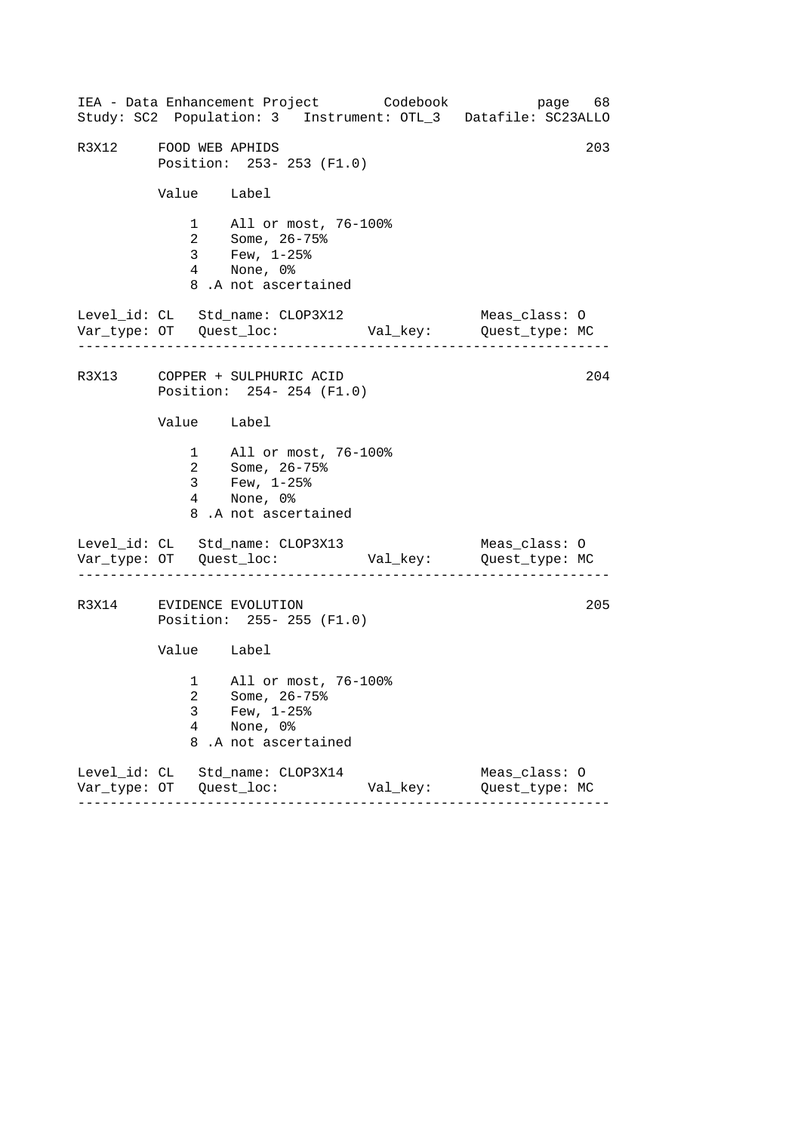------------------------------------------------------------------ ------------------------------------------------------------------ ------------------------------------------------------------------ IEA - Data Enhancement Project Codebook page 68 Study: SC2 Population: 3 Instrument: OTL\_3 Datafile: SC23ALLO R3X12 FOOD WEB APHIDS 203 Position: 253- 253 (F1.0) Value Label 1 All or most, 76-100% 2 Some, 26-75% 3 Few, 1-25% 4 None, 0% 8 .A not ascertained Level\_id: CL Std\_name: CLOP3X12 Meas\_class: O Var\_type: OT Quest\_loc: Val\_key: Quest\_type: MC R3X13 COPPER + SULPHURIC ACID 204 Position: 254- 254 (F1.0) Value Label 1 All or most, 76-100% 2 Some, 26-75% 3 Few, 1-25% 4 None, 0% 8 .A not ascertained Level\_id: CL Std\_name: CLOP3X13 Meas\_class: 0 Var\_type: OT Quest\_loc: Val\_key: Quest\_type: MC R3X14 EVIDENCE EVOLUTION 205 Position: 255- 255 (F1.0) Value Label 1 All or most, 76-100% 2 Some, 26-75% 3 Few, 1-25%<br>4 None, 0% None, 0% 8 .A not ascertained Level\_id: CL Std\_name: CLOP3X14 Meas\_class: O Var\_type: OT Quest\_loc: Val\_key: Quest\_type: MC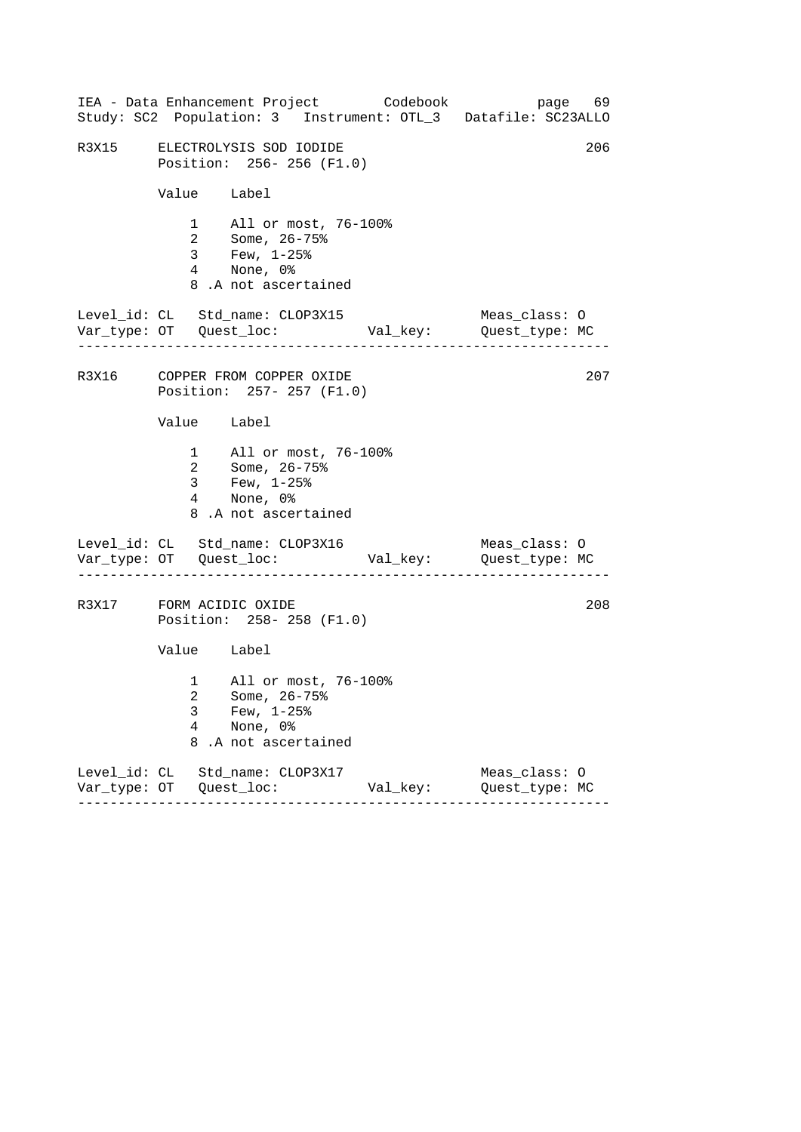| IEA - Data Enhancement Project Codebook<br>Study: SC2 Population: 3 Instrument: OTL_3 Datafile: SC23ALLO |                          |                                                                        |                                                          |          |                                 | page 69 |     |
|----------------------------------------------------------------------------------------------------------|--------------------------|------------------------------------------------------------------------|----------------------------------------------------------|----------|---------------------------------|---------|-----|
| R3X15 ELECTROLYSIS SOD IODIDE                                                                            |                          |                                                                        | Position: 256-256 (F1.0)                                 |          |                                 |         | 206 |
|                                                                                                          |                          | Value Label                                                            |                                                          |          |                                 |         |     |
|                                                                                                          |                          | 4 None, 0%<br>8.A not ascertained                                      | 1 All or most, 76-100%<br>2 Some, 26-75%<br>3 Few, 1-25% |          |                                 |         |     |
| Level_id: CL Std_name: CLOP3X15                                                                          |                          |                                                                        |                                                          |          | Meas_class: O                   |         |     |
| R3X16 COPPER FROM COPPER OXIDE                                                                           |                          |                                                                        | Position: 257- 257 (F1.0)                                |          |                                 |         | 207 |
|                                                                                                          |                          | Value Label                                                            |                                                          |          |                                 |         |     |
|                                                                                                          |                          | 2 Some, 26-75%<br>3 Few, $1-25$ %<br>4 None, 0%<br>8.A not ascertained | 1 All or most, 76-100%                                   |          |                                 |         |     |
| Level_id: CL Std_name: CLOP3X16                                                                          |                          |                                                                        |                                                          |          | Meas_class: O                   |         |     |
| R3X17 FORM ACIDIC OXIDE                                                                                  |                          |                                                                        | Position: 258-258 (F1.0)                                 |          |                                 |         | 208 |
|                                                                                                          |                          | Value Label                                                            |                                                          |          |                                 |         |     |
|                                                                                                          | 3<br>$\overline{4}$<br>8 | Few, $1-25$ $%$<br>None, 0%<br>.A not ascertained                      | 1 All or most, 76-100%<br>2 Some, 26-75%                 |          |                                 |         |     |
| Level_id: CL Std_name: CLOP3X17                                                                          |                          |                                                                        |                                                          | Val_key: | Meas_class: O<br>Quest_type: MC |         |     |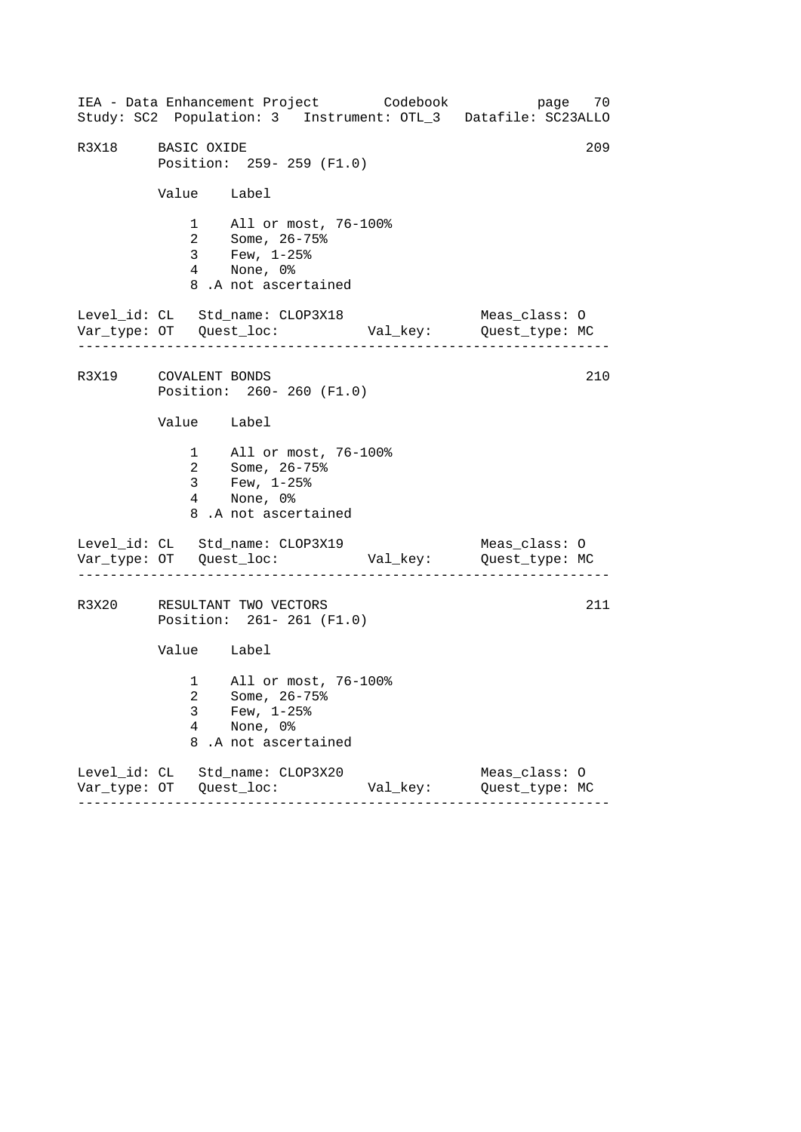------------------------------------------------------------------ ------------------------------------------------------------------ ------------------------------------------------------------------ IEA - Data Enhancement Project Codebook page 70 Study: SC2 Population: 3 Instrument: OTL\_3 Datafile: SC23ALLO R3X18 BASIC OXIDE 209 Position: 259- 259 (F1.0) Value Label 1 All or most, 76-100% 2 Some, 26-75% 3 Few, 1-25% 4 None, 0% 8 .A not ascertained Level\_id: CL Std\_name: CLOP3X18 Meas\_class: O Var\_type: OT Quest\_loc: Val\_key: Quest\_type: MC R3X19 COVALENT BONDS 210 Position: 260- 260 (F1.0) Value Label 1 All or most, 76-100% 2 Some, 26-75% 3 Few, 1-25% 4 None, 0% 8 .A not ascertained Level\_id: CL Std\_name: CLOP3X19 Meas\_class: O Var\_type: OT Quest\_loc: Val\_key: Quest\_type: MC R3X20 RESULTANT TWO VECTORS 211 Position: 261- 261 (F1.0) Value Label 1 All or most, 76-100% 2 Some, 26-75% 3 Few, 1-25% 4 None, 0% 8 .A not ascertained Level\_id: CL Std\_name: CLOP3X20 Meas\_class: O Var\_type: OT Quest\_loc: Val\_key: Quest\_type: MC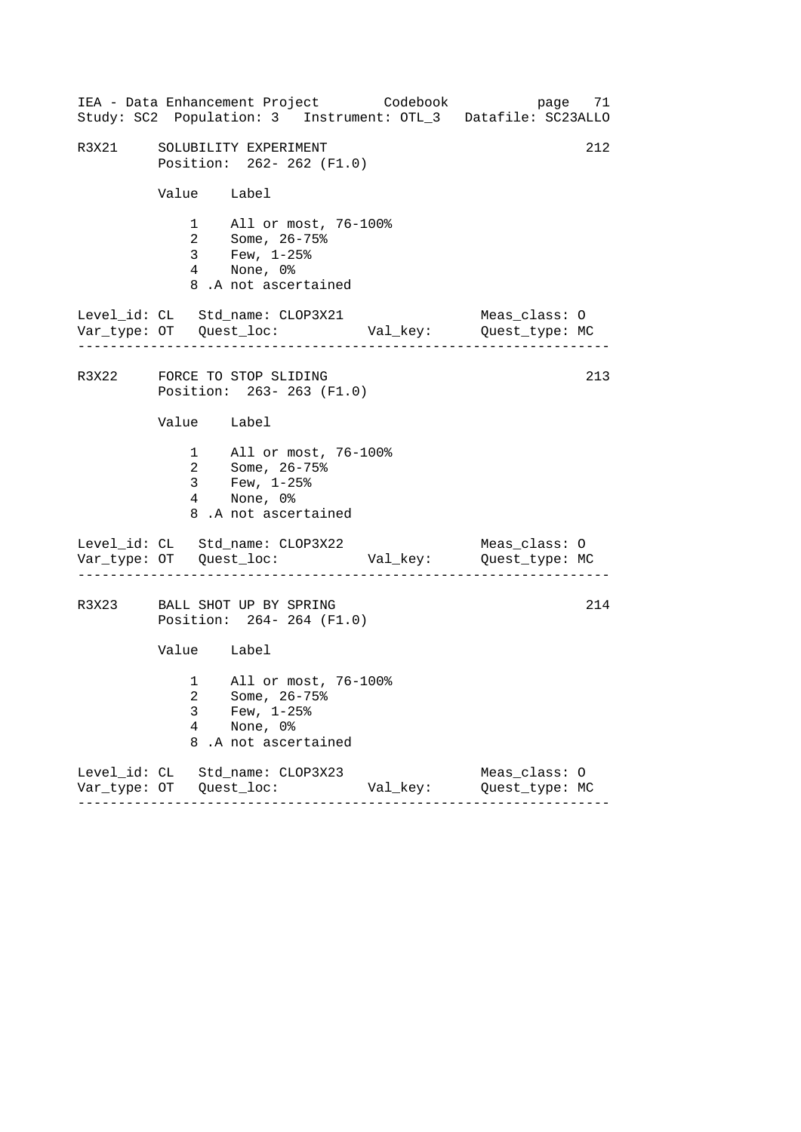|       |                                                                | IEA - Data Enhancement Project Codebook                                                            |          | page 71<br>Study: SC2 Population: 3 Instrument: OTL_3 Datafile: SC23ALLO |  |  |  |  |
|-------|----------------------------------------------------------------|----------------------------------------------------------------------------------------------------|----------|--------------------------------------------------------------------------|--|--|--|--|
| R3X21 | SOLUBILITY EXPERIMENT<br>Position: 262- 262 (F1.0)             |                                                                                                    |          |                                                                          |  |  |  |  |
|       | Value Label                                                    |                                                                                                    |          |                                                                          |  |  |  |  |
|       |                                                                | 1 All or most, 76-100%<br>2 Some, 26-75%<br>3 Few, 1-25%<br>4 None, 0%<br>8.A not ascertained      |          |                                                                          |  |  |  |  |
|       |                                                                | Level_id: CL Std_name: CLOP3X21                                                                    |          | Meas_class: O                                                            |  |  |  |  |
|       | 213<br>R3X22 FORCE TO STOP SLIDING<br>Position: 263-263 (F1.0) |                                                                                                    |          |                                                                          |  |  |  |  |
|       | Value Label                                                    |                                                                                                    |          |                                                                          |  |  |  |  |
|       |                                                                | 1 All or most, 76-100%<br>2 Some, 26-75%<br>3 Few, $1-25$ $%$<br>4 None, 0%<br>8.A not ascertained |          |                                                                          |  |  |  |  |
|       |                                                                | Level_id: CL Std_name: CLOP3X22                                                                    |          | Meas_class: O                                                            |  |  |  |  |
|       |                                                                | R3X23 BALL SHOT UP BY SPRING<br>Position: 264-264 (F1.0)                                           |          | 214                                                                      |  |  |  |  |
|       |                                                                |                                                                                                    |          |                                                                          |  |  |  |  |
|       | 3<br>$\overline{4}$<br>8                                       | 1 All or most, 76-100%<br>2 Some, 26-75%<br>Few, $1-25$ $%$<br>None, 0%<br>.A not ascertained      |          |                                                                          |  |  |  |  |
|       |                                                                | Level_id: CL Std_name: CLOP3X23                                                                    | Val_key: | Meas_class: 0<br>Quest_type: MC                                          |  |  |  |  |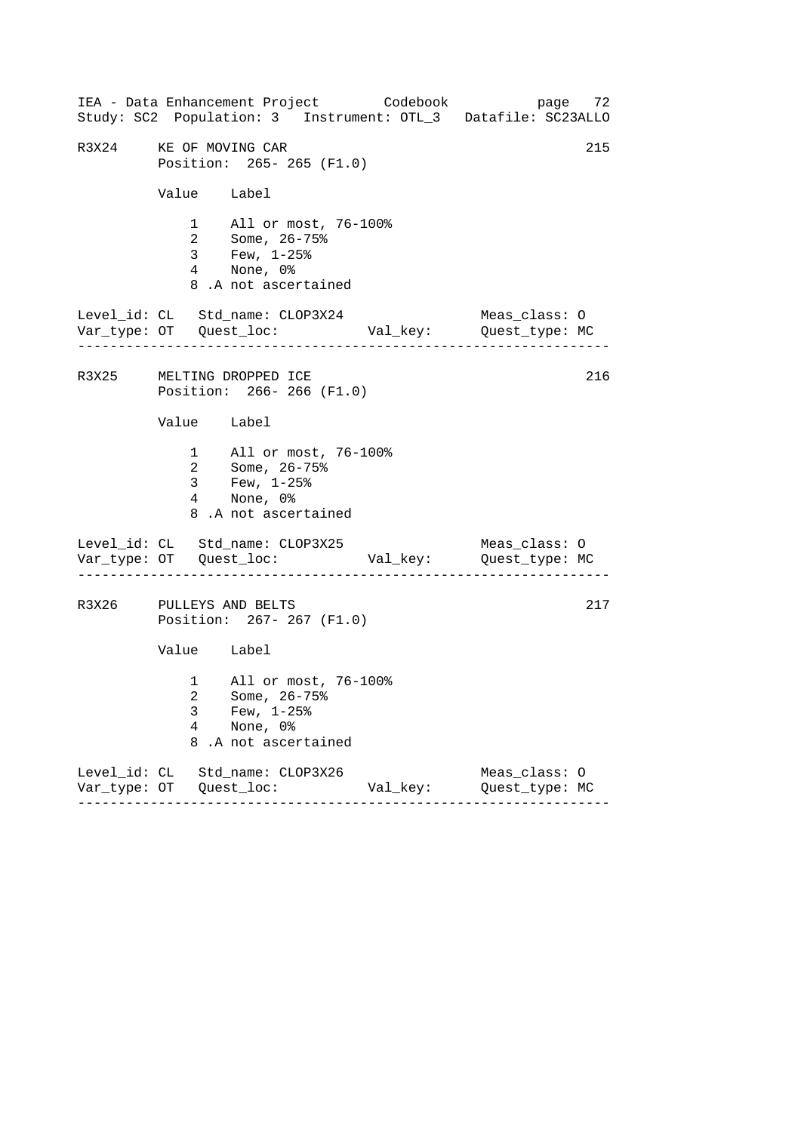|                                                                                                              |                                                                                                  |                         | IEA - Data Enhancement Project Codebook<br>Study: SC2 Population: 3 Instrument: OTL_3 Datafile: SC23ALLO |                                 | page 72 |  |
|--------------------------------------------------------------------------------------------------------------|--------------------------------------------------------------------------------------------------|-------------------------|----------------------------------------------------------------------------------------------------------|---------------------------------|---------|--|
| 215<br>R3X24 KE OF MOVING CAR<br>Position: 265-265 (F1.0)                                                    |                                                                                                  |                         |                                                                                                          |                                 |         |  |
| Value Label                                                                                                  |                                                                                                  |                         |                                                                                                          |                                 |         |  |
|                                                                                                              | 1 All or most, 76-100%<br>2 Some, 26-75%<br>3 Few, 1-25%<br>4 None, 0%<br>8.A not ascertained    |                         |                                                                                                          |                                 |         |  |
|                                                                                                              | Level_id: CL Std_name: CLOP3X24                                                                  |                         |                                                                                                          | Meas_class: O                   |         |  |
| R3X25 MELTING DROPPED ICE<br>Position: 266-266 (F1.0)                                                        |                                                                                                  |                         |                                                                                                          |                                 | 216     |  |
| Value Label                                                                                                  |                                                                                                  |                         |                                                                                                          |                                 |         |  |
|                                                                                                              | 1 All or most, 76-100%<br>2 Some, 26-75%<br>3 Few, $1-25$ %<br>4 None, 0%<br>8.A not ascertained |                         |                                                                                                          |                                 |         |  |
|                                                                                                              | Level_id: CL Std_name: CLOP3X25                                                                  | _ _ _ _ _ _ _ _ _ _ _ _ |                                                                                                          | Meas_class: O                   |         |  |
| 217<br>R3X26 PULLEYS AND BELTS<br>Position: 267- 267 (F1.0)                                                  |                                                                                                  |                         |                                                                                                          |                                 |         |  |
| Value Label                                                                                                  |                                                                                                  |                         |                                                                                                          |                                 |         |  |
| 1 All or most, 76-100%<br>2 Some, 26-75%<br>3<br>Few, $1-25$ $%$<br>4<br>None, 0%<br>8<br>.A not ascertained |                                                                                                  |                         |                                                                                                          |                                 |         |  |
|                                                                                                              | Level_id: CL Std_name: CLOP3X26                                                                  |                         | Val_key:                                                                                                 | Meas_class: 0<br>Quest_type: MC |         |  |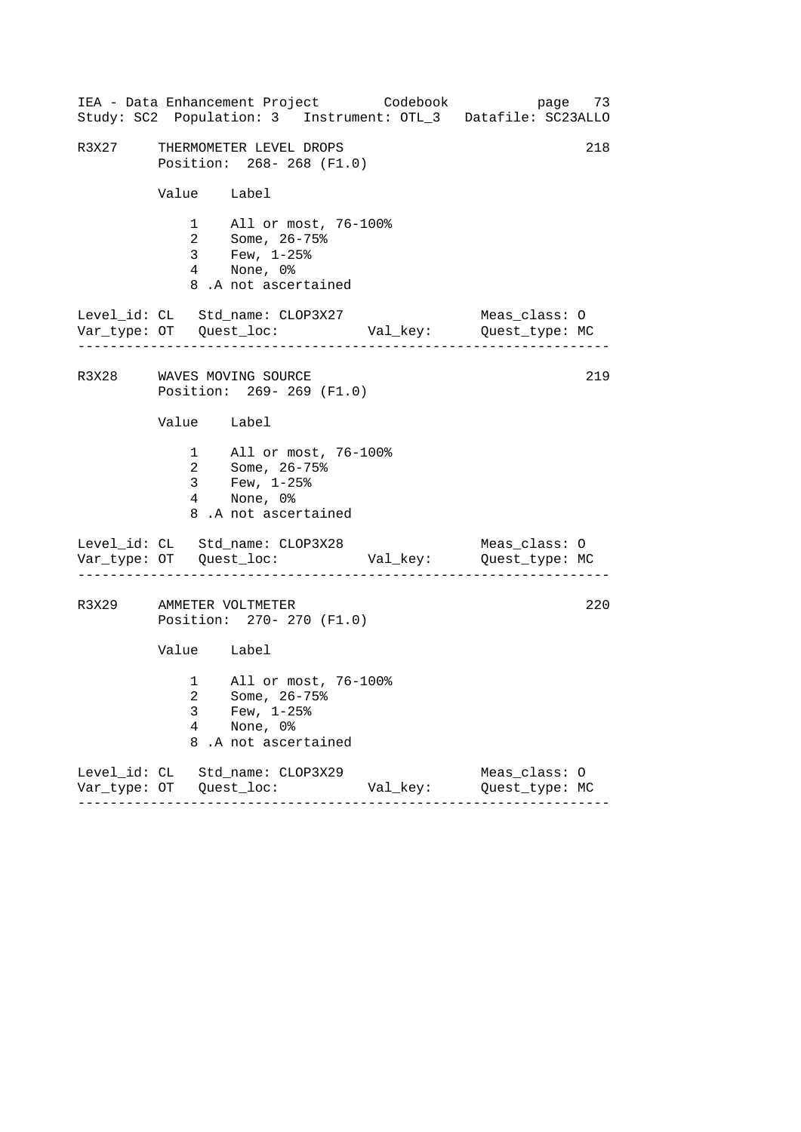|       |                          | IEA - Data Enhancement Project Codebook                                                            |          | page 73<br>Study: SC2 Population: 3 Instrument: OTL_3 Datafile: SC23ALLO |
|-------|--------------------------|----------------------------------------------------------------------------------------------------|----------|--------------------------------------------------------------------------|
| R3X27 |                          | THERMOMETER LEVEL DROPS<br>Position: 268-268 (F1.0)                                                |          | 218                                                                      |
|       | Value Label              |                                                                                                    |          |                                                                          |
|       |                          | 1 All or most, 76-100%<br>2 Some, 26-75%<br>3 Few, 1-25%<br>4 None, 0%<br>8.A not ascertained      |          |                                                                          |
|       |                          | Level_id: CL Std_name: CLOP3X27                                                                    |          | Meas_class: O                                                            |
|       |                          | R3X28 WAVES MOVING SOURCE<br>Position: 269-269 (F1.0)                                              |          | 219                                                                      |
|       | Value Label              |                                                                                                    |          |                                                                          |
|       |                          | 1 All or most, 76-100%<br>2 Some, 26-75%<br>3 Few, $1-25$ $%$<br>4 None, 0%<br>8.A not ascertained |          |                                                                          |
|       |                          | Level_id: CL Std_name: CLOP3X28                                                                    |          | Meas_class: O                                                            |
|       |                          | R3X29 AMMETER VOLTMETER<br>Position: 270- 270 (F1.0)                                               |          | 220                                                                      |
|       | Value Label              |                                                                                                    |          |                                                                          |
|       | 3<br>$\overline{4}$<br>8 | 1 All or most, 76-100%<br>2 Some, 26-75%<br>Few, $1-25$ $%$<br>None, 0%<br>.A not ascertained      |          |                                                                          |
|       |                          | Level_id: CL Std_name: CLOP3X29                                                                    | Val_key: | Meas_class: 0<br>Quest_type: MC                                          |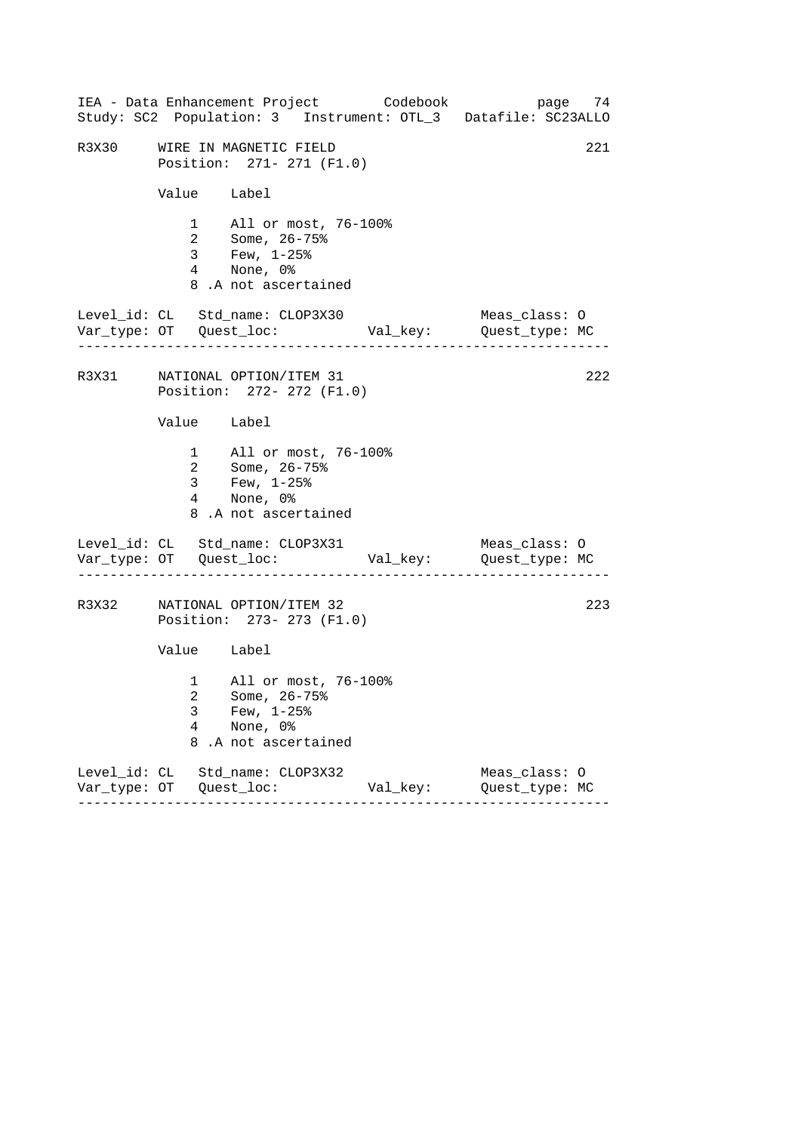|       |                                                            | IEA - Data Enhancement Project Codebook                                                            |          | page 74<br>Study: SC2 Population: 3 Instrument: OTL_3 Datafile: SC23ALLO |  |
|-------|------------------------------------------------------------|----------------------------------------------------------------------------------------------------|----------|--------------------------------------------------------------------------|--|
| R3X30 | 221<br>WIRE IN MAGNETIC FIELD<br>Position: 271- 271 (F1.0) |                                                                                                    |          |                                                                          |  |
|       |                                                            | Value Label                                                                                        |          |                                                                          |  |
|       |                                                            | 1 All or most, 76-100%<br>2 Some, 26-75%<br>3 Few, 1-25%<br>4 None, 0%<br>8.A not ascertained      |          |                                                                          |  |
|       |                                                            | Level_id: CL Std_name: CLOP3X30                                                                    |          | Meas_class: O                                                            |  |
|       |                                                            | R3X31 NATIONAL OPTION/ITEM 31<br>Position: 272- 272 (F1.0)                                         |          | 222                                                                      |  |
|       |                                                            | Value Label                                                                                        |          |                                                                          |  |
|       |                                                            | 1 All or most, 76-100%<br>2 Some, 26-75%<br>3 Few, $1-25$ $%$<br>4 None, 0%<br>8.A not ascertained |          |                                                                          |  |
|       |                                                            | Level_id: CL Std_name: CLOP3X31                                                                    |          | Meas_class: O                                                            |  |
| R3X32 |                                                            | NATIONAL OPTION/ITEM 32<br>Position: 273- 273 (F1.0)                                               |          | 223                                                                      |  |
|       |                                                            | Value Label                                                                                        |          |                                                                          |  |
|       | 3<br>$\overline{4}$<br>8                                   | 1 All or most, 76-100%<br>2 Some, 26-75%<br>Few, $1-25$ $%$<br>None, 0%<br>.A not ascertained      |          |                                                                          |  |
|       |                                                            | Level_id: CL Std_name: CLOP3X32                                                                    | Val_key: | Meas_class: 0<br>Quest_type: MC                                          |  |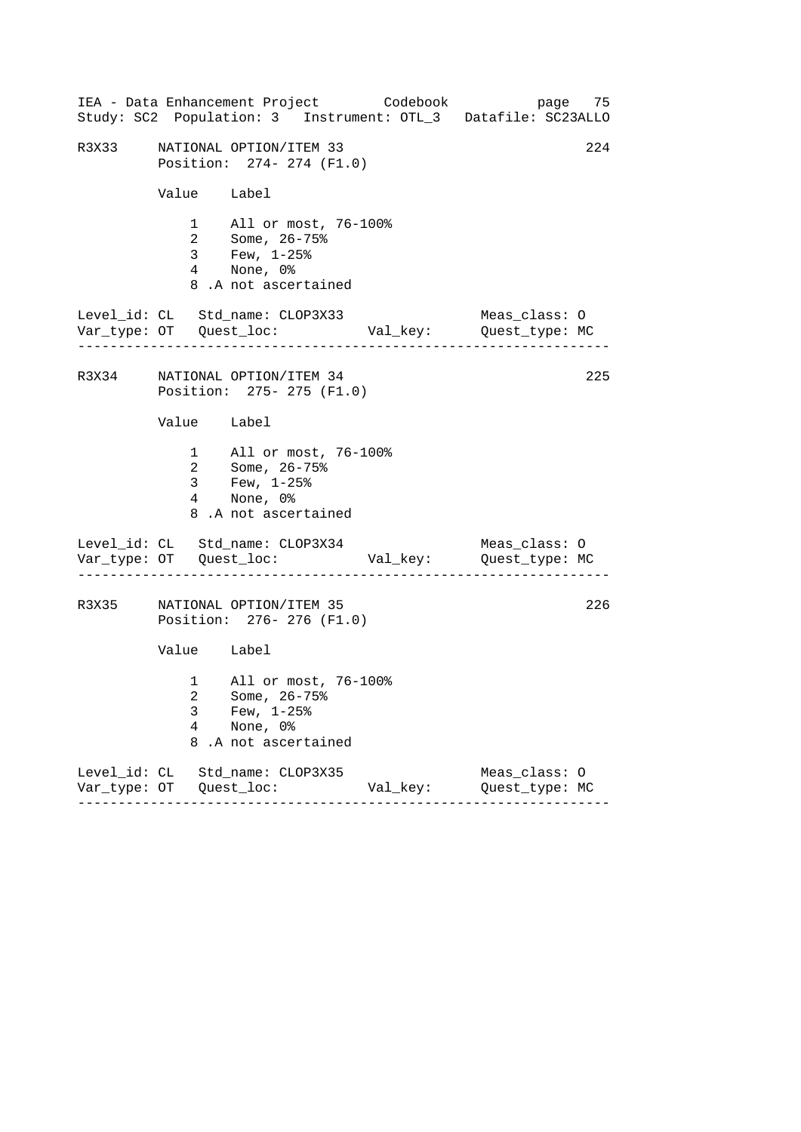|       |                          | IEA - Data Enhancement Project Codebook<br>Study: SC2 Population: 3 Instrument: OTL_3 Datafile: SC23ALLO |          | page 75                         |     |
|-------|--------------------------|----------------------------------------------------------------------------------------------------------|----------|---------------------------------|-----|
| R3X33 |                          | NATIONAL OPTION/ITEM 33<br>Position: 274- 274 (F1.0)                                                     |          |                                 | 224 |
|       | Value Label              |                                                                                                          |          |                                 |     |
|       |                          | 1 All or most, 76-100%<br>2 Some, 26-75%<br>3 Few, 1-25%<br>4 None, 0%<br>8.A not ascertained            |          |                                 |     |
|       |                          | Level_id: CL Std_name: CLOP3X33                                                                          |          | Meas_class: O                   |     |
|       |                          | R3X34 NATIONAL OPTION/ITEM 34<br>Position: 275- 275 (F1.0)                                               |          |                                 | 225 |
|       | Value Label              |                                                                                                          |          |                                 |     |
|       |                          | 1 All or most, 76-100%<br>2 Some, 26-75%<br>3 Few, $1-25$ $%$<br>4 None, 0%<br>8.A not ascertained       |          |                                 |     |
|       |                          | Level_id: CL Std_name: CLOP3X34                                                                          |          | Meas_class: O                   |     |
|       |                          | R3X35 NATIONAL OPTION/ITEM 35<br>Position: 276- 276 (F1.0)                                               |          |                                 | 226 |
|       | Value Label              |                                                                                                          |          |                                 |     |
|       | 3<br>$\overline{4}$<br>8 | 1 All or most, 76-100%<br>2 Some, 26-75%<br>Few, $1-25$ $%$<br>None, 0%<br>.A not ascertained            |          |                                 |     |
|       |                          | Level_id: CL Std_name: CLOP3X35                                                                          | Val_key: | Meas_class: 0<br>Quest_type: MC |     |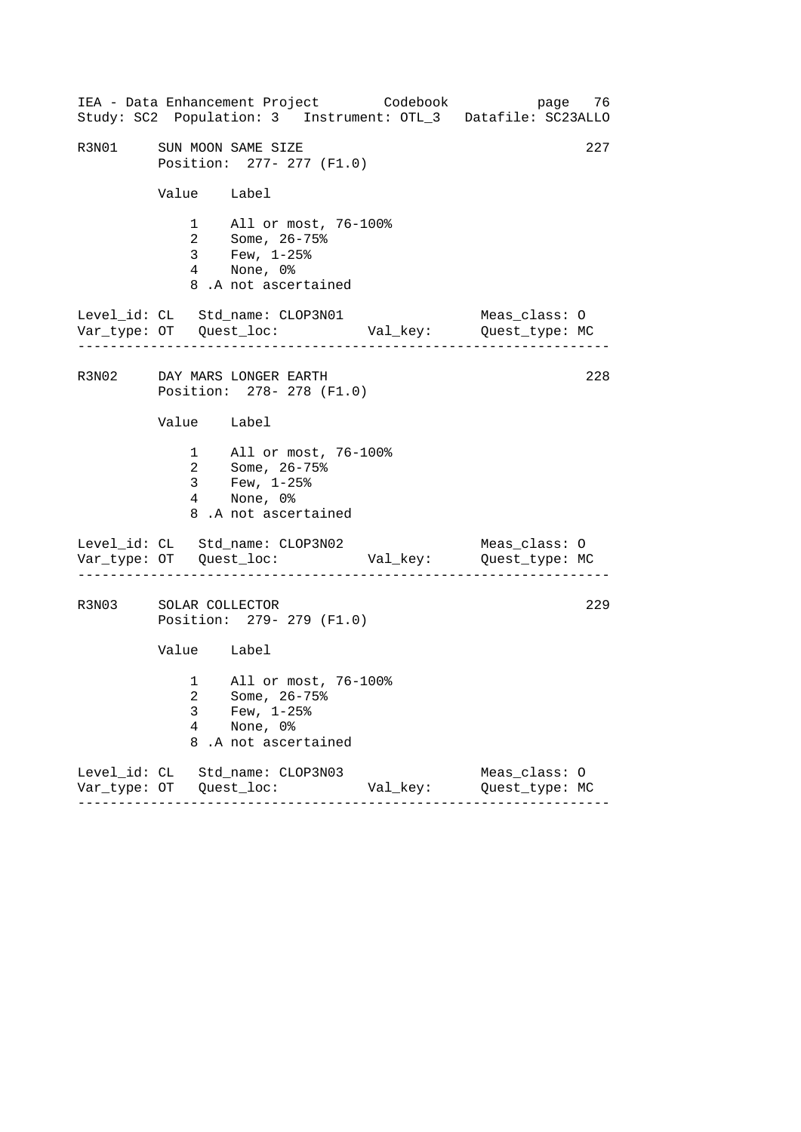|       |                                       | IEA - Data Enhancement Project Codebook<br>Study: SC2 Population: 3 Instrument: OTL_3 Datafile: SC23ALLO                        |          | page 76                         |     |
|-------|---------------------------------------|---------------------------------------------------------------------------------------------------------------------------------|----------|---------------------------------|-----|
| R3N01 |                                       | SUN MOON SAME SIZE<br>Position: 277- 277 (F1.0)                                                                                 |          |                                 | 227 |
|       | Value Label                           |                                                                                                                                 |          |                                 |     |
|       |                                       | 1 All or most, 76-100%<br>2 Some, $26 - 75$ <sup>2</sup><br>$3$ Few, $1-25$ $\frac{25}{3}$<br>4 None, 0%<br>8.A not ascertained |          |                                 |     |
|       | . _ _ _ _ _ _ _ _ _ _ _ _ _ _ _ _ _ _ | Level_id: CL Std_name: CLOP3N01                                                                                                 |          | Meas_class: O                   |     |
|       |                                       | R3N02 DAY MARS LONGER EARTH<br>Position: 278- 278 (F1.0)                                                                        |          |                                 | 228 |
|       | Value Label                           |                                                                                                                                 |          |                                 |     |
|       | 3 <sup>7</sup>                        | 1 All or most, 76-100%<br>2 Some, 26-75%<br>Few, $1-25$ %<br>4 None, 0%<br>8.A not ascertained                                  |          |                                 |     |
|       |                                       | Level_id: CL Std_name: CLOP3N02                                                                                                 |          | Meas_class: O                   |     |
| R3N03 | SOLAR COLLECTOR                       | Position: 279- 279 (F1.0)                                                                                                       |          |                                 | 229 |
|       | Value Label                           |                                                                                                                                 |          |                                 |     |
|       | 3<br>4<br>8                           | 1 All or most, 76-100%<br>2 Some, 26-75%<br>Few, $1-25$ %<br>None, 0%<br>.A not ascertained                                     |          |                                 |     |
|       |                                       | Level_id: CL Std_name: CLOP3N03                                                                                                 | Val_key: | Meas_class: 0<br>Quest_type: MC |     |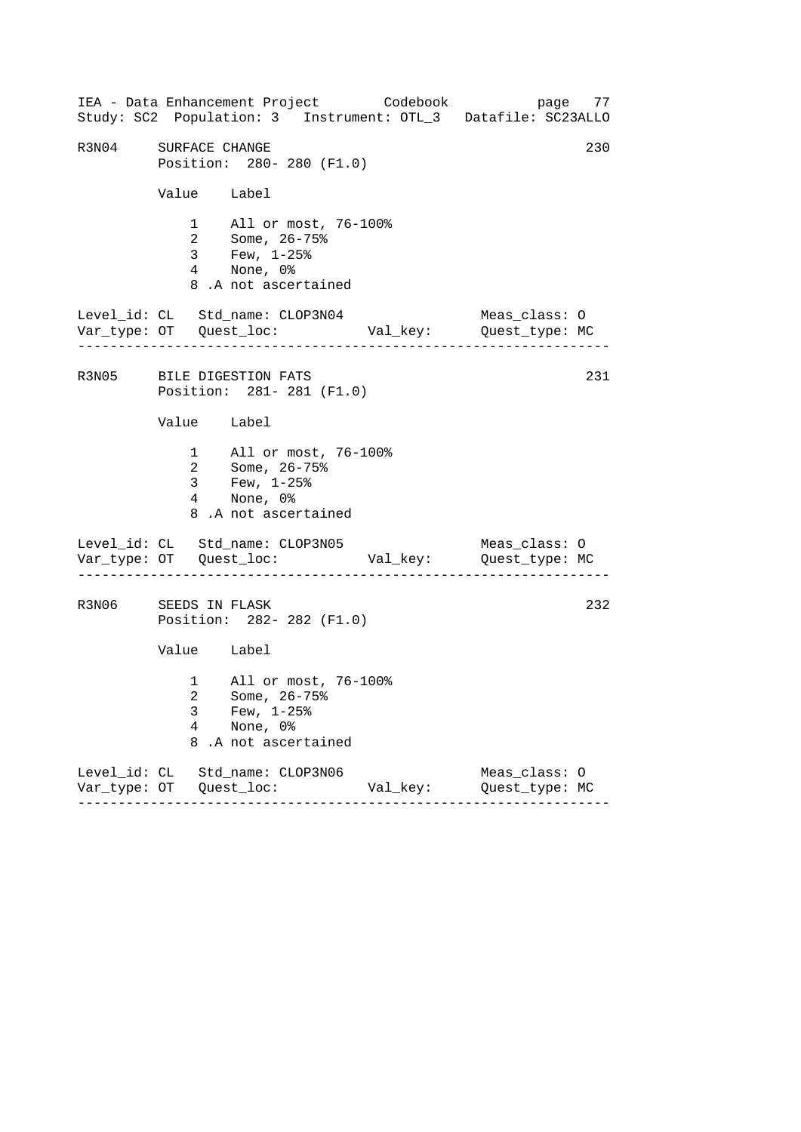------------------------------------------------------------------ ------------------------------------------------------------------ ------------------------------------------------------------------ IEA - Data Enhancement Project Codebook page 77 Study: SC2 Population: 3 Instrument: OTL\_3 Datafile: SC23ALLO R3N04 SURFACE CHANGE 230 Position: 280- 280 (F1.0) Value Label 1 All or most, 76-100% 2 Some, 26-75% 3 Few, 1-25% 4 None, 0% 8 .A not ascertained Level\_id: CL Std\_name: CLOP3N04 Meas\_class: O Var\_type: OT Quest\_loc: Val\_key: Quest\_type: MC R3N05 BILE DIGESTION FATS 231 Position: 281- 281 (F1.0) Value Label 1 All or most, 76-100% 2 Some, 26-75% 3 Few, 1-25% 4 None, 0% 8 .A not ascertained Level\_id: CL Std\_name: CLOP3N05 Meas\_class: 0 Var\_type: OT Quest\_loc: Val\_key: Quest\_type: MC R3N06 SEEDS IN FLASK 232 Position: 282- 282 (F1.0) Value Label 1 All or most, 76-100% 2 Some, 26-75% 3 Few, 1-25% 4 None, 0% 8 .A not ascertained Level\_id: CL Std\_name: CLOP3N06 Meas\_class: O Var\_type: OT Quest\_loc: Val\_key: Quest\_type: MC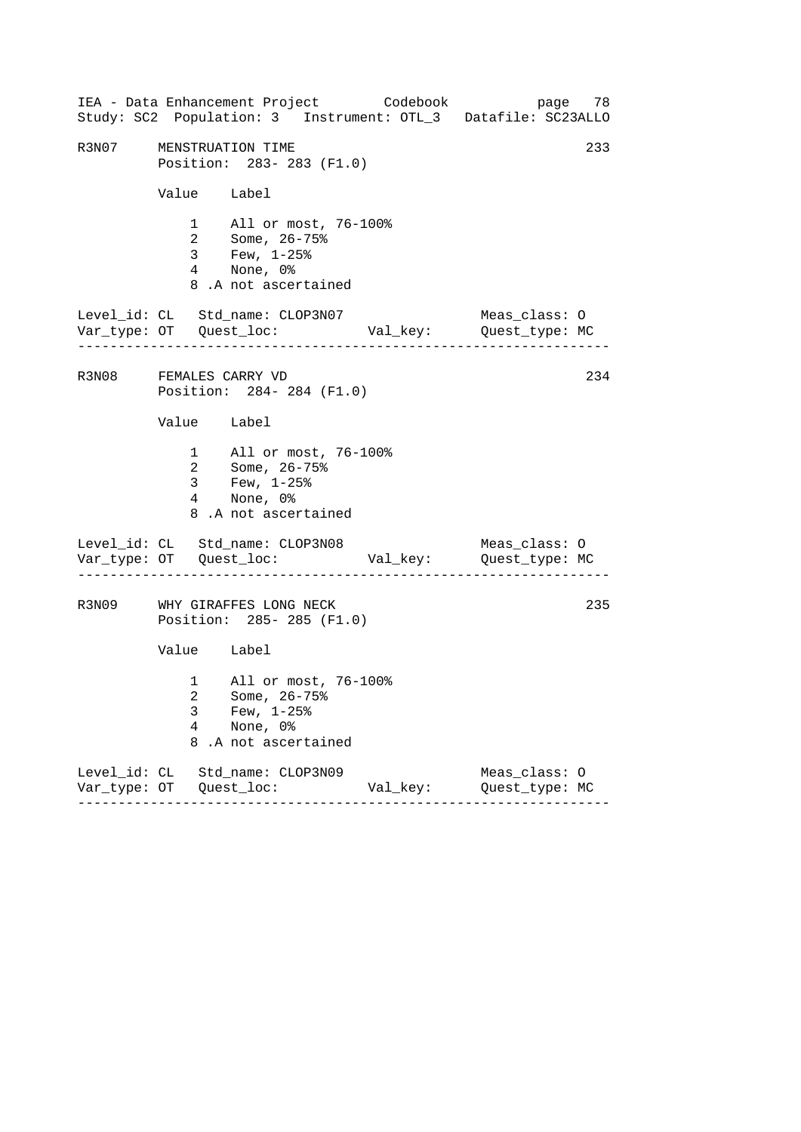|       |                          | IEA - Data Enhancement Project Codebook<br>Study: SC2 Population: 3 Instrument: OTL_3 Datafile: SC23ALLO |          |                                 | page 78 |
|-------|--------------------------|----------------------------------------------------------------------------------------------------------|----------|---------------------------------|---------|
| R3N07 |                          | MENSTRUATION TIME<br>Position: 283-283 (F1.0)                                                            |          |                                 | 233     |
|       |                          | Value Label                                                                                              |          |                                 |         |
|       |                          | 1 All or most, 76-100%<br>2 Some, 26-75%<br>3 Few, 1-25%<br>4 None, 0%<br>8.A not ascertained            |          |                                 |         |
|       |                          | Level_id: CL Std_name: CLOP3N07                                                                          |          | Meas_class: O                   |         |
|       |                          | R3N08 FEMALES CARRY VD<br>Position: 284-284 (F1.0)                                                       |          |                                 | 234     |
|       |                          | Value Label                                                                                              |          |                                 |         |
|       |                          | 1 All or most, 76-100%<br>2 Some, 26-75%<br>3 Few, $1-25$ $%$<br>4 None, 0%<br>8.A not ascertained       |          |                                 |         |
|       |                          | Level_id: CL Std_name: CLOP3N08                                                                          |          | Meas_class: O                   |         |
|       |                          | R3N09 WHY GIRAFFES LONG NECK<br>Position: 285-285 (F1.0)                                                 |          |                                 | 235     |
|       |                          | Value Label                                                                                              |          |                                 |         |
|       | 3<br>$\overline{4}$<br>8 | 1 All or most, 76-100%<br>2 Some, 26-75%<br>Few, $1-25$ $%$<br>None, 0%<br>.A not ascertained            |          |                                 |         |
|       |                          | Level_id: CL Std_name: CLOP3N09                                                                          | Val_key: | Meas_class: 0<br>Quest_type: MC |         |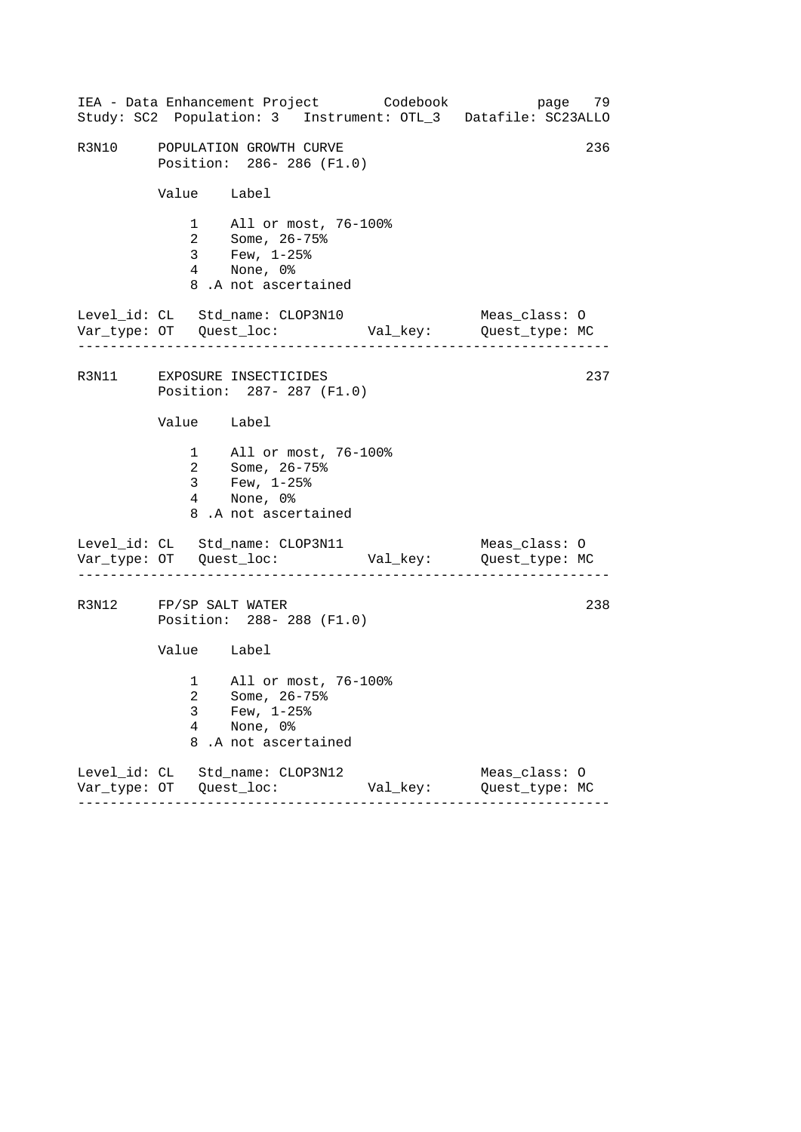|                        |                          | IEA - Data Enhancement Project Codebook                                                            |          | page 79<br>Study: SC2 Population: 3 Instrument: OTL_3 Datafile: SC23ALLO |
|------------------------|--------------------------|----------------------------------------------------------------------------------------------------|----------|--------------------------------------------------------------------------|
|                        |                          | R3N10 POPULATION GROWTH CURVE<br>Position: 286-286 (F1.0)                                          |          | 236                                                                      |
|                        | Value Label              |                                                                                                    |          |                                                                          |
|                        |                          | 1 All or most, 76-100%<br>2 Some, 26-75%<br>3 Few, 1-25%<br>4 None, 0%<br>8.A not ascertained      |          |                                                                          |
|                        |                          | Level_id: CL Std_name: CLOP3N10                                                                    |          | Meas_class: O                                                            |
|                        |                          | R3N11 EXPOSURE INSECTICIDES<br>Position: 287- 287 (F1.0)                                           |          | 237                                                                      |
|                        | Value Label              |                                                                                                    |          |                                                                          |
|                        |                          | 1 All or most, 76-100%<br>2 Some, 26-75%<br>3 Few, $1-25$ $%$<br>4 None, 0%<br>8.A not ascertained |          |                                                                          |
|                        |                          | Level_id: CL Std_name: CLOP3N11                                                                    |          | Meas_class: O                                                            |
| R3N12 FP/SP SALT WATER |                          | Position: 288-288 (F1.0)                                                                           |          | 238                                                                      |
|                        | Value Label              |                                                                                                    |          |                                                                          |
|                        | 3<br>$\overline{4}$<br>8 | 1 All or most, 76-100%<br>2 Some, 26-75%<br>Few, $1-25$ $%$<br>None, 0%<br>.A not ascertained      |          |                                                                          |
|                        |                          | Level_id: CL Std_name: CLOP3N12                                                                    | Val_key: | Meas_class: 0<br>Quest_type: MC                                          |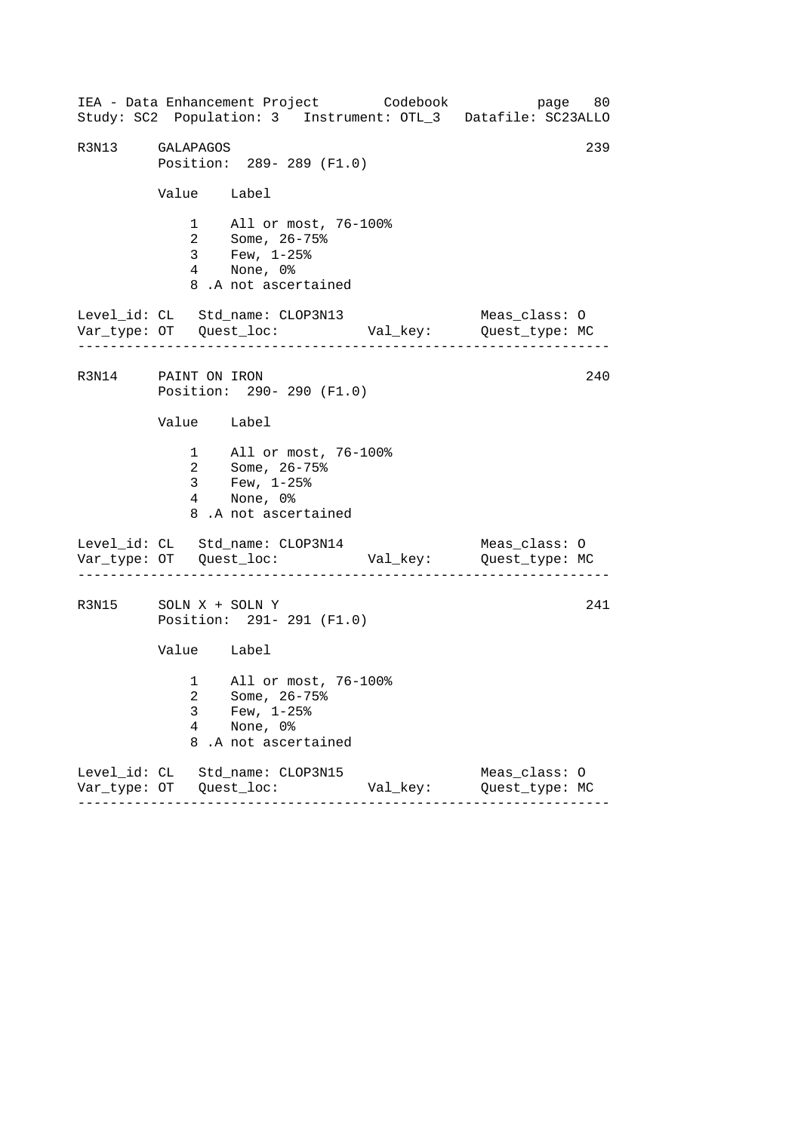------------------------------------------------------------------ ------------------------------------------------------------------ ------------------------------------------------------------------ IEA - Data Enhancement Project Codebook page 80 Study: SC2 Population: 3 Instrument: OTL\_3 Datafile: SC23ALLO R3N13 GALAPAGOS 239 Position: 289- 289 (F1.0) Value Label 1 All or most, 76-100% 2 Some, 26-75% 3 Few, 1-25% 4 None, 0% 8 .A not ascertained Level\_id: CL Std\_name: CLOP3N13 Meas\_class: O Var\_type: OT Quest\_loc: Val\_key: Quest\_type: MC R3N14 PAINT ON IRON 240 Position: 290- 290 (F1.0) Value Label 1 All or most, 76-100% 2 Some, 26-75% 3 Few, 1-25% 4 None, 0% 8 .A not ascertained Level\_id: CL Std\_name: CLOP3N14 Meas\_class: O Var\_type: OT Quest\_loc: Val\_key: Quest\_type: MC R3N15 SOLN X + SOLN Y 241 Position: 291- 291 (F1.0) Value Label 1 All or most, 76-100% 2 Some, 26-75% 3 Few, 1-25% 4 None, 0% 8 .A not ascertained Level\_id: CL Std\_name: CLOP3N15 Meas\_class: O Var\_type: OT Quest\_loc: Val\_key: Quest\_type: MC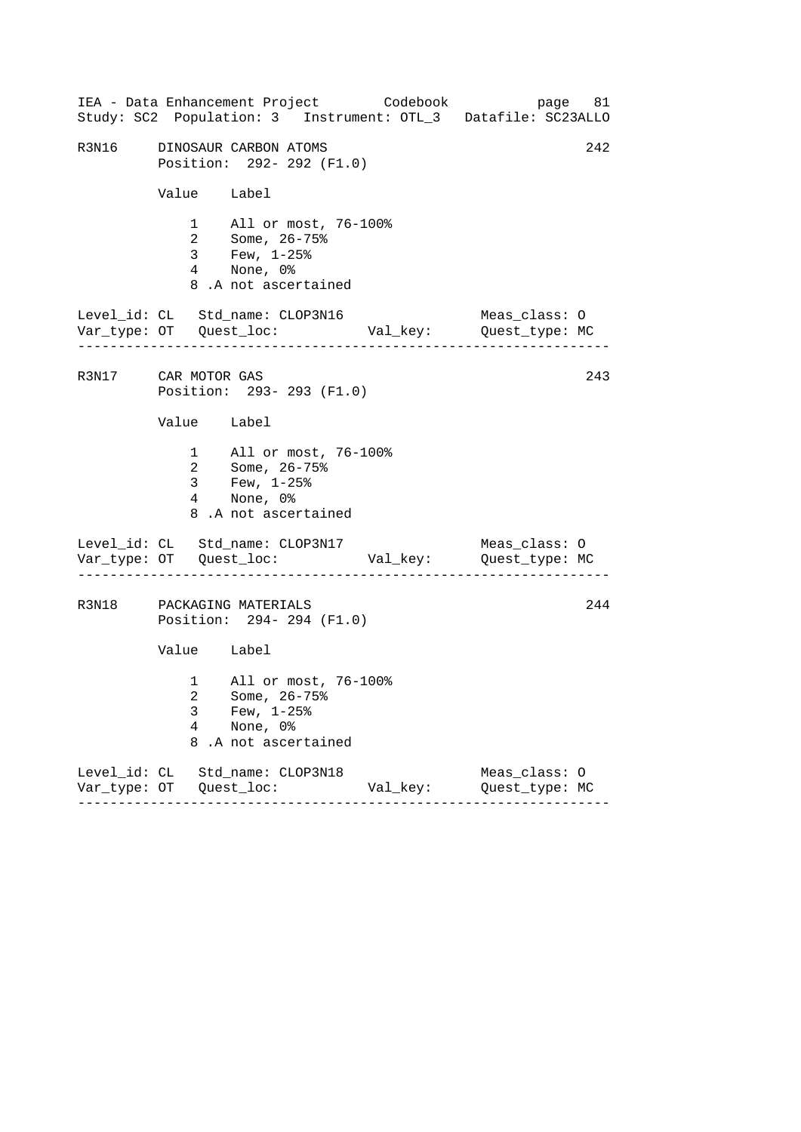|                     |                | IEA - Data Enhancement Project Codebook<br>Study: SC2 Population: 3 Instrument: OTL_3 Datafile: SC23ALLO |          | page 81                         |     |
|---------------------|----------------|----------------------------------------------------------------------------------------------------------|----------|---------------------------------|-----|
| R3N16               |                | DINOSAUR CARBON ATOMS<br>Position: 292- 292 (F1.0)                                                       |          |                                 | 242 |
|                     | Value Label    |                                                                                                          |          |                                 |     |
|                     |                | 1 All or most, 76-100%<br>2 Some, 26-75%<br>3 Few, 1-25%<br>4 None, 0%<br>8.A not ascertained            |          |                                 |     |
|                     | .              | Level_id: CL Std_name: CLOP3N16                                                                          |          | Meas_class: O                   |     |
| R3N17 CAR MOTOR GAS |                | Position: 293- 293 (F1.0)                                                                                |          |                                 | 243 |
|                     | Value Label    |                                                                                                          |          |                                 |     |
|                     | 3 <sup>7</sup> | 1 All or most, 76-100%<br>2 Some, 26-75%<br>Few, $1-25$ %<br>4 None, 0%<br>8.A not ascertained           |          |                                 |     |
|                     |                | Level_id: CL Std_name: CLOP3N17                                                                          |          | Meas_class: O                   |     |
|                     |                | R3N18 PACKAGING MATERIALS<br>Position: 294- 294 (F1.0)                                                   |          |                                 | 244 |
|                     | Value Label    |                                                                                                          |          |                                 |     |
|                     | 3<br>4<br>8    | 1 All or most, 76-100%<br>2 Some, 26-75%<br>Few, $1-25$ %<br>None, 0%<br>.A not ascertained              |          |                                 |     |
|                     |                | Level_id: CL Std_name: CLOP3N18                                                                          | Val_key: | Meas_class: 0<br>Quest_type: MC |     |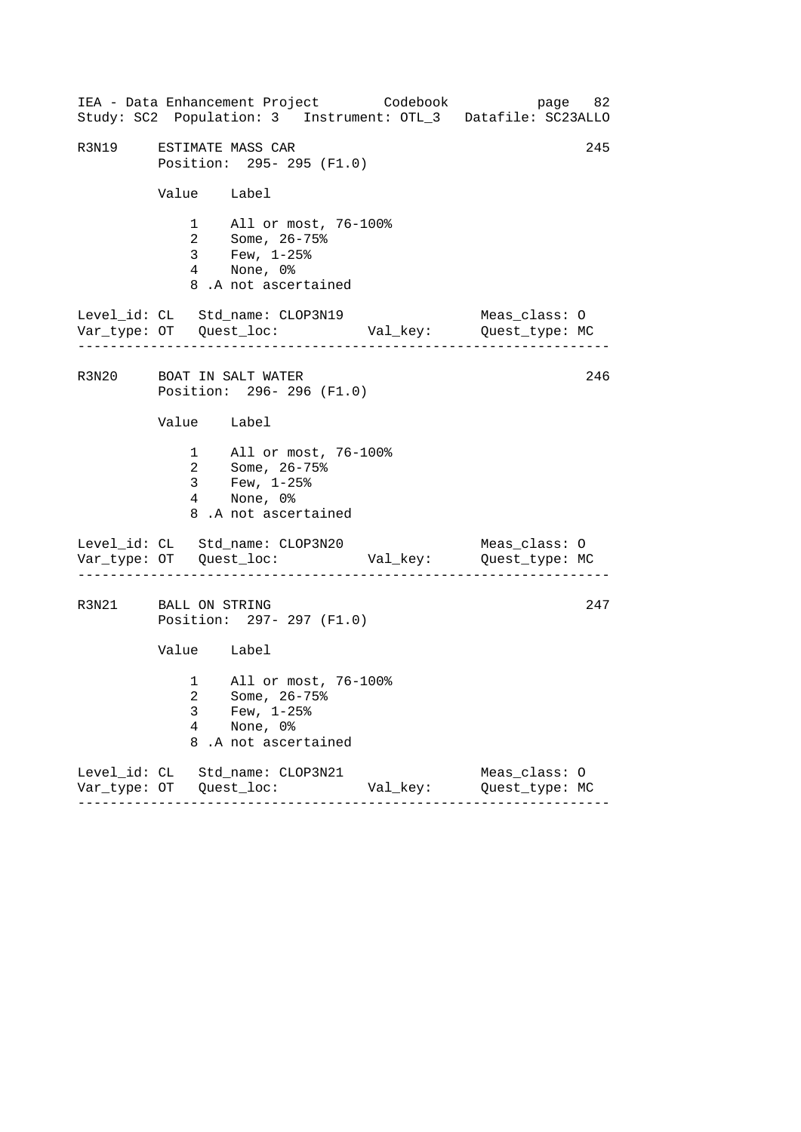|                         |             | IEA - Data Enhancement Project Codebook                                                            |          | page 82<br>Study: SC2 Population: 3 Instrument: OTL_3 Datafile: SC23ALLO |
|-------------------------|-------------|----------------------------------------------------------------------------------------------------|----------|--------------------------------------------------------------------------|
| R3N19 ESTIMATE MASS CAR |             | Position: 295- 295 (F1.0)                                                                          |          | 245                                                                      |
|                         | Value Label |                                                                                                    |          |                                                                          |
|                         |             | 1 All or most, 76-100%<br>2 Some, 26-75%<br>3 Few, 1-25%<br>4 None, 0%<br>8.A not ascertained      |          |                                                                          |
|                         |             | Level_id: CL Std_name: CLOP3N19                                                                    |          | Meas_class: O                                                            |
|                         |             | R3N20 BOAT IN SALT WATER<br>Position: 296-296 (F1.0)                                               |          | 246                                                                      |
|                         | Value Label |                                                                                                    |          |                                                                          |
|                         |             | 1 All or most, 76-100%<br>2 Some, 26-75%<br>3 Few, $1-25$ $%$<br>4 None, 0%<br>8.A not ascertained |          |                                                                          |
|                         |             | Level_id: CL Std_name: CLOP3N20                                                                    |          | Meas_class: O                                                            |
| R3N21 BALL ON STRING    |             | Position: 297- 297 (F1.0)                                                                          |          | 247                                                                      |
|                         | Value Label |                                                                                                    |          |                                                                          |
|                         | 3<br>4<br>8 | 1 All or most, 76-100%<br>2 Some, 26-75%<br>Few, $1-25$ %<br>None, 0%<br>.A not ascertained        |          |                                                                          |
|                         |             | Level_id: CL Std_name: CLOP3N21                                                                    | Val_key: | Meas_class: O<br>Quest_type: MC                                          |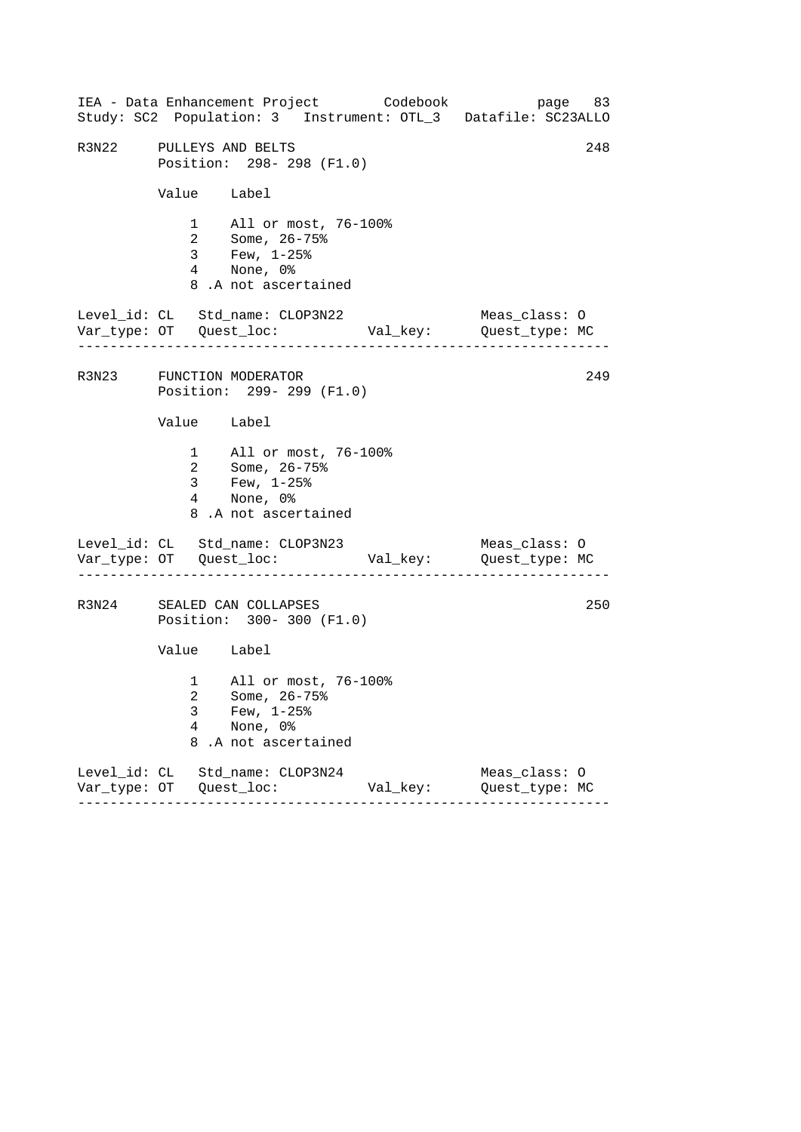|                         |             | IEA - Data Enhancement Project Codebook<br>Study: SC2 Population: 3 Instrument: OTL_3 Datafile: SC23ALLO |          | page 83                         |     |
|-------------------------|-------------|----------------------------------------------------------------------------------------------------------|----------|---------------------------------|-----|
| R3N22 PULLEYS AND BELTS |             | Position: 298-298 (F1.0)                                                                                 |          |                                 | 248 |
|                         | Value Label |                                                                                                          |          |                                 |     |
|                         |             | 1 All or most, 76-100%<br>2 Some, 26-75%<br>3 Few, 1-25%<br>4 None, 0%<br>8.A not ascertained            |          |                                 |     |
|                         |             | Level_id: CL Std_name: CLOP3N22                                                                          |          | Meas_class: O                   |     |
|                         |             | R3N23 FUNCTION MODERATOR<br>Position: 299- 299 (F1.0)                                                    |          |                                 | 249 |
|                         | Value Label |                                                                                                          |          |                                 |     |
|                         |             | 1 All or most, 76-100%<br>2 Some, 26-75%<br>3 Few, $1-25$ %<br>4 None, 0%<br>8.A not ascertained         |          |                                 |     |
|                         |             | Level_id: CL Std_name: CLOP3N23                                                                          |          | Meas_class: O                   |     |
|                         |             | R3N24 SEALED CAN COLLAPSES<br>Position: 300- 300 (F1.0)                                                  |          |                                 | 250 |
|                         | Value Label |                                                                                                          |          |                                 |     |
|                         | 3<br>4<br>8 | 1 All or most, 76-100%<br>2 Some, 26-75%<br>Few, $1-25$ $%$<br>None, 0%<br>.A not ascertained            |          |                                 |     |
|                         |             | Level_id: CL Std_name: CLOP3N24                                                                          | Val_key: | Meas_class: 0<br>Quest_type: MC |     |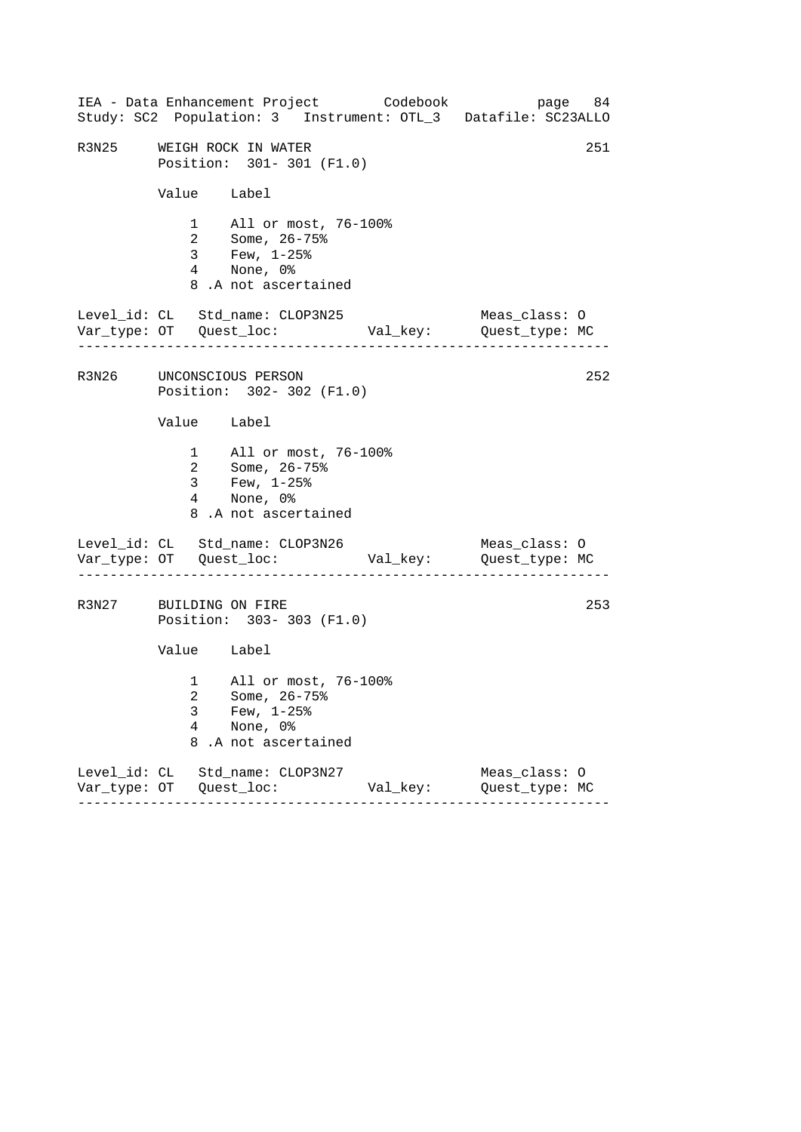|                          |             | IEA - Data Enhancement Project Codebook                                                                      |          | page 84<br>Study: SC2 Population: 3 Instrument: OTL_3 Datafile: SC23ALLO |
|--------------------------|-------------|--------------------------------------------------------------------------------------------------------------|----------|--------------------------------------------------------------------------|
| R3N25                    |             | WEIGH ROCK IN WATER<br>Position: 301-301 (F1.0)                                                              |          | 251                                                                      |
|                          | Value Label |                                                                                                              |          |                                                                          |
|                          |             | 1 All or most, 76-100%<br>2 Some, 26-75%<br>3 Few, 1-25%<br>4 None, 0%<br>8.A not ascertained                |          |                                                                          |
|                          |             | Level_id: CL Std_name: CLOP3N25                                                                              |          | Meas_class: O                                                            |
| R3N26 UNCONSCIOUS PERSON |             | Position: 302- 302 (F1.0)                                                                                    |          | 252                                                                      |
|                          | Value Label |                                                                                                              |          |                                                                          |
|                          |             | 1 All or most, 76-100%<br>2 Some, 26-75%<br>3 Few, $1-25$ $\frac{8}{3}$<br>4 None, 0%<br>8.A not ascertained |          |                                                                          |
|                          |             | Level_id: CL Std_name: CLOP3N26                                                                              |          | Meas_class: O                                                            |
| R3N27 BUILDING ON FIRE   |             | Position: 303-303 (F1.0)                                                                                     |          | 253                                                                      |
|                          | Value Label |                                                                                                              |          |                                                                          |
|                          | 3<br>4<br>8 | 1 All or most, 76-100%<br>2 Some, 26-75%<br>Few, $1-25$ %<br>None, 0%<br>.A not ascertained                  |          |                                                                          |
|                          |             | Level_id: CL Std_name: CLOP3N27                                                                              | Val_key: | Meas_class: O<br>Quest_type: MC                                          |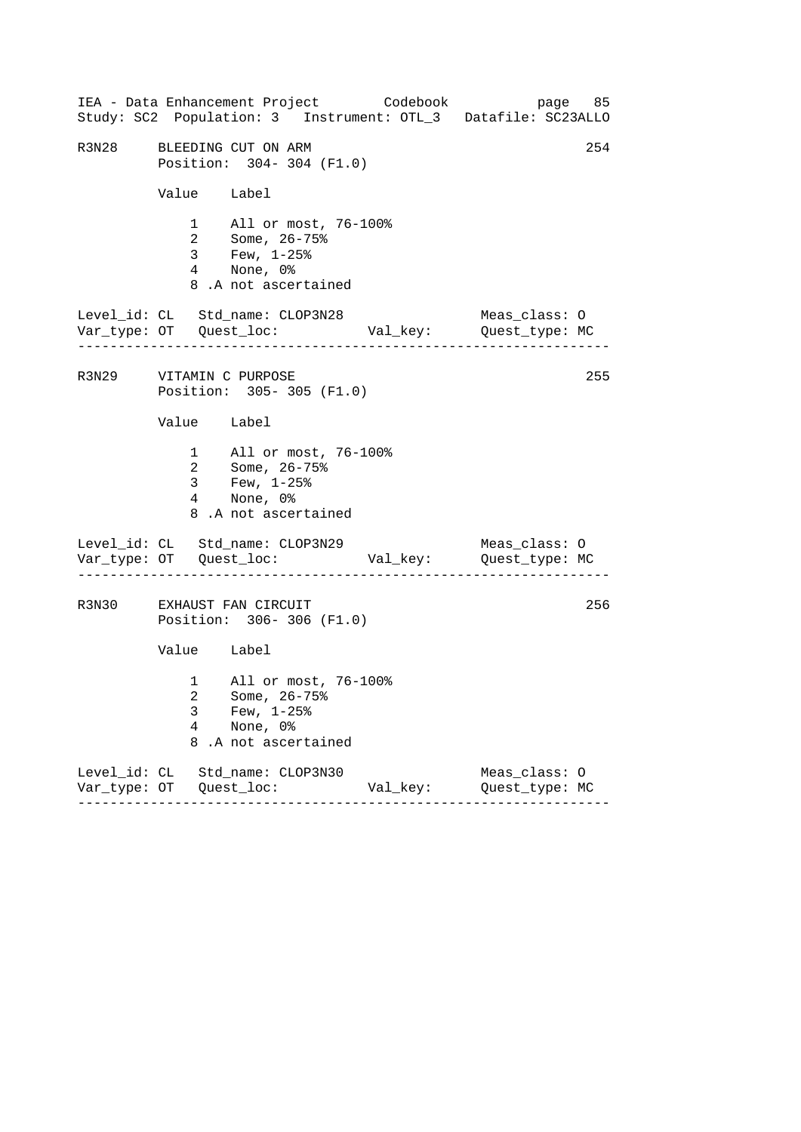|                         |             | IEA - Data Enhancement Project Codebook<br>Study: SC2 Population: 3 Instrument: OTL_3 Datafile: SC23ALLO |          | page 85                         |     |
|-------------------------|-------------|----------------------------------------------------------------------------------------------------------|----------|---------------------------------|-----|
|                         |             | R3N28 BLEEDING CUT ON ARM<br>Position: 304-304 (F1.0)                                                    |          |                                 | 254 |
|                         | Value Label |                                                                                                          |          |                                 |     |
|                         |             | 1 All or most, 76-100%<br>2 Some, 26-75%<br>3 Few, 1-25%<br>4 None, 0%<br>8.A not ascertained            |          |                                 |     |
|                         |             | Level_id: CL Std_name: CLOP3N28                                                                          |          | Meas_class: O                   |     |
| R3N29 VITAMIN C PURPOSE |             | Position: 305-305 (F1.0)                                                                                 |          |                                 | 255 |
|                         | Value Label |                                                                                                          |          |                                 |     |
|                         |             | 1 All or most, 76-100%<br>2 Some, 26-75%<br>$3 \t Few, 1-25\%$<br>4 None, 0%<br>8.A not ascertained      |          |                                 |     |
|                         |             | Level_id: CL Std_name: CLOP3N29                                                                          |          | Meas_class: O                   |     |
|                         |             | R3N30 EXHAUST FAN CIRCUIT<br>Position: 306-306 (F1.0)                                                    |          |                                 | 256 |
|                         | Value Label |                                                                                                          |          |                                 |     |
|                         | 3<br>4<br>8 | 1 All or most, 76-100%<br>2 Some, 26-75%<br>Few, $1-25$ %<br>None, 0%<br>.A not ascertained              |          |                                 |     |
|                         |             | Level_id: CL Std_name: CLOP3N30                                                                          | Val_key: | Meas_class: 0<br>Quest_type: MC |     |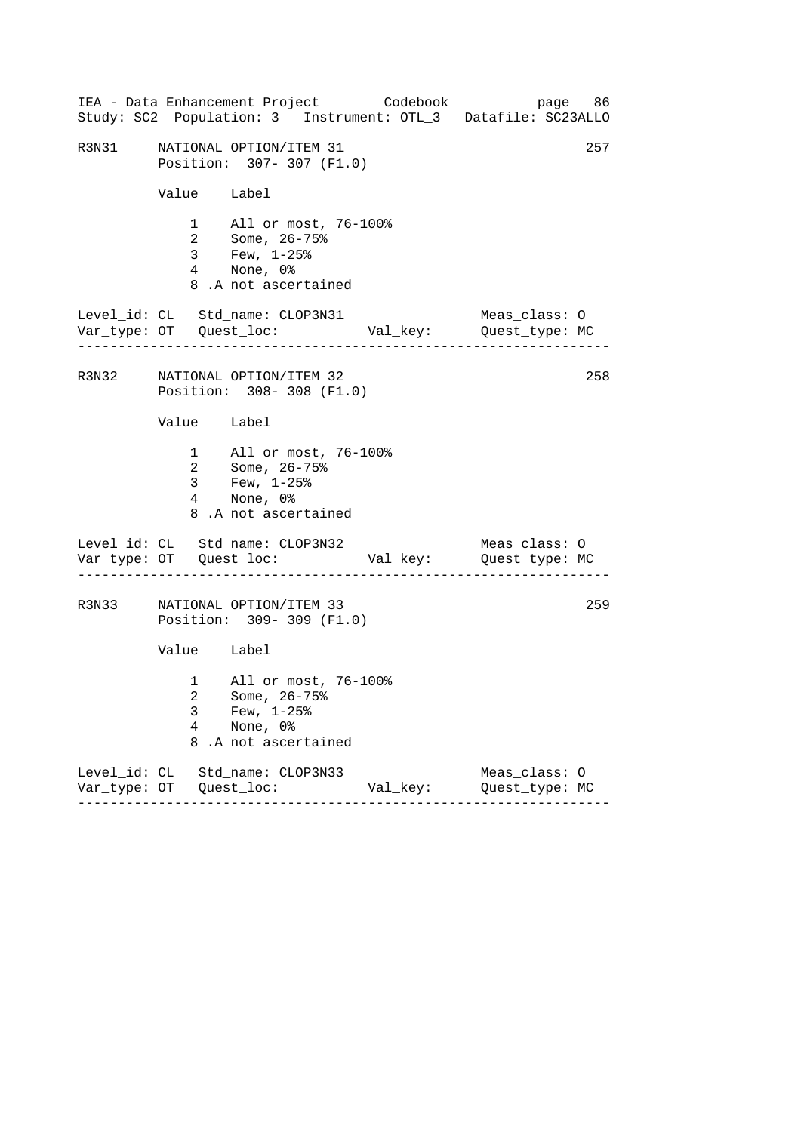|       |                          | IEA - Data Enhancement Project Codebook                                                            |          | page 86<br>Study: SC2 Population: 3 Instrument: OTL_3 Datafile: SC23ALLO |
|-------|--------------------------|----------------------------------------------------------------------------------------------------|----------|--------------------------------------------------------------------------|
| R3N31 |                          | NATIONAL OPTION/ITEM 31<br>Position: 307-307 (F1.0)                                                |          | 257                                                                      |
|       | Value Label              |                                                                                                    |          |                                                                          |
|       |                          | 1 All or most, 76-100%<br>2 Some, 26-75%<br>3 Few, 1-25%<br>4 None, 0%<br>8.A not ascertained      |          |                                                                          |
|       |                          | Level_id: CL Std_name: CLOP3N31                                                                    |          | Meas_class: O                                                            |
|       |                          | R3N32 NATIONAL OPTION/ITEM 32<br>Position: 308-308 (F1.0)                                          |          | 258                                                                      |
|       | Value Label              |                                                                                                    |          |                                                                          |
|       |                          | 1 All or most, 76-100%<br>2 Some, 26-75%<br>3 Few, $1-25$ $%$<br>4 None, 0%<br>8.A not ascertained |          |                                                                          |
|       |                          | Level_id: CL Std_name: CLOP3N32                                                                    |          | Meas_class: O                                                            |
| R3N33 |                          | NATIONAL OPTION/ITEM 33<br>Position: 309-309 (F1.0)                                                |          | 259                                                                      |
|       | Value Label              |                                                                                                    |          |                                                                          |
|       | 3<br>$\overline{4}$<br>8 | 1 All or most, 76-100%<br>2 Some, 26-75%<br>Few, $1-25$ $%$<br>None, 0%<br>.A not ascertained      |          |                                                                          |
|       |                          | Level_id: CL Std_name: CLOP3N33                                                                    | Val_key: | Meas_class: 0<br>Quest_type: MC                                          |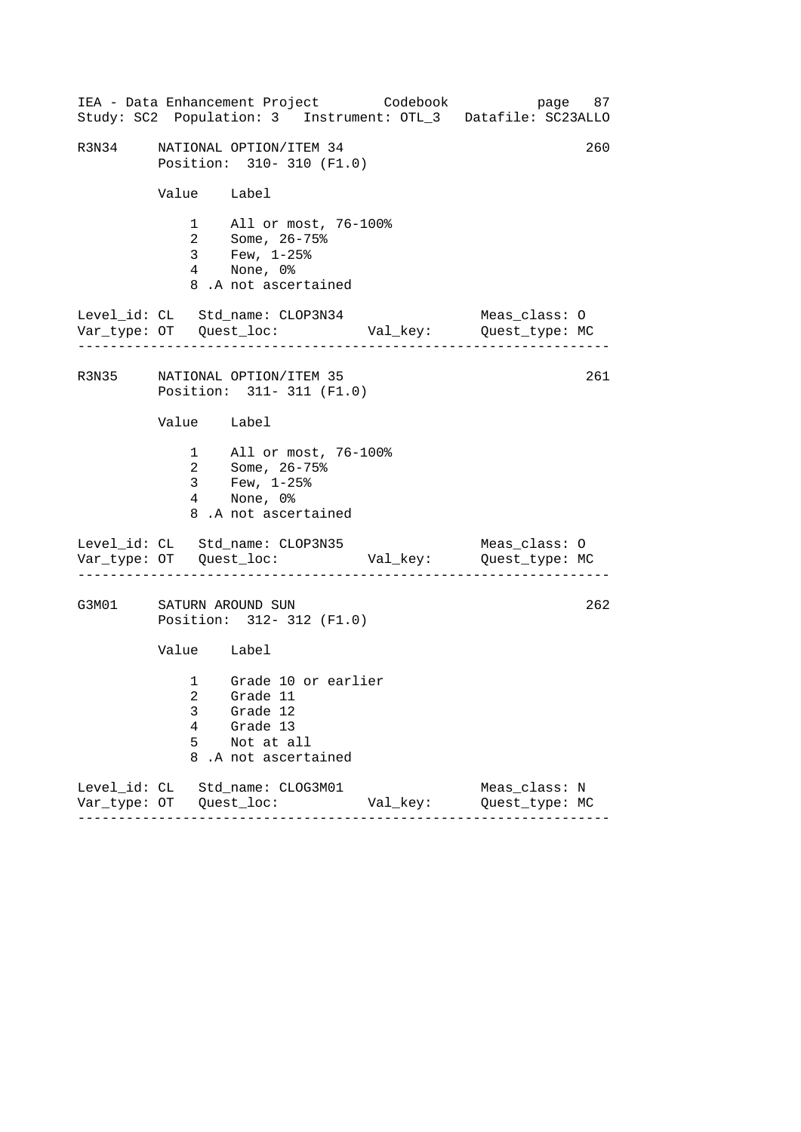|       |                                                            |                  | IEA - Data Enhancement Project Codebook<br>Study: SC2 Population: 3 Instrument: OTL_3 Datafile: SC23ALLO |          |                                 | page 87 |
|-------|------------------------------------------------------------|------------------|----------------------------------------------------------------------------------------------------------|----------|---------------------------------|---------|
| R3N34 |                                                            |                  | NATIONAL OPTION/ITEM 34<br>Position: 310- 310 (F1.0)                                                     |          |                                 | 260     |
|       |                                                            |                  | Value Label                                                                                              |          |                                 |         |
|       |                                                            |                  | 1 All or most, 76-100%<br>2 Some, 26-75%<br>3 Few, $1-25%$<br>4 None, 0%<br>8.A not ascertained          |          |                                 |         |
|       |                                                            |                  | Level_id: CL Std_name: CLOP3N34                                                                          |          | Meas_class: O                   |         |
|       | R3N35 NATIONAL OPTION/ITEM 35<br>Position: 311- 311 (F1.0) |                  | 261                                                                                                      |          |                                 |         |
|       | Value Label                                                |                  |                                                                                                          |          |                                 |         |
|       |                                                            |                  | 1 All or most, 76-100%<br>2 Some, 26-75%<br>3 Few, 1-25%<br>4 None, 0%<br>8.A not ascertained            |          |                                 |         |
|       |                                                            |                  | Level_id: CL Std_name: CLOP3N35                                                                          |          | Meas_class: O                   |         |
| G3M01 | SATURN AROUND SUN<br>Position: 312- 312 (F1.0)             |                  |                                                                                                          |          | 262                             |         |
|       | Value Label                                                |                  |                                                                                                          |          |                                 |         |
|       |                                                            | 3<br>4<br>5<br>8 | 1 Grade 10 or earlier<br>2 Grade 11<br>Grade 12<br>Grade 13<br>Not at all<br>.A not ascertained          |          |                                 |         |
|       |                                                            |                  | Level_id: CL Std_name: CLOG3M01                                                                          | Val_key: | Meas_class: N<br>Quest_type: MC |         |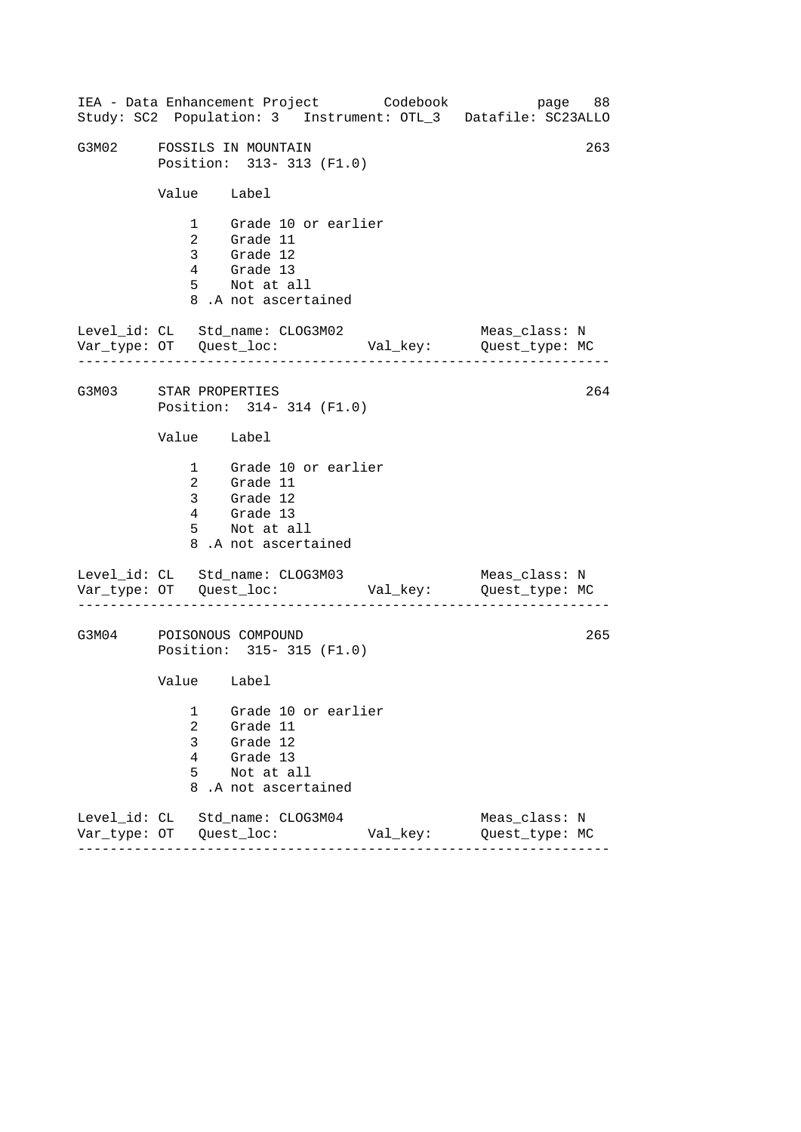------------------------------------------------------------------ ------------------------------------------------------------------ ------------------------------------------------------------------ IEA - Data Enhancement Project Codebook page 88 Study: SC2 Population: 3 Instrument: OTL\_3 Datafile: SC23ALLO G3M02 FOSSILS IN MOUNTAIN 263 Position: 313- 313 (F1.0) Value Label 1 Grade 10 or earlier 2 Grade 11 3 Grade 12 4 Grade 13 5 Not at all 8 .A not ascertained Level\_id: CL Std\_name: CLOG3M02 Meas\_class: N Var\_type: OT Quest\_loc: Val\_key: Quest\_type: MC G3M03 STAR PROPERTIES Position: 314- 314 (F1.0) Value Label 1 Grade 10 or earlier 2 Grade 11 3 Grade 12 4 Grade 13 5 Not at all 8 .A not ascertained Level\_id: CL Std\_name: CLOG3M03 Var\_type: OT Quest\_loc: Val\_key: Quest\_type: MC Meas\_class: N G3M04 POISONOUS COMPOUND Position: 315- 315 (F1.0) Value Label 1 Grade 10 or earlier 2 Grade 11 3 Grade 12 4 Grade 13 5 Not at all 8 .A not ascertained Level\_id: CL Std\_name: CLOG3M04 Meas\_class: N Var\_type: OT Quest\_loc: Val\_key: Quest\_type: MC 264 265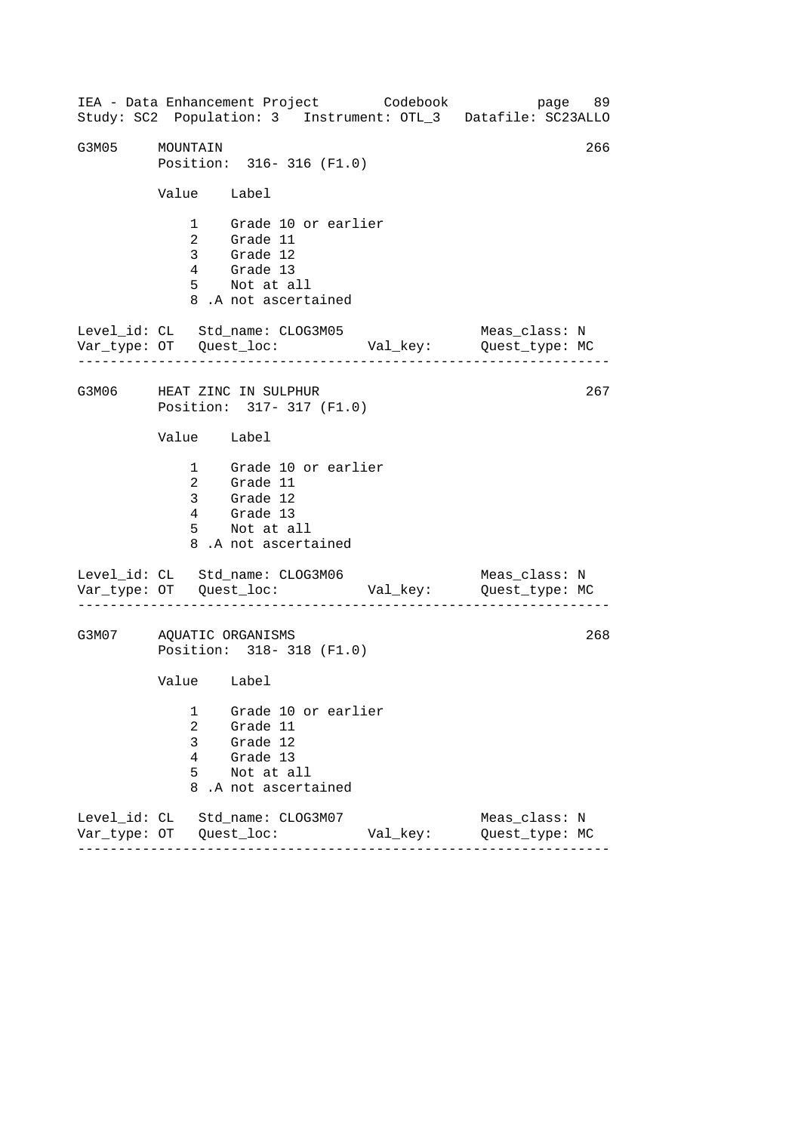------------------------------------------------------------------ ------------------------------------------------------------------ ------------------------------------------------------------------ IEA - Data Enhancement Project Codebook page 89 Study: SC2 Population: 3 Instrument: OTL\_3 Datafile: SC23ALLO G3M05 MOUNTAIN 266 Position: 316- 316 (F1.0) Value Label 1 Grade 10 or earlier 2 Grade 11 3 Grade 12 4 Grade 13 5 Not at all 8 .A not ascertained Level\_id: CL Std\_name: CLOG3M05 Meas\_class: N Var\_type: OT Quest\_loc: Val\_key: Quest\_type: MC G3M06 HEAT ZINC IN SULPHUR Position: 317- 317 (F1.0) Value Label 1 Grade 10 or earlier 2 Grade 11 3 Grade 12 4 Grade 13 5 Not at all 8 .A not ascertained Level\_id: CL Std\_name: CLOG3M06 Var\_type: OT Quest\_loc: Val\_key: Quest\_type: MC Meas\_class: N G3M07 AQUATIC ORGANISMS Position: 318- 318 (F1.0) Value Label 1 Grade 10 or earlier 2 Grade 11 3 Grade 12 4 Grade 13 5 Not at all 8 .A not ascertained Level\_id: CL Std\_name: CLOG3M07 Meas\_class: N Var\_type: OT Quest\_loc: Val\_key: Quest\_type: MC 267 268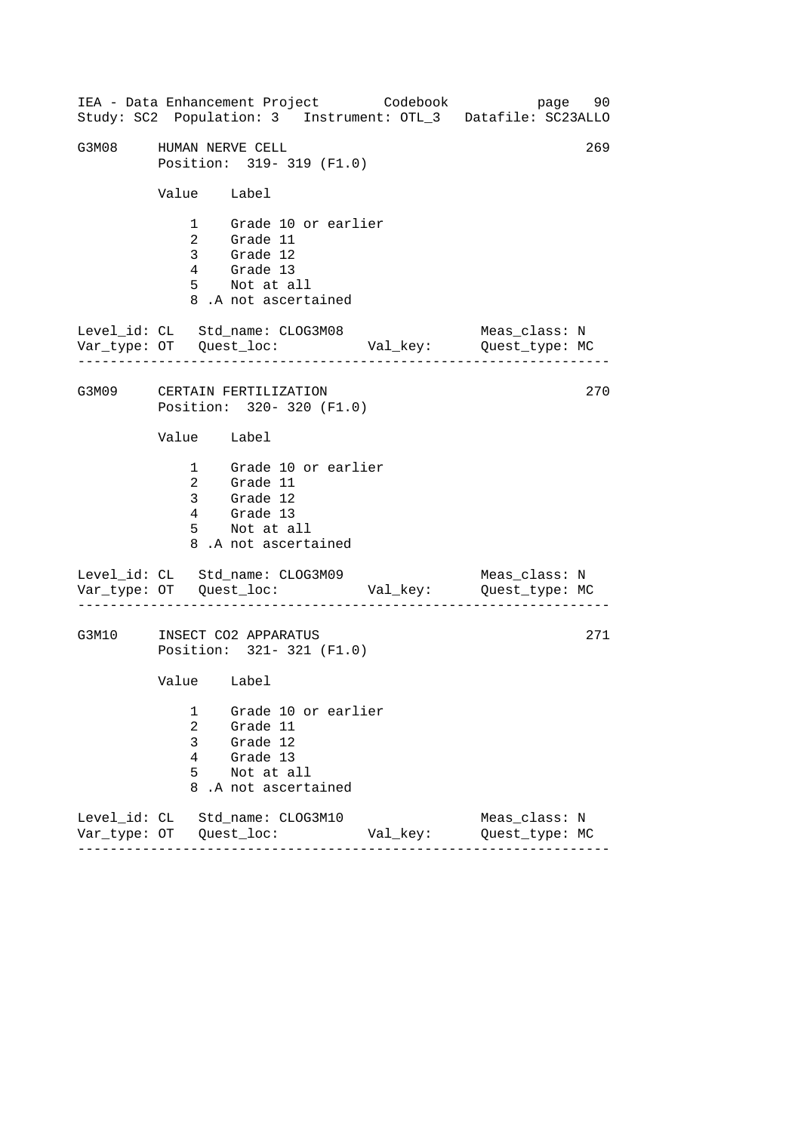------------------------------------------------------------------ ------------------------------------------------------------------ ------------------------------------------------------------------ IEA - Data Enhancement Project Codebook page 90 Study: SC2 Population: 3 Instrument: OTL\_3 Datafile: SC23ALLO G3M08 HUMAN NERVE CELL 269 Position: 319- 319 (F1.0) Value Label 1 Grade 10 or earlier 2 Grade 11 3 Grade 12 4 Grade 13 5 Not at all 8 .A not ascertained Level\_id: CL Std\_name: CLOG3M08 Meas\_class: N Var\_type: OT Quest\_loc: Val\_key: Quest\_type: MC G3M09 CERTAIN FERTILIZATION Position: 320- 320 (F1.0) Value Label 1 Grade 10 or earlier 2 Grade 11 3 Grade 12 4 Grade 13 5 Not at all 8 .A not ascertained Level\_id: CL Std\_name: CLOG3M09 Var\_type: OT Quest\_loc: Val\_key: Quest\_type: MC Meas\_class: N G3M10 INSECT CO2 APPARATUS Position: 321- 321 (F1.0) Value Label 1 Grade 10 or earlier 2 Grade 11 3 Grade 12 4 Grade 13 5 Not at all 8 .A not ascertained Level\_id: CL Std\_name: CLOG3M10 Meas\_class: N Var\_type: OT Quest\_loc: Val\_key: Quest\_type: MC 270 271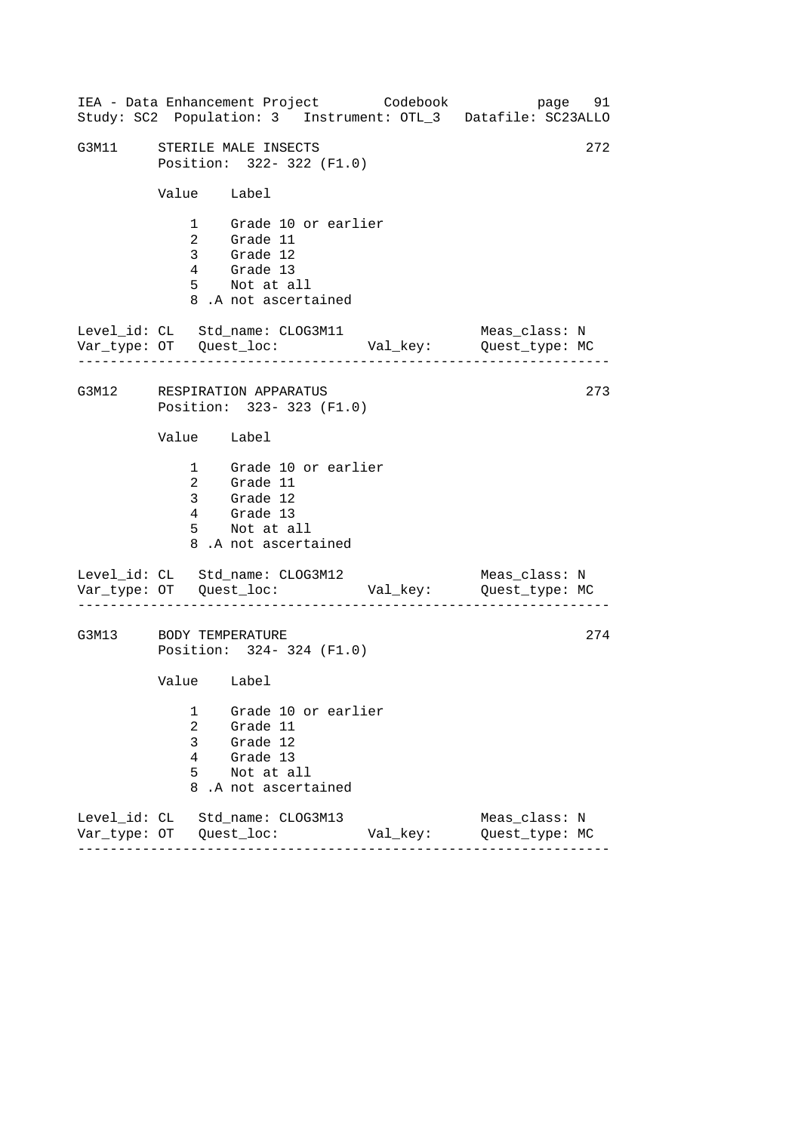|                                                                | IEA - Data Enhancement Project Codebook                                                                |          | page 91<br>Study: SC2 Population: 3 Instrument: OTL_3 Datafile: SC23ALLO |  |  |  |
|----------------------------------------------------------------|--------------------------------------------------------------------------------------------------------|----------|--------------------------------------------------------------------------|--|--|--|
| G3M11 STERILE MALE INSECTS<br>272<br>Position: 322- 322 (F1.0) |                                                                                                        |          |                                                                          |  |  |  |
|                                                                | Value Label                                                                                            |          |                                                                          |  |  |  |
|                                                                | 1 Grade 10 or earlier<br>2 Grade 11<br>3 Grade 12<br>4 Grade 13<br>5 Not at all<br>8.A not ascertained |          |                                                                          |  |  |  |
|                                                                | Level_id: CL Std_name: CLOG3M11                                                                        |          | Meas_class: N<br>Var_type: OT Quest_loc: Val_key: Quest_type: MC         |  |  |  |
| G3M12 RESPIRATION APPARATUS<br>273<br>Position: 323-323 (F1.0) |                                                                                                        |          |                                                                          |  |  |  |
| Value Label                                                    |                                                                                                        |          |                                                                          |  |  |  |
|                                                                | 1 Grade 10 or earlier<br>2 Grade 11<br>3 Grade 12<br>4 Grade 13<br>5 Not at all<br>8.A not ascertained |          |                                                                          |  |  |  |
|                                                                | Level_id: CL Std_name: CLOG3M12                                                                        |          | Meas_class: N                                                            |  |  |  |
| 274<br>G3M13 BODY TEMPERATURE<br>Position: 324-324 (F1.0)      |                                                                                                        |          |                                                                          |  |  |  |
| Value Label                                                    |                                                                                                        |          |                                                                          |  |  |  |
| 1<br>2<br>3<br>4<br>5<br>8                                     | Grade 10 or earlier<br>Grade 11<br>Grade 12<br>Grade 13<br>Not at all<br>.A not ascertained            |          |                                                                          |  |  |  |
|                                                                | Level id: CL Std name: CLOG3M13                                                                        | Val_key: | Meas_class: N<br>Quest_type: MC                                          |  |  |  |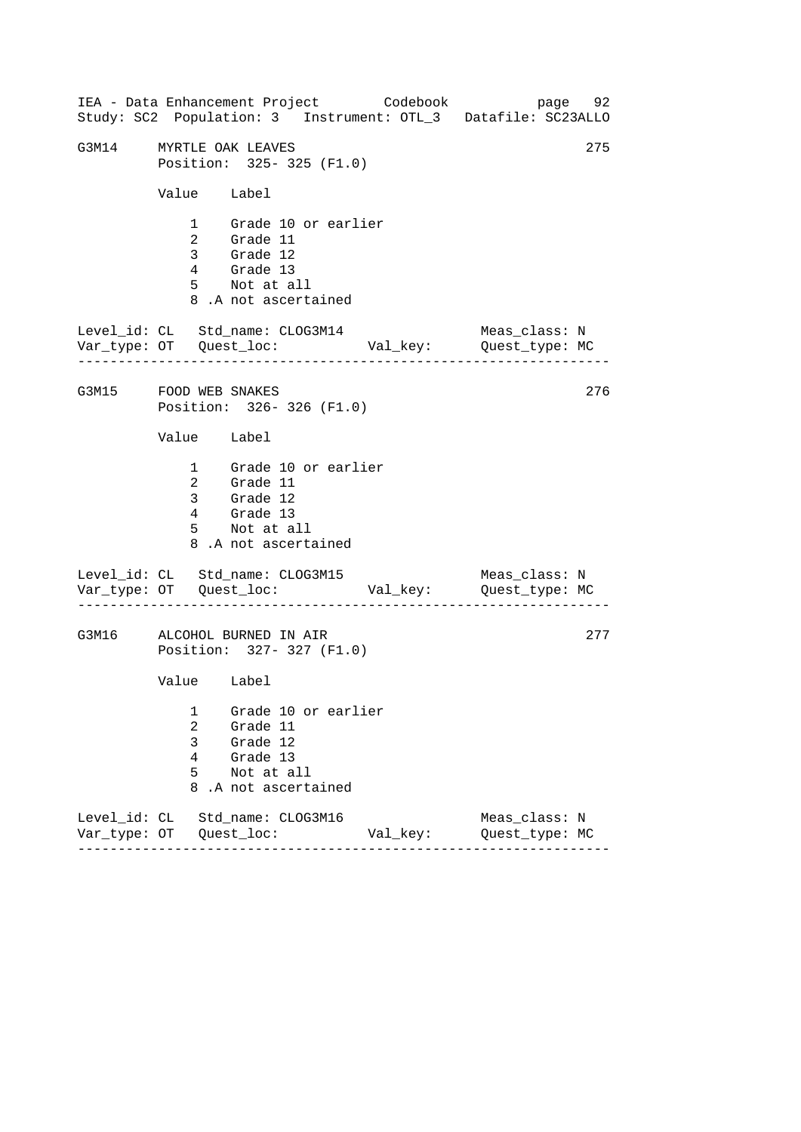------------------------------------------------------------------ ------------------------------------------------------------------ ------------------------------------------------------------------ IEA - Data Enhancement Project Codebook page 92 Study: SC2 Population: 3 Instrument: OTL\_3 Datafile: SC23ALLO G3M14 MYRTLE OAK LEAVES 275 Position: 325- 325 (F1.0) Value Label 1 Grade 10 or earlier 2 Grade 11 3 Grade 12 4 Grade 13 5 Not at all 8 .A not ascertained Level\_id: CL Std\_name: CLOG3M14 Meas\_class: N Var\_type: OT Quest\_loc: Val\_key: Quest\_type: MC G3M15 FOOD WEB SNAKES Position: 326- 326 (F1.0) Value Label 1 Grade 10 or earlier 2 Grade 11 3 Grade 12 4 Grade 13 5 Not at all 8 .A not ascertained Level\_id: CL Std\_name: CLOG3M15 Var\_type: OT Quest\_loc: Val\_key: Quest\_type: MC Meas\_class: N G3M16 ALCOHOL BURNED IN AIR Position: 327- 327 (F1.0) Value Label 1 Grade 10 or earlier 2 Grade 11 3 Grade 12 4 Grade 13 5 Not at all 8 .A not ascertained Level\_id: CL Std\_name: CLOG3M16 Meas\_class: N Var\_type: OT Quest\_loc: Val\_key: Quest\_type: MC 276 277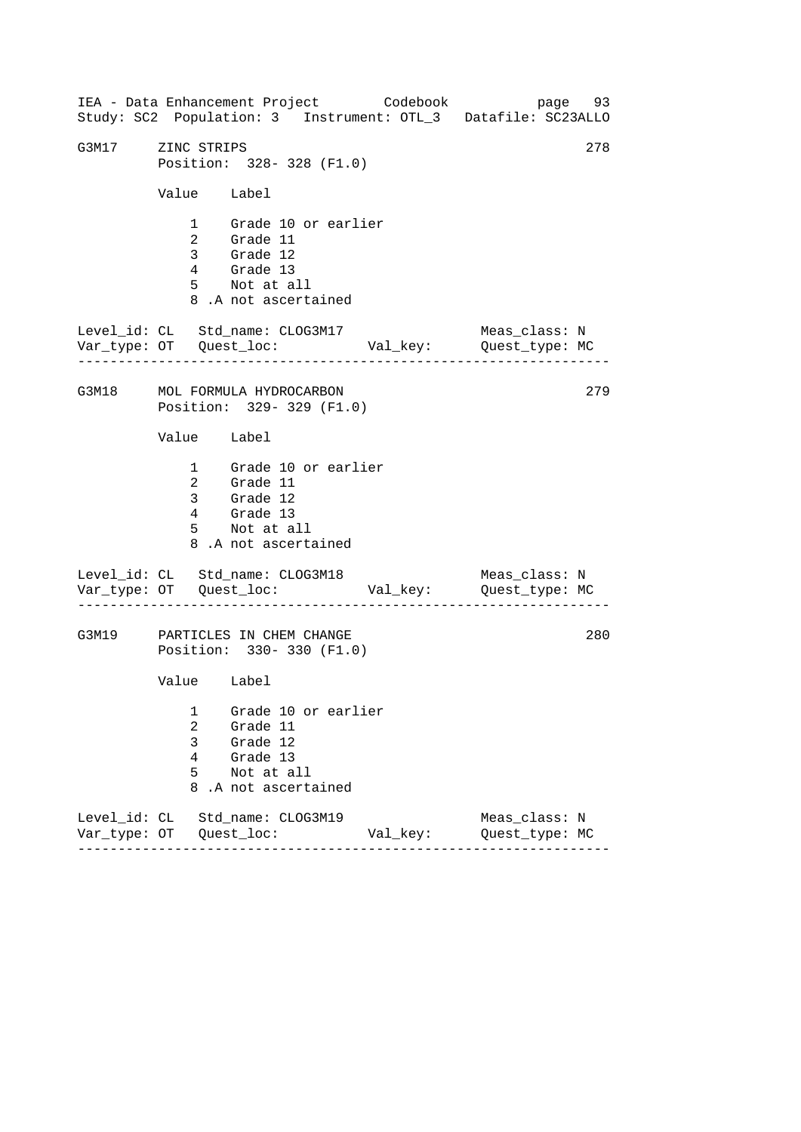------------------------------------------------------------------ ------------------------------------------------------------------ ------------------------------------------------------------------ IEA - Data Enhancement Project Codebook page 93 Study: SC2 Population: 3 Instrument: OTL\_3 Datafile: SC23ALLO G3M17 ZINC STRIPS 278 Position: 328- 328 (F1.0) Value Label 1 Grade 10 or earlier 2 Grade 11 3 Grade 12 4 Grade 13 5 Not at all 8 .A not ascertained Level\_id: CL Std\_name: CLOG3M17 Meas\_class: N Var\_type: OT Quest\_loc: Val\_key: Quest\_type: MC G3M18 MOL FORMULA HYDROCARBON Position: 329- 329 (F1.0) Value Label 1 Grade 10 or earlier 2 Grade 11 3 Grade 12 4 Grade 13 5 Not at all 8 .A not ascertained Level\_id: CL Std\_name: CLOG3M18 Var\_type: OT Quest\_loc: Val\_key: Quest\_type: MC Meas\_class: N G3M19 PARTICLES IN CHEM CHANGE Position: 330- 330 (F1.0) Value Label 1 Grade 10 or earlier 2 Grade 11 3 Grade 12 4 Grade 13 5 Not at all 8 .A not ascertained Level\_id: CL Std\_name: CLOG3M19 Meas\_class: N Var\_type: OT Quest\_loc: Val\_key: Quest\_type: MC 279 280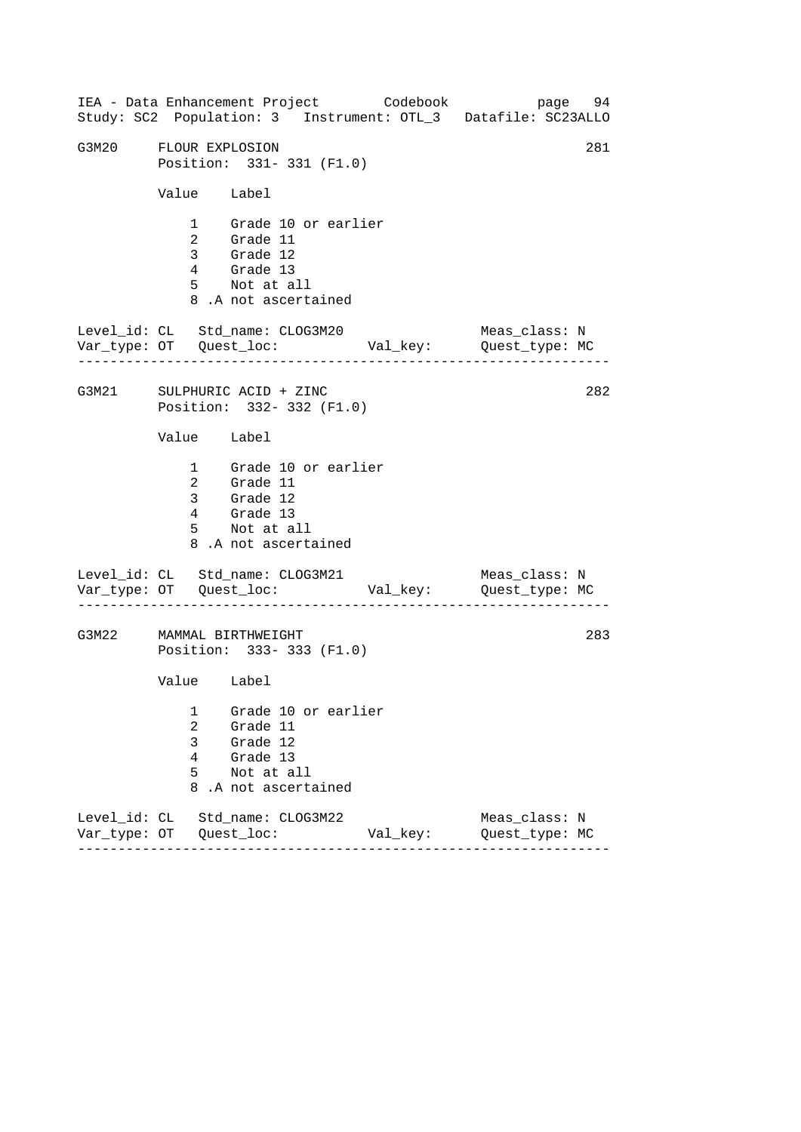------------------------------------------------------------------ ------------------------------------------------------------------ ------------------------------------------------------------------ IEA - Data Enhancement Project Codebook page 94 Study: SC2 Population: 3 Instrument: OTL\_3 Datafile: SC23ALLO G3M20 FLOUR EXPLOSION 281 Position: 331- 331 (F1.0) Value Label 1 Grade 10 or earlier 2 Grade 11 3 Grade 12 4 Grade 13 5 Not at all 8 .A not ascertained Level\_id: CL Std\_name: CLOG3M20 Meas\_class: N Var\_type: OT Quest\_loc: Val\_key: Quest\_type: MC G3M21 SULPHURIC ACID + ZINC Position: 332- 332 (F1.0) Value Label 1 Grade 10 or earlier 2 Grade 11 3 Grade 12 4 Grade 13 5 Not at all 8 .A not ascertained Level\_id: CL Std\_name: CLOG3M21 Var\_type: OT Quest\_loc: Val\_key: Quest\_type: MC Meas\_class: N G3M22 MAMMAL BIRTHWEIGHT Position: 333- 333 (F1.0) Value Label 1 Grade 10 or earlier 2 Grade 11 3 Grade 12 4 Grade 13 5 Not at all 8 .A not ascertained Level\_id: CL Std\_name: CLOG3M22 Meas\_class: N Var\_type: OT Quest\_loc: Val\_key: Quest\_type: MC 282 283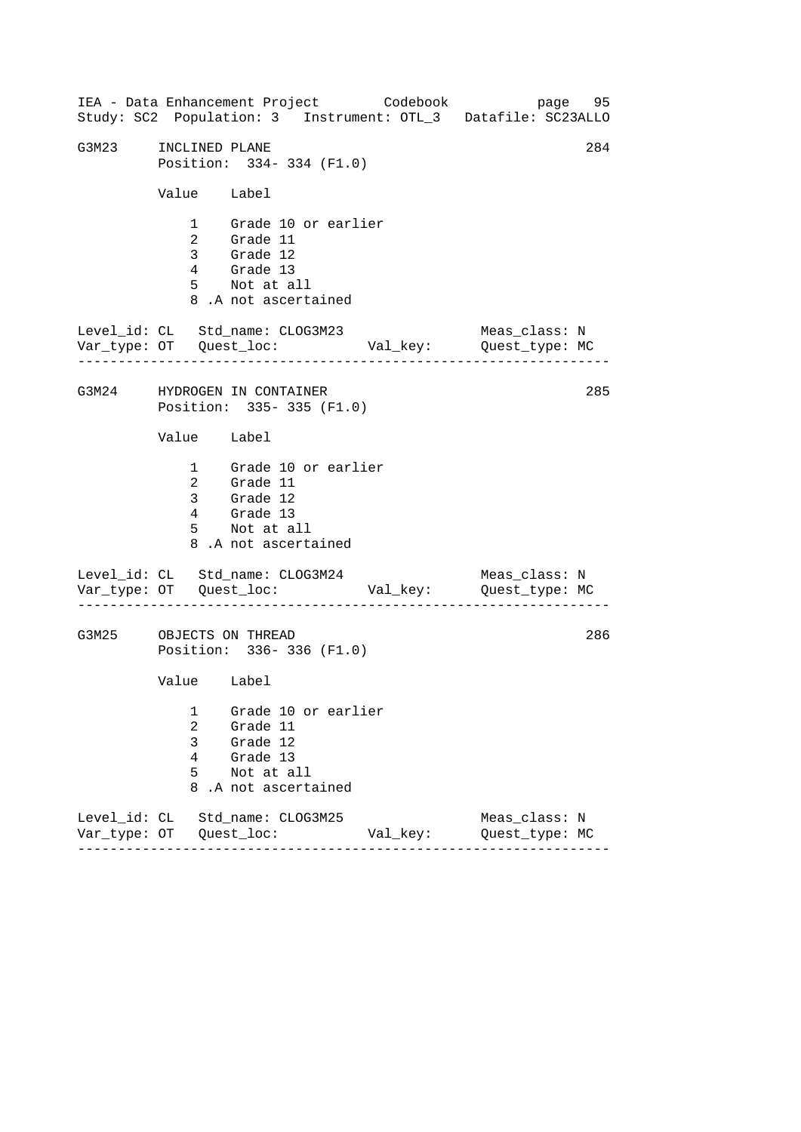------------------------------------------------------------------ ------------------------------------------------------------------ ------------------------------------------------------------------ IEA - Data Enhancement Project Codebook page 95 Study: SC2 Population: 3 Instrument: OTL\_3 Datafile: SC23ALLO G3M23 INCLINED PLANE 284 Position: 334- 334 (F1.0) Value Label 1 Grade 10 or earlier 2 Grade 11 3 Grade 12 4 Grade 13 5 Not at all 8 .A not ascertained Level\_id: CL Std\_name: CLOG3M23 Meas\_class: N Var\_type: OT Quest\_loc: Val\_key: Quest\_type: MC G3M24 HYDROGEN IN CONTAINER Position: 335- 335 (F1.0) Value Label 1 Grade 10 or earlier 2 Grade 11 3 Grade 12 4 Grade 13 5 Not at all 8 .A not ascertained Level\_id: CL Std\_name: CLOG3M24 Var\_type: OT Quest\_loc: Val\_key: Quest\_type: MC Meas\_class: N G3M25 OBJECTS ON THREAD Position: 336- 336 (F1.0) Value Label 1 Grade 10 or earlier 2 Grade 11 3 Grade 12 4 Grade 13 5 Not at all 8 .A not ascertained Level\_id: CL Std\_name: CLOG3M25 Meas\_class: N Var\_type: OT Quest\_loc: Val\_key: Quest\_type: MC 285 286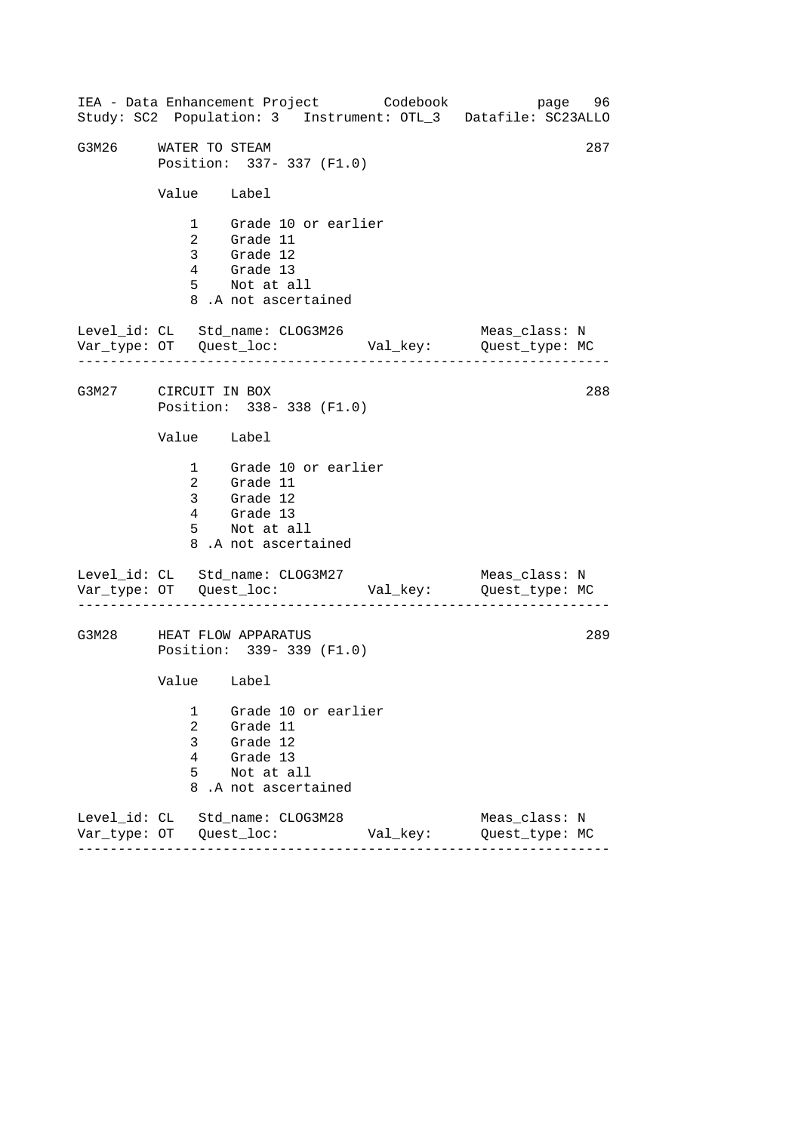------------------------------------------------------------------ ------------------------------------------------------------------ ------------------------------------------------------------------ IEA - Data Enhancement Project Codebook page 96 Study: SC2 Population: 3 Instrument: OTL\_3 Datafile: SC23ALLO G3M26 WATER TO STEAM 287 Position: 337- 337 (F1.0) Value Label 1 Grade 10 or earlier 2 Grade 11 3 Grade 12 4 Grade 13 5 Not at all 8 .A not ascertained Level\_id: CL Std\_name: CLOG3M26 Meas\_class: N Var\_type: OT Quest\_loc: Val\_key: Quest\_type: MC G3M27 CIRCUIT IN BOX Position: 338- 338 (F1.0) Value Label 1 Grade 10 or earlier 2 Grade 11 3 Grade 12 4 Grade 13 5 Not at all 8 .A not ascertained Level\_id: CL Std\_name: CLOG3M27 Var\_type: OT Quest\_loc: Val\_key: Quest\_type: MC Meas\_class: N G3M28 HEAT FLOW APPARATUS Position: 339- 339 (F1.0) Value Label 1 Grade 10 or earlier 2 Grade 11 3 Grade 12 4 Grade 13 5 Not at all 8 .A not ascertained Level\_id: CL Std\_name: CLOG3M28 Meas\_class: N Var\_type: OT Quest\_loc: Val\_key: Quest\_type: MC 288 289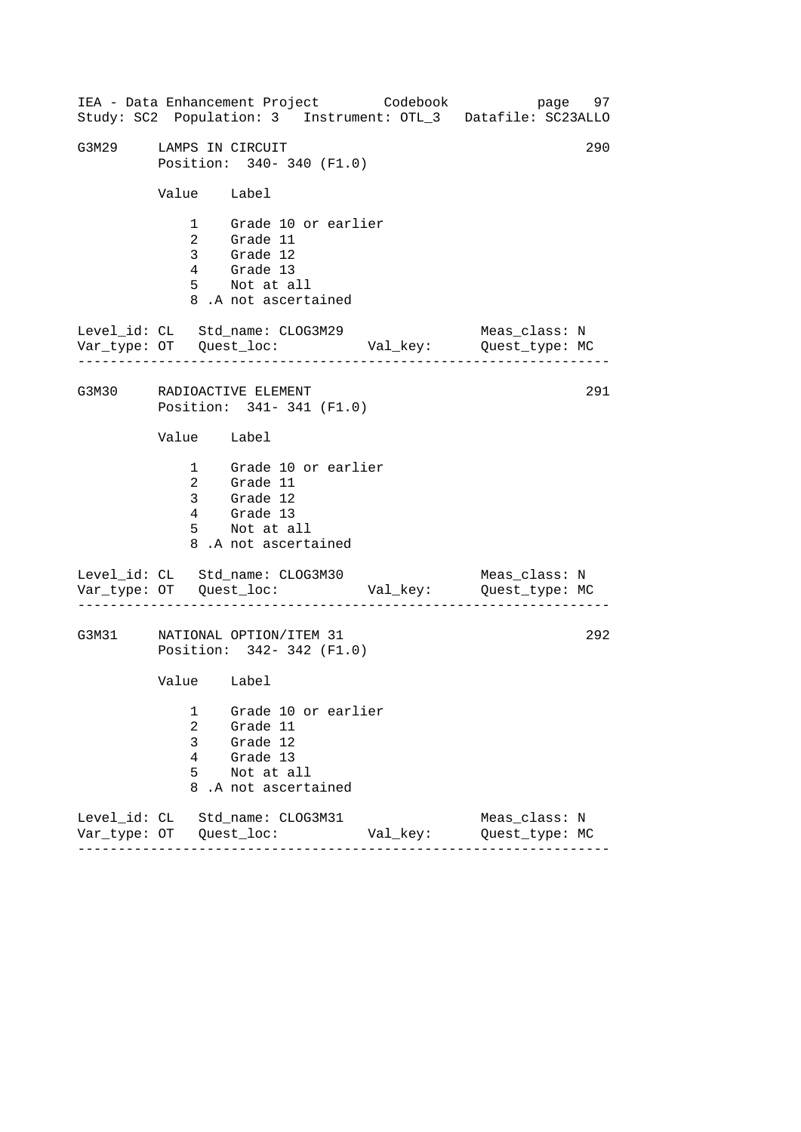------------------------------------------------------------------ ------------------------------------------------------------------ ------------------------------------------------------------------ IEA - Data Enhancement Project Codebook page 97 Study: SC2 Population: 3 Instrument: OTL\_3 Datafile: SC23ALLO G3M29 LAMPS IN CIRCUIT Position: 340- 340 (F1.0) Value Label 1 Grade 10 or earlier 2 Grade 11 3 Grade 12 4 Grade 13 5 Not at all 8 .A not ascertained Level\_id: CL Std\_name: CLOG3M29 Meas\_class: N Var\_type: OT Quest\_loc: Val\_key: Quest\_type: MC G3M30 RADIOACTIVE ELEMENT Position: 341- 341 (F1.0) Value Label 1 Grade 10 or earlier 2 Grade 11 3 Grade 12 4 Grade 13 5 Not at all 8 .A not ascertained Level\_id: CL Std\_name: CLOG3M30 Var\_type: OT Quest\_loc: Val\_key: Quest\_type: MC Meas\_class: N G3M31 NATIONAL OPTION/ITEM 31 Position: 342- 342 (F1.0) Value Label 1 Grade 10 or earlier 2 Grade 11 3 Grade 12 4 Grade 13 5 Not at all 8 .A not ascertained Level\_id: CL Std\_name: CLOG3M31 Meas\_class: N Var\_type: OT Quest\_loc: Val\_key: Quest\_type: MC 291 292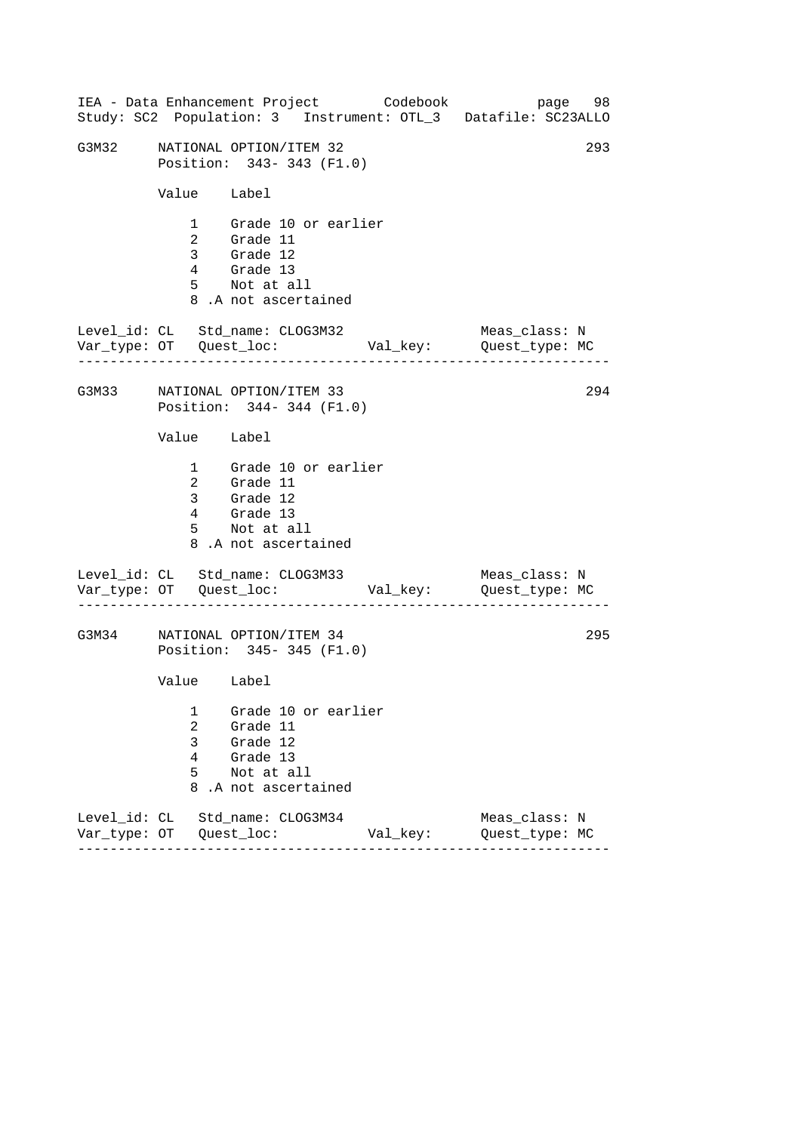|       |                                                            | IEA - Data Enhancement Project Codebook                                                                |          | page 98<br>Study: SC2 Population: 3 Instrument: OTL_3 Datafile: SC23ALLO |  |
|-------|------------------------------------------------------------|--------------------------------------------------------------------------------------------------------|----------|--------------------------------------------------------------------------|--|
| G3M32 | NATIONAL OPTION/ITEM 32<br>Position: 343-343 (F1.0)        | 293                                                                                                    |          |                                                                          |  |
|       | Value Label                                                |                                                                                                        |          |                                                                          |  |
|       |                                                            | 1 Grade 10 or earlier<br>2 Grade 11<br>3 Grade 12<br>4 Grade 13<br>5 Not at all<br>8.A not ascertained |          |                                                                          |  |
|       |                                                            | Level_id: CL Std_name: CLOG3M32                                                                        |          | Meas_class: N                                                            |  |
|       | G3M33 NATIONAL OPTION/ITEM 33<br>Position: 344-344 (F1.0)  |                                                                                                        |          | 294                                                                      |  |
|       | Value Label                                                |                                                                                                        |          |                                                                          |  |
|       |                                                            | 1 Grade 10 or earlier<br>2 Grade 11<br>3 Grade 12<br>4 Grade 13<br>5 Not at all<br>8.A not ascertained |          |                                                                          |  |
|       |                                                            | Level_id: CL Std_name: CLOG3M33                                                                        |          | Meas_class: N                                                            |  |
| G3M34 | 295<br>NATIONAL OPTION/ITEM 34<br>Position: 345-345 (F1.0) |                                                                                                        |          |                                                                          |  |
|       | Value Label                                                |                                                                                                        |          |                                                                          |  |
|       | 1<br>2<br>3<br>4<br>5<br>8                                 | Grade 10 or earlier<br>Grade 11<br>Grade 12<br>Grade 13<br>Not at all<br>.A not ascertained            |          |                                                                          |  |
|       |                                                            | Level_id: CL Std_name: CLOG3M34                                                                        | Val_key: | Meas class: N<br>Quest_type: MC                                          |  |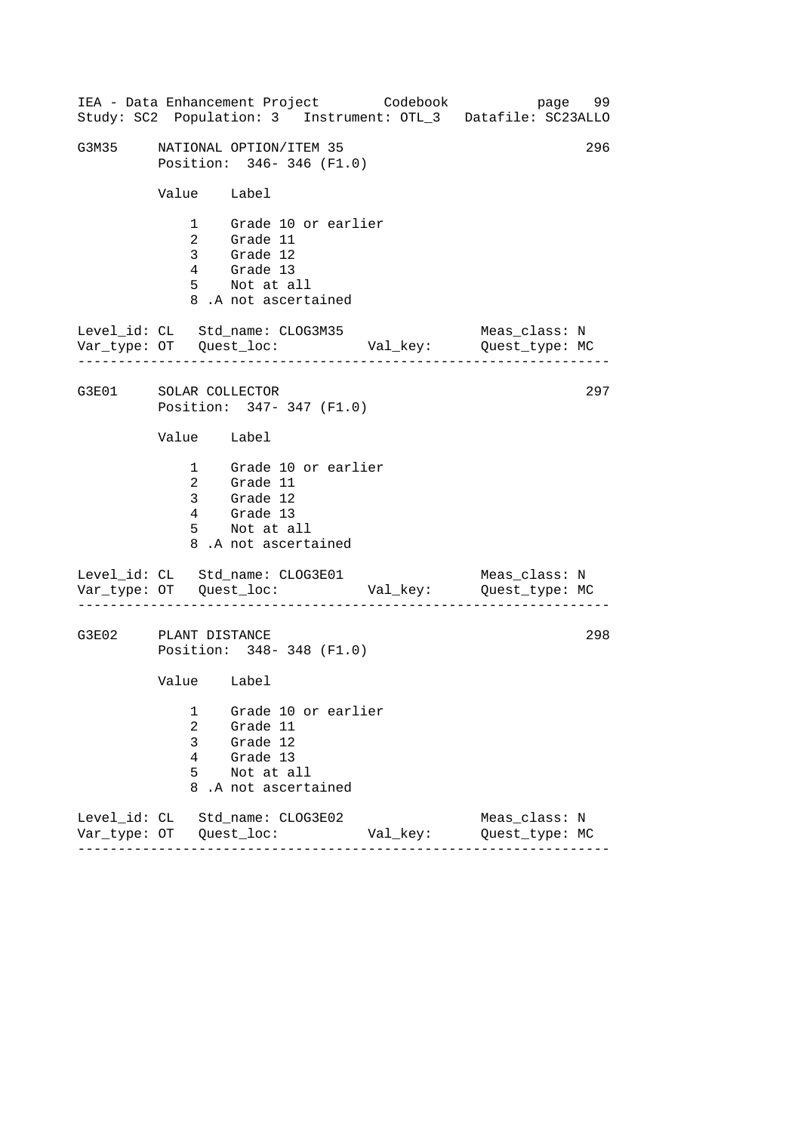------------------------------------------------------------------ ------------------------------------------------------------------ ------------------------------------------------------------------ IEA - Data Enhancement Project Codebook page 99 Study: SC2 Population: 3 Instrument: OTL\_3 Datafile: SC23ALLO G3M35 NATIONAL OPTION/ITEM 35 296 Position: 346- 346 (F1.0) Value Label 1 Grade 10 or earlier 2 Grade 11 3 Grade 12 4 Grade 13 5 Not at all 8 .A not ascertained Level\_id: CL Std\_name: CLOG3M35 Meas\_class: N Var\_type: OT Quest\_loc: Val\_key: Quest\_type: MC G3E01 SOLAR COLLECTOR Position: 347- 347 (F1.0) Value Label 1 Grade 10 or earlier 2 Grade 11 3 Grade 12 4 Grade 13 5 Not at all 8 .A not ascertained Level\_id: CL Std\_name: CLOG3E01 Var\_type: OT Quest\_loc: Val\_key: Quest\_type: MC Meas\_class: N G3E02 PLANT DISTANCE Position: 348- 348 (F1.0) Value Label 1 Grade 10 or earlier 2 Grade 11 3 Grade 12 4 Grade 13 5 Not at all 8 .A not ascertained Level\_id: CL Std\_name: CLOG3E02 Meas\_class: N Var\_type: OT Quest\_loc: Val\_key: Quest\_type: MC 297 298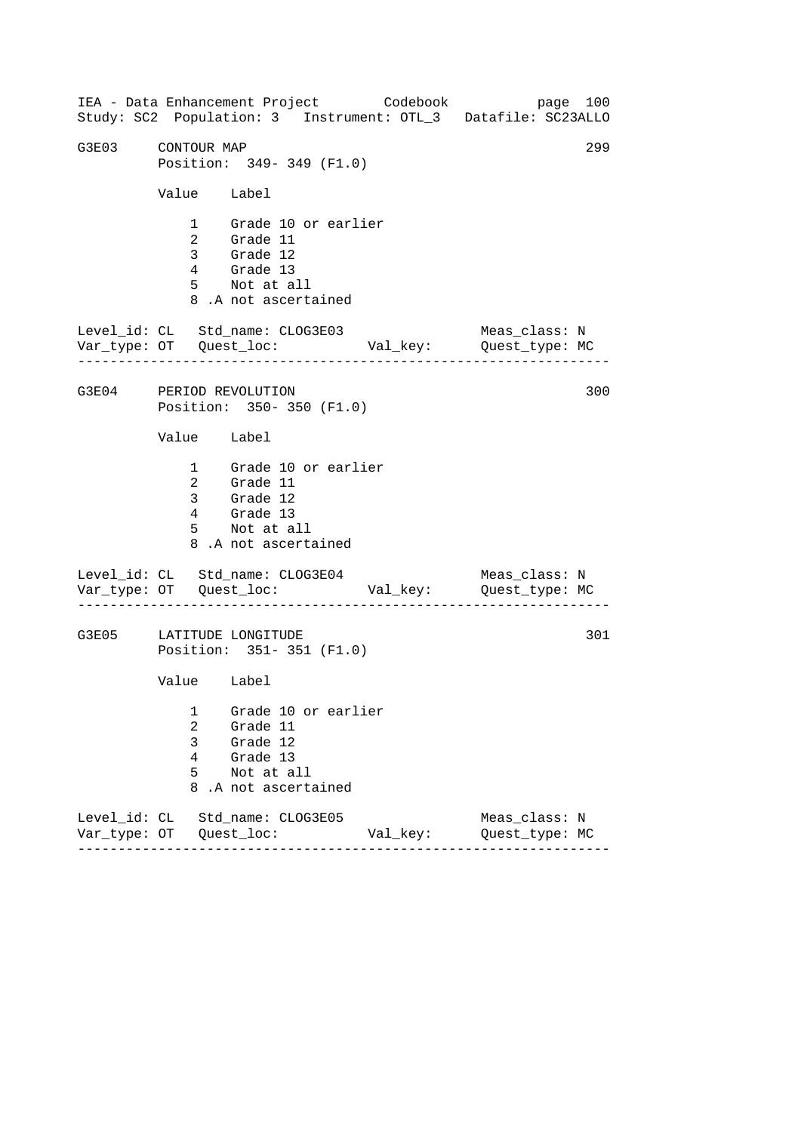------------------------------------------------------------------ ------------------------------------------------------------------ ------------------------------------------------------------------ IEA - Data Enhancement Project Codebook page 100 Study: SC2 Population: 3 Instrument: OTL\_3 Datafile: SC23ALLO G3E03 CONTOUR MAP 299 Position: 349- 349 (F1.0) Value Label 1 Grade 10 or earlier 2 Grade 11 3 Grade 12 4 Grade 13 5 Not at all 8 .A not ascertained Level\_id: CL Std\_name: CLOG3E03 Meas\_class: N Var\_type: OT Quest\_loc: Val\_key: Quest\_type: MC G3E04 PERIOD REVOLUTION Position: 350- 350 (F1.0) Value Label 1 Grade 10 or earlier 2 Grade 11 3 Grade 12 4 Grade 13 5 Not at all 8 .A not ascertained Level\_id: CL Std\_name: CLOG3E04 Var\_type: OT Quest\_loc: Val\_key: Quest\_type: MC Meas\_class: N G3E05 LATITUDE LONGITUDE Position: 351- 351 (F1.0) Value Label 1 Grade 10 or earlier 2 Grade 11 3 Grade 12 4 Grade 13 5 Not at all 8 .A not ascertained Level\_id: CL Std\_name: CLOG3E05 Meas\_class: N Var\_type: OT Quest\_loc: Val\_key: Quest\_type: MC 300 301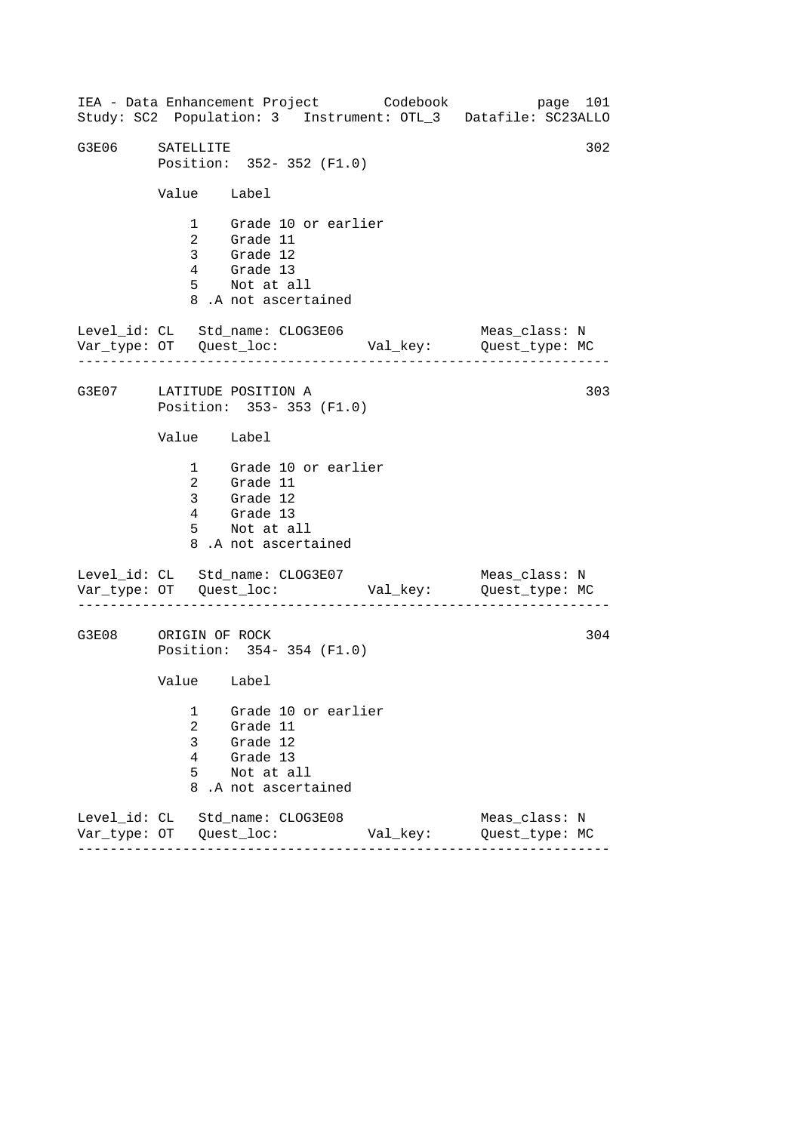------------------------------------------------------------------ ------------------------------------------------------------------ ------------------------------------------------------------------ IEA - Data Enhancement Project Codebook page 101 Study: SC2 Population: 3 Instrument: OTL\_3 Datafile: SC23ALLO G3E06 SATELLITE 302 Position: 352- 352 (F1.0) Value Label 1 Grade 10 or earlier 2 Grade 11 3 Grade 12 4 Grade 13 5 Not at all 8 .A not ascertained Level\_id: CL Std\_name: CLOG3E06 Meas\_class: N Var\_type: OT Quest\_loc: Val\_key: Quest\_type: MC G3E07 LATITUDE POSITION A Position: 353- 353 (F1.0) Value Label 1 Grade 10 or earlier 2 Grade 11 3 Grade 12 4 Grade 13 5 Not at all 8 .A not ascertained Level\_id: CL Std\_name: CLOG3E07 Var\_type: OT Quest\_loc: Val\_key: Quest\_type: MC Meas\_class: N G3E08 ORIGIN OF ROCK Position: 354- 354 (F1.0) Value Label 1 Grade 10 or earlier 2 Grade 11 3 Grade 12 4 Grade 13 5 Not at all 8 .A not ascertained Level\_id: CL Std\_name: CLOG3E08 Meas\_class: N Var\_type: OT Quest\_loc: Val\_key: Quest\_type: MC 303 304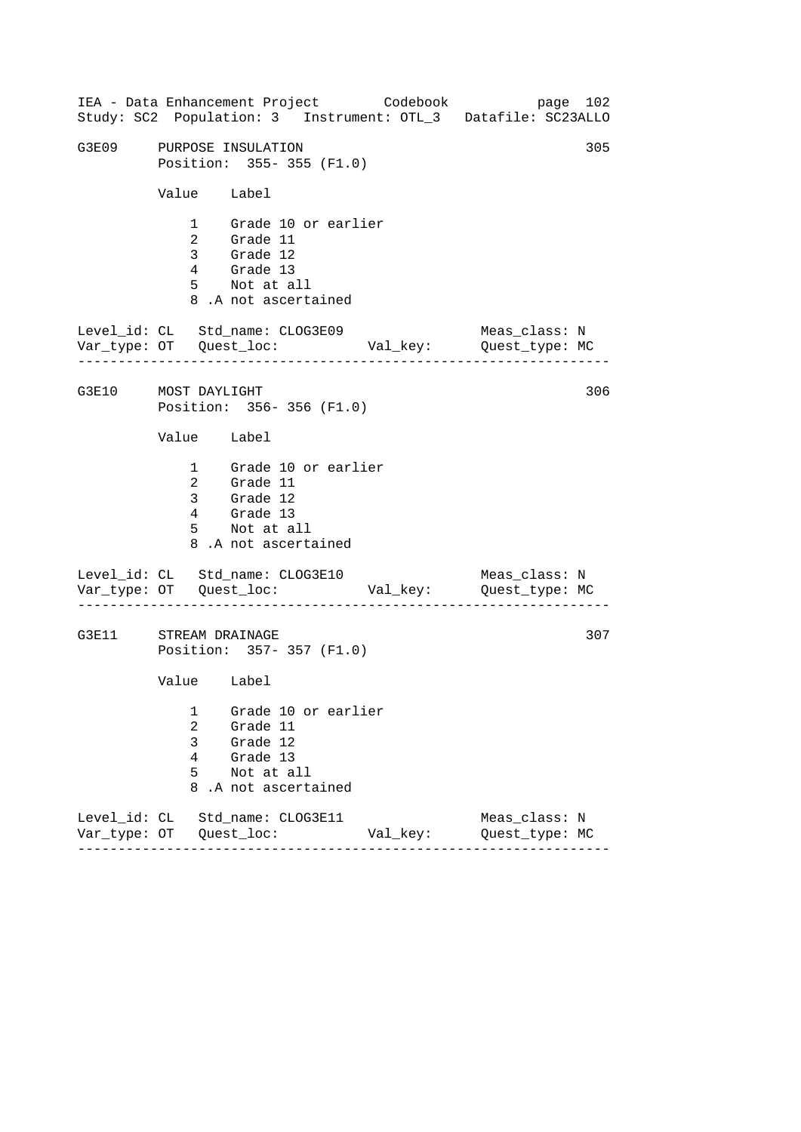------------------------------------------------------------------ ------------------------------------------------------------------ ------------------------------------------------------------------ IEA - Data Enhancement Project Codebook page 102 Study: SC2 Population: 3 Instrument: OTL\_3 Datafile: SC23ALLO G3E09 PURPOSE INSULATION 305 Position: 355- 355 (F1.0) Value Label 1 Grade 10 or earlier 2 Grade 11 3 Grade 12 4 Grade 13 5 Not at all 8 .A not ascertained Level\_id: CL Std\_name: CLOG3E09 Meas\_class: N Var\_type: OT Quest\_loc: Val\_key: Quest\_type: MC G3E10 MOST DAYLIGHT Position: 356- 356 (F1.0) Value Label 1 Grade 10 or earlier 2 Grade 11 3 Grade 12 4 Grade 13 5 Not at all 8 .A not ascertained Level\_id: CL Std\_name: CLOG3E10 Var\_type: OT Quest\_loc: Val\_key: Quest\_type: MC Meas\_class: N G3E11 STREAM DRAINAGE Position: 357- 357 (F1.0) Value Label 1 Grade 10 or earlier 2 Grade 11 3 Grade 12 4 Grade 13 5 Not at all 8 .A not ascertained Level\_id: CL Std\_name: CLOG3E11 Meas\_class: N Var\_type: OT Quest\_loc: Val\_key: Quest\_type: MC 306 307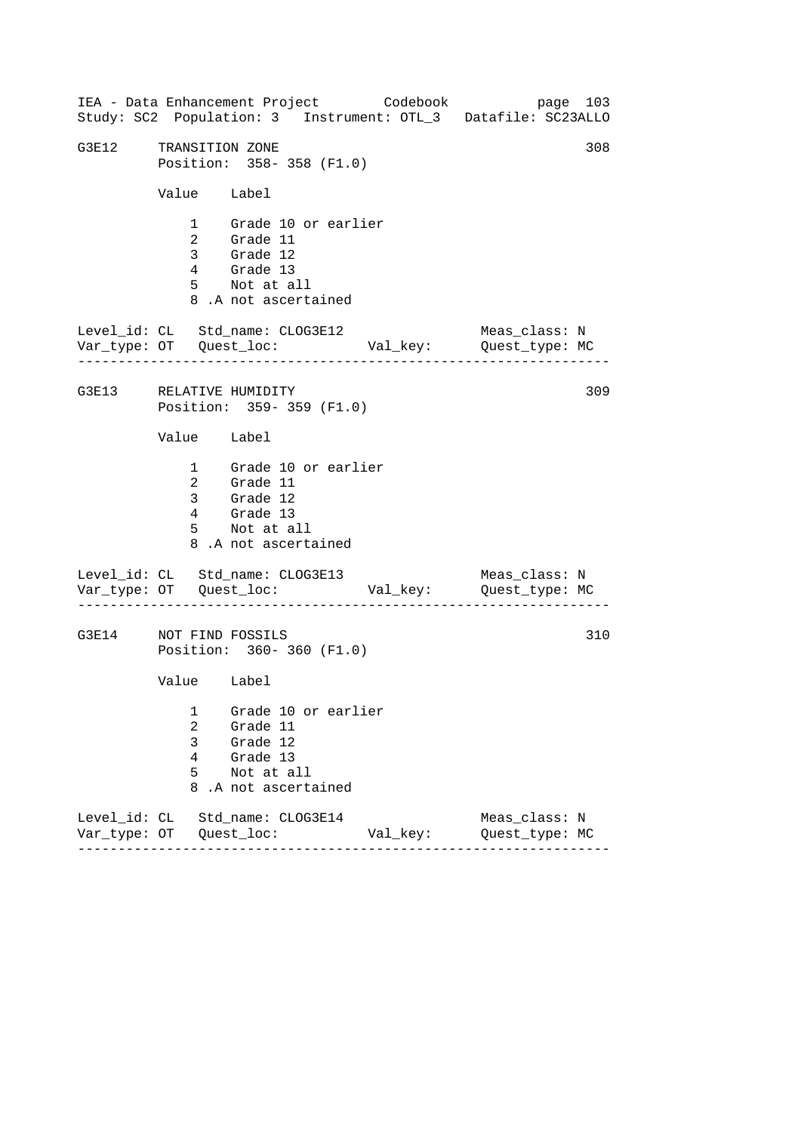------------------------------------------------------------------ ------------------------------------------------------------------ ------------------------------------------------------------------ IEA - Data Enhancement Project Codebook page 103 Study: SC2 Population: 3 Instrument: OTL\_3 Datafile: SC23ALLO G3E12 TRANSITION ZONE 308 Position: 358- 358 (F1.0) Value Label 1 Grade 10 or earlier 2 Grade 11 3 Grade 12 4 Grade 13 5 Not at all 8 .A not ascertained Level\_id: CL Std\_name: CLOG3E12 Meas\_class: N Var\_type: OT Quest\_loc: Val\_key: Quest\_type: MC G3E13 RELATIVE HUMIDITY Position: 359- 359 (F1.0) Value Label 1 Grade 10 or earlier 2 Grade 11 3 Grade 12 4 Grade 13 5 Not at all 8 .A not ascertained Level\_id: CL Std\_name: CLOG3E13 Var\_type: OT Quest\_loc: Val\_key: Quest\_type: MC Meas\_class: N G3E14 NOT FIND FOSSILS Position: 360- 360 (F1.0) Value Label 1 Grade 10 or earlier 2 Grade 11 3 Grade 12 4 Grade 13 5 Not at all 8 .A not ascertained Level\_id: CL Std\_name: CLOG3E14 Meas\_class: N Var\_type: OT Quest\_loc: Val\_key: Quest\_type: MC 309 310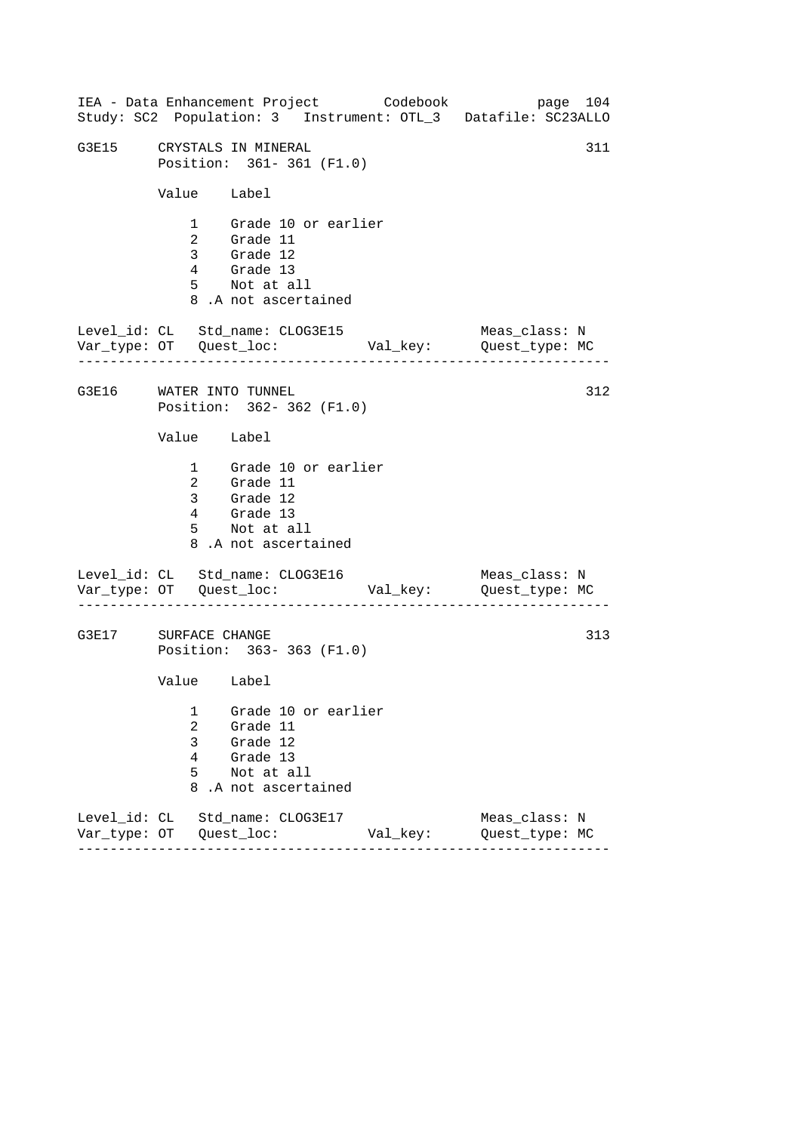------------------------------------------------------------------ ------------------------------------------------------------------ ------------------------------------------------------------------ IEA - Data Enhancement Project Codebook page 104 Study: SC2 Population: 3 Instrument: OTL\_3 Datafile: SC23ALLO G3E15 CRYSTALS IN MINERAL 311 Position: 361- 361 (F1.0) Value Label 1 Grade 10 or earlier 2 Grade 11 3 Grade 12 4 Grade 13 5 Not at all 8 .A not ascertained Level\_id: CL Std\_name: CLOG3E15 Meas\_class: N Var\_type: OT Quest\_loc: Val\_key: Quest\_type: MC G3E16 WATER INTO TUNNEL Position: 362- 362 (F1.0) Value Label 1 Grade 10 or earlier 2 Grade 11 3 Grade 12 4 Grade 13 5 Not at all 8 .A not ascertained Level\_id: CL Std\_name: CLOG3E16 Var\_type: OT Quest\_loc: Val\_key: Quest\_type: MC Meas\_class: N G3E17 SURFACE CHANGE Position: 363- 363 (F1.0) Value Label 1 Grade 10 or earlier 2 Grade 11 3 Grade 12 4 Grade 13 5 Not at all 8 .A not ascertained Level\_id: CL Std\_name: CLOG3E17 Meas\_class: N Var\_type: OT Quest\_loc: Val\_key: Quest\_type: MC 312 313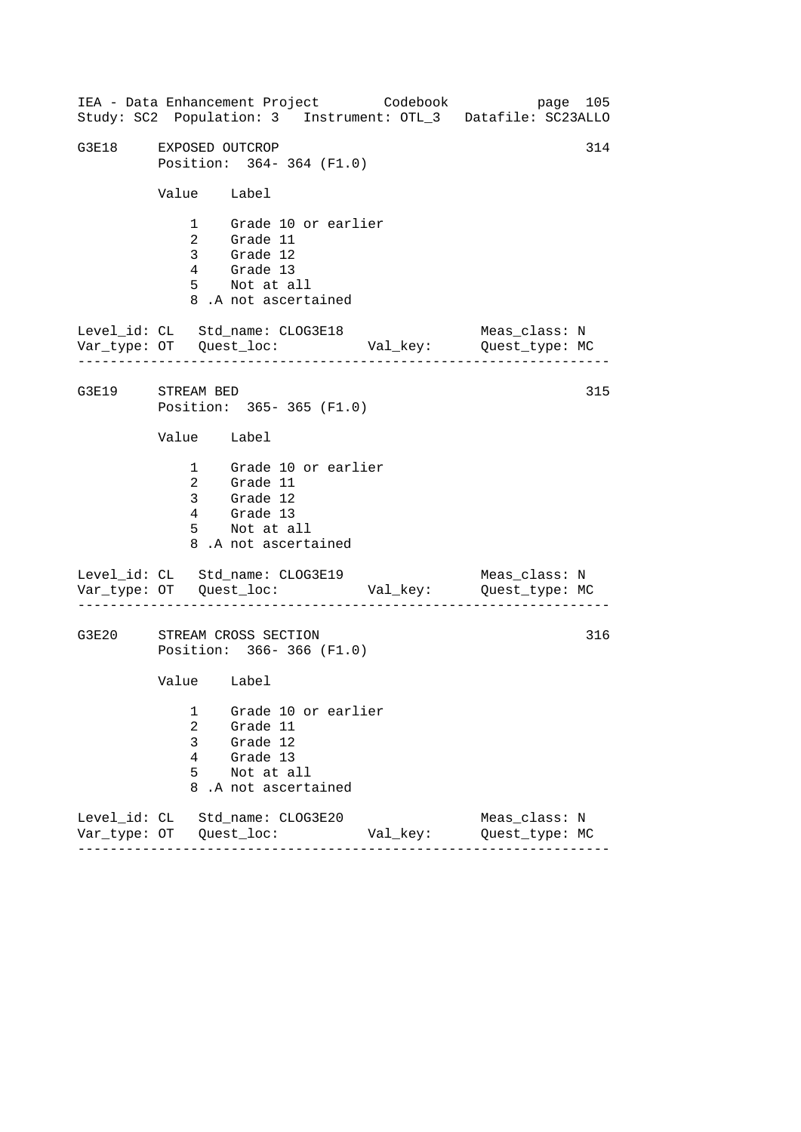------------------------------------------------------------------ ------------------------------------------------------------------ ------------------------------------------------------------------ IEA - Data Enhancement Project Codebook page 105 Study: SC2 Population: 3 Instrument: OTL\_3 Datafile: SC23ALLO G3E18 EXPOSED OUTCROP 314 Position: 364- 364 (F1.0) Value Label 1 Grade 10 or earlier 2 Grade 11 3 Grade 12 4 Grade 13 5 Not at all 8 .A not ascertained Level\_id: CL Std\_name: CLOG3E18 Meas\_class: N Var\_type: OT Quest\_loc: Val\_key: Quest\_type: MC G3E19 STREAM BED Position: 365- 365 (F1.0) Value Label 1 Grade 10 or earlier 2 Grade 11 3 Grade 12 4 Grade 13 5 Not at all 8 .A not ascertained Level\_id: CL Std\_name: CLOG3E19 Var\_type: OT Quest\_loc: Val\_key: Quest\_type: MC Meas\_class: N G3E20 STREAM CROSS SECTION Position: 366- 366 (F1.0) Value Label 1 Grade 10 or earlier 2 Grade 11 3 Grade 12 4 Grade 13 5 Not at all 8 .A not ascertained Level\_id: CL Std\_name: CLOG3E20 Meas\_class: N Var\_type: OT Quest\_loc: Val\_key: Quest\_type: MC 315 316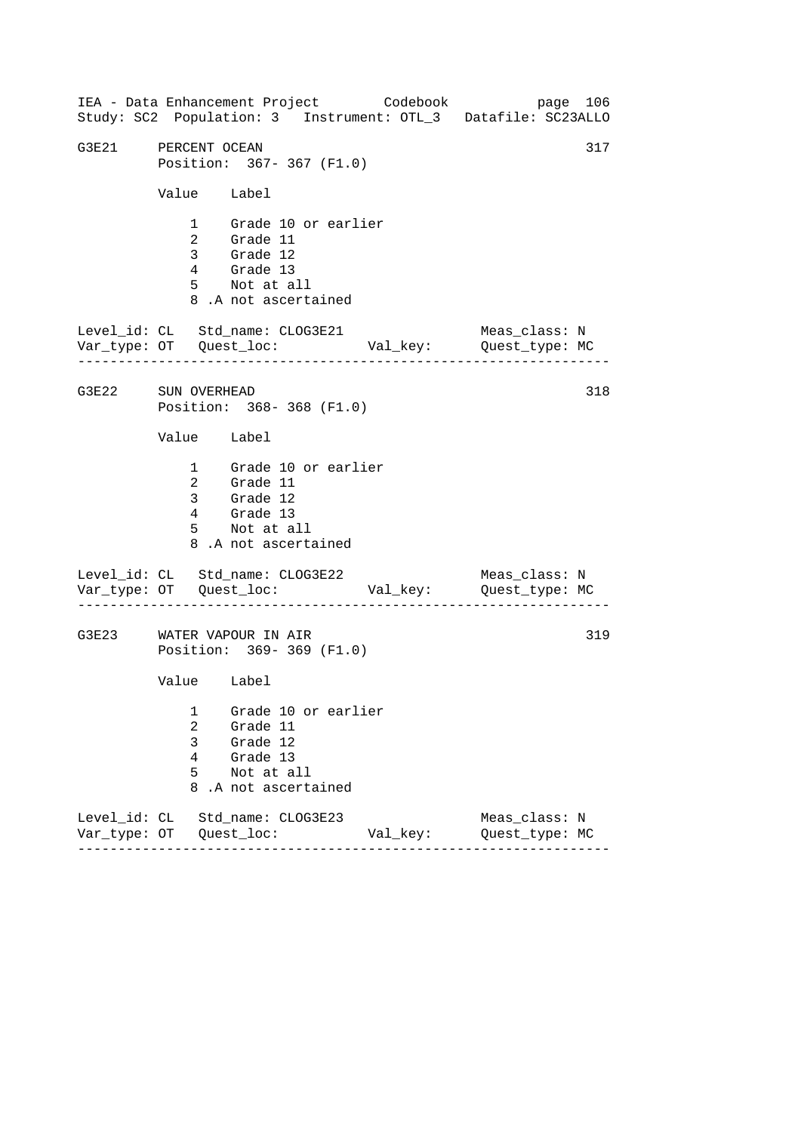------------------------------------------------------------------ ------------------------------------------------------------------ ------------------------------------------------------------------ IEA - Data Enhancement Project Codebook page 106 Study: SC2 Population: 3 Instrument: OTL\_3 Datafile: SC23ALLO G3E21 PERCENT OCEAN 317 Position: 367- 367 (F1.0) Value Label 1 Grade 10 or earlier 2 Grade 11 3 Grade 12 4 Grade 13 5 Not at all 8 .A not ascertained Level\_id: CL Std\_name: CLOG3E21 Meas\_class: N Var\_type: OT Quest\_loc: Val\_key: Quest\_type: MC G3E22 SUN OVERHEAD Position: 368- 368 (F1.0) Value Label 1 Grade 10 or earlier 2 Grade 11 3 Grade 12 4 Grade 13 5 Not at all 8 .A not ascertained Level\_id: CL Std\_name: CLOG3E22 Var\_type: OT Quest\_loc: Val\_key: Quest\_type: MC Meas\_class: N G3E23 WATER VAPOUR IN AIR Position: 369- 369 (F1.0) Value Label 1 Grade 10 or earlier 2 Grade 11 3 Grade 12 4 Grade 13 5 Not at all 8 .A not ascertained Level\_id: CL Std\_name: CLOG3E23 Meas\_class: N Var\_type: OT Quest\_loc: Val\_key: Quest\_type: MC 318 319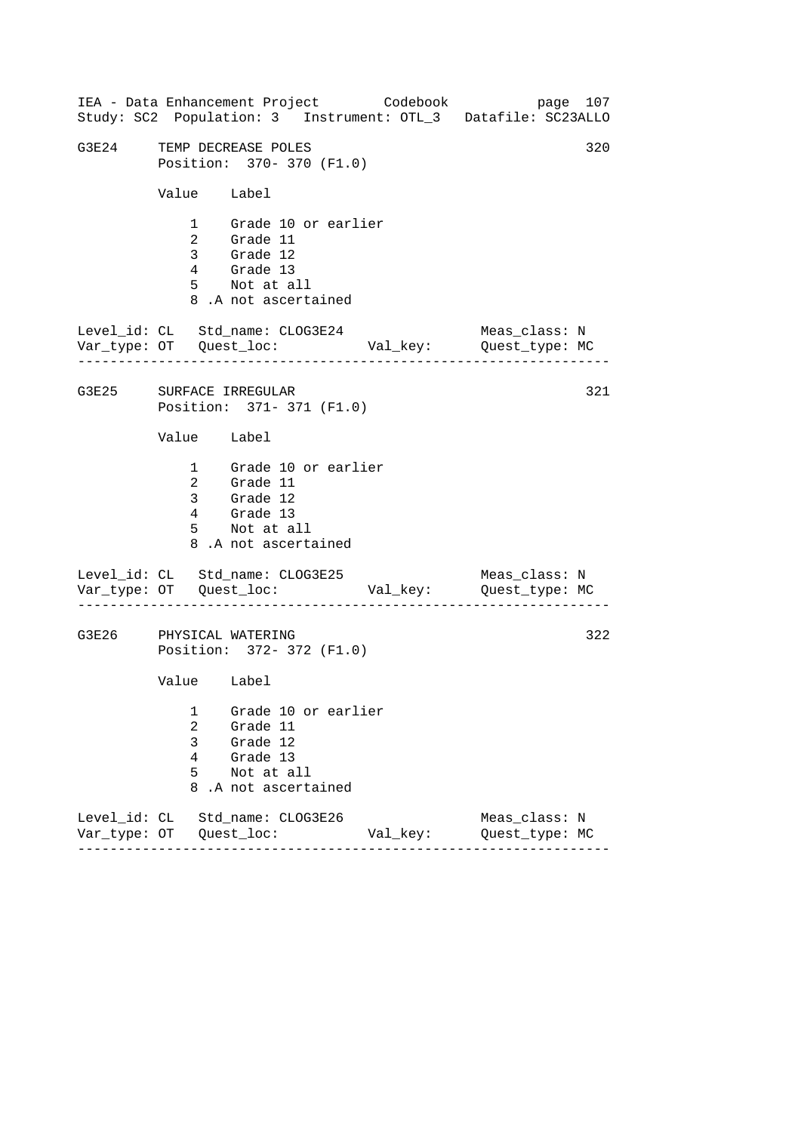------------------------------------------------------------------ ------------------------------------------------------------------ ------------------------------------------------------------------ IEA - Data Enhancement Project Codebook page 107 Study: SC2 Population: 3 Instrument: OTL\_3 Datafile: SC23ALLO G3E24 TEMP DECREASE POLES 320 Position: 370- 370 (F1.0) Value Label 1 Grade 10 or earlier 2 Grade 11 3 Grade 12 4 Grade 13 5 Not at all 8 .A not ascertained Level\_id: CL Std\_name: CLOG3E24 Meas\_class: N Var\_type: OT Quest\_loc: Val\_key: Quest\_type: MC G3E25 SURFACE IRREGULAR Position: 371- 371 (F1.0) Value Label 1 Grade 10 or earlier 2 Grade 11 3 Grade 12 4 Grade 13 5 Not at all 8 .A not ascertained Level\_id: CL Std\_name: CLOG3E25 Var\_type: OT Quest\_loc: Val\_key: Quest\_type: MC Meas\_class: N G3E26 PHYSICAL WATERING Position: 372- 372 (F1.0) Value Label 1 Grade 10 or earlier 2 Grade 11 3 Grade 12 4 Grade 13 5 Not at all 8 .A not ascertained Level\_id: CL Std\_name: CLOG3E26 Meas\_class: N Var\_type: OT Quest\_loc: Val\_key: Quest\_type: MC 321 322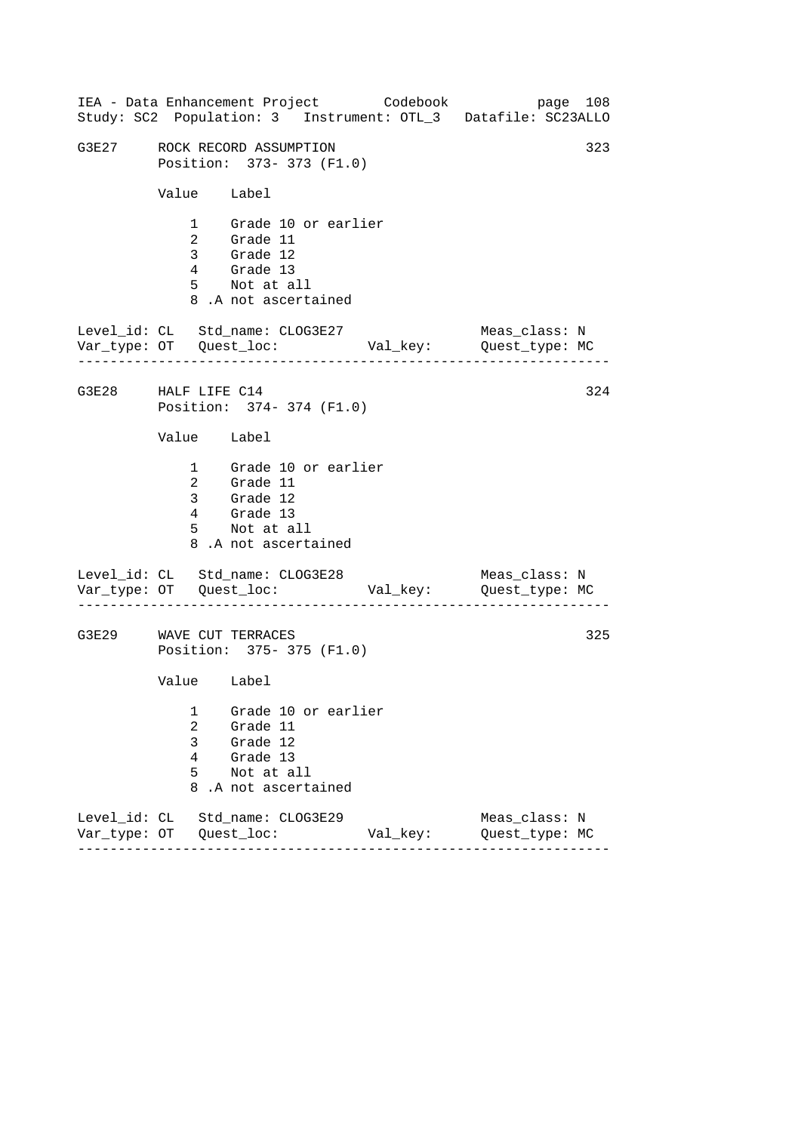|                     |                                                             | IEA - Data Enhancement Project Codebook                                                                |          | page 108<br>Study: SC2 Population: 3 Instrument: OTL_3 Datafile: SC23ALLO |  |  |
|---------------------|-------------------------------------------------------------|--------------------------------------------------------------------------------------------------------|----------|---------------------------------------------------------------------------|--|--|
| G3E27               | 323<br>ROCK RECORD ASSUMPTION<br>Position: 373- 373 (F1.0)  |                                                                                                        |          |                                                                           |  |  |
|                     | Value Label                                                 |                                                                                                        |          |                                                                           |  |  |
|                     |                                                             | 1 Grade 10 or earlier<br>2 Grade 11<br>3 Grade 12<br>4 Grade 13<br>5 Not at all<br>8.A not ascertained |          |                                                                           |  |  |
|                     |                                                             | Level_id: CL Std_name: CLOG3E27                                                                        |          | Meas_class: N                                                             |  |  |
| G3E28 HALF LIFE C14 |                                                             | Position: 374- 374 (F1.0)                                                                              |          | 324                                                                       |  |  |
|                     | Value Label                                                 |                                                                                                        |          |                                                                           |  |  |
|                     |                                                             | 1 Grade 10 or earlier<br>2 Grade 11<br>3 Grade 12<br>4 Grade 13<br>5 Not at all<br>8.A not ascertained |          |                                                                           |  |  |
|                     |                                                             | Level_id: CL Std_name: CLOG3E28                                                                        |          | Meas_class: N                                                             |  |  |
|                     | 325<br>G3E29 WAVE CUT TERRACES<br>Position: 375- 375 (F1.0) |                                                                                                        |          |                                                                           |  |  |
|                     | Value Label                                                 |                                                                                                        |          |                                                                           |  |  |
|                     | 1<br>2<br>3<br>4<br>5<br>8                                  | Grade 10 or earlier<br>Grade 11<br>Grade 12<br>Grade 13<br>Not at all<br>.A not ascertained            |          |                                                                           |  |  |
|                     |                                                             | Level_id: CL Std_name: CLOG3E29                                                                        | Val_key: | Meas_class: N<br>Quest_type: MC                                           |  |  |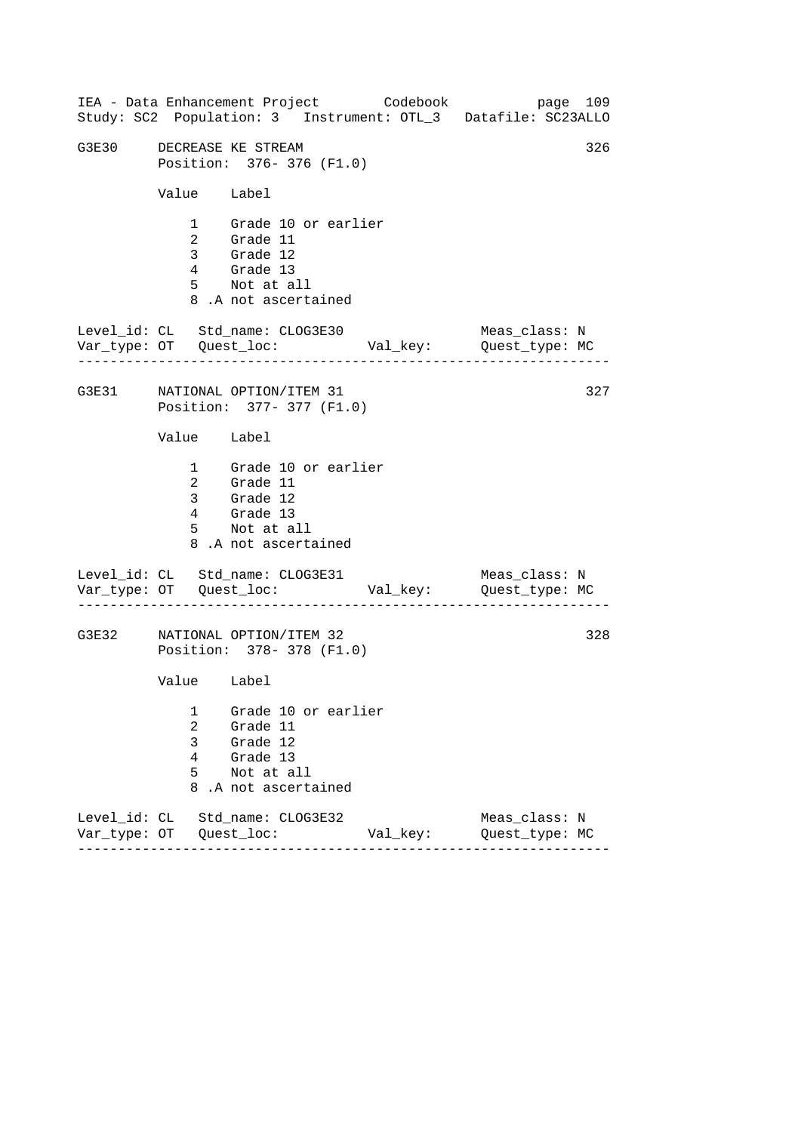|       |                            |                                                                                                        | IEA - Data Enhancement Project Codebook | page 109<br>Study: SC2 Population: 3 Instrument: OTL_3 Datafile: SC23ALLO |
|-------|----------------------------|--------------------------------------------------------------------------------------------------------|-----------------------------------------|---------------------------------------------------------------------------|
| G3E30 |                            | DECREASE KE STREAM<br>Position: 376-376 (F1.0)                                                         |                                         | 326                                                                       |
|       | Value Label                |                                                                                                        |                                         |                                                                           |
|       |                            | 1 Grade 10 or earlier<br>2 Grade 11<br>3 Grade 12<br>4 Grade 13<br>5 Not at all<br>8.A not ascertained |                                         |                                                                           |
|       |                            | Level_id: CL Std_name: CLOG3E30                                                                        |                                         | Meas_class: N                                                             |
|       |                            | G3E31 NATIONAL OPTION/ITEM 31<br>Position: 377- 377 (F1.0)                                             |                                         | 327                                                                       |
|       | Value Label                |                                                                                                        |                                         |                                                                           |
|       |                            | 1 Grade 10 or earlier<br>2 Grade 11<br>3 Grade 12<br>4 Grade 13<br>5 Not at all<br>8.A not ascertained |                                         |                                                                           |
|       |                            | Level_id: CL Std_name: CLOG3E31                                                                        |                                         | Meas_class: N                                                             |
| G3E32 |                            | NATIONAL OPTION/ITEM 32<br>Position: 378- 378 (F1.0)                                                   |                                         | 328                                                                       |
|       | Value Label                |                                                                                                        |                                         |                                                                           |
|       | 1<br>2<br>3<br>4<br>5<br>8 | Grade 10 or earlier<br>Grade 11<br>Grade 12<br>Grade 13<br>Not at all<br>.A not ascertained            |                                         |                                                                           |
|       |                            | Level_id: CL Std_name: CLOG3E32                                                                        | Val_key:                                | Meas_class: N<br>Quest_type: MC                                           |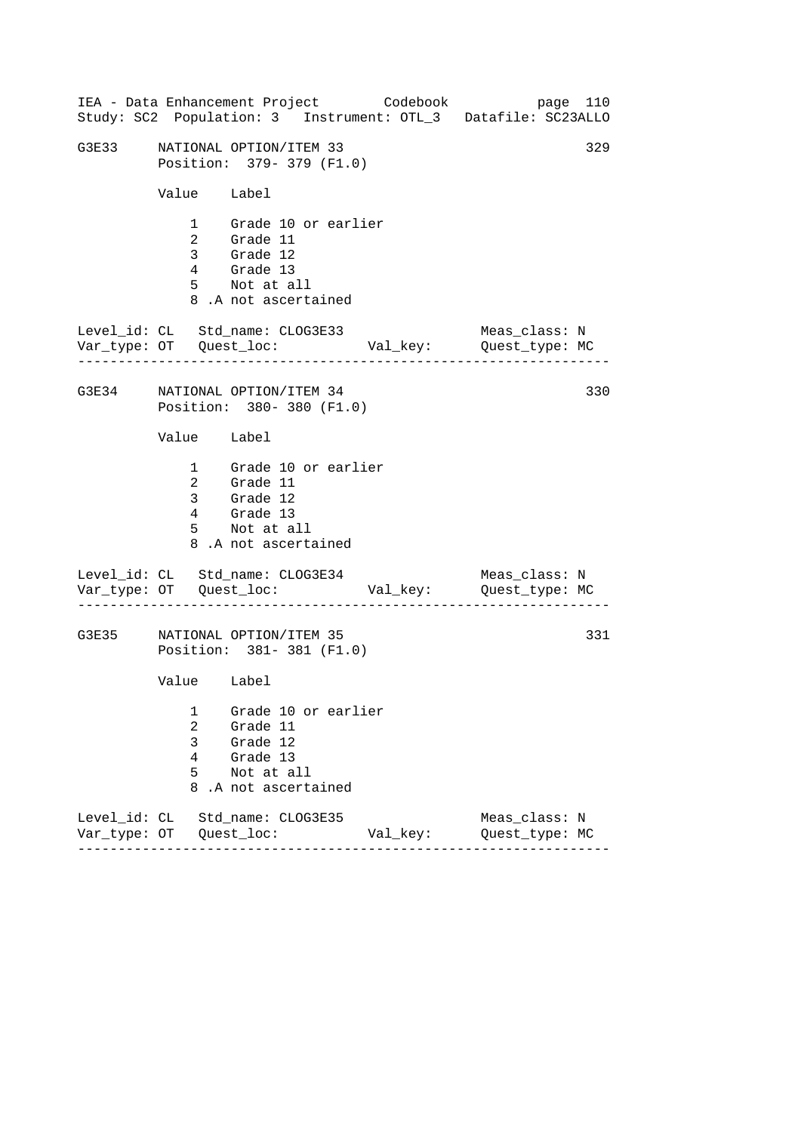|       |                            | IEA - Data Enhancement Project Codebook                                                                |          | page 110<br>Study: SC2 Population: 3 Instrument: OTL_3 Datafile: SC23ALLO |
|-------|----------------------------|--------------------------------------------------------------------------------------------------------|----------|---------------------------------------------------------------------------|
| G3E33 |                            | NATIONAL OPTION/ITEM 33<br>Position: 379- 379 (F1.0)                                                   |          | 329                                                                       |
|       | Value Label                |                                                                                                        |          |                                                                           |
|       |                            | 1 Grade 10 or earlier<br>2 Grade 11<br>3 Grade 12<br>4 Grade 13<br>5 Not at all<br>8.A not ascertained |          |                                                                           |
|       |                            | Level_id: CL Std_name: CLOG3E33                                                                        |          | Meas_class: N                                                             |
|       |                            | G3E34 NATIONAL OPTION/ITEM 34<br>Position: 380-380 (F1.0)                                              |          | 330                                                                       |
|       | Value Label                |                                                                                                        |          |                                                                           |
|       |                            | 1 Grade 10 or earlier<br>2 Grade 11<br>3 Grade 12<br>4 Grade 13<br>5 Not at all<br>8.A not ascertained |          |                                                                           |
|       |                            | Level_id: CL Std_name: CLOG3E34                                                                        |          | Meas_class: N                                                             |
| G3E35 |                            | NATIONAL OPTION/ITEM 35<br>Position: 381-381 (F1.0)                                                    |          | 331                                                                       |
|       | Value Label                |                                                                                                        |          |                                                                           |
|       | 1<br>2<br>3<br>4<br>5<br>8 | Grade 10 or earlier<br>Grade 11<br>Grade 12<br>Grade 13<br>Not at all<br>.A not ascertained            |          |                                                                           |
|       |                            | Level id: CL Std name: CLOG3E35                                                                        | Val_key: | Meas class: N<br>Quest_type: MC                                           |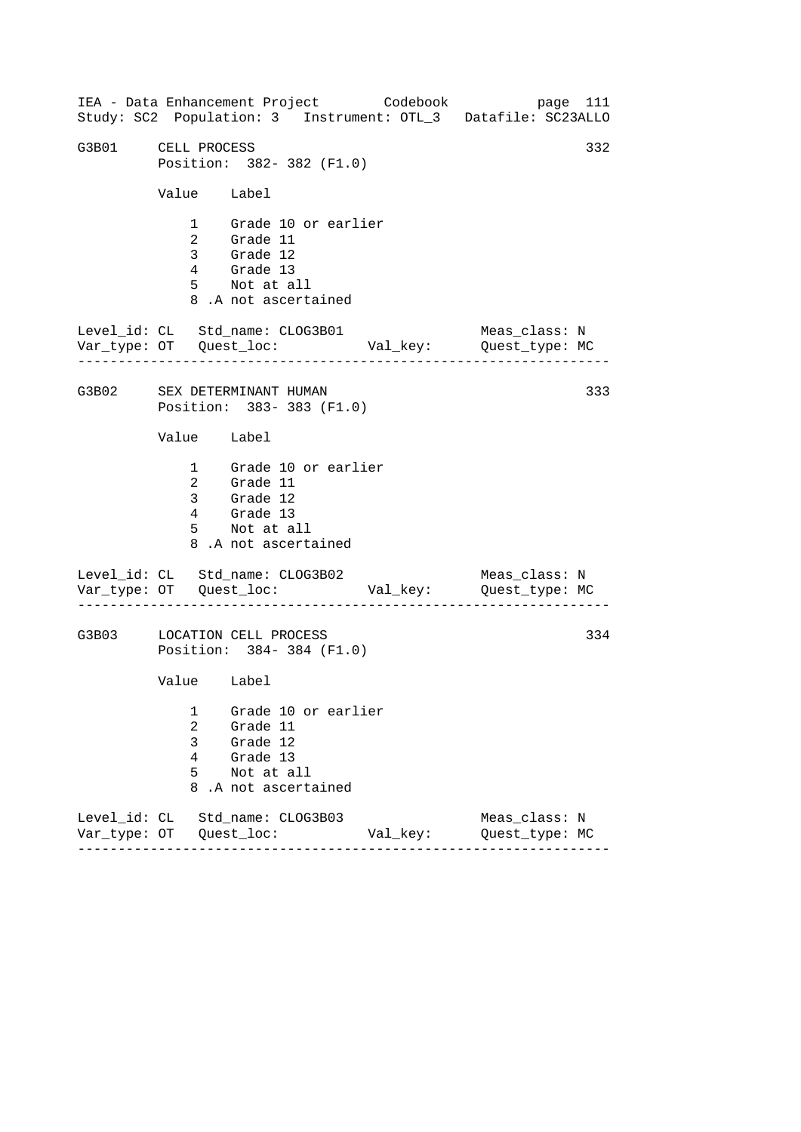------------------------------------------------------------------ ------------------------------------------------------------------ ------------------------------------------------------------------ IEA - Data Enhancement Project Codebook page 111 Study: SC2 Population: 3 Instrument: OTL\_3 Datafile: SC23ALLO G3B01 CELL PROCESS 332 Position: 382- 382 (F1.0) Value Label 1 Grade 10 or earlier 2 Grade 11 3 Grade 12 4 Grade 13 5 Not at all 8 .A not ascertained Level\_id: CL Std\_name: CLOG3B01 Meas\_class: N Var\_type: OT Quest\_loc: Val\_key: Quest\_type: MC G3B02 SEX DETERMINANT HUMAN Position: 383- 383 (F1.0) Value Label 1 Grade 10 or earlier 2 Grade 11 3 Grade 12 4 Grade 13 5 Not at all 8 .A not ascertained Level\_id: CL Std\_name: CLOG3B02 Var\_type: OT Quest\_loc: Val\_key: Quest\_type: MC Meas\_class: N G3B03 LOCATION CELL PROCESS Position: 384- 384 (F1.0) Value Label 1 Grade 10 or earlier 2 Grade 11 3 Grade 12 4 Grade 13 5 Not at all 8 .A not ascertained Level\_id: CL Std\_name: CLOG3B03 Meas\_class: N Var\_type: OT Quest\_loc: Val\_key: Quest\_type: MC 333 334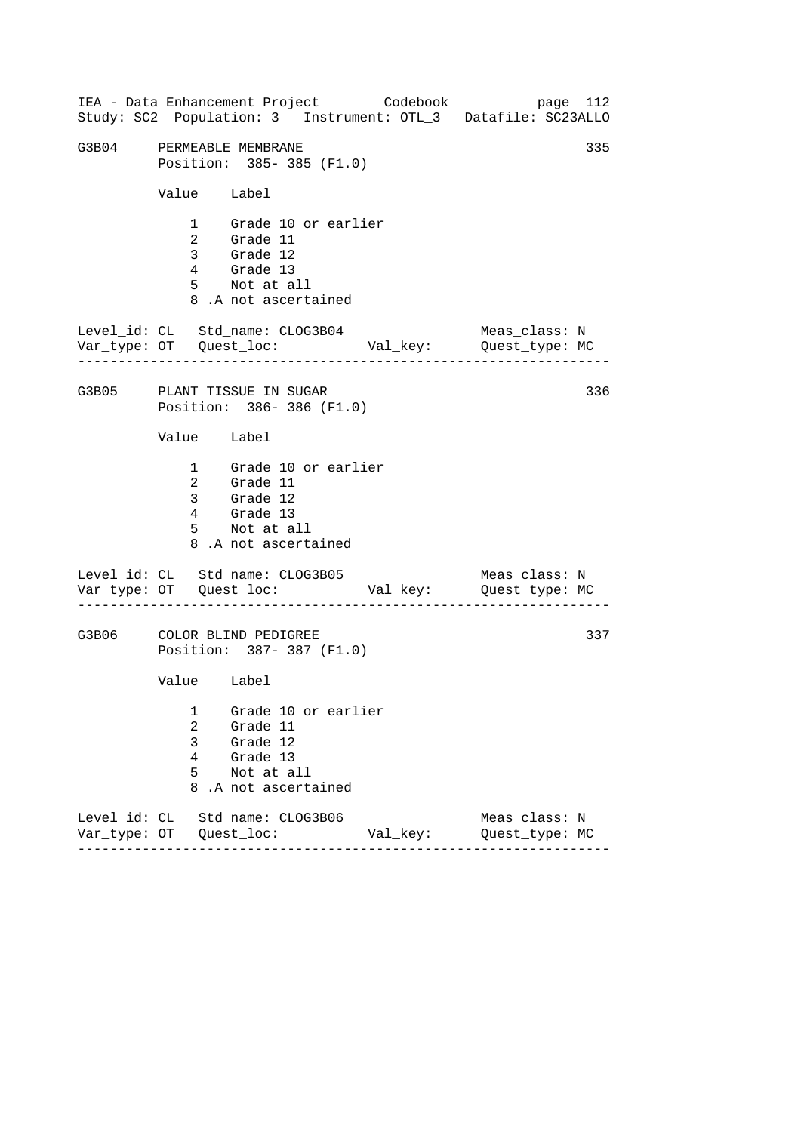------------------------------------------------------------------ ------------------------------------------------------------------ ------------------------------------------------------------------ IEA - Data Enhancement Project Codebook page 112 Study: SC2 Population: 3 Instrument: OTL\_3 Datafile: SC23ALLO G3B04 PERMEABLE MEMBRANE 335 Position: 385- 385 (F1.0) Value Label 1 Grade 10 or earlier 2 Grade 11 3 Grade 12 4 Grade 13 5 Not at all 8 .A not ascertained Level\_id: CL Std\_name: CLOG3B04 Meas\_class: N Var\_type: OT Quest\_loc: Val\_key: Quest\_type: MC G3B05 PLANT TISSUE IN SUGAR Position: 386- 386 (F1.0) Value Label 1 Grade 10 or earlier 2 Grade 11 3 Grade 12 4 Grade 13 5 Not at all 8 .A not ascertained Level\_id: CL Std\_name: CLOG3B05 Var\_type: OT Quest\_loc: Val\_key: Quest\_type: MC Meas\_class: N G3B06 COLOR BLIND PEDIGREE Position: 387- 387 (F1.0) Value Label 1 Grade 10 or earlier 2 Grade 11 3 Grade 12 4 Grade 13 5 Not at all 8 .A not ascertained Level\_id: CL Std\_name: CLOG3B06 Meas\_class: N Var\_type: OT Quest\_loc: Val\_key: Quest\_type: MC 336 337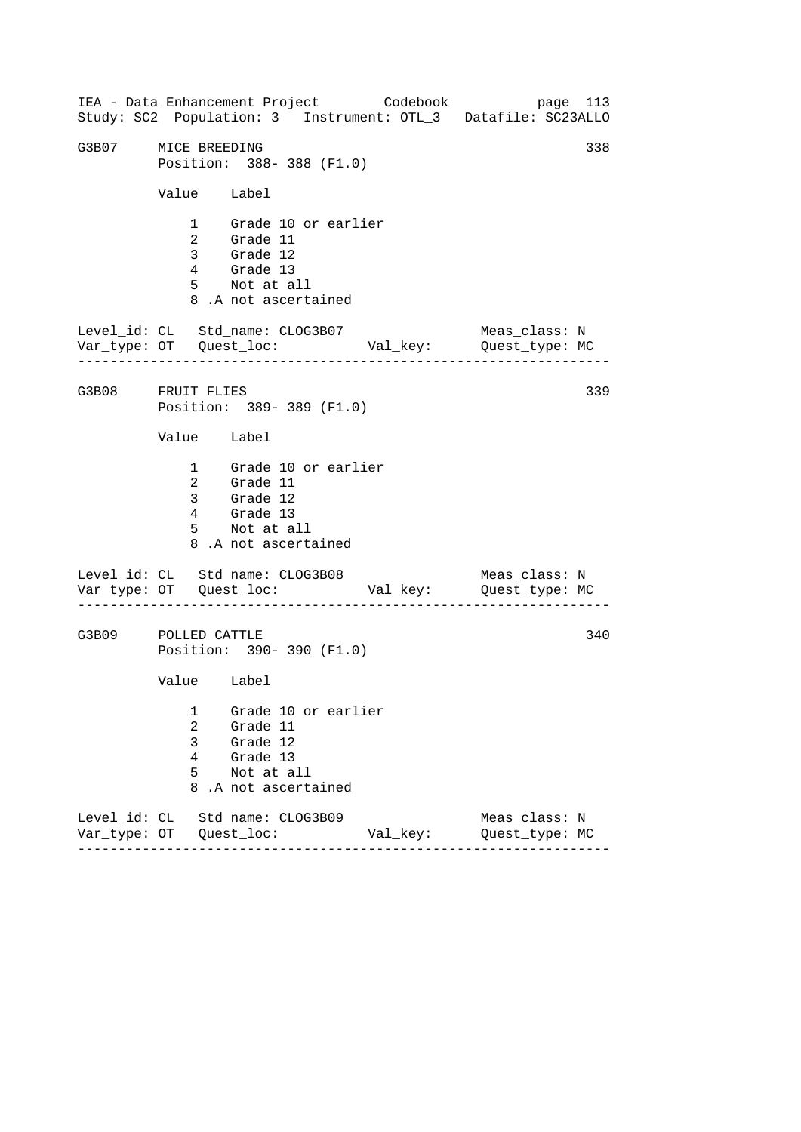------------------------------------------------------------------ ------------------------------------------------------------------ ------------------------------------------------------------------ IEA - Data Enhancement Project Codebook page 113 Study: SC2 Population: 3 Instrument: OTL\_3 Datafile: SC23ALLO G3B07 MICE BREEDING 338 Position: 388- 388 (F1.0) Value Label 1 Grade 10 or earlier 2 Grade 11 3 Grade 12 4 Grade 13 5 Not at all 8 .A not ascertained Level\_id: CL Std\_name: CLOG3B07 Meas\_class: N Var\_type: OT Quest\_loc: Val\_key: Quest\_type: MC G3B08 FRUIT FLIES Position: 389- 389 (F1.0) Value Label 1 Grade 10 or earlier 2 Grade 11 3 Grade 12 4 Grade 13 5 Not at all 8 .A not ascertained Level\_id: CL Std\_name: CLOG3B08 Var\_type: OT Quest\_loc: Val\_key: Quest\_type: MC Meas\_class: N G3B09 POLLED CATTLE Position: 390- 390 (F1.0) Value Label 1 Grade 10 or earlier 2 Grade 11 3 Grade 12 4 Grade 13 5 Not at all 8 .A not ascertained Level\_id: CL Std\_name: CLOG3B09 Meas\_class: N Var\_type: OT Quest\_loc: Val\_key: Quest\_type: MC 339 340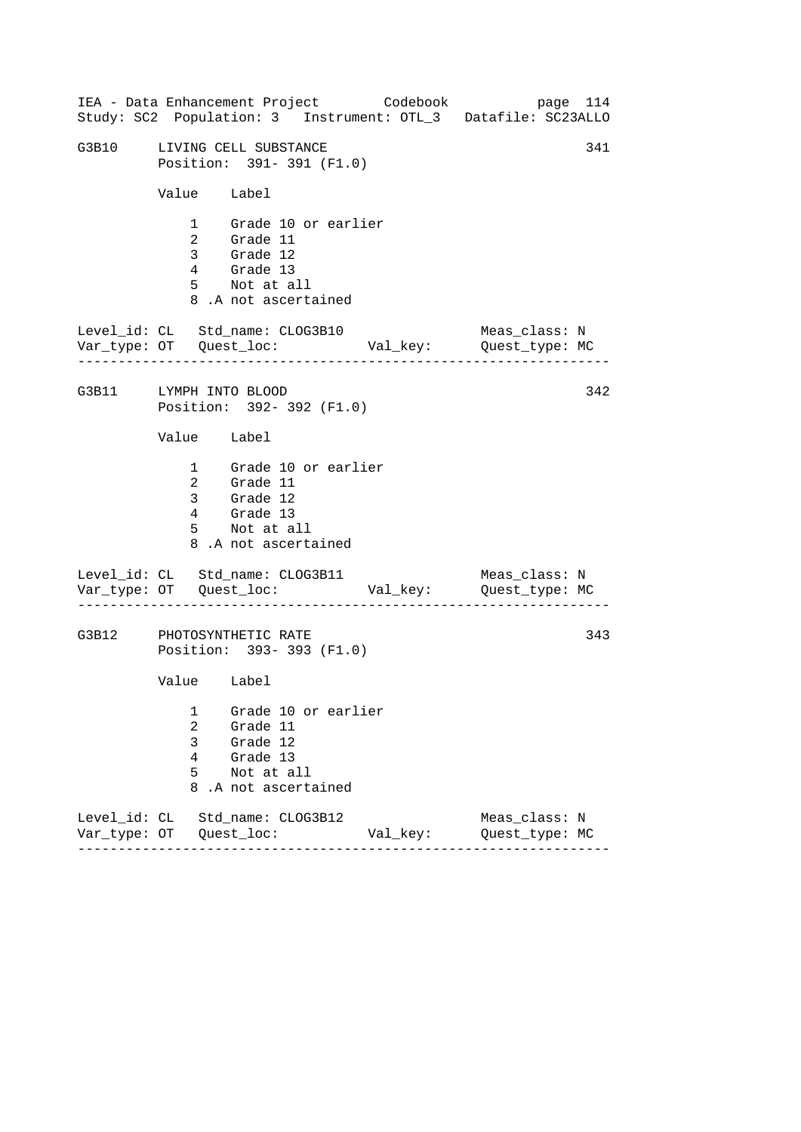|                        |                                         | IEA - Data Enhancement Project Codebook                                                                |          | Study: SC2 Population: 3 Instrument: OTL_3 Datafile: SC23ALLO | page 114 |
|------------------------|-----------------------------------------|--------------------------------------------------------------------------------------------------------|----------|---------------------------------------------------------------|----------|
|                        |                                         | G3B10 LIVING CELL SUBSTANCE<br>Position: 391-391 (F1.0)                                                |          |                                                               | 341      |
|                        | Value Label                             |                                                                                                        |          |                                                               |          |
|                        |                                         | 1 Grade 10 or earlier<br>2 Grade 11<br>3 Grade 12<br>4 Grade 13<br>5 Not at all<br>8.A not ascertained |          |                                                               |          |
|                        |                                         | Level_id: CL Std_name: CLOG3B10                                                                        |          | Meas_class: N                                                 |          |
| G3B11 LYMPH INTO BLOOD |                                         | Position: 392- 392 (F1.0)                                                                              |          |                                                               | 342      |
|                        | Value Label                             |                                                                                                        |          |                                                               |          |
|                        |                                         | 1 Grade 10 or earlier<br>2 Grade 11<br>3 Grade 12<br>4 Grade 13<br>5 Not at all<br>8.A not ascertained |          |                                                               |          |
|                        |                                         | Level_id: CL Std_name: CLOG3B11                                                                        |          | Meas_class: N                                                 |          |
|                        |                                         | G3B12 PHOTOSYNTHETIC RATE<br>Position: 393-393 (F1.0)                                                  |          |                                                               | 343      |
|                        | Value Label                             |                                                                                                        |          |                                                               |          |
|                        | 1<br>$\overline{a}$<br>3<br>4<br>5<br>8 | Grade 10 or earlier<br>Grade 11<br>Grade 12<br>Grade 13<br>Not at all<br>.A not ascertained            |          |                                                               |          |
|                        |                                         | Level_id: CL Std_name: CLOG3B12                                                                        | Val_key: | Meas_class: N<br>Quest_type: MC                               |          |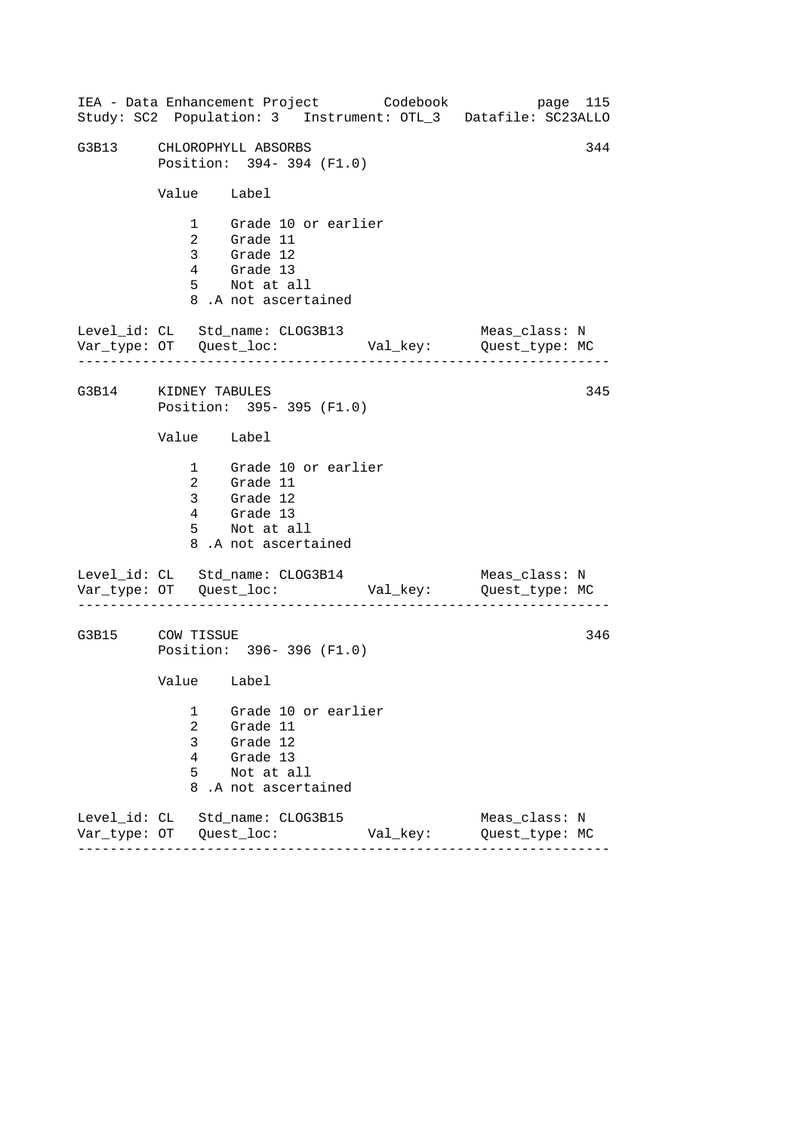------------------------------------------------------------------ ------------------------------------------------------------------ ------------------------------------------------------------------ IEA - Data Enhancement Project Codebook page 115 Study: SC2 Population: 3 Instrument: OTL\_3 Datafile: SC23ALLO G3B13 CHLOROPHYLL ABSORBS 344 Position: 394- 394 (F1.0) Value Label 1 Grade 10 or earlier 2 Grade 11 3 Grade 12 4 Grade 13 5 Not at all 8 .A not ascertained Level\_id: CL Std\_name: CLOG3B13 Meas\_class: N Var\_type: OT Quest\_loc: Val\_key: Quest\_type: MC G3B14 KIDNEY TABULES Position: 395- 395 (F1.0) Value Label 1 Grade 10 or earlier 2 Grade 11 3 Grade 12 4 Grade 13 5 Not at all 8 .A not ascertained Level\_id: CL Std\_name: CLOG3B14 Var\_type: OT Quest\_loc: Val\_key: Quest\_type: MC Meas\_class: N G3B15 COW TISSUE Position: 396- 396 (F1.0) Value Label 1 Grade 10 or earlier 2 Grade 11 3 Grade 12 4 Grade 13 5 Not at all 8 .A not ascertained Level\_id: CL Std\_name: CLOG3B15 Meas\_class: N Var\_type: OT Quest\_loc: Val\_key: Quest\_type: MC 345 346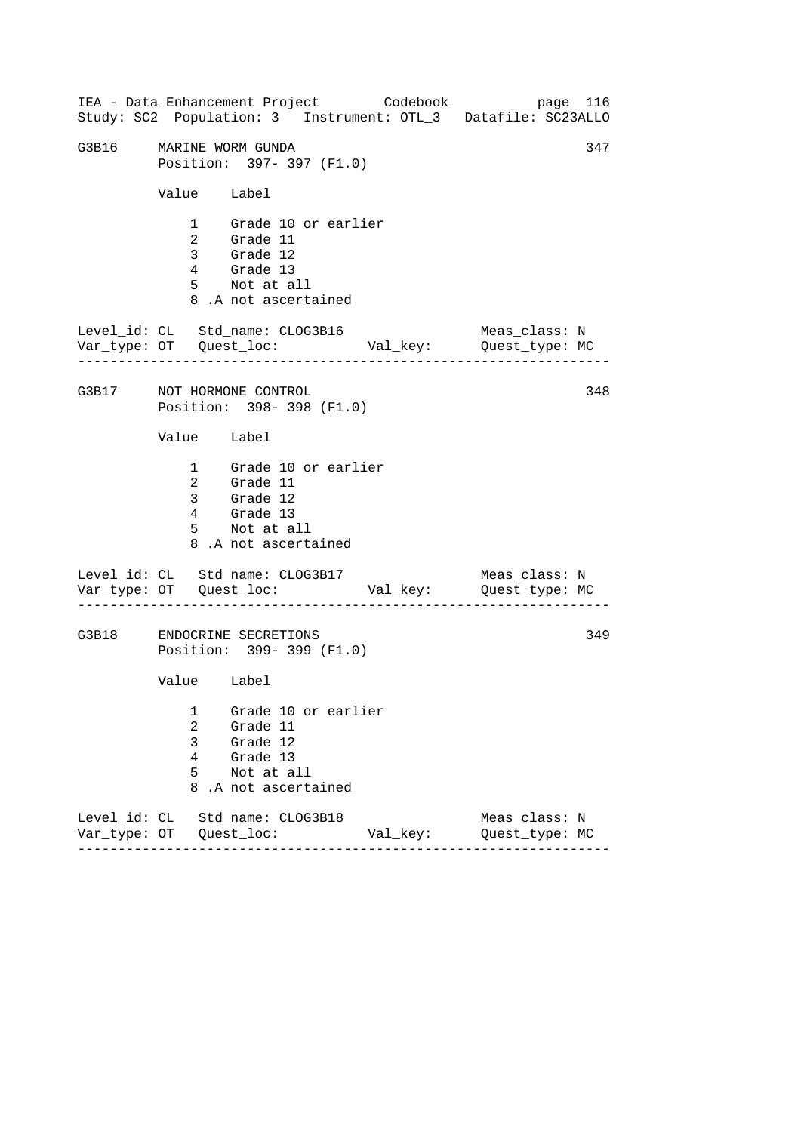------------------------------------------------------------------ ------------------------------------------------------------------ ------------------------------------------------------------------ IEA - Data Enhancement Project Codebook page 116 Study: SC2 Population: 3 Instrument: OTL\_3 Datafile: SC23ALLO G3B16 MARINE WORM GUNDA 347 Position: 397- 397 (F1.0) Value Label 1 Grade 10 or earlier 2 Grade 11 3 Grade 12 4 Grade 13 5 Not at all 8 .A not ascertained Level\_id: CL Std\_name: CLOG3B16 Meas\_class: N Var\_type: OT Quest\_loc: Val\_key: Quest\_type: MC G3B17 NOT HORMONE CONTROL Position: 398- 398 (F1.0) Value Label 1 Grade 10 or earlier 2 Grade 11 3 Grade 12 4 Grade 13 5 Not at all 8 .A not ascertained Level\_id: CL Std\_name: CLOG3B17 Var\_type: OT Quest\_loc: Val\_key: Quest\_type: MC Meas\_class: N G3B18 ENDOCRINE SECRETIONS Position: 399- 399 (F1.0) Value Label 1 Grade 10 or earlier 2 Grade 11 3 Grade 12 4 Grade 13 5 Not at all 8 .A not ascertained Level\_id: CL Std\_name: CLOG3B18 Meas\_class: N Var\_type: OT Quest\_loc: Val\_key: Quest\_type: MC 348 349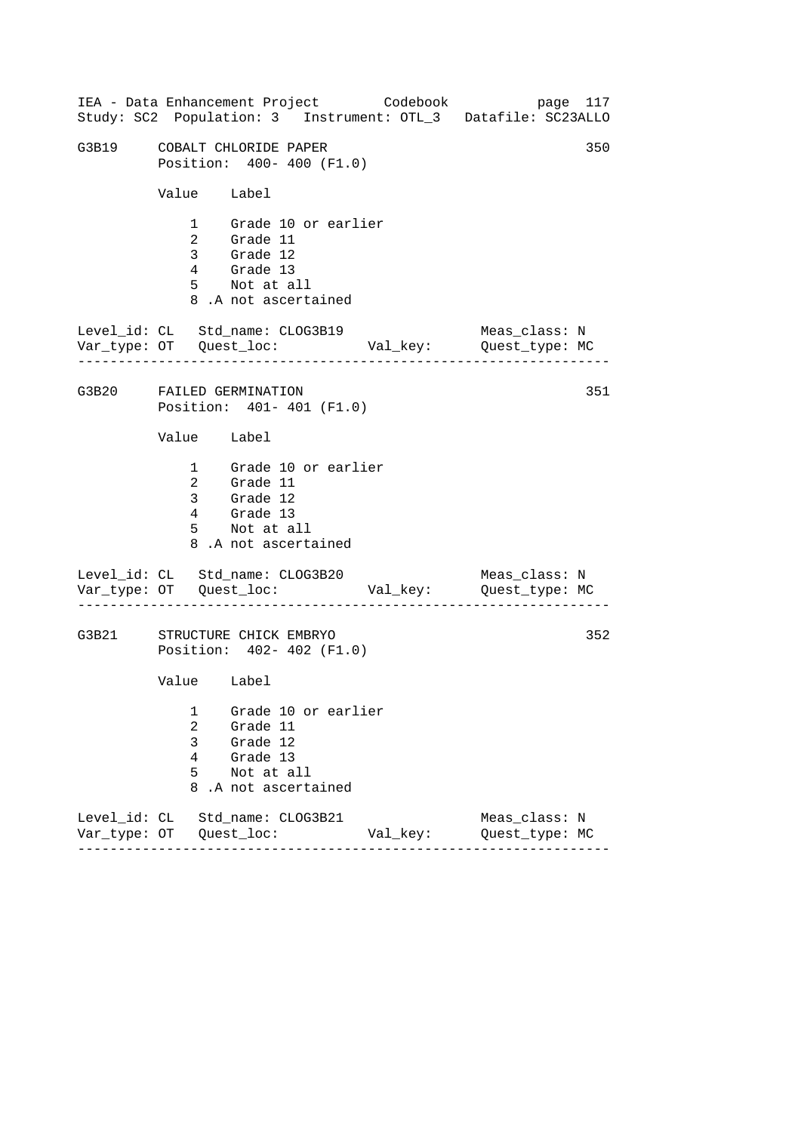------------------------------------------------------------------ ------------------------------------------------------------------ ------------------------------------------------------------------ IEA - Data Enhancement Project Codebook page 117 Study: SC2 Population: 3 Instrument: OTL\_3 Datafile: SC23ALLO G3B19 COBALT CHLORIDE PAPER 350 Position: 400- 400 (F1.0) Value Label 1 Grade 10 or earlier 2 Grade 11 3 Grade 12 4 Grade 13 5 Not at all 8 .A not ascertained Level\_id: CL Std\_name: CLOG3B19 Meas\_class: N Var\_type: OT Quest\_loc: Val\_key: Quest\_type: MC G3B20 FAILED GERMINATION Position: 401- 401 (F1.0) Value Label 1 Grade 10 or earlier 2 Grade 11 3 Grade 12 4 Grade 13 5 Not at all 8 .A not ascertained Level\_id: CL Std\_name: CLOG3B20 Var\_type: OT Quest\_loc: Val\_key: Quest\_type: MC Meas\_class: N G3B21 STRUCTURE CHICK EMBRYO Position: 402- 402 (F1.0) Value Label 1 Grade 10 or earlier 2 Grade 11 3 Grade 12 4 Grade 13 5 Not at all 8 .A not ascertained Level\_id: CL Std\_name: CLOG3B21 Meas\_class: N Var\_type: OT Quest\_loc: Val\_key: Quest\_type: MC 351 352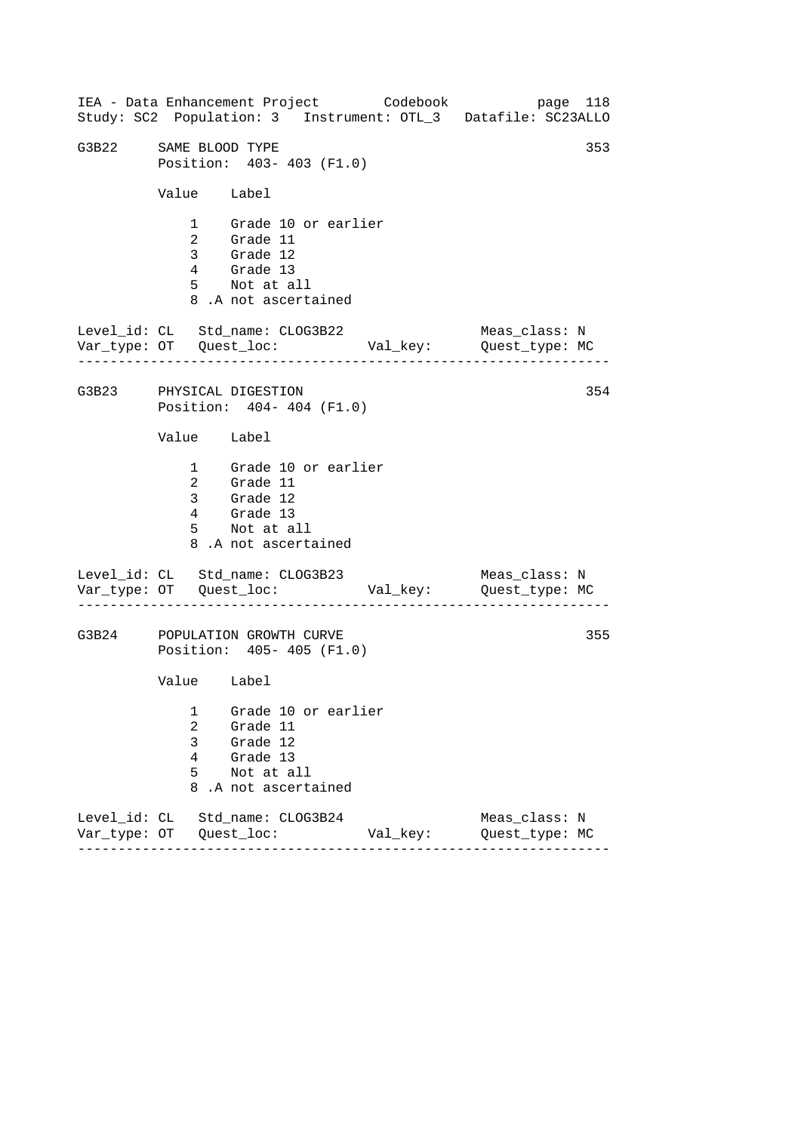------------------------------------------------------------------ ------------------------------------------------------------------ ------------------------------------------------------------------ IEA - Data Enhancement Project Codebook page 118 Study: SC2 Population: 3 Instrument: OTL\_3 Datafile: SC23ALLO G3B22 SAME BLOOD TYPE 353 Position: 403- 403 (F1.0) Value Label 1 Grade 10 or earlier 2 Grade 11 3 Grade 12 4 Grade 13 5 Not at all 8 .A not ascertained Level\_id: CL Std\_name: CLOG3B22 Meas\_class: N Var\_type: OT Quest\_loc: Val\_key: Quest\_type: MC G3B23 PHYSICAL DIGESTION Position: 404- 404 (F1.0) Value Label 1 Grade 10 or earlier 2 Grade 11 3 Grade 12 4 Grade 13 5 Not at all 8 .A not ascertained Level\_id: CL Std\_name: CLOG3B23 Var\_type: OT Quest\_loc: Val\_key: Quest\_type: MC Meas\_class: N G3B24 POPULATION GROWTH CURVE Position: 405- 405 (F1.0) Value Label 1 Grade 10 or earlier 2 Grade 11 3 Grade 12 4 Grade 13 5 Not at all 8 .A not ascertained Level\_id: CL Std\_name: CLOG3B24 Meas\_class: N Var\_type: OT Quest\_loc: Val\_key: Quest\_type: MC 354 355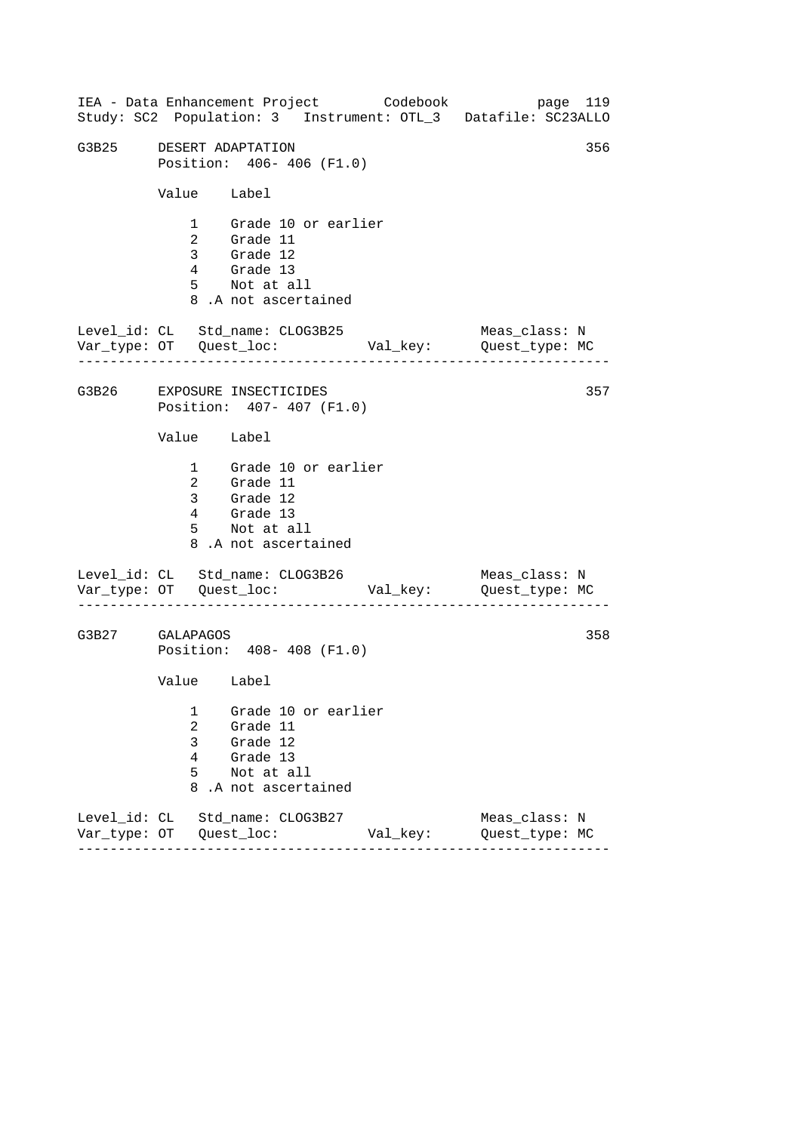|                 |                                         | IEA - Data Enhancement Project Codebook                                                                |          | page 119<br>Study: SC2 Population: 3 Instrument: OTL_3 Datafile: SC23ALLO |
|-----------------|-----------------------------------------|--------------------------------------------------------------------------------------------------------|----------|---------------------------------------------------------------------------|
| G3B25           |                                         | DESERT ADAPTATION<br>Position: 406- 406 (F1.0)                                                         |          | 356                                                                       |
|                 | Value Label                             |                                                                                                        |          |                                                                           |
|                 |                                         | 1 Grade 10 or earlier<br>2 Grade 11<br>3 Grade 12<br>4 Grade 13<br>5 Not at all<br>8.A not ascertained |          |                                                                           |
|                 |                                         | Level_id: CL Std_name: CLOG3B25                                                                        |          | Meas_class: N                                                             |
|                 |                                         | G3B26 EXPOSURE INSECTICIDES<br>Position: 407- 407 (F1.0)                                               |          | 357                                                                       |
|                 | Value Label                             |                                                                                                        |          |                                                                           |
|                 | $4\overline{ }$                         | 1 Grade 10 or earlier<br>2 Grade 11<br>3 Grade 12<br>Grade 13<br>5 Not at all<br>8.A not ascertained   |          |                                                                           |
|                 |                                         | Level_id: CL Std_name: CLOG3B26                                                                        |          | Meas_class: N                                                             |
| G3B27 GALAPAGOS |                                         | Position: 408- 408 (F1.0)                                                                              |          | 358                                                                       |
|                 | Value Label                             |                                                                                                        |          |                                                                           |
|                 | 1<br>$\overline{2}$<br>3<br>4<br>5<br>8 | Grade 10 or earlier<br>Grade 11<br>Grade 12<br>Grade 13<br>Not at all<br>.A not ascertained            |          |                                                                           |
|                 |                                         | Level_id: CL Std_name: CLOG3B27                                                                        | Val_key: | Meas_class: N<br>Quest_type: MC                                           |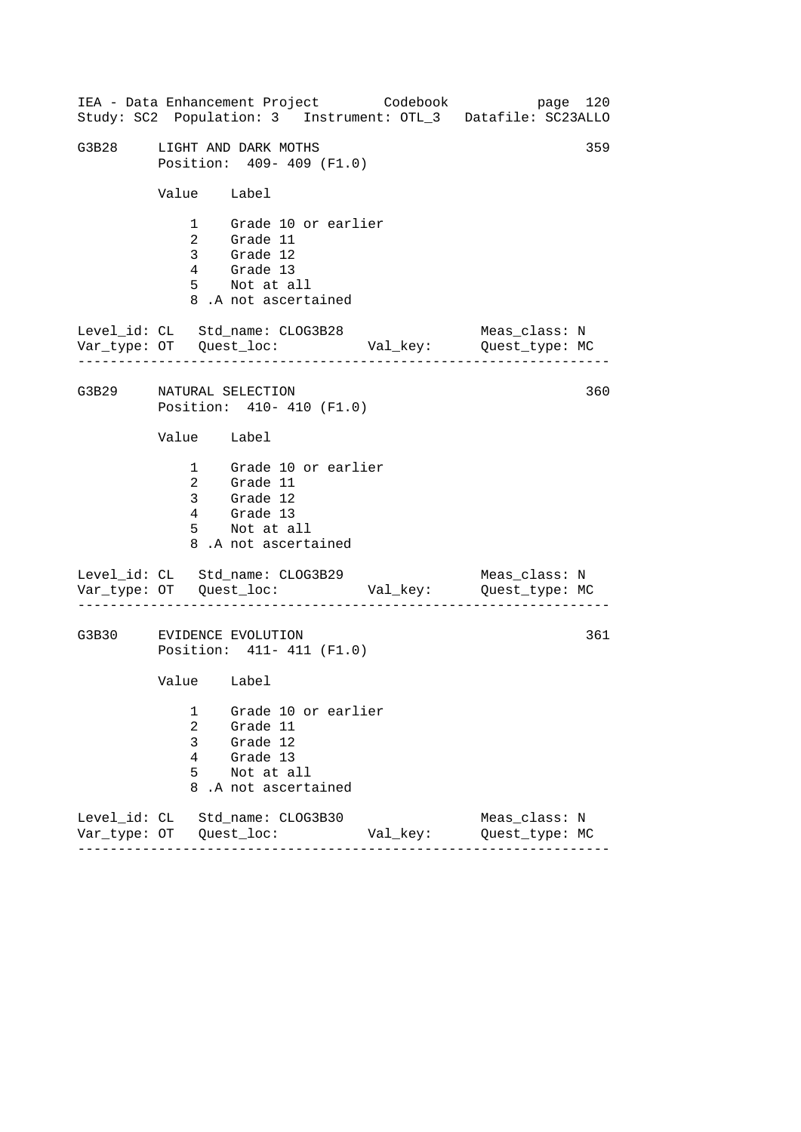------------------------------------------------------------------ ------------------------------------------------------------------ ------------------------------------------------------------------ IEA - Data Enhancement Project Codebook page 120 Study: SC2 Population: 3 Instrument: OTL\_3 Datafile: SC23ALLO G3B28 LIGHT AND DARK MOTHS 359 Position: 409- 409 (F1.0) Value Label 1 Grade 10 or earlier 2 Grade 11 3 Grade 12 4 Grade 13 5 Not at all 8 .A not ascertained Level\_id: CL Std\_name: CLOG3B28 Meas\_class: N Var\_type: OT Quest\_loc: Val\_key: Quest\_type: MC G3B29 NATURAL SELECTION Position: 410- 410 (F1.0) Value Label 1 Grade 10 or earlier 2 Grade 11 3 Grade 12 4 Grade 13 5 Not at all 8 .A not ascertained Level\_id: CL Std\_name: CLOG3B29 Var\_type: OT Quest\_loc: Val\_key: Quest\_type: MC Meas\_class: N G3B30 EVIDENCE EVOLUTION Position: 411- 411 (F1.0) Value Label 1 Grade 10 or earlier 2 Grade 11 3 Grade 12 4 Grade 13 5 Not at all 8 .A not ascertained Level\_id: CL Std\_name: CLOG3B30 Meas\_class: N Var\_type: OT Quest\_loc: Val\_key: Quest\_type: MC 360 361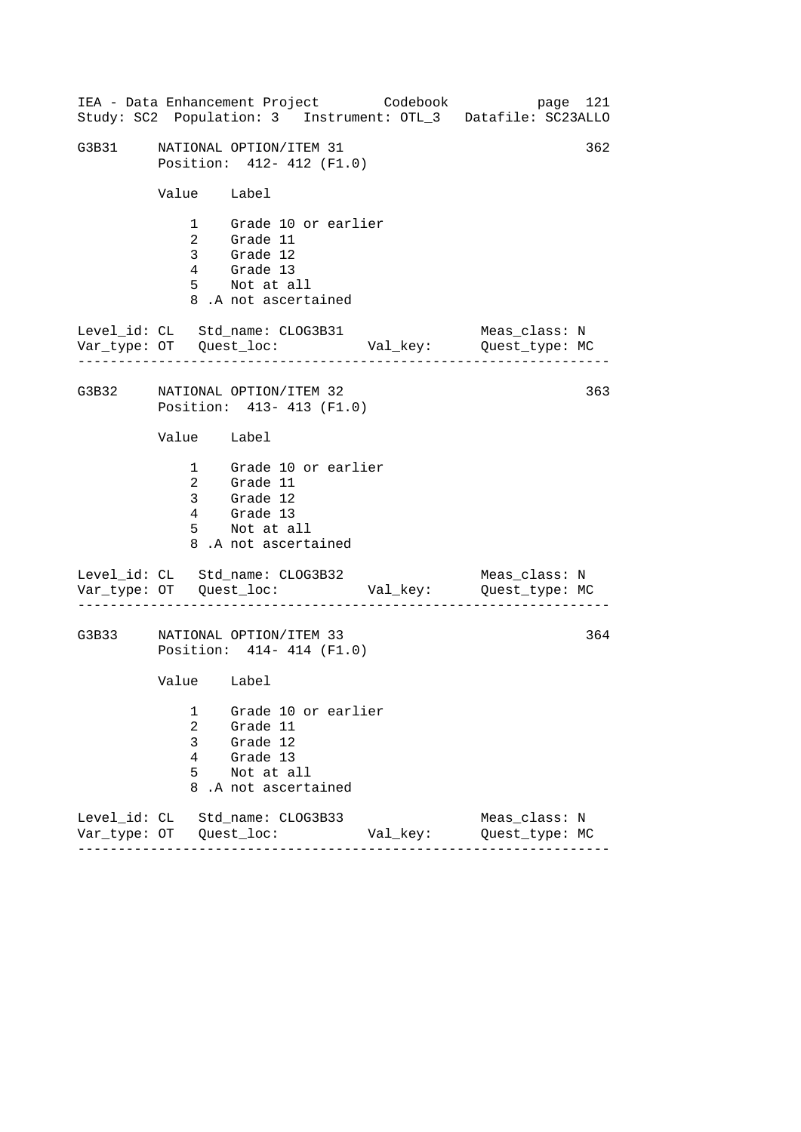|       |                                         | IEA - Data Enhancement Project Codebook                                                                |          | page 121<br>Study: SC2 Population: 3 Instrument: OTL_3 Datafile: SC23ALLO |
|-------|-----------------------------------------|--------------------------------------------------------------------------------------------------------|----------|---------------------------------------------------------------------------|
| G3B31 |                                         | NATIONAL OPTION/ITEM 31<br>Position: 412- 412 (F1.0)                                                   |          | 362                                                                       |
|       | Value Label                             |                                                                                                        |          |                                                                           |
|       |                                         | 1 Grade 10 or earlier<br>2 Grade 11<br>3 Grade 12<br>4 Grade 13<br>5 Not at all<br>8.A not ascertained |          |                                                                           |
|       |                                         | Level_id: CL Std_name: CLOG3B31                                                                        |          | Meas_class: N                                                             |
|       |                                         | G3B32 NATIONAL OPTION/ITEM 32<br>Position: 413- 413 (F1.0)                                             |          | 363                                                                       |
|       | Value Label                             |                                                                                                        |          |                                                                           |
|       | $4\overline{ }$                         | 1 Grade 10 or earlier<br>2 Grade 11<br>3 Grade 12<br>Grade 13<br>5 Not at all<br>8.A not ascertained   |          |                                                                           |
|       |                                         | Level_id: CL Std_name: CLOG3B32                                                                        |          | Meas_class: N                                                             |
| G3B33 |                                         | NATIONAL OPTION/ITEM 33<br>Position: 414-414 (F1.0)                                                    |          | 364                                                                       |
|       | Value Label                             |                                                                                                        |          |                                                                           |
|       | 1<br>$\overline{a}$<br>3<br>4<br>5<br>8 | Grade 10 or earlier<br>Grade 11<br>Grade 12<br>Grade 13<br>Not at all<br>.A not ascertained            |          |                                                                           |
|       |                                         | Level_id: CL Std_name: CLOG3B33                                                                        | Val_key: | Meas_class: N<br>Quest_type: MC                                           |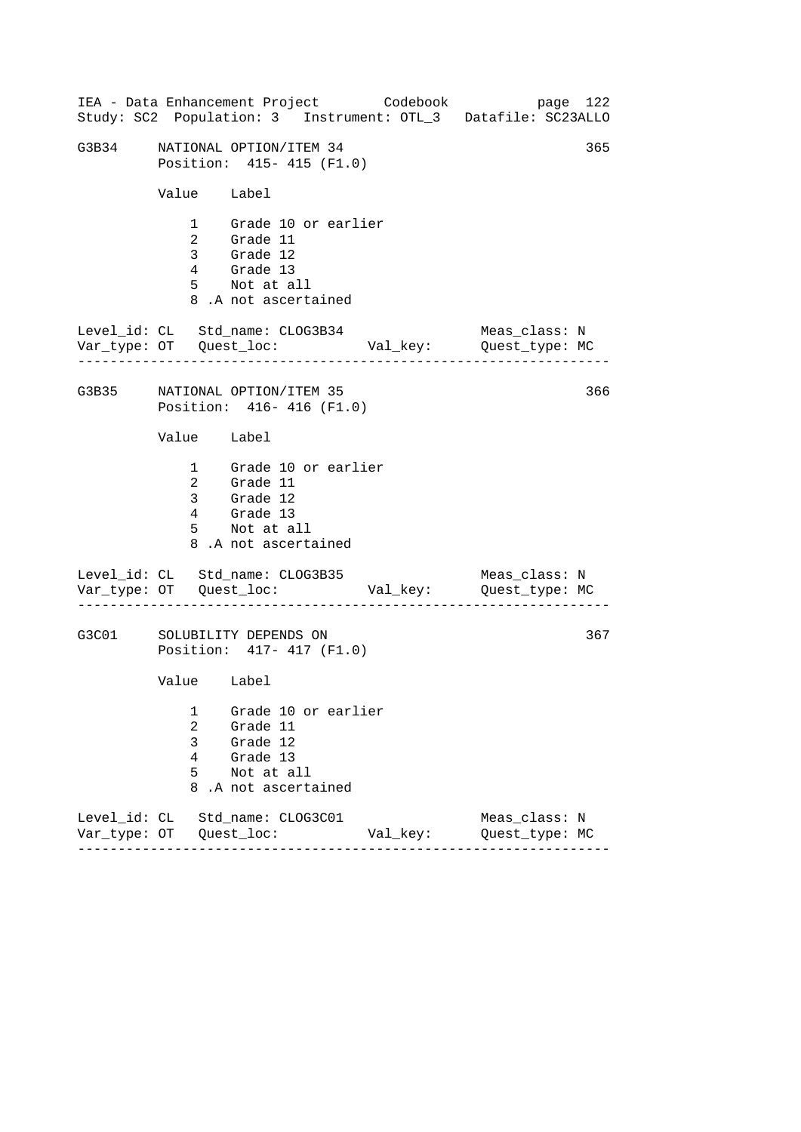|       |                            | IEA - Data Enhancement Project Codebook                                                                |          | page 122<br>Study: SC2 Population: 3 Instrument: OTL_3 Datafile: SC23ALLO |
|-------|----------------------------|--------------------------------------------------------------------------------------------------------|----------|---------------------------------------------------------------------------|
| G3B34 |                            | NATIONAL OPTION/ITEM 34<br>Position: 415- 415 (F1.0)                                                   |          | 365                                                                       |
|       | Value Label                |                                                                                                        |          |                                                                           |
|       |                            | 1 Grade 10 or earlier<br>2 Grade 11<br>3 Grade 12<br>4 Grade 13<br>5 Not at all<br>8.A not ascertained |          |                                                                           |
|       |                            | Level_id: CL Std_name: CLOG3B34                                                                        |          | Meas_class: N<br>Var_type: OT Quest_loc: Val_key: Quest_type: MC          |
|       |                            | G3B35 NATIONAL OPTION/ITEM 35<br>Position: 416-416 (F1.0)                                              |          | 366                                                                       |
|       | Value Label                |                                                                                                        |          |                                                                           |
|       |                            | 1 Grade 10 or earlier<br>2 Grade 11<br>3 Grade 12<br>4 Grade 13<br>5 Not at all<br>8.A not ascertained |          |                                                                           |
|       |                            | Level_id: CL Std_name: CLOG3B35                                                                        |          | Meas_class: N                                                             |
| G3C01 |                            | SOLUBILITY DEPENDS ON<br>Position: 417- 417 (F1.0)                                                     |          | 367                                                                       |
|       | Value Label                |                                                                                                        |          |                                                                           |
|       | 1<br>2<br>3<br>4<br>5<br>8 | Grade 10 or earlier<br>Grade 11<br>Grade 12<br>Grade 13<br>Not at all<br>.A not ascertained            |          |                                                                           |
|       |                            | Level id: CL Std name: CLOG3C01                                                                        | Val_key: | Meas class: N<br>Quest_type: MC                                           |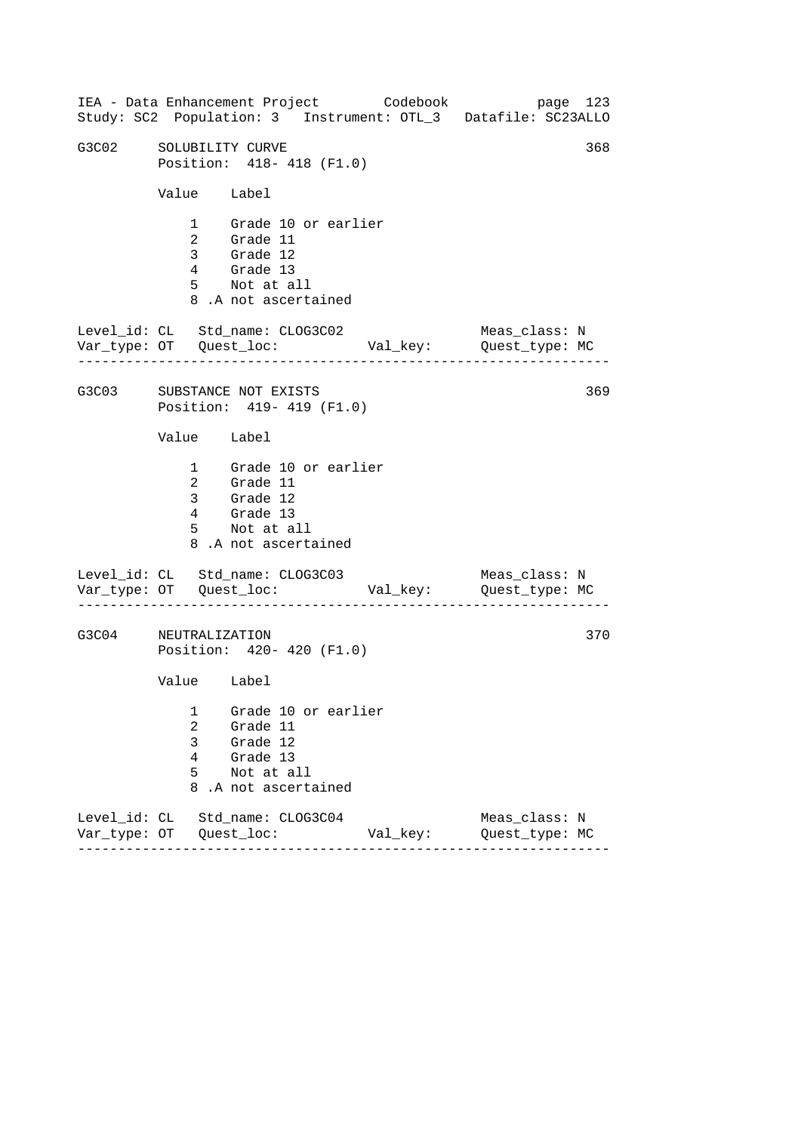------------------------------------------------------------------ ------------------------------------------------------------------ ------------------------------------------------------------------ IEA - Data Enhancement Project Codebook page 123 Study: SC2 Population: 3 Instrument: OTL\_3 Datafile: SC23ALLO G3C02 SOLUBILITY CURVE 368 Position: 418- 418 (F1.0) Value Label 1 Grade 10 or earlier 2 Grade 11 3 Grade 12 4 Grade 13 5 Not at all 8 .A not ascertained Level\_id: CL Std\_name: CLOG3C02 Meas\_class: N Var\_type: OT Quest\_loc: Val\_key: Quest\_type: MC G3C03 SUBSTANCE NOT EXISTS Position: 419- 419 (F1.0) Value Label 1 Grade 10 or earlier 2 Grade 11 3 Grade 12 4 Grade 13 5 Not at all 8 .A not ascertained Level\_id: CL Std\_name: CLOG3C03 Var\_type: OT Quest\_loc: Val\_key: Quest\_type: MC Meas\_class: N G3C04 NEUTRALIZATION Position: 420- 420 (F1.0) Value Label 1 Grade 10 or earlier 2 Grade 11 3 Grade 12 4 Grade 13 5 Not at all 8 .A not ascertained Level\_id: CL Std\_name: CLOG3C04 Meas\_class: N Var\_type: OT Quest\_loc: Val\_key: Quest\_type: MC 369 370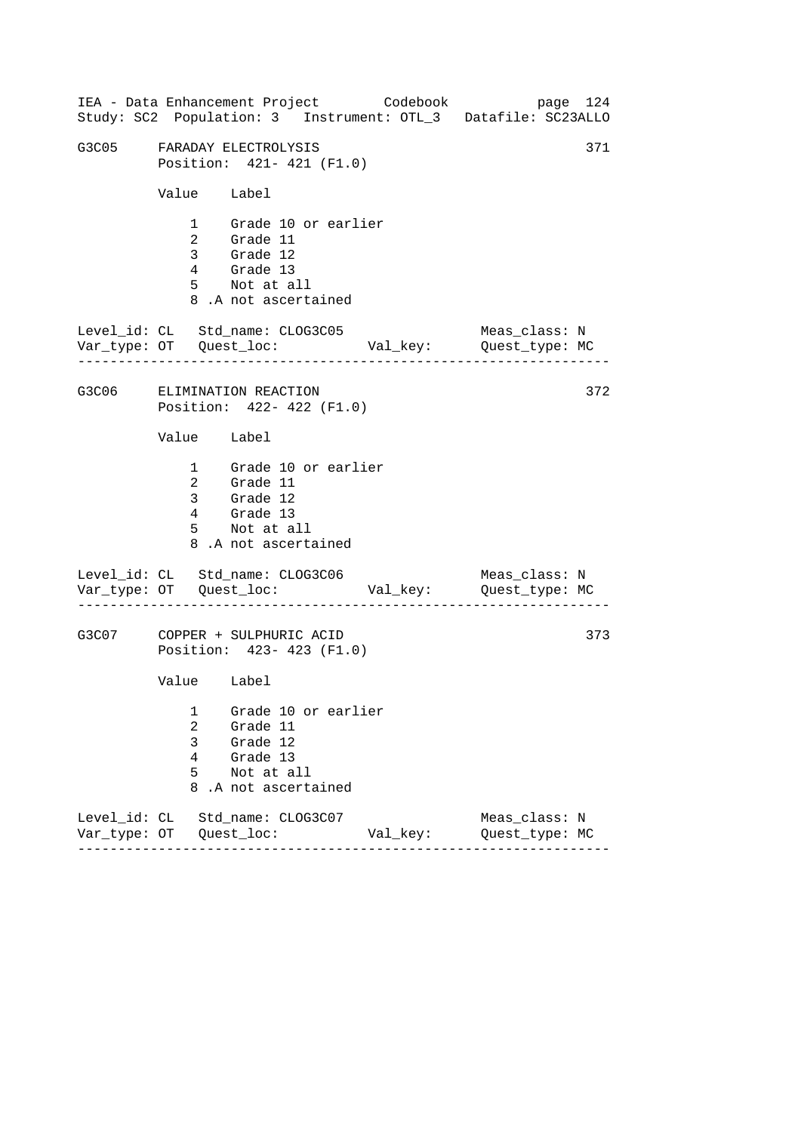|       |                                         |                                                                                                        | IEA - Data Enhancement Project Codebook | page 124<br>Study: SC2 Population: 3 Instrument: OTL_3 Datafile: SC23ALLO |
|-------|-----------------------------------------|--------------------------------------------------------------------------------------------------------|-----------------------------------------|---------------------------------------------------------------------------|
| G3C05 |                                         | FARADAY ELECTROLYSIS<br>Position: 421- 421 (F1.0)                                                      |                                         | 371                                                                       |
|       | Value Label                             |                                                                                                        |                                         |                                                                           |
|       |                                         | 1 Grade 10 or earlier<br>2 Grade 11<br>3 Grade 12<br>4 Grade 13<br>5 Not at all<br>8.A not ascertained |                                         |                                                                           |
|       |                                         | Level_id: CL Std_name: CLOG3C05                                                                        |                                         | Meas_class: N                                                             |
|       |                                         | G3C06 ELIMINATION REACTION<br>Position: 422- 422 (F1.0)                                                |                                         | 372                                                                       |
|       | Value Label                             |                                                                                                        |                                         |                                                                           |
|       | $4\overline{ }$                         | 1 Grade 10 or earlier<br>2 Grade 11<br>3 Grade 12<br>Grade 13<br>5 Not at all<br>8.A not ascertained   |                                         |                                                                           |
|       |                                         | Level_id: CL Std_name: CLOG3C06                                                                        |                                         | Meas_class: N                                                             |
| G3C07 |                                         | COPPER + SULPHURIC ACID<br>Position: 423- 423 (F1.0)                                                   |                                         | 373                                                                       |
|       | Value Label                             |                                                                                                        |                                         |                                                                           |
|       | 1<br>$\overline{2}$<br>3<br>4<br>5<br>8 | Grade 10 or earlier<br>Grade 11<br>Grade 12<br>Grade 13<br>Not at all<br>.A not ascertained            |                                         |                                                                           |
|       |                                         | Level_id: CL Std_name: CLOG3C07                                                                        | Val_key:                                | Meas_class: N<br>Quest_type: MC                                           |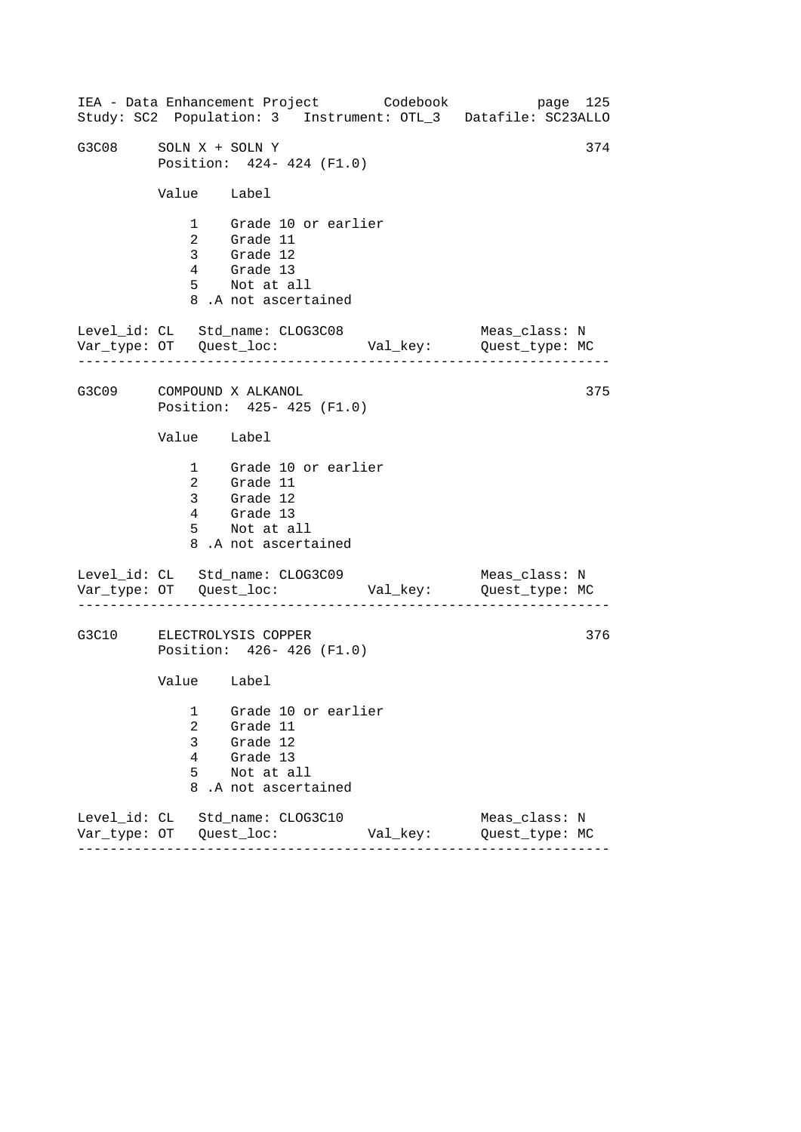------------------------------------------------------------------ ------------------------------------------------------------------ ------------------------------------------------------------------ IEA - Data Enhancement Project Codebook page 125 Study: SC2 Population: 3 Instrument: OTL\_3 Datafile: SC23ALLO G3C08 SOLN  $X +$  SOLN  $Y$  374 Position: 424- 424 (F1.0) Value Label 1 Grade 10 or earlier 2 Grade 11 3 Grade 12 4 Grade 13 5 Not at all 8 .A not ascertained Level\_id: CL Std\_name: CLOG3C08 Meas\_class: N Var\_type: OT Quest\_loc: Val\_key: Quest\_type: MC G3C09 COMPOUND X ALKANOL Position: 425- 425 (F1.0) Value Label 1 Grade 10 or earlier 2 Grade 11 3 Grade 12 4 Grade 13 5 Not at all 8 .A not ascertained Level\_id: CL Std\_name: CLOG3C09 Var\_type: OT Quest\_loc: Val\_key: Quest\_type: MC Meas\_class: N G3C10 ELECTROLYSIS COPPER Position: 426- 426 (F1.0) Value Label 1 Grade 10 or earlier 2 Grade 11 3 Grade 12 4 Grade 13 5 Not at all 8 .A not ascertained Level\_id: CL Std\_name: CLOG3C10 Meas\_class: N Var\_type: OT Quest\_loc: Val\_key: Quest\_type: MC 375 376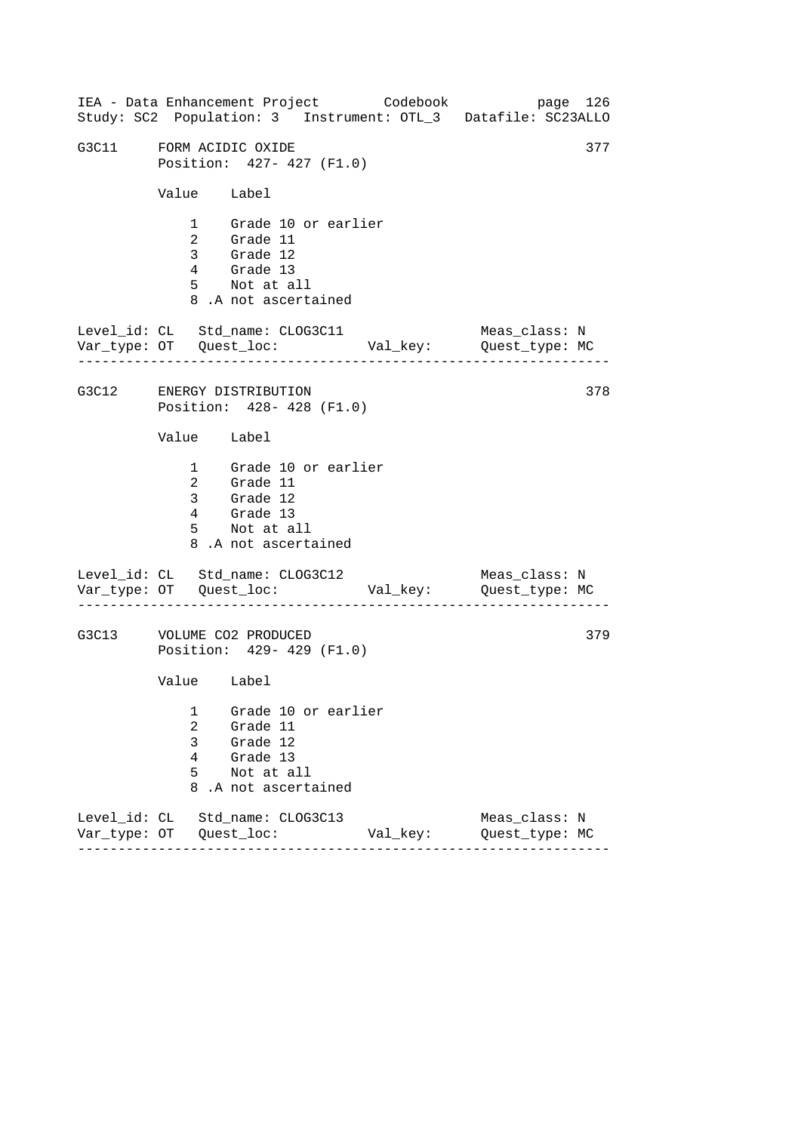------------------------------------------------------------------ ------------------------------------------------------------------ ------------------------------------------------------------------ IEA - Data Enhancement Project Codebook page 126 Study: SC2 Population: 3 Instrument: OTL\_3 Datafile: SC23ALLO G3C11 FORM ACIDIC OXIDE 377 Position: 427- 427 (F1.0) Value Label 1 Grade 10 or earlier 2 Grade 11 3 Grade 12 4 Grade 13 5 Not at all 8 .A not ascertained Level\_id: CL Std\_name: CLOG3C11 Meas\_class: N Var\_type: OT Quest\_loc: Val\_key: Quest\_type: MC G3C12 ENERGY DISTRIBUTION Position: 428- 428 (F1.0) Value Label 1 Grade 10 or earlier 2 Grade 11 3 Grade 12 4 Grade 13 5 Not at all 8 .A not ascertained Level\_id: CL Std\_name: CLOG3C12 Var\_type: OT Quest\_loc: Val\_key: Quest\_type: MC Meas\_class: N G3C13 VOLUME CO2 PRODUCED Position: 429- 429 (F1.0) Value Label 1 Grade 10 or earlier 2 Grade 11 3 Grade 12 4 Grade 13 5 Not at all 8 .A not ascertained Level\_id: CL Std\_name: CLOG3C13 Meas\_class: N Var\_type: OT Quest\_loc: Val\_key: Quest\_type: MC 378 379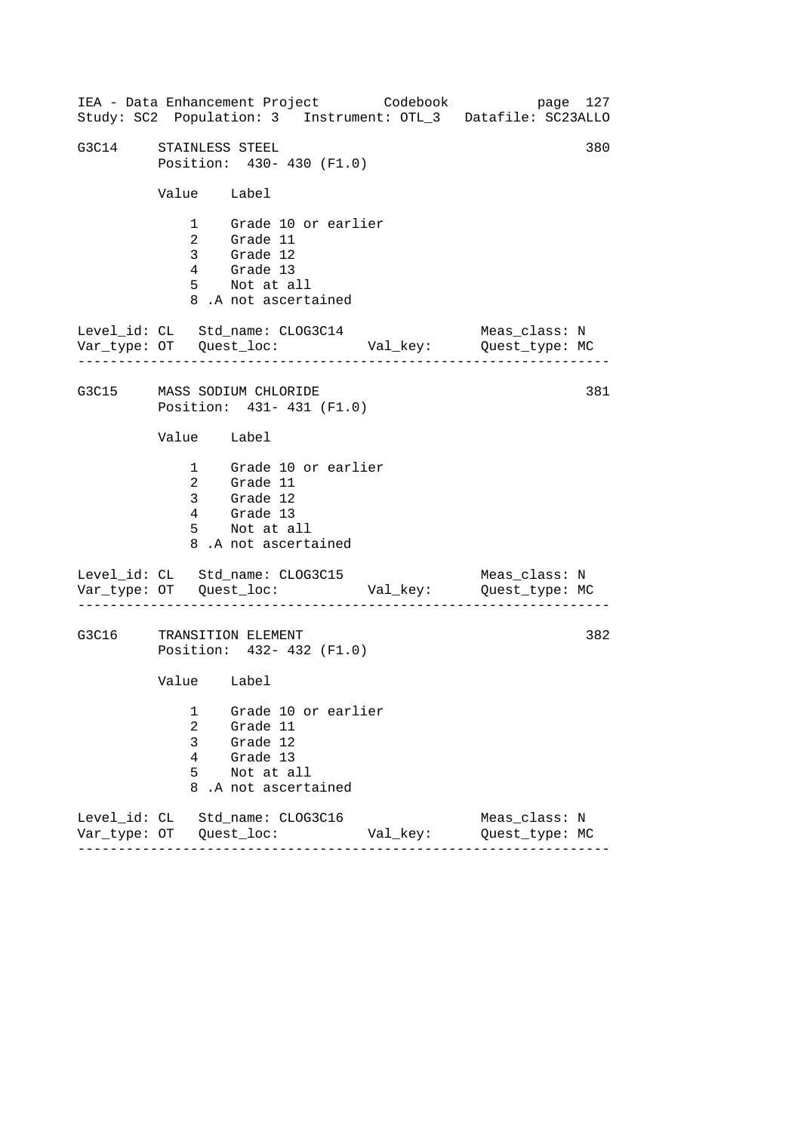------------------------------------------------------------------ ------------------------------------------------------------------ ------------------------------------------------------------------ IEA - Data Enhancement Project Codebook page 127 Study: SC2 Population: 3 Instrument: OTL\_3 Datafile: SC23ALLO G3C14 STAINLESS STEEL 380 Position: 430- 430 (F1.0) Value Label 1 Grade 10 or earlier 2 Grade 11 3 Grade 12 4 Grade 13 5 Not at all 8 .A not ascertained Level\_id: CL Std\_name: CLOG3C14 Meas\_class: N Var\_type: OT Quest\_loc: Val\_key: Quest\_type: MC G3C15 MASS SODIUM CHLORIDE Position: 431- 431 (F1.0) Value Label 1 Grade 10 or earlier 2 Grade 11 3 Grade 12 4 Grade 13 5 Not at all 8 .A not ascertained Level\_id: CL Std\_name: CLOG3C15 Var\_type: OT Quest\_loc: Val\_key: Quest\_type: MC Meas\_class: N G3C16 TRANSITION ELEMENT Position: 432- 432 (F1.0) Value Label 1 Grade 10 or earlier 2 Grade 11 3 Grade 12 4 Grade 13 5 Not at all 8 .A not ascertained Level\_id: CL Std\_name: CLOG3C16 Meas\_class: N Var\_type: OT Quest\_loc: Val\_key: Quest\_type: MC 381 382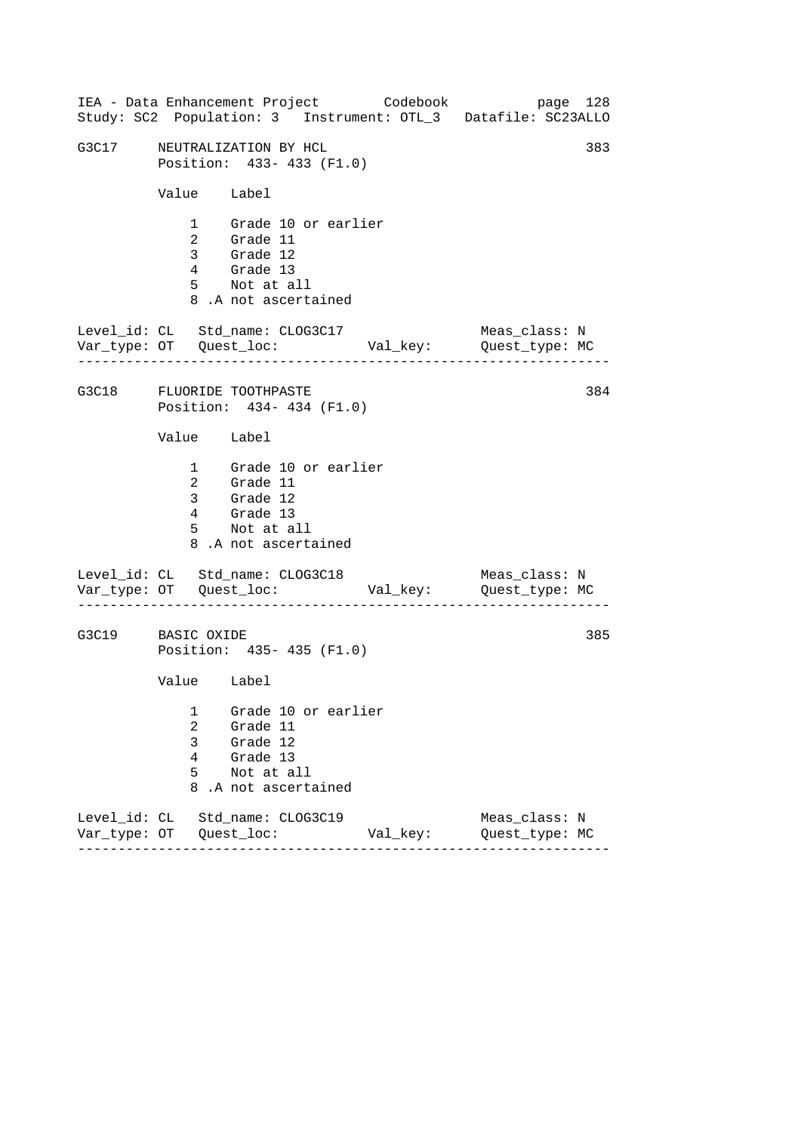------------------------------------------------------------------ ------------------------------------------------------------------ ------------------------------------------------------------------ IEA - Data Enhancement Project Codebook page 128 Study: SC2 Population: 3 Instrument: OTL\_3 Datafile: SC23ALLO G3C17 NEUTRALIZATION BY HCL 383 Position: 433- 433 (F1.0) Value Label 1 Grade 10 or earlier 2 Grade 11 3 Grade 12 4 Grade 13 5 Not at all 8 .A not ascertained Level\_id: CL Std\_name: CLOG3C17 Meas\_class: N Var\_type: OT Quest\_loc: Val\_key: Quest\_type: MC G3C18 FLUORIDE TOOTHPASTE Position: 434- 434 (F1.0) Value Label 1 Grade 10 or earlier 2 Grade 11 3 Grade 12 4 Grade 13 5 Not at all 8 .A not ascertained Level\_id: CL Std\_name: CLOG3C18 Var\_type: OT Quest\_loc: Val\_key: Quest\_type: MC Meas\_class: N G3C19 BASIC OXIDE Position: 435- 435 (F1.0) Value Label 1 Grade 10 or earlier 2 Grade 11 3 Grade 12 4 Grade 13 5 Not at all 8 .A not ascertained Level\_id: CL Std\_name: CLOG3C19 Meas\_class: N Var\_type: OT Quest\_loc: Val\_key: Quest\_type: MC 384 385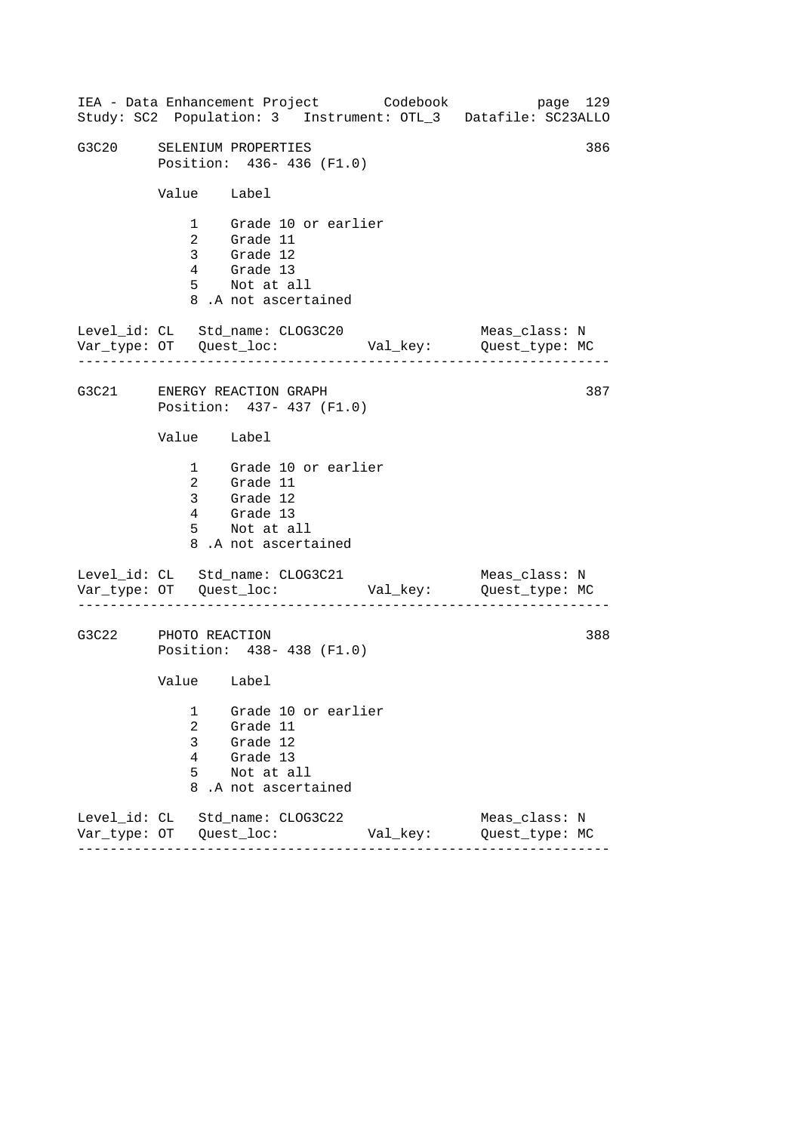|                      |                       | IEA - Data Enhancement Project Codebook<br>Study: SC2 Population: 3 Instrument: OTL_3 Datafile: SC23ALLO |          |                                 | page 129 |
|----------------------|-----------------------|----------------------------------------------------------------------------------------------------------|----------|---------------------------------|----------|
| G3C20                |                       | SELENIUM PROPERTIES<br>Position: 436-436 (F1.0)                                                          |          |                                 | 386      |
|                      | Value Label           |                                                                                                          |          |                                 |          |
|                      |                       | 1 Grade 10 or earlier<br>2 Grade 11<br>3 Grade 12<br>4 Grade 13<br>5 Not at all<br>8.A not ascertained   |          |                                 |          |
|                      |                       | Level_id: CL Std_name: CLOG3C20<br>Var_type: OT Quest_loc: Val_key: Quest_type: MC                       |          | Meas_class: N                   |          |
|                      |                       | G3C21 ENERGY REACTION GRAPH<br>Position: 437- 437 (F1.0)                                                 |          |                                 | 387      |
|                      | Value Label           |                                                                                                          |          |                                 |          |
|                      |                       | 1 Grade 10 or earlier<br>2 Grade 11<br>3 Grade 12<br>4 Grade 13<br>5 Not at all<br>8.A not ascertained   |          |                                 |          |
|                      |                       | Level_id: CL Std_name: CLOG3C21                                                                          |          | Meas_class: N                   |          |
| G3C22 PHOTO REACTION |                       | Position: 438- 438 (F1.0)                                                                                |          |                                 | 388      |
|                      | Value Label           |                                                                                                          |          |                                 |          |
|                      | 1<br>2<br>3<br>4<br>5 | Grade 10 or earlier<br>Grade 11<br>Grade 12<br>Grade 13<br>Not at all<br>8.A not ascertained             |          |                                 |          |
|                      |                       | Level_id: CL Std_name: CLOG3C22                                                                          | Val_key: | Meas_class: N<br>Quest_type: MC |          |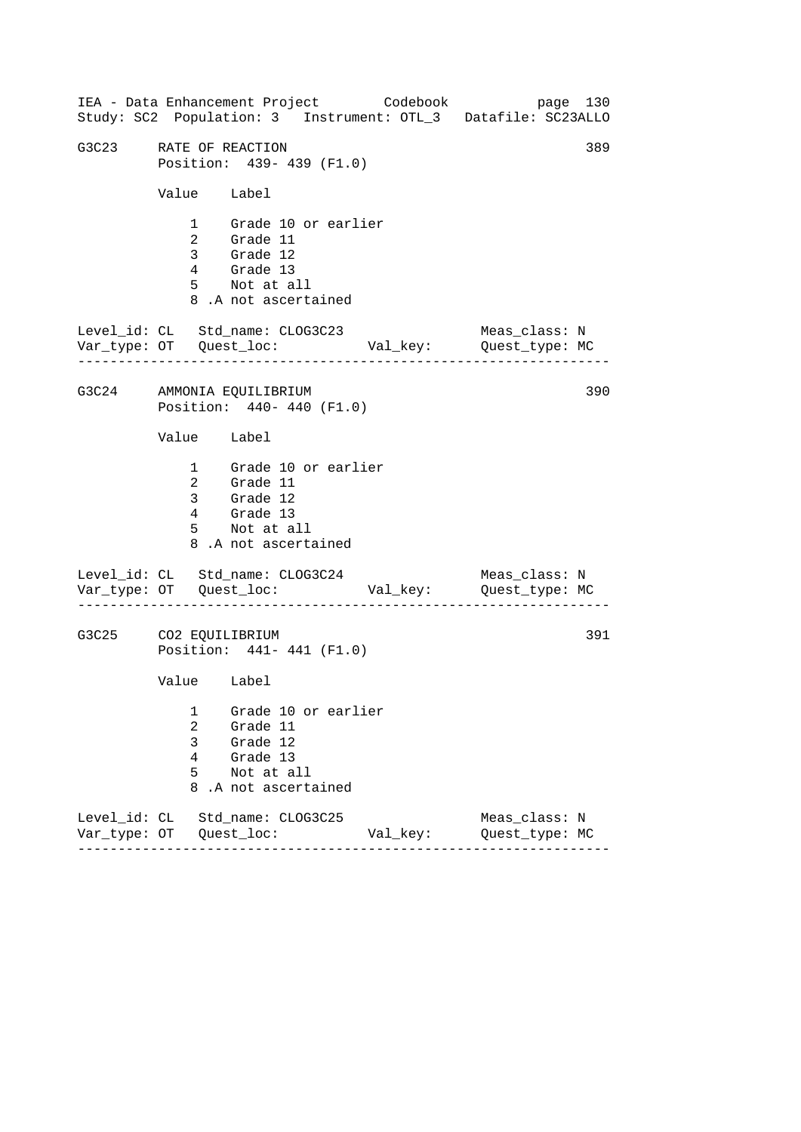------------------------------------------------------------------ ------------------------------------------------------------------ ------------------------------------------------------------------ IEA - Data Enhancement Project Codebook page 130 Study: SC2 Population: 3 Instrument: OTL\_3 Datafile: SC23ALLO G3C23 RATE OF REACTION 389 Position: 439- 439 (F1.0) Value Label 1 Grade 10 or earlier 2 Grade 11 3 Grade 12 4 Grade 13 5 Not at all 8 .A not ascertained Level\_id: CL Std\_name: CLOG3C23 Meas\_class: N Var\_type: OT Quest\_loc: Val\_key: Quest\_type: MC G3C24 AMMONIA EQUILIBRIUM Position: 440- 440 (F1.0) Value Label 1 Grade 10 or earlier 2 Grade 11 3 Grade 12 4 Grade 13 5 Not at all 8 .A not ascertained Level\_id: CL Std\_name: CLOG3C24 Meas\_class: N Var\_type: OT Quest\_loc: Val\_key: Quest\_type: MC G3C25 CO2 EQUILIBRIUM Position: 441- 441 (F1.0) Value Label 1 Grade 10 or earlier 2 Grade 11 3 Grade 12 4 Grade 13 5 Not at all 8 .A not ascertained Level\_id: CL Std\_name: CLOG3C25 Meas\_class: N Var\_type: OT Quest\_loc: Val\_key: Quest\_type: MC 390 391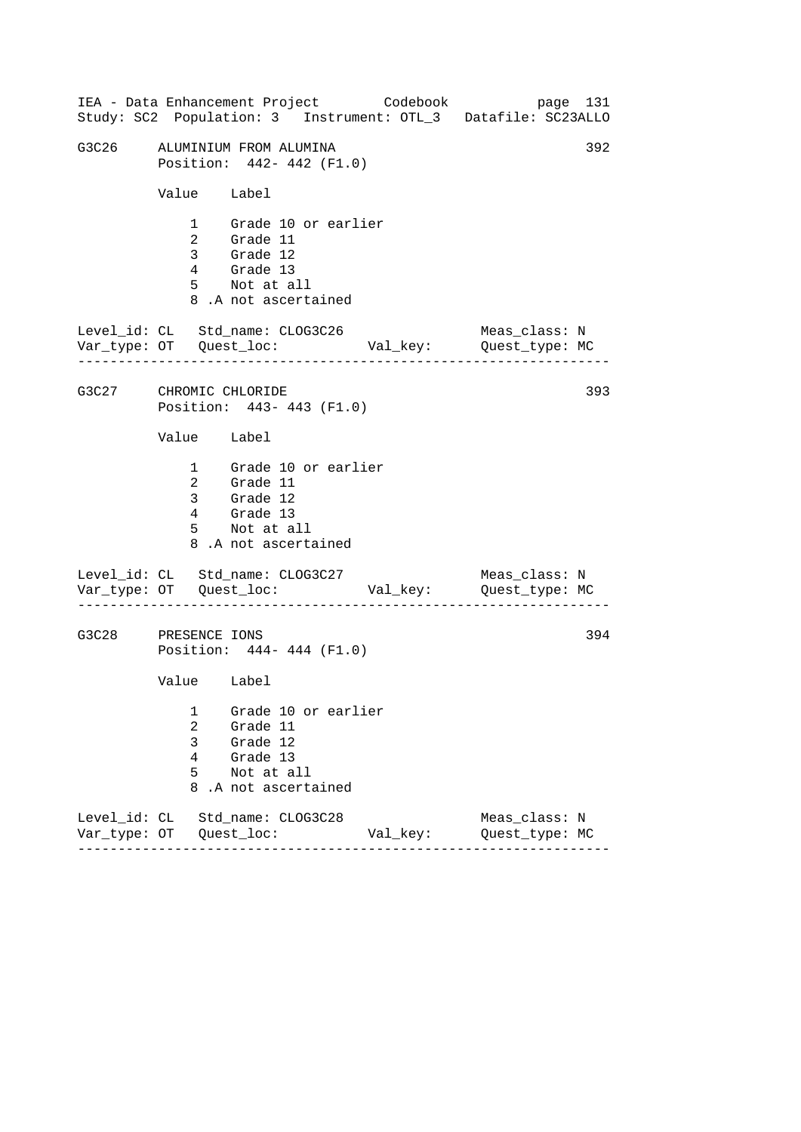|                        |                            | IEA - Data Enhancement Project Codebook                                                                |          | Study: SC2 Population: 3 Instrument: OTL_3 Datafile: SC23ALLO | page 131 |
|------------------------|----------------------------|--------------------------------------------------------------------------------------------------------|----------|---------------------------------------------------------------|----------|
| G3C26                  |                            | ALUMINIUM FROM ALUMINA<br>Position: 442- 442 (F1.0)                                                    |          |                                                               | 392      |
|                        | Value Label                |                                                                                                        |          |                                                               |          |
|                        |                            | 1 Grade 10 or earlier<br>2 Grade 11<br>3 Grade 12<br>4 Grade 13<br>5 Not at all<br>8.A not ascertained |          |                                                               |          |
|                        |                            | Level_id: CL Std_name: CLOG3C26                                                                        |          | Meas_class: N                                                 |          |
| G3C27 CHROMIC CHLORIDE |                            | Position: 443- 443 (F1.0)                                                                              |          |                                                               | 393      |
|                        | Value Label                |                                                                                                        |          |                                                               |          |
|                        |                            | 1 Grade 10 or earlier<br>2 Grade 11<br>3 Grade 12<br>4 Grade 13<br>5 Not at all<br>8.A not ascertained |          |                                                               |          |
|                        |                            | Level_id: CL Std_name: CLOG3C27                                                                        |          | Meas_class: N                                                 |          |
| G3C28                  | PRESENCE IONS              | Position: 444- 444 (F1.0)                                                                              |          |                                                               | 394      |
|                        | Value Label                |                                                                                                        |          |                                                               |          |
|                        | 1<br>2<br>3<br>4<br>5<br>8 | Grade 10 or earlier<br>Grade 11<br>Grade 12<br>Grade 13<br>Not at all<br>.A not ascertained            |          |                                                               |          |
|                        |                            | Level id: CL Std name: CLOG3C28                                                                        | Val_key: | Meas_class: N<br>Quest_type: MC                               |          |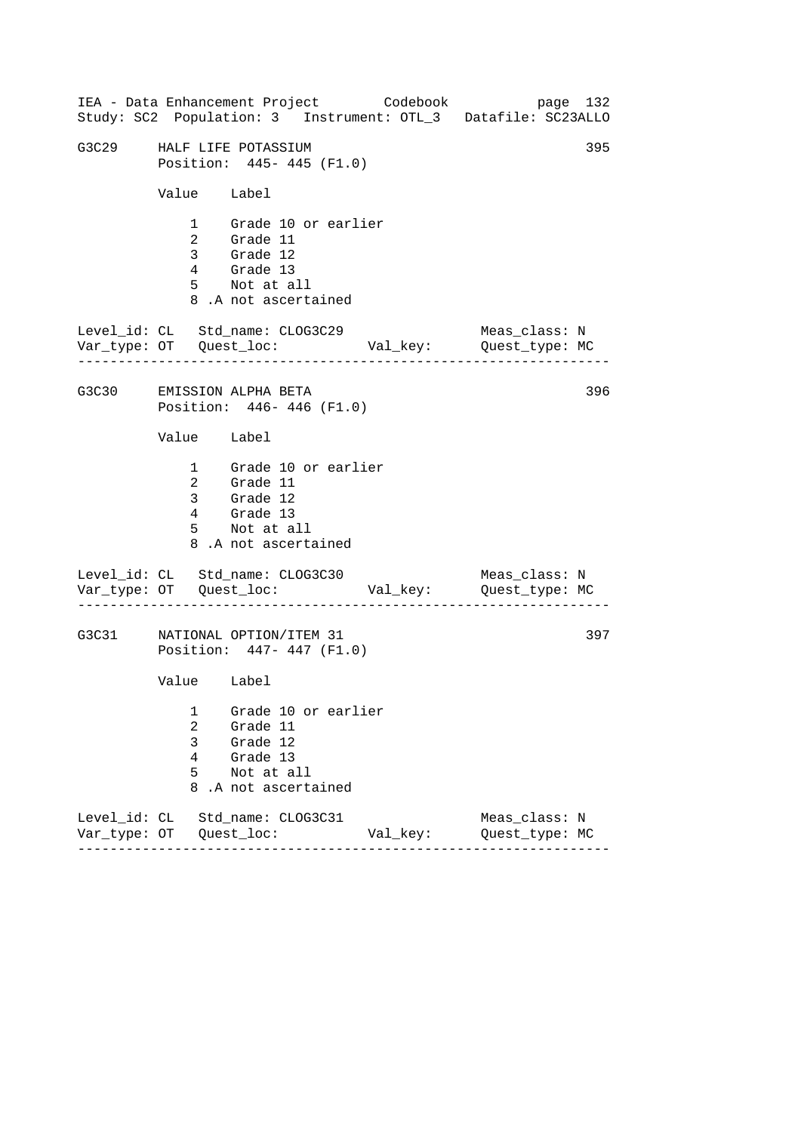------------------------------------------------------------------ ------------------------------------------------------------------ ------------------------------------------------------------------ IEA - Data Enhancement Project Codebook page 132 Study: SC2 Population: 3 Instrument: OTL\_3 Datafile: SC23ALLO G3C29 HALF LIFE POTASSIUM 395 Position: 445- 445 (F1.0) Value Label 1 Grade 10 or earlier 2 Grade 11 3 Grade 12 4 Grade 13 5 Not at all 8 .A not ascertained Level\_id: CL Std\_name: CLOG3C29 Meas\_class: N Var\_type: OT Quest\_loc: Val\_key: Quest\_type: MC G3C30 EMISSION ALPHA BETA Position: 446- 446 (F1.0) Value Label 1 Grade 10 or earlier 2 Grade 11 3 Grade 12 4 Grade 13 5 Not at all 8 .A not ascertained Level\_id: CL Std\_name: CLOG3C30 Var\_type: OT Quest\_loc: Val\_key: Quest\_type: MC Meas\_class: N G3C31 NATIONAL OPTION/ITEM 31 Position: 447- 447 (F1.0) Value Label 1 Grade 10 or earlier 2 Grade 11 3 Grade 12 4 Grade 13 5 Not at all 8 .A not ascertained Level\_id: CL Std\_name: CLOG3C31 Meas\_class: N Var\_type: OT Quest\_loc: Val\_key: Quest\_type: MC 396 397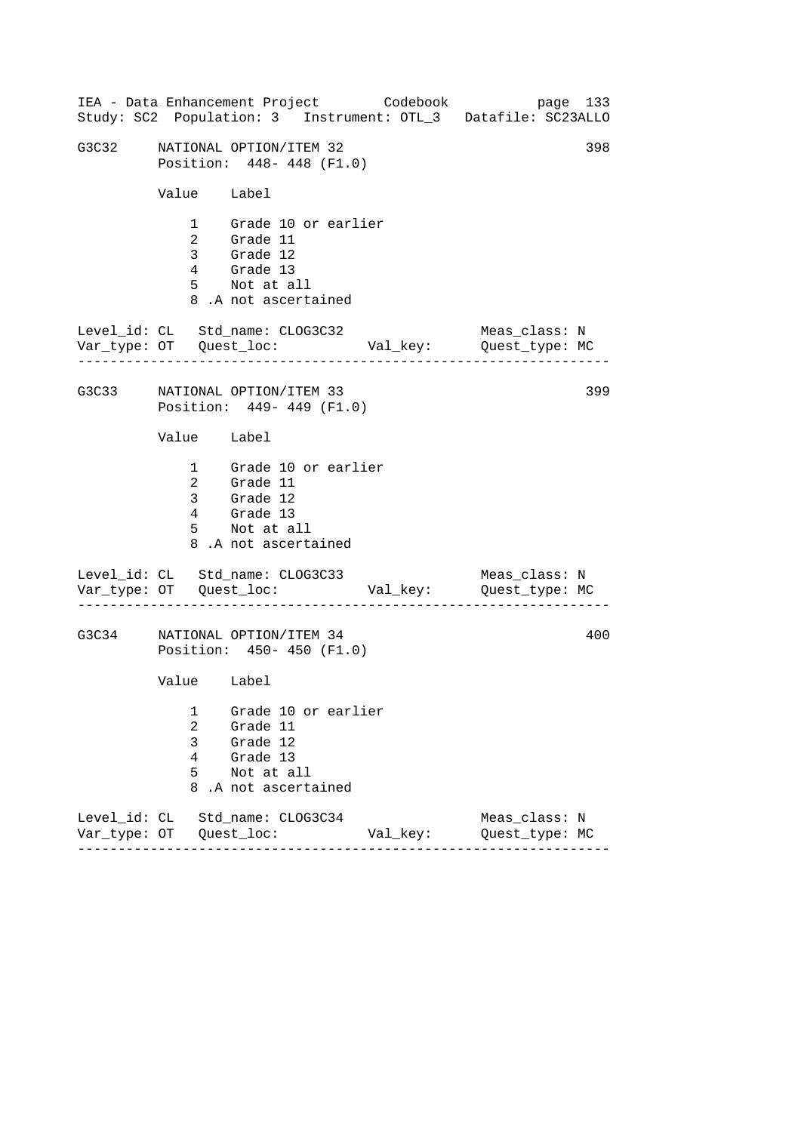| IEA - Data Enhancement Project Codebook<br>Study: SC2 Population: 3 Instrument: OTL_3 Datafile: SC23ALLO |                                         |                 |                                                                                                        |          |                                 | page 133 |     |
|----------------------------------------------------------------------------------------------------------|-----------------------------------------|-----------------|--------------------------------------------------------------------------------------------------------|----------|---------------------------------|----------|-----|
| G3C32                                                                                                    |                                         |                 | NATIONAL OPTION/ITEM 32<br>Position: 448-448 (F1.0)                                                    |          |                                 |          | 398 |
|                                                                                                          | Value Label                             |                 |                                                                                                        |          |                                 |          |     |
|                                                                                                          |                                         |                 | 1 Grade 10 or earlier<br>2 Grade 11<br>3 Grade 12<br>4 Grade 13<br>5 Not at all<br>8.A not ascertained |          |                                 |          |     |
| Level_id: CL Std_name: CLOG3C32<br>Var_type: OT    Quest_loc:    Val_key:    Quest_type: MC              |                                         |                 |                                                                                                        |          | Meas_class: N                   |          |     |
| G3C33 NATIONAL OPTION/ITEM 33                                                                            |                                         |                 | Position: 449- 449 (F1.0)                                                                              |          |                                 |          | 399 |
|                                                                                                          | Value Label                             |                 |                                                                                                        |          |                                 |          |     |
|                                                                                                          |                                         | $4\overline{ }$ | 1 Grade 10 or earlier<br>2 Grade 11<br>3 Grade 12<br>Grade 13<br>5 Not at all<br>8.A not ascertained   |          |                                 |          |     |
| Level_id: CL Std_name: CLOG3C33                                                                          |                                         |                 |                                                                                                        |          | Meas_class: N                   |          |     |
| G3C34                                                                                                    |                                         |                 | NATIONAL OPTION/ITEM 34<br>Position: 450- 450 (F1.0)                                                   |          |                                 |          | 400 |
|                                                                                                          | Value Label                             |                 |                                                                                                        |          |                                 |          |     |
|                                                                                                          | 1<br>$\overline{a}$<br>3<br>4<br>5<br>8 |                 | Grade 10 or earlier<br>Grade 11<br>Grade 12<br>Grade 13<br>Not at all<br>.A not ascertained            |          |                                 |          |     |
| Level_id: CL Std_name: CLOG3C34                                                                          |                                         |                 |                                                                                                        | Val_key: | Meas_class: N<br>Quest_type: MC |          |     |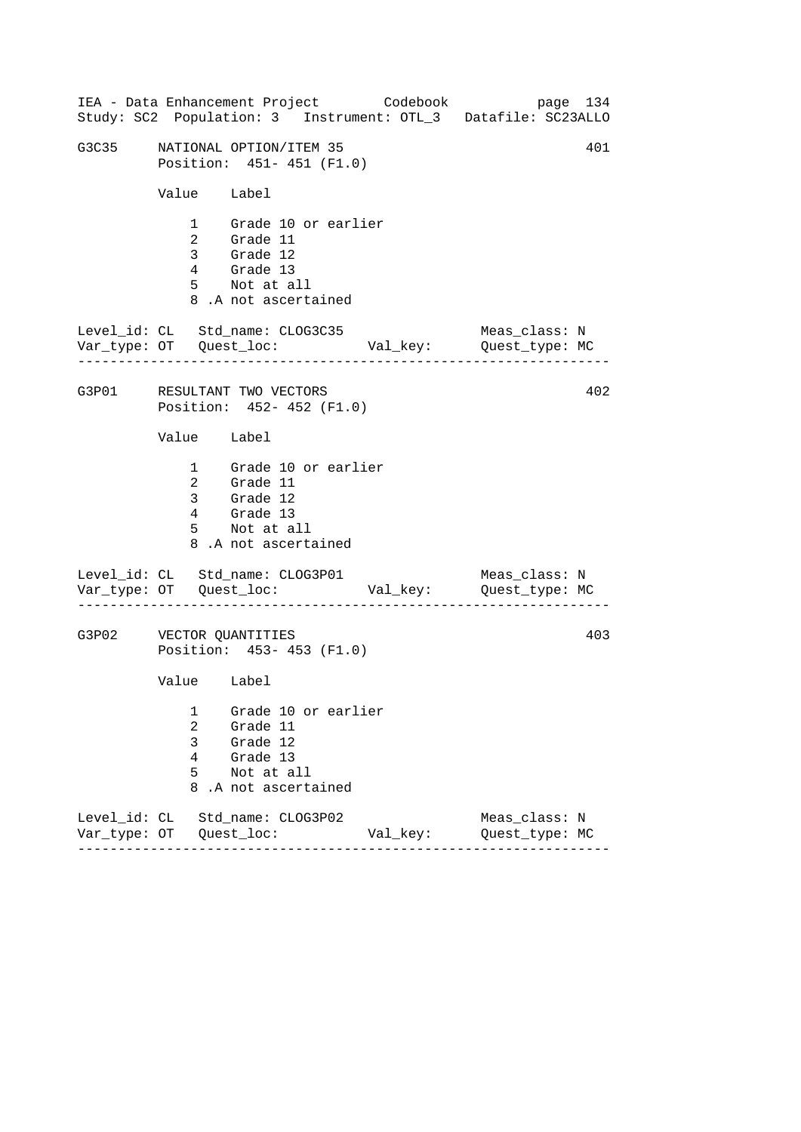------------------------------------------------------------------ ------------------------------------------------------------------ ------------------------------------------------------------------ IEA - Data Enhancement Project Codebook page 134 Study: SC2 Population: 3 Instrument: OTL\_3 Datafile: SC23ALLO G3C35 NATIONAL OPTION/ITEM 35 401 Position: 451- 451 (F1.0) Value Label 1 Grade 10 or earlier 2 Grade 11 3 Grade 12 4 Grade 13 5 Not at all 8 .A not ascertained Level\_id: CL Std\_name: CLOG3C35 Meas\_class: N Var\_type: OT Quest\_loc: Val\_key: Quest\_type: MC G3P01 RESULTANT TWO VECTORS Position: 452- 452 (F1.0) Value Label 1 Grade 10 or earlier 2 Grade 11 3 Grade 12 4 Grade 13 5 Not at all 8 .A not ascertained Level\_id: CL Std\_name: CLOG3P01 Var\_type: OT Quest\_loc: Val\_key: Quest\_type: MC Meas\_class: N G3P02 VECTOR QUANTITIES Position: 453- 453 (F1.0) Value Label 1 Grade 10 or earlier 2 Grade 11 3 Grade 12 4 Grade 13 5 Not at all 8 .A not ascertained Level\_id: CL Std\_name: CLOG3P02 Meas\_class: N Var\_type: OT Quest\_loc: Val\_key: Quest\_type: MC 402 403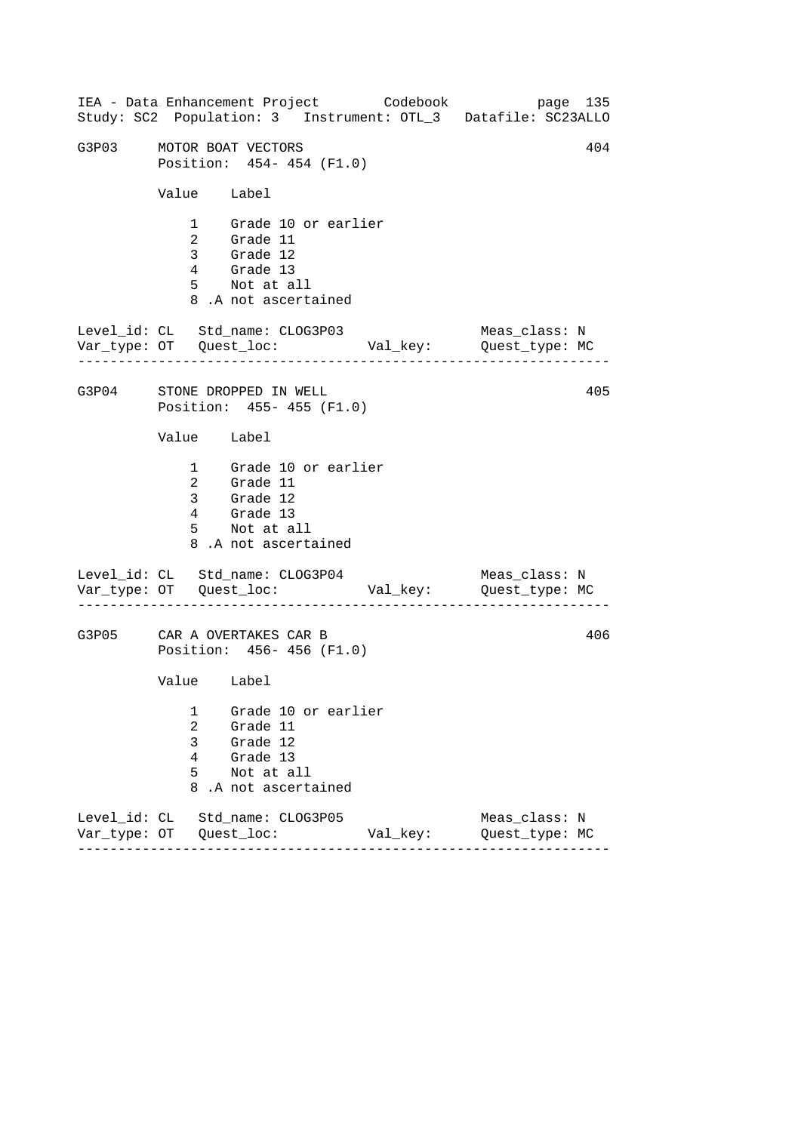------------------------------------------------------------------ ------------------------------------------------------------------ ------------------------------------------------------------------ IEA - Data Enhancement Project Codebook page 135 Study: SC2 Population: 3 Instrument: OTL\_3 Datafile: SC23ALLO G3P03 MOTOR BOAT VECTORS 404 Position: 454- 454 (F1.0) Value Label 1 Grade 10 or earlier 2 Grade 11 3 Grade 12 4 Grade 13 5 Not at all 8 .A not ascertained Level\_id: CL Std\_name: CLOG3P03 Meas\_class: N Var\_type: OT Quest\_loc: Val\_key: Quest\_type: MC G3P04 STONE DROPPED IN WELL Position: 455- 455 (F1.0) Value Label 1 Grade 10 or earlier 2 Grade 11 3 Grade 12 4 Grade 13 5 Not at all 8 .A not ascertained Level\_id: CL Std\_name: CLOG3P04 Var\_type: OT Quest\_loc: Val\_key: Quest\_type: MC Meas\_class: N G3P05 CAR A OVERTAKES CAR B Position: 456- 456 (F1.0) Value Label 1 Grade 10 or earlier 2 Grade 11 3 Grade 12 4 Grade 13 5 Not at all 8 .A not ascertained Level\_id: CL Std\_name: CLOG3P05 Meas\_class: N Var\_type: OT Quest\_loc: Val\_key: Quest\_type: MC 405 406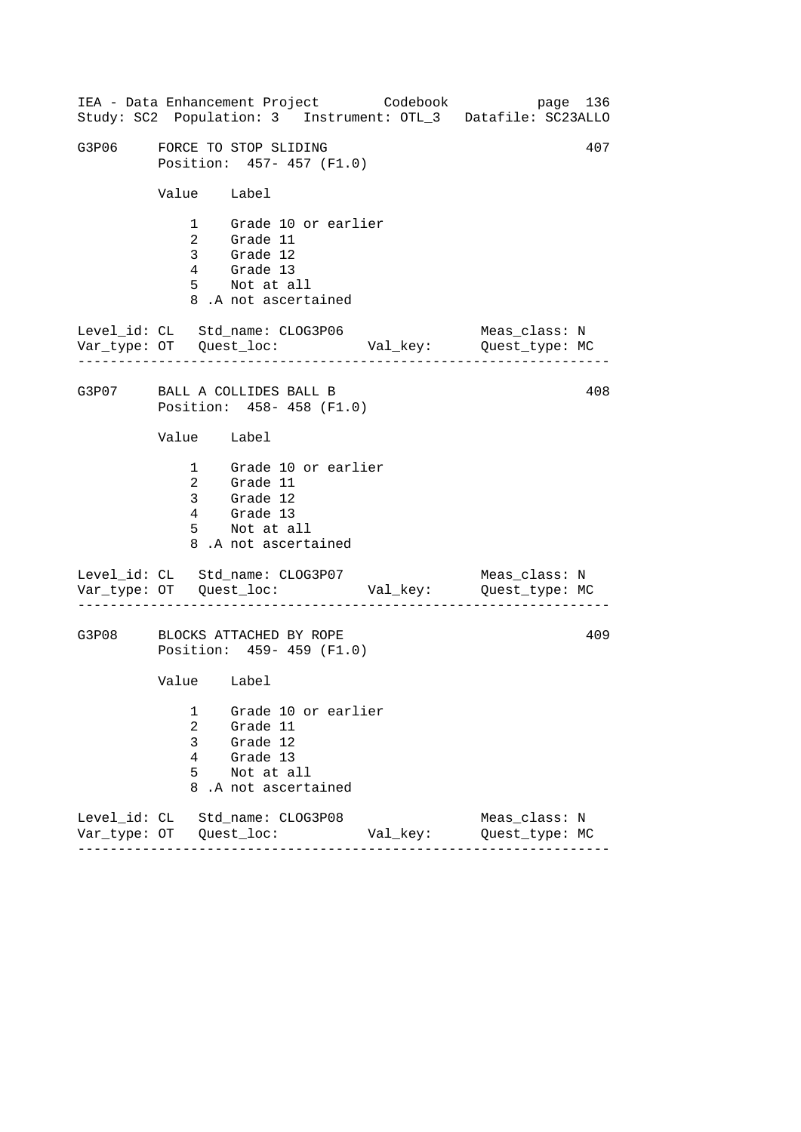|                                 |                                         |                                                                                                        |                     | IEA - Data Enhancement Project Codebook | Study: SC2 Population: 3 Instrument: OTL_3 Datafile: SC23ALLO | page 136 |
|---------------------------------|-----------------------------------------|--------------------------------------------------------------------------------------------------------|---------------------|-----------------------------------------|---------------------------------------------------------------|----------|
| G3P06                           | FORCE TO STOP SLIDING                   | Position: 457-457 (F1.0)                                                                               |                     |                                         |                                                               | 407      |
|                                 | Value Label                             |                                                                                                        |                     |                                         |                                                               |          |
|                                 |                                         | 1 Grade 10 or earlier<br>2 Grade 11<br>3 Grade 12<br>4 Grade 13<br>5 Not at all<br>8.A not ascertained |                     |                                         |                                                               |          |
| Level_id: CL Std_name: CLOG3P06 |                                         |                                                                                                        |                     |                                         | Meas_class: N                                                 |          |
| G3P07 BALL A COLLIDES BALL B    |                                         | Position: 458- 458 (F1.0)                                                                              |                     |                                         |                                                               | 408      |
|                                 | Value Label                             |                                                                                                        |                     |                                         |                                                               |          |
|                                 |                                         | 1 Grade 10 or earlier<br>2 Grade 11<br>3 Grade 12<br>4 Grade 13<br>5 Not at all<br>8.A not ascertained |                     |                                         |                                                               |          |
| Level_id: CL Std_name: CLOG3P07 |                                         |                                                                                                        |                     |                                         | Meas_class: N                                                 |          |
| G3P08                           | BLOCKS ATTACHED BY ROPE                 | Position: 459- 459 (F1.0)                                                                              |                     |                                         |                                                               | 409      |
|                                 | Value Label                             |                                                                                                        |                     |                                         |                                                               |          |
|                                 | 1<br>$\overline{2}$<br>3<br>4<br>5<br>8 | Grade 11<br>Grade 12<br>Grade 13<br>Not at all<br>.A not ascertained                                   | Grade 10 or earlier |                                         |                                                               |          |
| Level_id: CL Std_name: CLOG3P08 |                                         |                                                                                                        |                     | Val_key:                                | Meas_class: N<br>Quest_type: MC                               |          |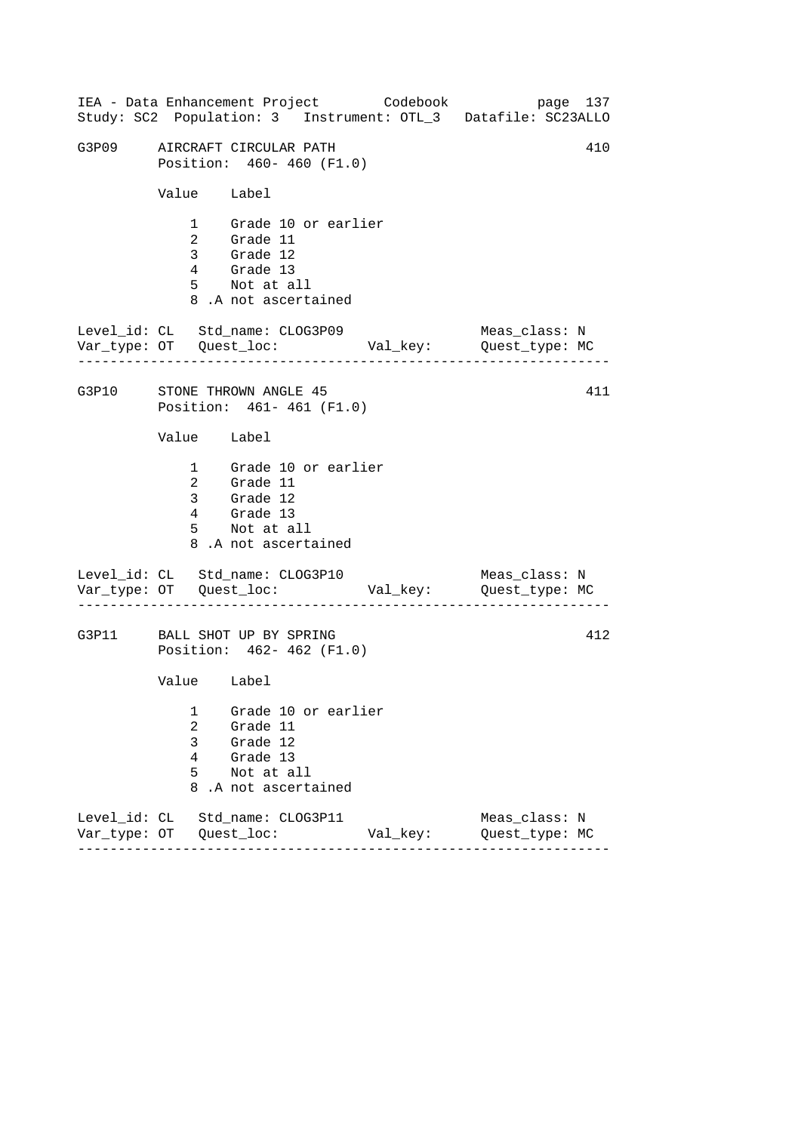------------------------------------------------------------------ ------------------------------------------------------------------ ------------------------------------------------------------------ IEA - Data Enhancement Project Codebook page 137 Study: SC2 Population: 3 Instrument: OTL\_3 Datafile: SC23ALLO G3P09 AIRCRAFT CIRCULAR PATH 410 Position: 460- 460 (F1.0) Value Label 1 Grade 10 or earlier 2 Grade 11 3 Grade 12 4 Grade 13 5 Not at all 8 .A not ascertained Level\_id: CL Std\_name: CLOG3P09 Meas\_class: N Var\_type: OT Quest\_loc: Val\_key: Quest\_type: MC G3P10 STONE THROWN ANGLE 45 Position: 461- 461 (F1.0) Value Label 1 Grade 10 or earlier 2 Grade 11 3 Grade 12 4 Grade 13 5 Not at all 8 .A not ascertained Level\_id: CL Std\_name: CLOG3P10 Var\_type: OT Quest\_loc: Val\_key: Quest\_type: MC Meas\_class: N G3P11 BALL SHOT UP BY SPRING Position: 462- 462 (F1.0) Value Label 1 Grade 10 or earlier 2 Grade 11 3 Grade 12 4 Grade 13 5 Not at all 8 .A not ascertained Level\_id: CL Std\_name: CLOG3P11 Meas\_class: N Var\_type: OT Quest\_loc: Val\_key: Quest\_type: MC 411 412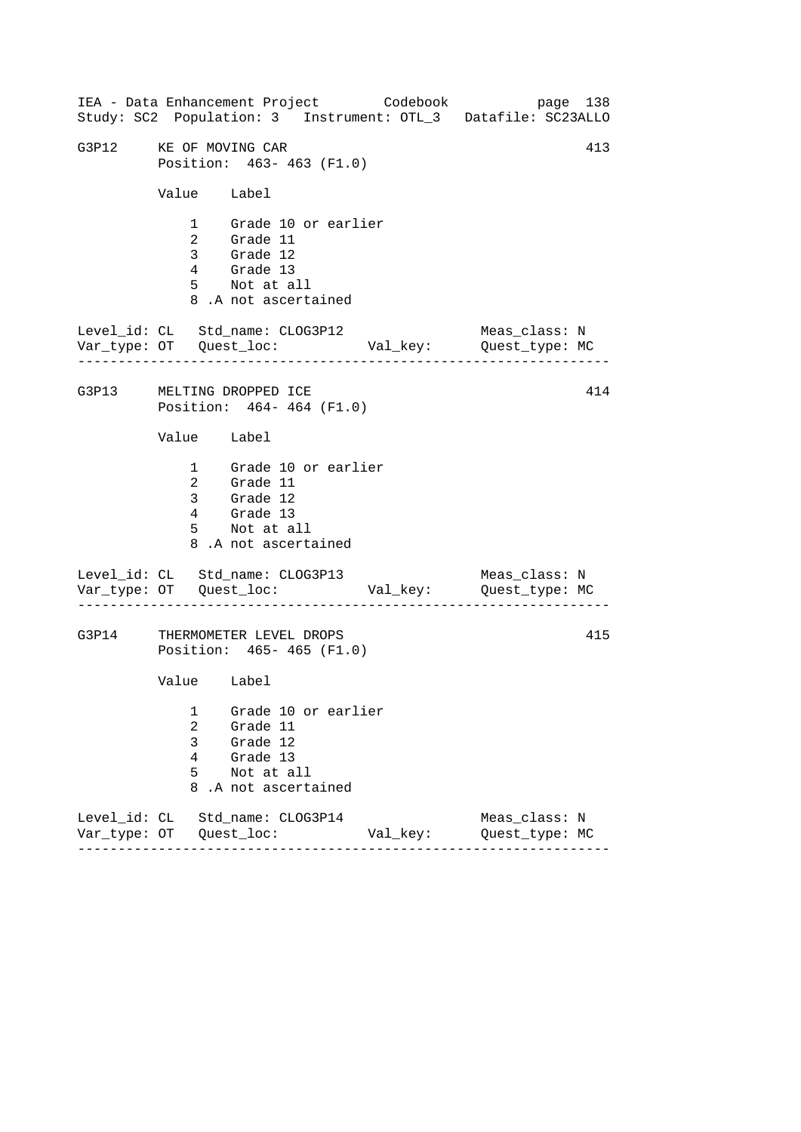------------------------------------------------------------------ ------------------------------------------------------------------ ------------------------------------------------------------------ IEA - Data Enhancement Project Codebook page 138 Study: SC2 Population: 3 Instrument: OTL\_3 Datafile: SC23ALLO G3P12 KE OF MOVING CAR 413 Position: 463- 463 (F1.0) Value Label 1 Grade 10 or earlier 2 Grade 11 3 Grade 12 4 Grade 13 5 Not at all 8 .A not ascertained Level\_id: CL Std\_name: CLOG3P12 Meas\_class: N Var\_type: OT Quest\_loc: Val\_key: Quest\_type: MC G3P13 MELTING DROPPED ICE Position: 464- 464 (F1.0) Value Label 1 Grade 10 or earlier 2 Grade 11 3 Grade 12 4 Grade 13 5 Not at all 8 .A not ascertained Level\_id: CL Std\_name: CLOG3P13 Var\_type: OT Quest\_loc: Val\_key: Quest\_type: MC Meas\_class: N G3P14 THERMOMETER LEVEL DROPS Position: 465- 465 (F1.0) Value Label 1 Grade 10 or earlier 2 Grade 11 3 Grade 12 4 Grade 13 5 Not at all 8 .A not ascertained Level\_id: CL Std\_name: CLOG3P14 Meas\_class: N Var\_type: OT Quest\_loc: Val\_key: Quest\_type: MC 414 415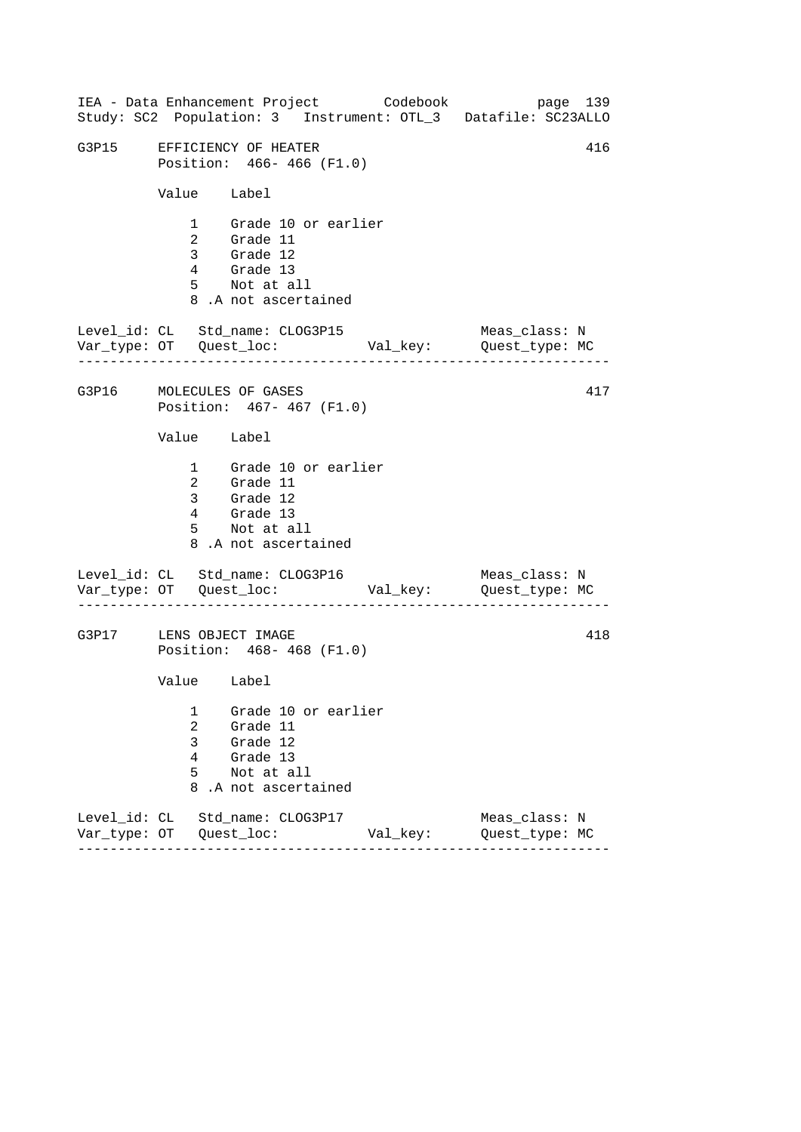------------------------------------------------------------------ ------------------------------------------------------------------ ------------------------------------------------------------------ IEA - Data Enhancement Project Codebook page 139 Study: SC2 Population: 3 Instrument: OTL\_3 Datafile: SC23ALLO G3P15 EFFICIENCY OF HEATER 416 Position: 466- 466 (F1.0) Value Label 1 Grade 10 or earlier 2 Grade 11 3 Grade 12 4 Grade 13 5 Not at all 8 .A not ascertained Level\_id: CL Std\_name: CLOG3P15 Meas\_class: N Var\_type: OT Quest\_loc: Val\_key: Quest\_type: MC G3P16 MOLECULES OF GASES Position: 467- 467 (F1.0) Value Label 1 Grade 10 or earlier 2 Grade 11 3 Grade 12 4 Grade 13 5 Not at all 8 .A not ascertained Level\_id: CL Std\_name: CLOG3P16 Var\_type: OT Quest\_loc: Val\_key: Quest\_type: MC Meas\_class: N G3P17 LENS OBJECT IMAGE Position: 468- 468 (F1.0) Value Label 1 Grade 10 or earlier 2 Grade 11 3 Grade 12 4 Grade 13 5 Not at all 8 .A not ascertained Level\_id: CL Std\_name: CLOG3P17 Meas\_class: N Var\_type: OT Quest\_loc: Val\_key: Quest\_type: MC 417 418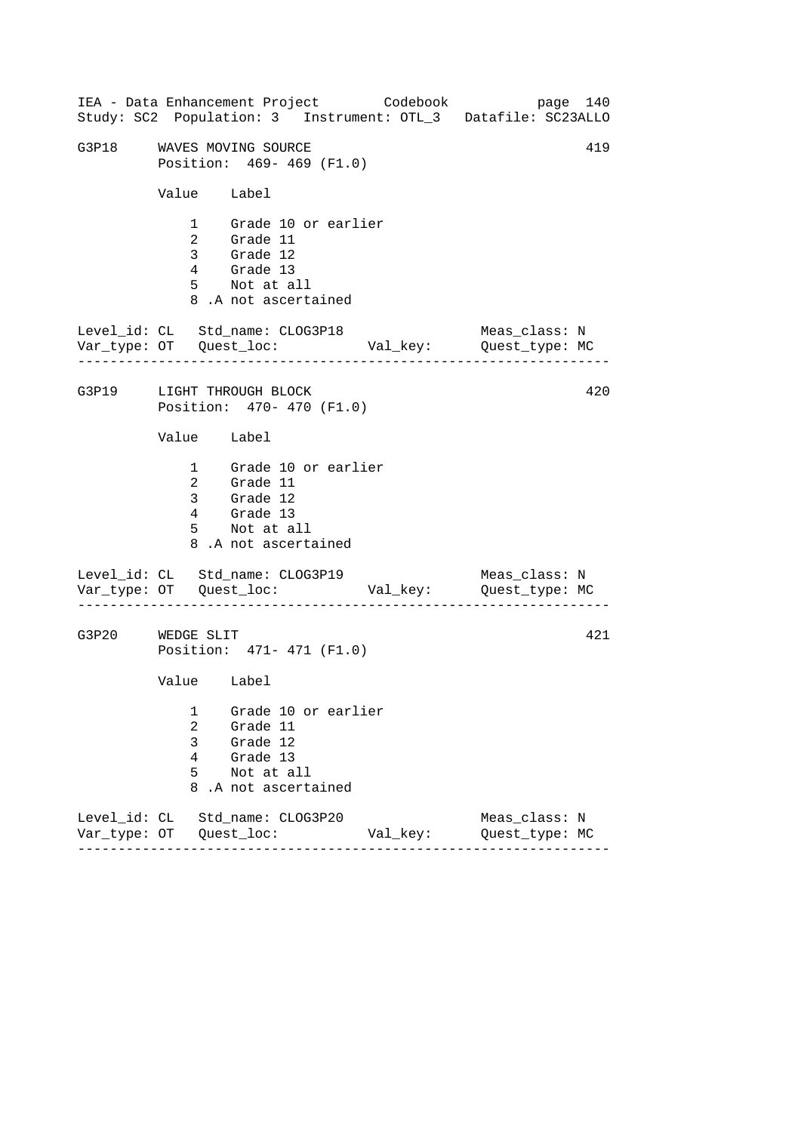------------------------------------------------------------------ ------------------------------------------------------------------ ------------------------------------------------------------------ IEA - Data Enhancement Project Codebook page 140 Study: SC2 Population: 3 Instrument: OTL\_3 Datafile: SC23ALLO G3P18 WAVES MOVING SOURCE **All and Source and All All All** Position: 469- 469 (F1.0) Value Label 1 Grade 10 or earlier 2 Grade 11 3 Grade 12 4 Grade 13 5 Not at all 8 .A not ascertained Level\_id: CL Std\_name: CLOG3P18 Meas\_class: N Var\_type: OT Quest\_loc: Val\_key: Quest\_type: MC G3P19 LIGHT THROUGH BLOCK Position: 470- 470 (F1.0) Value Label 1 Grade 10 or earlier 2 Grade 11 3 Grade 12 4 Grade 13 5 Not at all 8 .A not ascertained Level\_id: CL Std\_name: CLOG3P19 Var\_type: OT Quest\_loc: Val\_key: Quest\_type: MC Meas\_class: N G3P20 WEDGE SLIT Position: 471- 471 (F1.0) Value Label 1 Grade 10 or earlier 2 Grade 11 3 Grade 12 4 Grade 13 5 Not at all 8 .A not ascertained Level\_id: CL Std\_name: CLOG3P20 Meas\_class: N Var\_type: OT Quest\_loc: Val\_key: Quest\_type: MC 420 421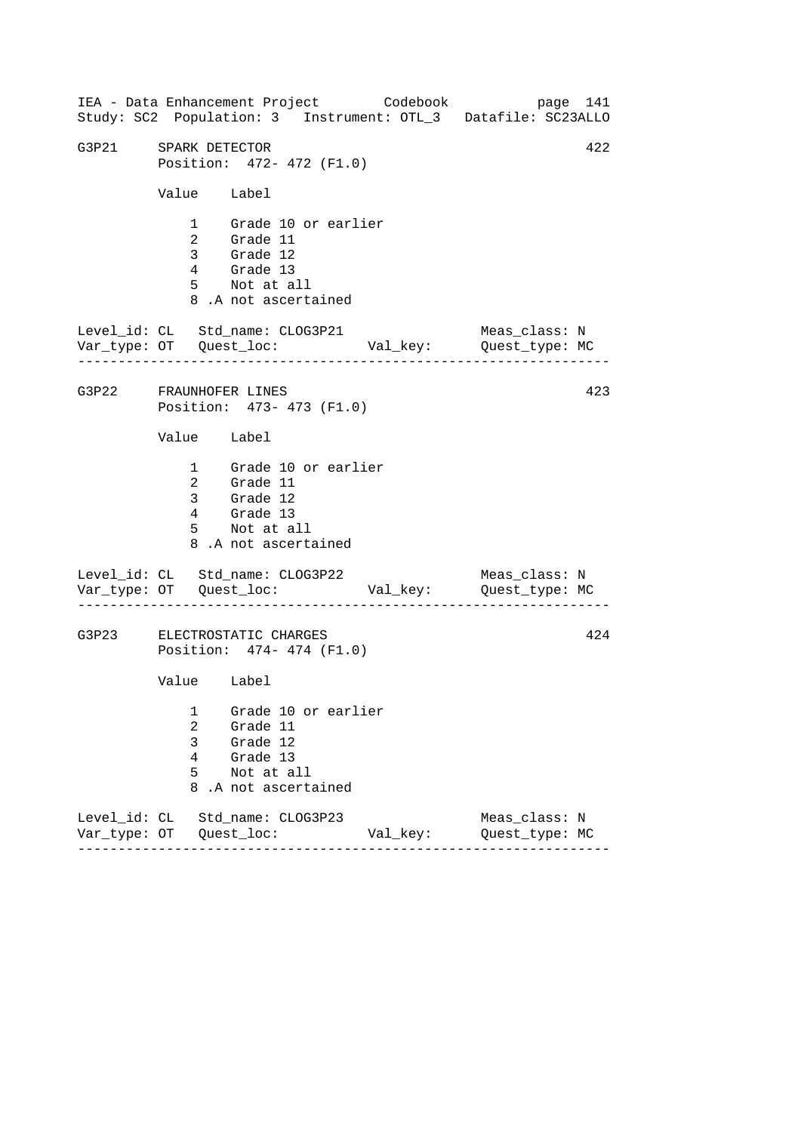------------------------------------------------------------------ ------------------------------------------------------------------ ------------------------------------------------------------------ IEA - Data Enhancement Project Codebook page 141 Study: SC2 Population: 3 Instrument: OTL\_3 Datafile: SC23ALLO G3P21 SPARK DETECTOR 422 Position: 472- 472 (F1.0) Value Label 1 Grade 10 or earlier 2 Grade 11 3 Grade 12 4 Grade 13 5 Not at all 8 .A not ascertained Level\_id: CL Std\_name: CLOG3P21 Meas\_class: N Var\_type: OT Quest\_loc: Val\_key: Quest\_type: MC G3P22 FRAUNHOFER LINES Position: 473- 473 (F1.0) Value Label 1 Grade 10 or earlier 2 Grade 11 3 Grade 12 4 Grade 13 5 Not at all 8 .A not ascertained Level\_id: CL Std\_name: CLOG3P22 Var\_type: OT Quest\_loc: Val\_key: Quest\_type: MC Meas\_class: N G3P23 ELECTROSTATIC CHARGES Position: 474- 474 (F1.0) Value Label 1 Grade 10 or earlier 2 Grade 11 3 Grade 12 4 Grade 13 5 Not at all 8 .A not ascertained Level\_id: CL Std\_name: CLOG3P23 Meas\_class: N Var\_type: OT Quest\_loc: Val\_key: Quest\_type: MC 423 424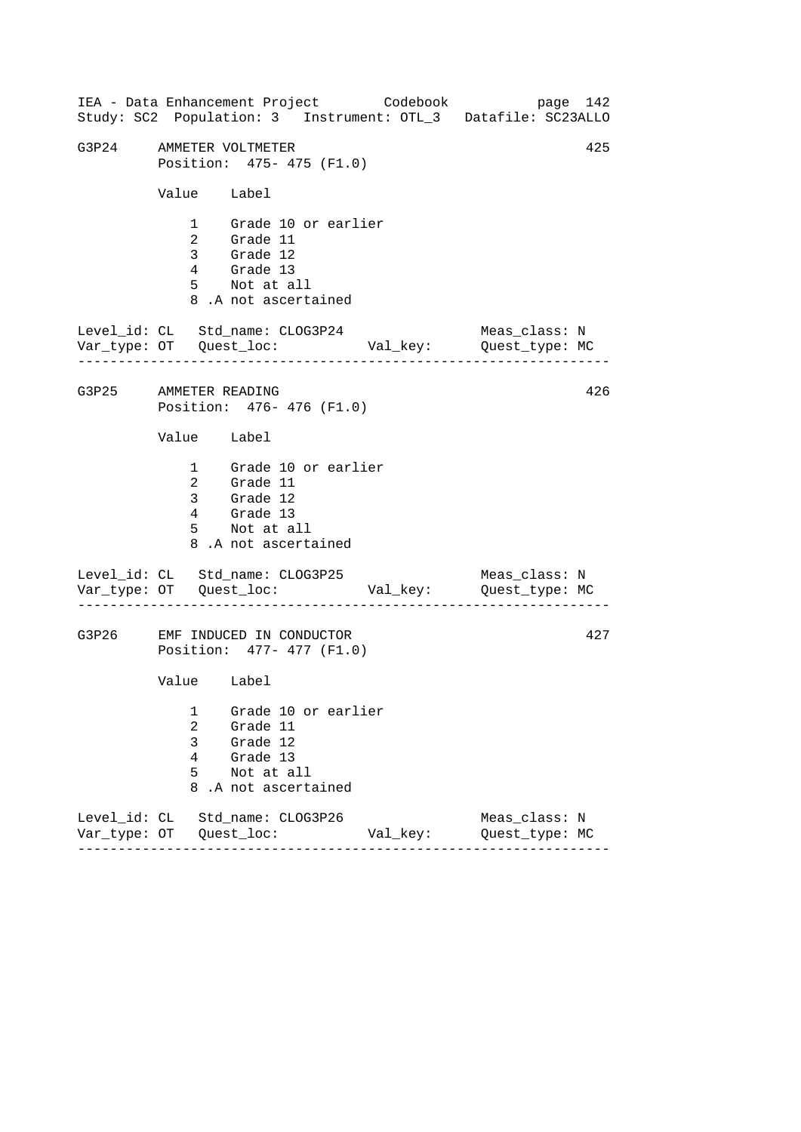------------------------------------------------------------------ ------------------------------------------------------------------ ------------------------------------------------------------------ IEA - Data Enhancement Project Codebook page 142 Study: SC2 Population: 3 Instrument: OTL\_3 Datafile: SC23ALLO G3P24 AMMETER VOLTMETER 425 Position: 475- 475 (F1.0) Value Label 1 Grade 10 or earlier 2 Grade 11 3 Grade 12 4 Grade 13 5 Not at all 8 .A not ascertained Level\_id: CL Std\_name: CLOG3P24 Meas\_class: N Var\_type: OT Quest\_loc: Val\_key: Quest\_type: MC G3P25 AMMETER READING Position: 476- 476 (F1.0) Value Label 1 Grade 10 or earlier 2 Grade 11 3 Grade 12 4 Grade 13 5 Not at all 8 .A not ascertained Level\_id: CL Std\_name: CLOG3P25 Var\_type: OT Quest\_loc: Val\_key: Quest\_type: MC Meas\_class: N G3P26 EMF INDUCED IN CONDUCTOR Position: 477- 477 (F1.0) Value Label 1 Grade 10 or earlier 2 Grade 11 3 Grade 12 4 Grade 13 5 Not at all 8 .A not ascertained Level\_id: CL Std\_name: CLOG3P26 Meas\_class: N Var\_type: OT Quest\_loc: Val\_key: Quest\_type: MC 426 427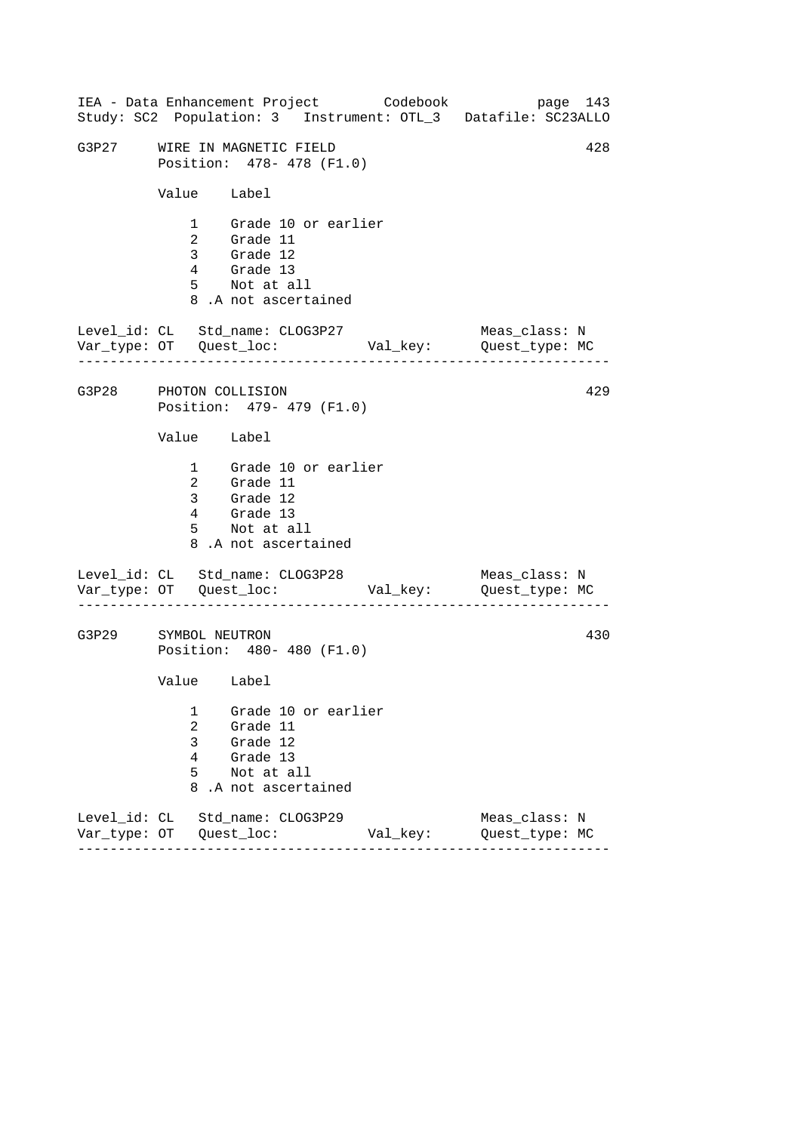------------------------------------------------------------------ ------------------------------------------------------------------ ------------------------------------------------------------------ IEA - Data Enhancement Project Codebook page 143 Study: SC2 Population: 3 Instrument: OTL\_3 Datafile: SC23ALLO G3P27 WIRE IN MAGNETIC FIELD 428 Position: 478- 478 (F1.0) Value Label 1 Grade 10 or earlier 2 Grade 11 3 Grade 12 4 Grade 13 5 Not at all 8 .A not ascertained Level\_id: CL Std\_name: CLOG3P27 Meas\_class: N Var\_type: OT Quest\_loc: Val\_key: Quest\_type: MC G3P28 PHOTON COLLISION Position: 479- 479 (F1.0) Value Label 1 Grade 10 or earlier 2 Grade 11 3 Grade 12 4 Grade 13 5 Not at all 8 .A not ascertained Level\_id: CL Std\_name: CLOG3P28 Var\_type: OT Quest\_loc: Val\_key: Quest\_type: MC Meas\_class: N G3P29 SYMBOL NEUTRON Position: 480- 480 (F1.0) Value Label 1 Grade 10 or earlier 2 Grade 11 3 Grade 12 4 Grade 13 5 Not at all 8 .A not ascertained Level\_id: CL Std\_name: CLOG3P29 Meas\_class: N Var\_type: OT Quest\_loc: Val\_key: Quest\_type: MC 429 430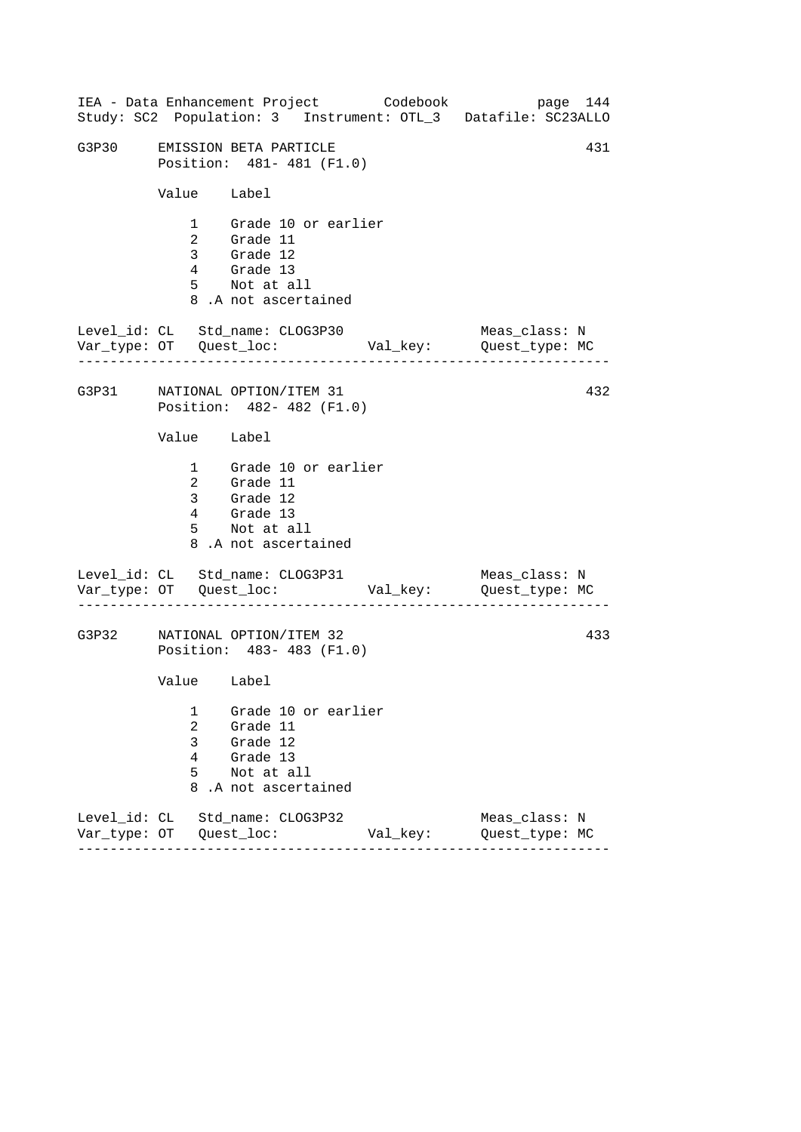|                                 |                            |                                                                               |                                                   | IEA - Data Enhancement Project Codebook | page 144<br>Study: SC2 Population: 3 Instrument: OTL_3 Datafile: SC23ALLO |     |
|---------------------------------|----------------------------|-------------------------------------------------------------------------------|---------------------------------------------------|-----------------------------------------|---------------------------------------------------------------------------|-----|
| G3P30                           |                            | EMISSION BETA PARTICLE                                                        | Position: 481-481 (F1.0)                          |                                         |                                                                           | 431 |
|                                 |                            | Value Label                                                                   |                                                   |                                         |                                                                           |     |
|                                 |                            | 2 Grade 11<br>3 Grade 12<br>4 Grade 13<br>5 Not at all<br>8.A not ascertained | 1 Grade 10 or earlier                             |                                         |                                                                           |     |
| Level_id: CL Std_name: CLOG3P30 |                            |                                                                               |                                                   |                                         | Meas_class: N                                                             |     |
| G3P31 NATIONAL OPTION/ITEM 31   |                            |                                                                               | Position: 482- 482 (F1.0)                         |                                         |                                                                           | 432 |
|                                 |                            | Value Label                                                                   |                                                   |                                         |                                                                           |     |
|                                 |                            | 4 Grade 13<br>5 Not at all<br>8.A not ascertained                             | 1 Grade 10 or earlier<br>2 Grade 11<br>3 Grade 12 |                                         |                                                                           |     |
| Level_id: CL Std_name: CLOG3P31 |                            |                                                                               |                                                   |                                         | Meas_class: N                                                             |     |
| G3P32                           |                            | NATIONAL OPTION/ITEM 32                                                       | Position: 483- 483 (F1.0)                         |                                         |                                                                           | 433 |
|                                 |                            | Value Label                                                                   |                                                   |                                         |                                                                           |     |
|                                 | 1<br>2<br>3<br>4<br>5<br>8 | Grade 11<br>Grade 12<br>Grade 13<br>Not at all<br>.A not ascertained          | Grade 10 or earlier                               |                                         |                                                                           |     |
| Level_id: CL Std_name: CLOG3P32 |                            |                                                                               |                                                   | Val_key:                                | Meas_class: N<br>Quest_type: MC                                           |     |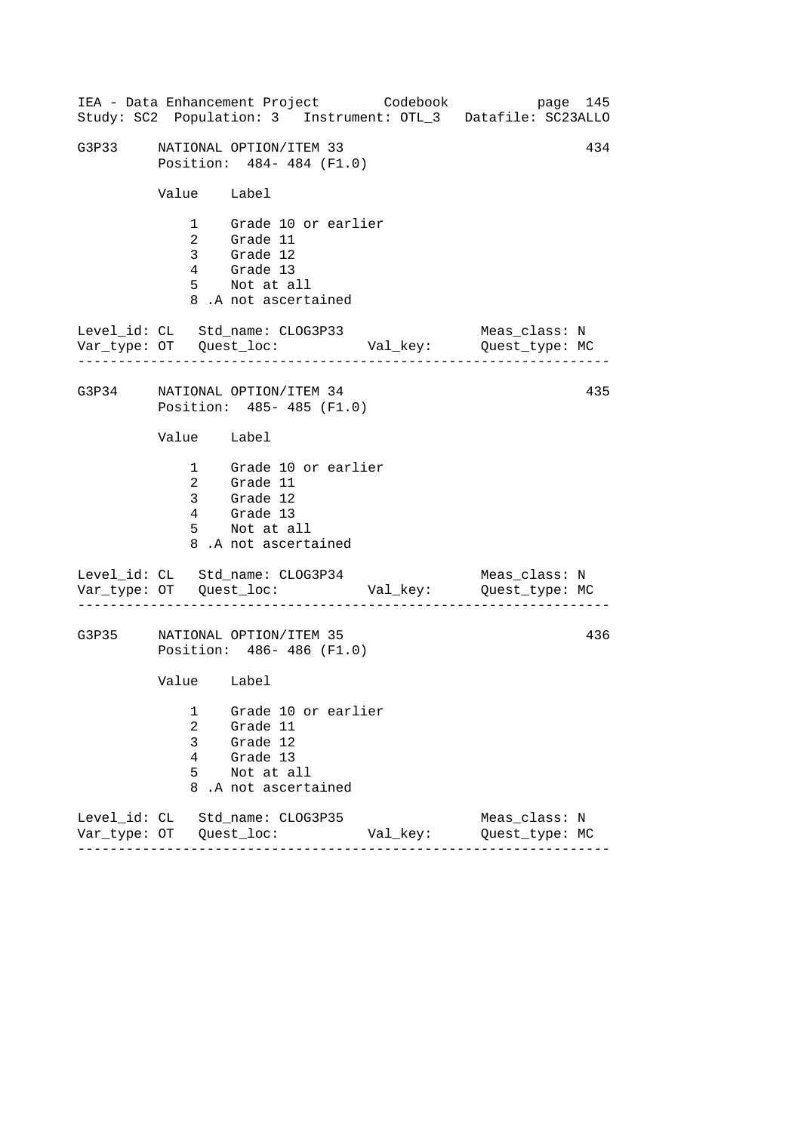|       |                                         | IEA - Data Enhancement Project Codebook                                                                |          | page 145<br>Study: SC2 Population: 3 Instrument: OTL_3 Datafile: SC23ALLO |  |
|-------|-----------------------------------------|--------------------------------------------------------------------------------------------------------|----------|---------------------------------------------------------------------------|--|
| G3P33 |                                         | 434<br>NATIONAL OPTION/ITEM 33<br>Position: 484-484 (F1.0)                                             |          |                                                                           |  |
|       | Value Label                             |                                                                                                        |          |                                                                           |  |
|       |                                         | 1 Grade 10 or earlier<br>2 Grade 11<br>3 Grade 12<br>4 Grade 13<br>5 Not at all<br>8.A not ascertained |          |                                                                           |  |
|       |                                         | Level_id: CL Std_name: CLOG3P33                                                                        |          | Meas_class: N                                                             |  |
|       |                                         | G3P34 NATIONAL OPTION/ITEM 34<br>Position: 485- 485 (F1.0)                                             |          | 435                                                                       |  |
|       | Value Label                             |                                                                                                        |          |                                                                           |  |
|       | $4\overline{ }$                         | 1 Grade 10 or earlier<br>2 Grade 11<br>3 Grade 12<br>Grade 13<br>5 Not at all<br>8.A not ascertained   |          |                                                                           |  |
|       |                                         | Level_id: CL Std_name: CLOG3P34                                                                        |          | Meas_class: N                                                             |  |
| G3P35 |                                         | NATIONAL OPTION/ITEM 35<br>Position: 486-486 (F1.0)                                                    |          | 436                                                                       |  |
|       | Value Label                             |                                                                                                        |          |                                                                           |  |
|       | 1<br>$\overline{a}$<br>3<br>4<br>5<br>8 | Grade 10 or earlier<br>Grade 11<br>Grade 12<br>Grade 13<br>Not at all<br>.A not ascertained            |          |                                                                           |  |
|       |                                         | Level_id: CL Std_name: CLOG3P35                                                                        | Val_key: | Meas_class: N<br>Quest_type: MC                                           |  |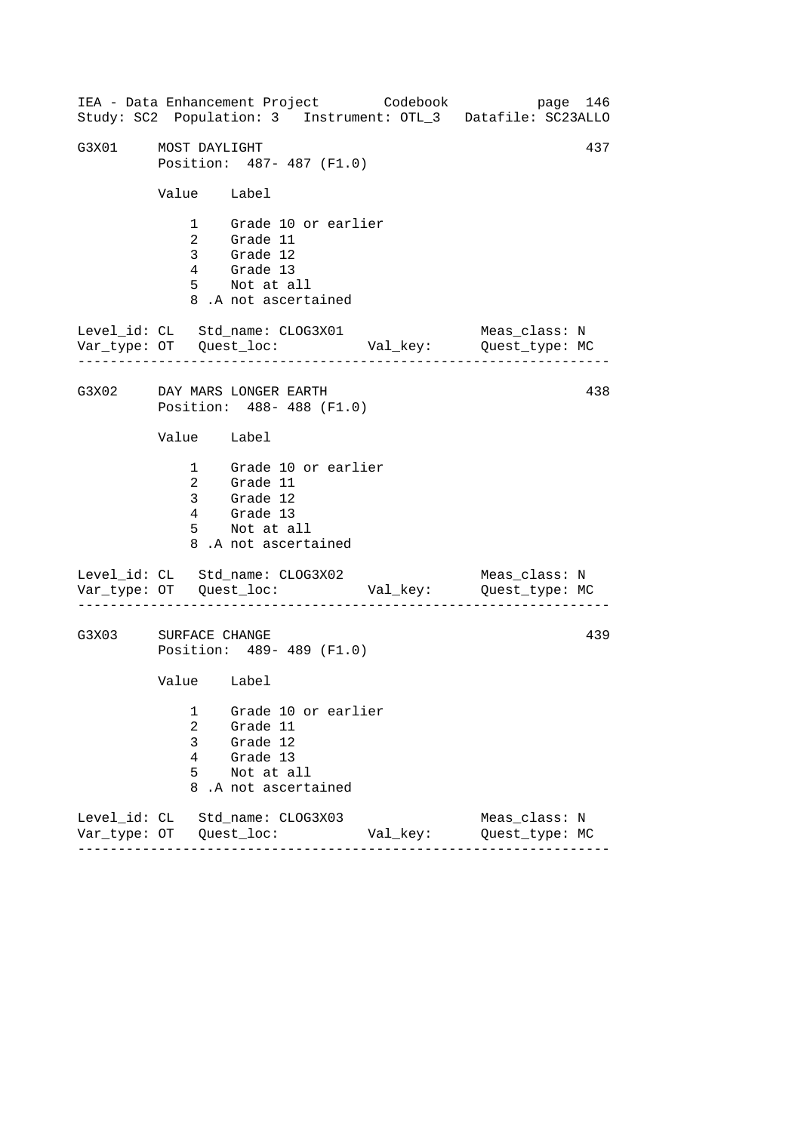------------------------------------------------------------------ ------------------------------------------------------------------ ------------------------------------------------------------------ IEA - Data Enhancement Project Codebook page 146 Study: SC2 Population: 3 Instrument: OTL\_3 Datafile: SC23ALLO G3X01 MOST DAYLIGHT 437 Position: 487- 487 (F1.0) Value Label 1 Grade 10 or earlier 2 Grade 11 3 Grade 12 4 Grade 13 5 Not at all 8 .A not ascertained Level\_id: CL Std\_name: CLOG3X01 Meas\_class: N Var\_type: OT Quest\_loc: Val\_key: Quest\_type: MC G3X02 DAY MARS LONGER EARTH Position: 488- 488 (F1.0) Value Label 1 Grade 10 or earlier 2 Grade 11 3 Grade 12 4 Grade 13 5 Not at all 8 .A not ascertained Level\_id: CL Std\_name: CLOG3X02 Var\_type: OT Quest\_loc: Val\_key: Quest\_type: MC Meas\_class: N G3X03 SURFACE CHANGE Position: 489- 489 (F1.0) Value Label 1 Grade 10 or earlier 2 Grade 11 3 Grade 12 4 Grade 13 5 Not at all 8 .A not ascertained Level\_id: CL Std\_name: CLOG3X03 Meas\_class: N Var\_type: OT Quest\_loc: Val\_key: Quest\_type: MC 438 439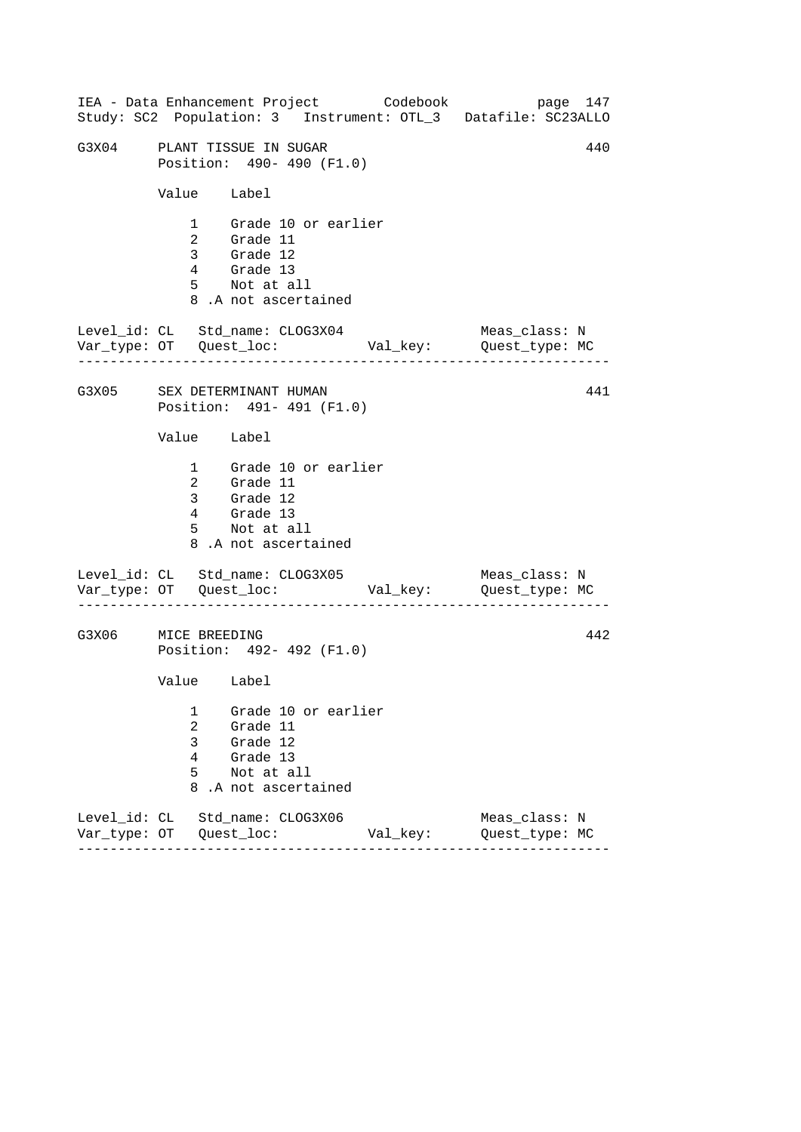|       |                                                          | IEA - Data Enhancement Project Codebook                                                                |          | page 147<br>Study: SC2 Population: 3 Instrument: OTL_3 Datafile: SC23ALLO |  |
|-------|----------------------------------------------------------|--------------------------------------------------------------------------------------------------------|----------|---------------------------------------------------------------------------|--|
|       |                                                          | G3X04 PLANT TISSUE IN SUGAR<br>Position: 490- 490 (F1.0)                                               |          | 440                                                                       |  |
|       | Value Label                                              |                                                                                                        |          |                                                                           |  |
|       |                                                          | 1 Grade 10 or earlier<br>2 Grade 11<br>3 Grade 12<br>4 Grade 13<br>5 Not at all<br>8.A not ascertained |          |                                                                           |  |
|       |                                                          | Level_id: CL Std_name: CLOG3X04                                                                        |          | Meas_class: N<br>Var_type: OT Quest_loc: Val_key: Quest_type: MC          |  |
|       | G3X05 SEX DETERMINANT HUMAN<br>Position: 491- 491 (F1.0) |                                                                                                        |          |                                                                           |  |
|       | Value Label                                              |                                                                                                        |          |                                                                           |  |
|       |                                                          | 1 Grade 10 or earlier<br>2 Grade 11<br>3 Grade 12<br>4 Grade 13<br>5 Not at all<br>8.A not ascertained |          |                                                                           |  |
|       |                                                          | Level_id: CL Std_name: CLOG3X05                                                                        |          | Meas_class: N                                                             |  |
| G3X06 | 442<br>MICE BREEDING<br>Position: 492- 492 (F1.0)        |                                                                                                        |          |                                                                           |  |
|       | Value Label                                              |                                                                                                        |          |                                                                           |  |
|       | 1<br>2<br>3<br>4<br>5<br>8                               | Grade 10 or earlier<br>Grade 11<br>Grade 12<br>Grade 13<br>Not at all<br>.A not ascertained            |          |                                                                           |  |
|       |                                                          | Level_id: CL Std_name: CLOG3X06                                                                        | Val_key: | Meas class: N<br>Quest_type: MC                                           |  |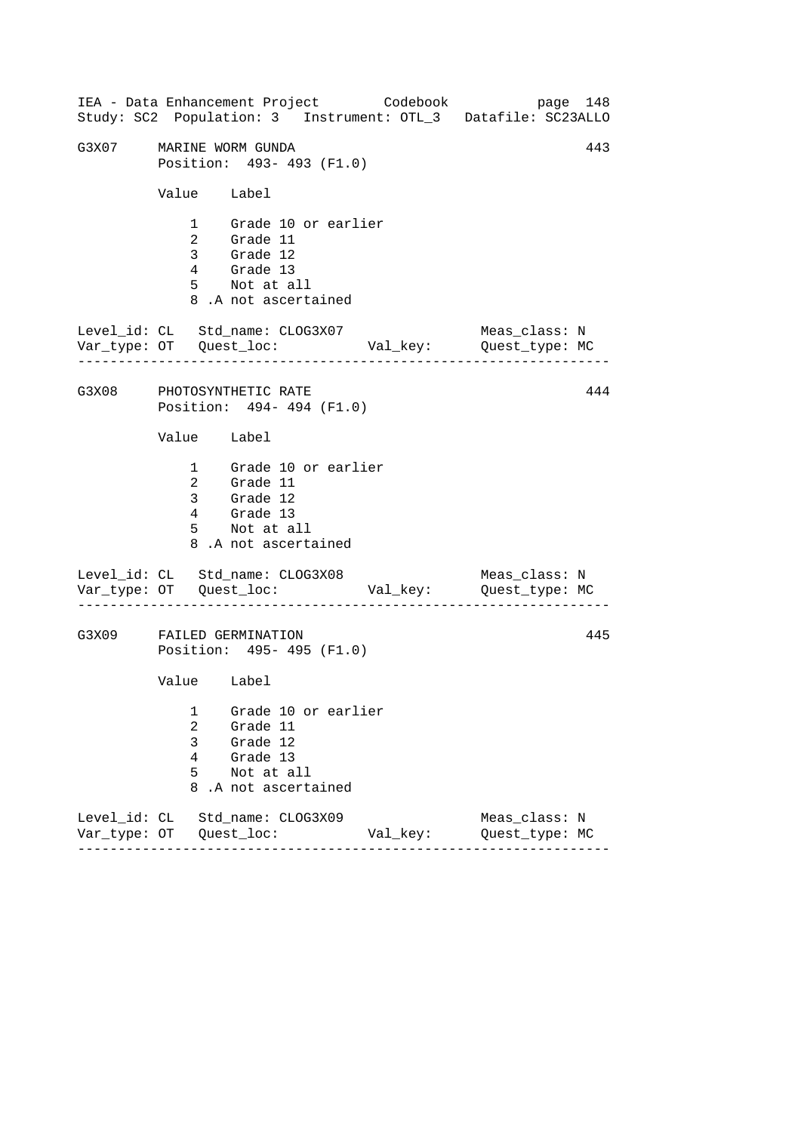------------------------------------------------------------------ ------------------------------------------------------------------ ------------------------------------------------------------------ IEA - Data Enhancement Project Codebook page 148 Study: SC2 Population: 3 Instrument: OTL\_3 Datafile: SC23ALLO G3X07 MARINE WORM GUNDA 443 Position: 493- 493 (F1.0) Value Label 1 Grade 10 or earlier 2 Grade 11 3 Grade 12 4 Grade 13 5 Not at all 8 .A not ascertained Level\_id: CL Std\_name: CLOG3X07 Meas\_class: N Var\_type: OT Quest\_loc: Val\_key: Quest\_type: MC G3X08 PHOTOSYNTHETIC RATE Position: 494- 494 (F1.0) Value Label 1 Grade 10 or earlier 2 Grade 11 3 Grade 12 4 Grade 13 5 Not at all 8 .A not ascertained Level\_id: CL Std\_name: CLOG3X08 Var\_type: OT Quest\_loc: Val\_key: Quest\_type: MC Meas\_class: N G3X09 FAILED GERMINATION Position: 495- 495 (F1.0) Value Label 1 Grade 10 or earlier 2 Grade 11 3 Grade 12 4 Grade 13 5 Not at all 8 .A not ascertained Level\_id: CL Std\_name: CLOG3X09 Meas\_class: N Var\_type: OT Quest\_loc: Val\_key: Quest\_type: MC 444 445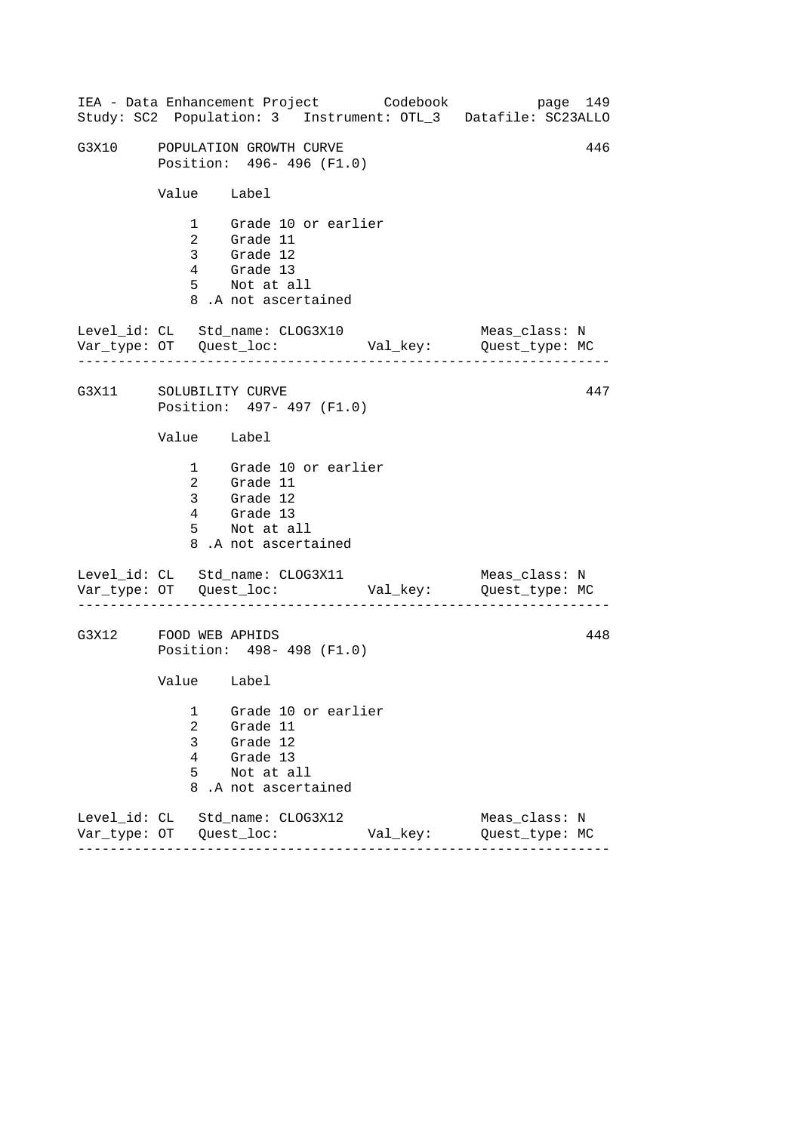------------------------------------------------------------------ ------------------------------------------------------------------ ------------------------------------------------------------------ IEA - Data Enhancement Project Codebook page 149 Study: SC2 Population: 3 Instrument: OTL\_3 Datafile: SC23ALLO G3X10 POPULATION GROWTH CURVE **146** Position: 496- 496 (F1.0) Value Label 1 Grade 10 or earlier 2 Grade 11 3 Grade 12 4 Grade 13 5 Not at all 8 .A not ascertained Level\_id: CL Std\_name: CLOG3X10 Meas\_class: N Var\_type: OT Quest\_loc: Val\_key: Quest\_type: MC G3X11 SOLUBILITY CURVE Position: 497- 497 (F1.0) Value Label 1 Grade 10 or earlier 2 Grade 11 3 Grade 12 4 Grade 13 5 Not at all 8 .A not ascertained Level\_id: CL Std\_name: CLOG3X11 Var\_type: OT Quest\_loc: Val\_key: Quest\_type: MC Meas\_class: N G3X12 FOOD WEB APHIDS Position: 498- 498 (F1.0) Value Label 1 Grade 10 or earlier 2 Grade 11 3 Grade 12 4 Grade 13 5 Not at all 8 .A not ascertained Level\_id: CL Std\_name: CLOG3X12 Meas\_class: N Var\_type: OT Quest\_loc: Val\_key: Quest\_type: MC 447 448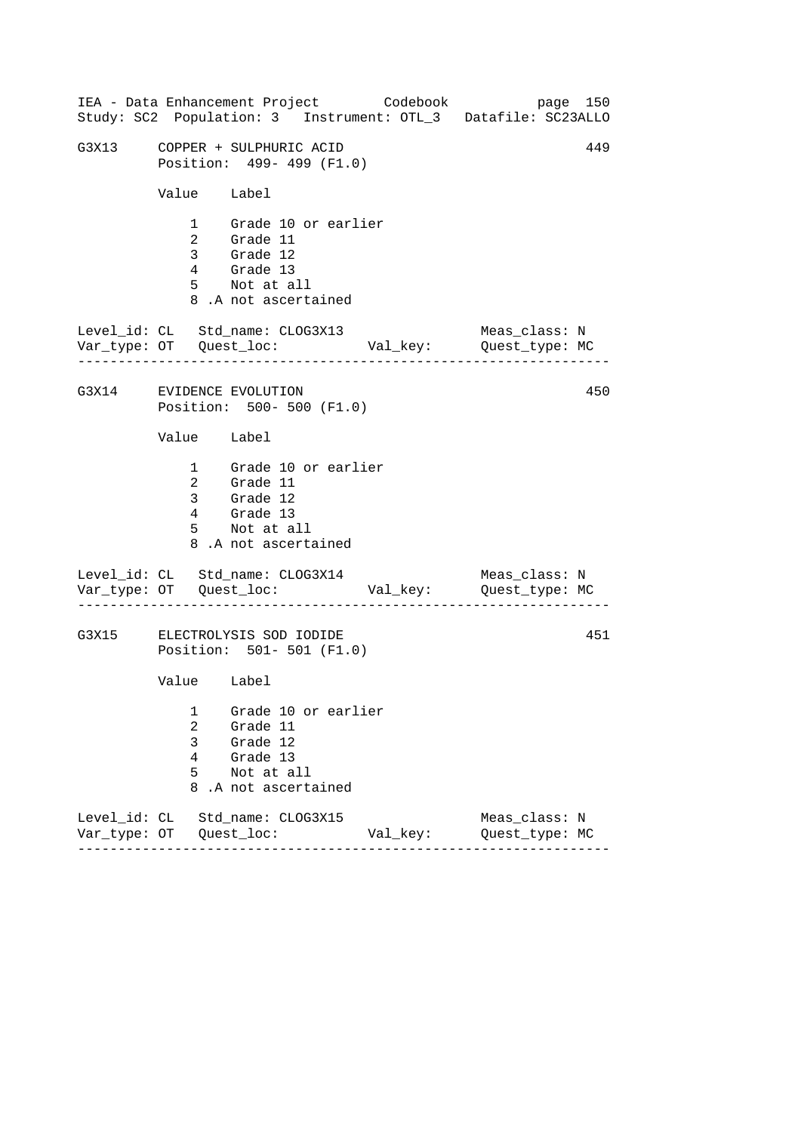|                            | IEA - Data Enhancement Project Codebook                                                                |          | page 150<br>Study: SC2 Population: 3 Instrument: OTL_3 Datafile: SC23ALLO |
|----------------------------|--------------------------------------------------------------------------------------------------------|----------|---------------------------------------------------------------------------|
|                            | G3X13 COPPER + SULPHURIC ACID<br>Position: 499- 499 (F1.0)                                             |          | 449                                                                       |
| Value Label                |                                                                                                        |          |                                                                           |
|                            | 1 Grade 10 or earlier<br>2 Grade 11<br>3 Grade 12<br>4 Grade 13<br>5 Not at all<br>8.A not ascertained |          |                                                                           |
|                            | Level_id: CL Std_name: CLOG3X13                                                                        |          | Meas_class: N                                                             |
|                            | G3X14 EVIDENCE EVOLUTION<br>Position: 500- 500 (F1.0)                                                  |          | 450                                                                       |
| Value Label                |                                                                                                        |          |                                                                           |
|                            | 1 Grade 10 or earlier<br>2 Grade 11<br>3 Grade 12<br>4 Grade 13<br>5 Not at all<br>8.A not ascertained |          |                                                                           |
|                            | Level_id: CL Std_name: CLOG3X14                                                                        |          | Meas_class: N                                                             |
|                            | G3X15 ELECTROLYSIS SOD IODIDE<br>Position: 501- 501 (F1.0)                                             |          | 451                                                                       |
| Value Label                |                                                                                                        |          |                                                                           |
| 1<br>2<br>3<br>4<br>5<br>8 | Grade 10 or earlier<br>Grade 11<br>Grade 12<br>Grade 13<br>Not at all<br>.A not ascertained            |          |                                                                           |
|                            | Level_id: CL Std_name: CLOG3X15                                                                        | Val_key: | Meas_class: N<br>Quest_type: MC                                           |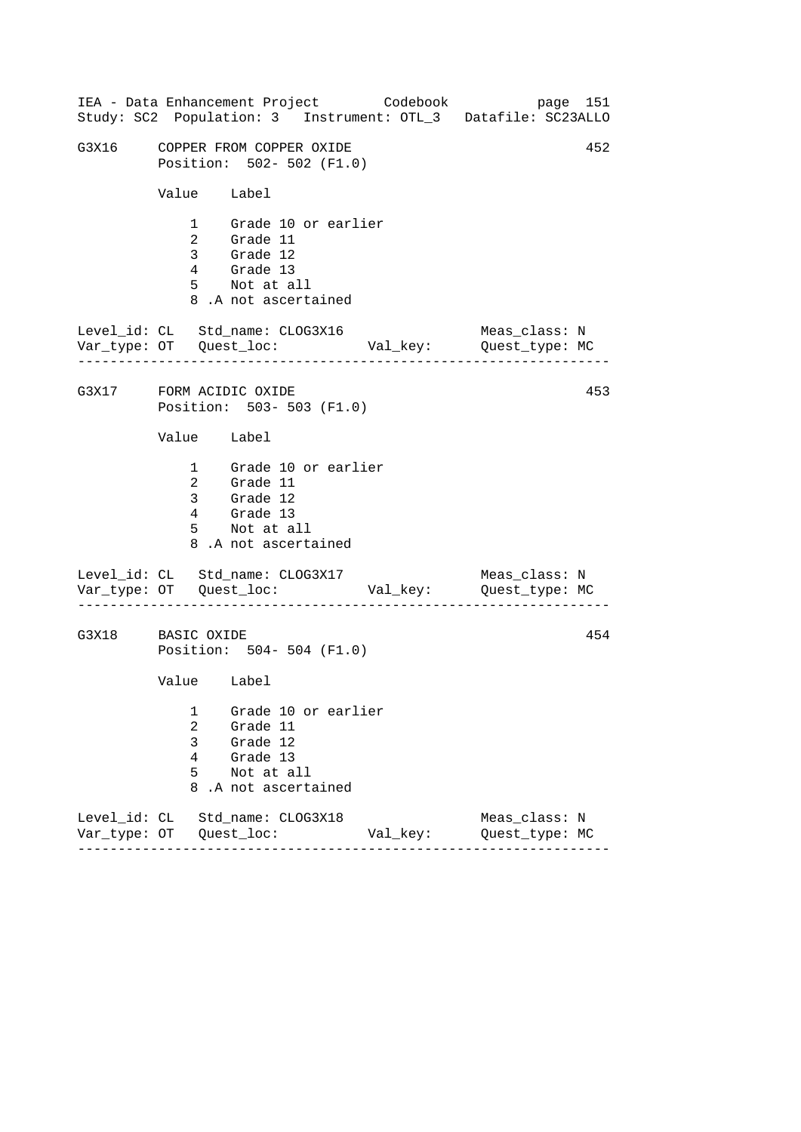------------------------------------------------------------------ ------------------------------------------------------------------ ------------------------------------------------------------------ IEA - Data Enhancement Project Codebook page 151 Study: SC2 Population: 3 Instrument: OTL\_3 Datafile: SC23ALLO G3X16 COPPER FROM COPPER OXIDE 63X16 452 Position: 502- 502 (F1.0) Value Label 1 Grade 10 or earlier 2 Grade 11 3 Grade 12 4 Grade 13 5 Not at all 8 .A not ascertained Level\_id: CL Std\_name: CLOG3X16 Meas\_class: N Var\_type: OT Quest\_loc: Val\_key: Quest\_type: MC G3X17 FORM ACIDIC OXIDE Position: 503- 503 (F1.0) Value Label 1 Grade 10 or earlier 2 Grade 11 3 Grade 12 4 Grade 13 5 Not at all 8 .A not ascertained Level\_id: CL Std\_name: CLOG3X17 Var\_type: OT Quest\_loc: Val\_key: Quest\_type: MC Meas\_class: N G3X18 BASIC OXIDE Position: 504- 504 (F1.0) Value Label 1 Grade 10 or earlier 2 Grade 11 3 Grade 12 4 Grade 13 5 Not at all 8 .A not ascertained Level\_id: CL Std\_name: CLOG3X18 Meas\_class: N Var\_type: OT Quest\_loc: Val\_key: Quest\_type: MC 453 454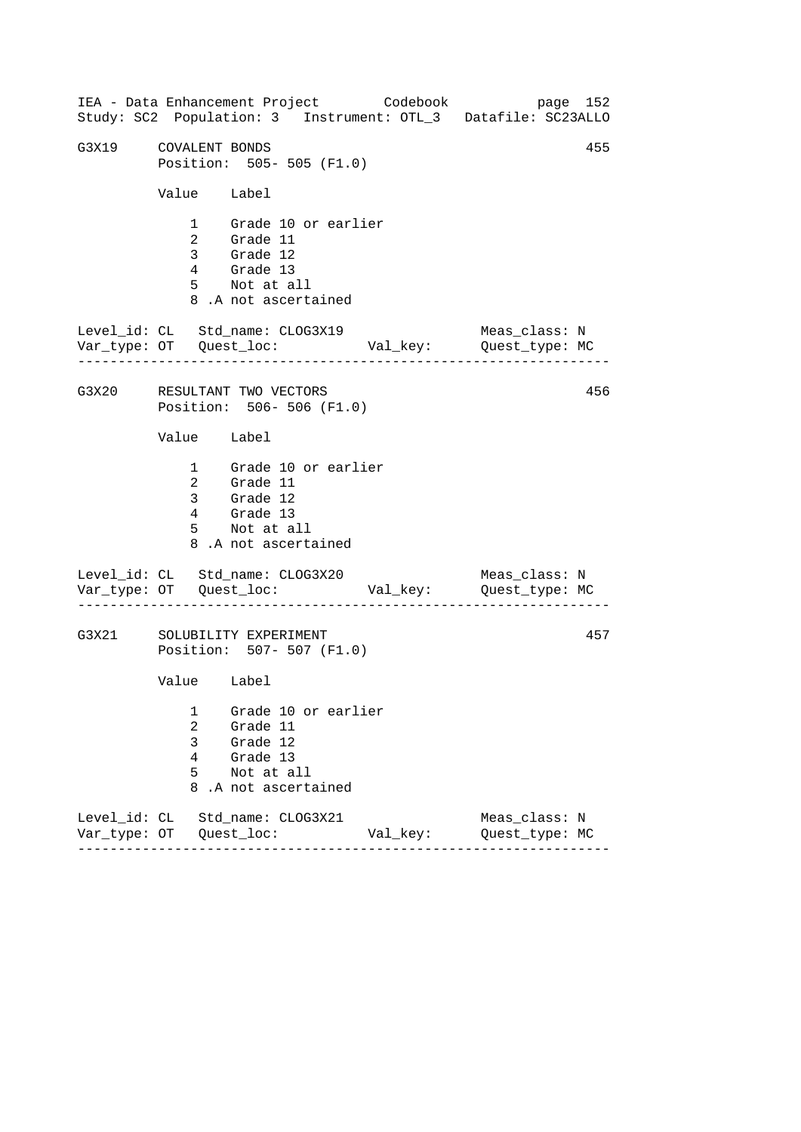------------------------------------------------------------------ ------------------------------------------------------------------ ------------------------------------------------------------------ IEA - Data Enhancement Project Codebook page 152 Study: SC2 Population: 3 Instrument: OTL\_3 Datafile: SC23ALLO G3X19 COVALENT BONDS 455 Position: 505- 505 (F1.0) Value Label 1 Grade 10 or earlier 2 Grade 11 3 Grade 12 4 Grade 13 5 Not at all 8 .A not ascertained Level\_id: CL Std\_name: CLOG3X19 Meas\_class: N Var\_type: OT Quest\_loc: Val\_key: Quest\_type: MC G3X20 RESULTANT TWO VECTORS Position: 506- 506 (F1.0) Value Label 1 Grade 10 or earlier 2 Grade 11 3 Grade 12 4 Grade 13 5 Not at all 8 .A not ascertained Level\_id: CL Std\_name: CLOG3X20 Var\_type: OT Quest\_loc: Val\_key: Quest\_type: MC Meas\_class: N G3X21 SOLUBILITY EXPERIMENT Position: 507- 507 (F1.0) Value Label 1 Grade 10 or earlier 2 Grade 11 3 Grade 12 4 Grade 13 5 Not at all 8 .A not ascertained Level\_id: CL Std\_name: CLOG3X21 Meas\_class: N Var\_type: OT Quest\_loc: Val\_key: Quest\_type: MC 456 457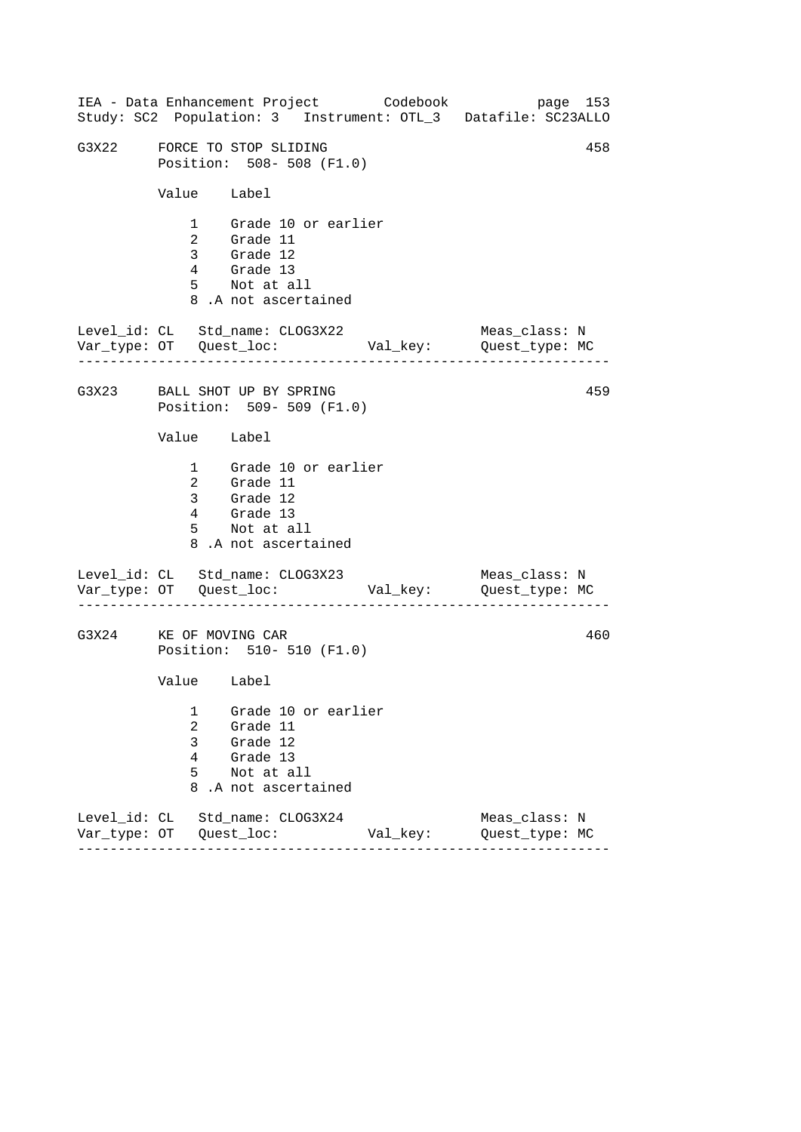------------------------------------------------------------------ ------------------------------------------------------------------ ------------------------------------------------------------------ IEA - Data Enhancement Project Codebook page 153 Study: SC2 Population: 3 Instrument: OTL\_3 Datafile: SC23ALLO G3X22 FORCE TO STOP SLIDING  $458$ Position: 508- 508 (F1.0) Value Label 1 Grade 10 or earlier 2 Grade 11 3 Grade 12 4 Grade 13 5 Not at all 8 .A not ascertained Level\_id: CL Std\_name: CLOG3X22 Meas\_class: N Var\_type: OT Quest\_loc: Val\_key: Quest\_type: MC G3X23 BALL SHOT UP BY SPRING Position: 509- 509 (F1.0) Value Label 1 Grade 10 or earlier 2 Grade 11 3 Grade 12 4 Grade 13 5 Not at all 8 .A not ascertained Level\_id: CL Std\_name: CLOG3X23 Var\_type: OT Quest\_loc: Val\_key: Quest\_type: MC Meas\_class: N G3X24 KE OF MOVING CAR Position: 510- 510 (F1.0) Value Label 1 Grade 10 or earlier 2 Grade 11 3 Grade 12 4 Grade 13 5 Not at all 8 .A not ascertained Level\_id: CL Std\_name: CLOG3X24 Meas\_class: N Var\_type: OT Quest\_loc: Val\_key: Quest\_type: MC 459 460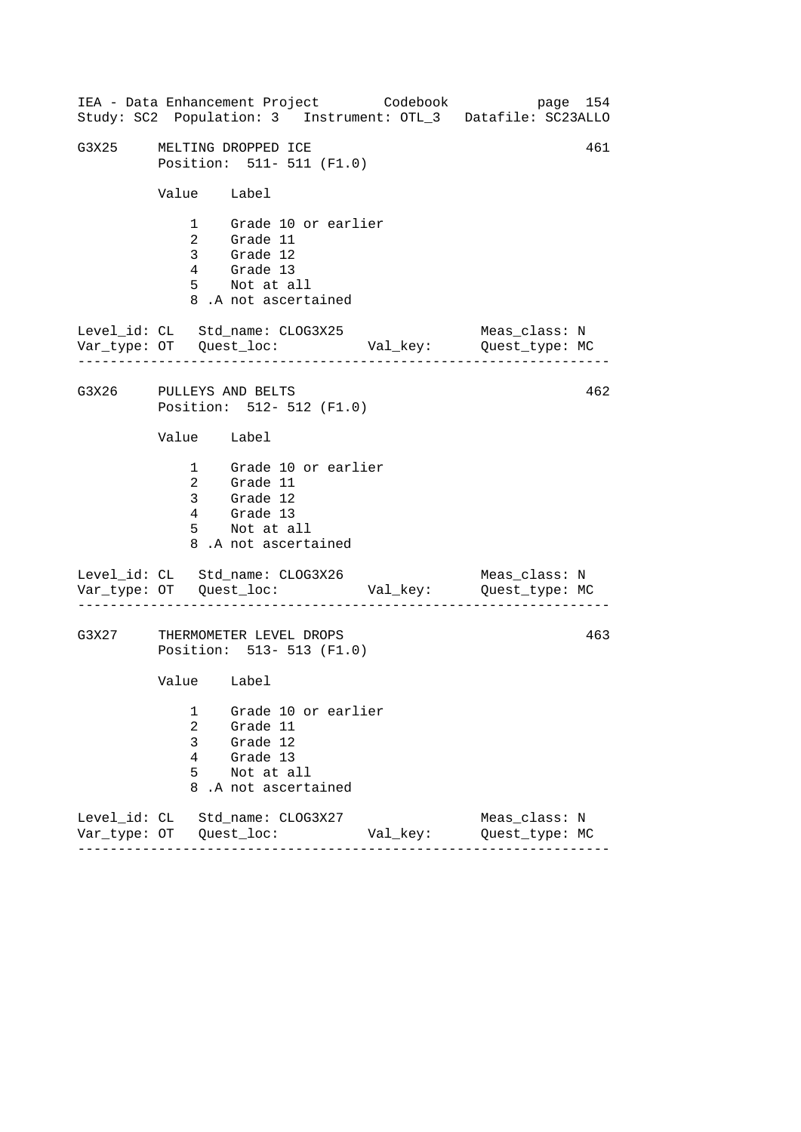------------------------------------------------------------------ ------------------------------------------------------------------ ------------------------------------------------------------------ IEA - Data Enhancement Project Codebook page 154 Study: SC2 Population: 3 Instrument: OTL\_3 Datafile: SC23ALLO G3X25 MELTING DROPPED ICE 3X25 461 Position: 511- 511 (F1.0) Value Label 1 Grade 10 or earlier 2 Grade 11 3 Grade 12 4 Grade 13 5 Not at all 8 .A not ascertained Level\_id: CL Std\_name: CLOG3X25 Meas\_class: N Var\_type: OT Quest\_loc: Val\_key: Quest\_type: MC G3X26 PULLEYS AND BELTS Position: 512- 512 (F1.0) Value Label 1 Grade 10 or earlier 2 Grade 11 3 Grade 12 4 Grade 13 5 Not at all 8 .A not ascertained Level\_id: CL Std\_name: CLOG3X26 Var\_type: OT Quest\_loc: Val\_key: Quest\_type: MC Meas\_class: N G3X27 THERMOMETER LEVEL DROPS Position: 513- 513 (F1.0) Value Label 1 Grade 10 or earlier 2 Grade 11 3 Grade 12 4 Grade 13 5 Not at all 8 .A not ascertained Level\_id: CL Std\_name: CLOG3X27 Meas\_class: N Var\_type: OT Quest\_loc: Val\_key: Quest\_type: MC 462 463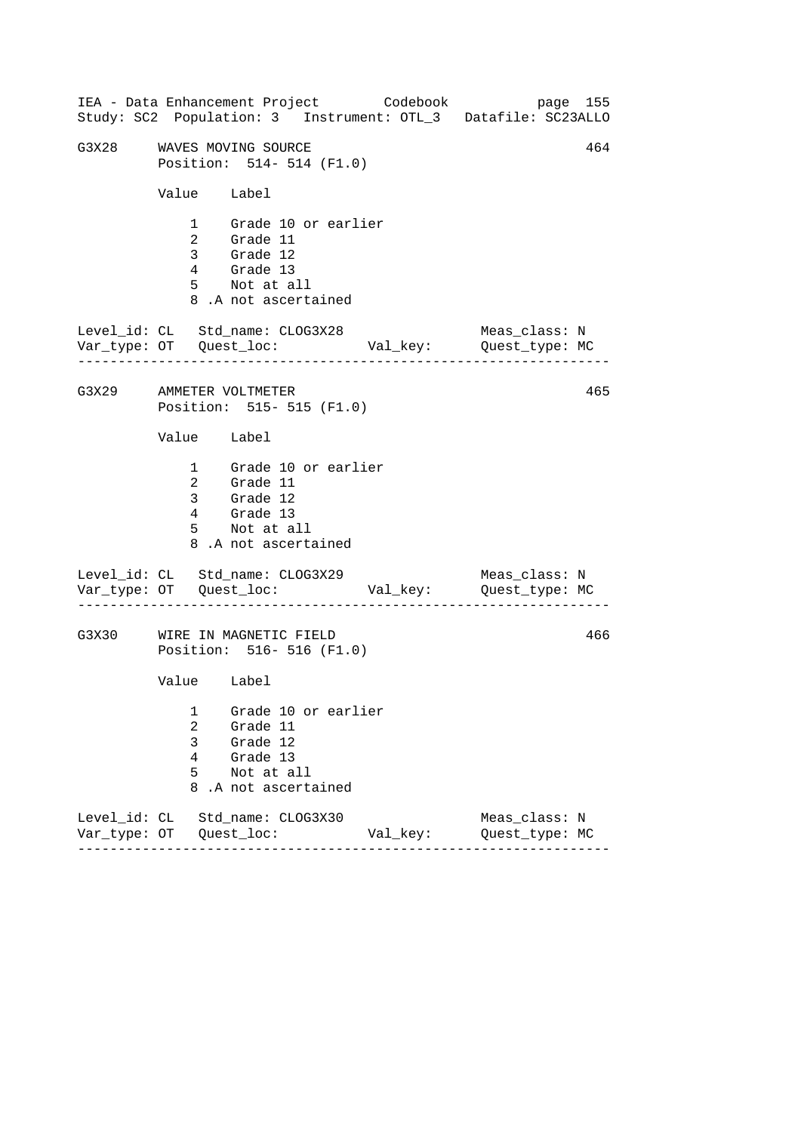------------------------------------------------------------------ ------------------------------------------------------------------ ------------------------------------------------------------------ IEA - Data Enhancement Project Codebook page 155 Study: SC2 Population: 3 Instrument: OTL\_3 Datafile: SC23ALLO G3X28 WAVES MOVING SOURCE **And CONVERT SERVICE** 464 Position: 514- 514 (F1.0) Value Label 1 Grade 10 or earlier 2 Grade 11 3 Grade 12 4 Grade 13 5 Not at all 8 .A not ascertained Level\_id: CL Std\_name: CLOG3X28 Meas\_class: N Var\_type: OT Quest\_loc: Val\_key: Quest\_type: MC G3X29 AMMETER VOLTMETER Position: 515- 515 (F1.0) Value Label 1 Grade 10 or earlier 2 Grade 11 3 Grade 12 4 Grade 13 5 Not at all 8 .A not ascertained Level\_id: CL Std\_name: CLOG3X29 Var\_type: OT Quest\_loc: Val\_key: Quest\_type: MC Meas\_class: N G3X30 WIRE IN MAGNETIC FIELD Position: 516- 516 (F1.0) Value Label 1 Grade 10 or earlier 2 Grade 11 3 Grade 12 4 Grade 13 5 Not at all 8 .A not ascertained Level\_id: CL Std\_name: CLOG3X30 Meas\_class: N Var\_type: OT Quest\_loc: Val\_key: Quest\_type: MC 465 466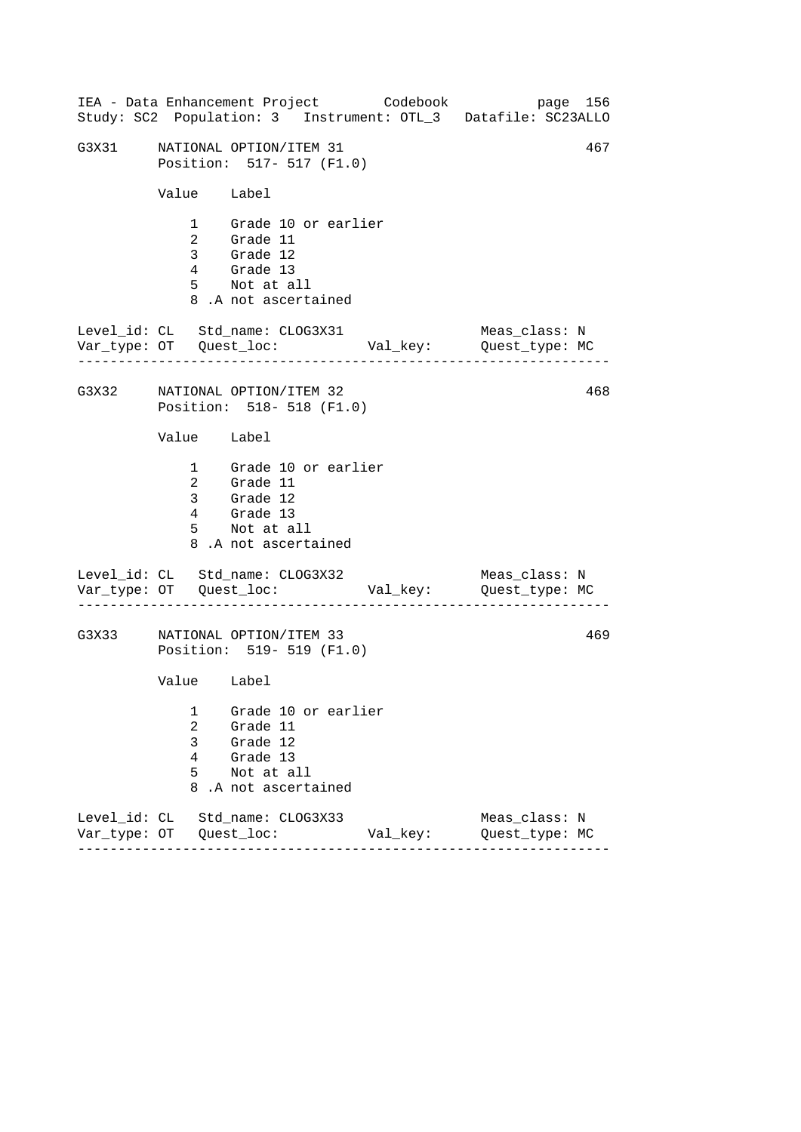|       |                            |                                                                                                        | IEA - Data Enhancement Project Codebook | page 156<br>Study: SC2 Population: 3 Instrument: OTL_3 Datafile: SC23ALLO |     |
|-------|----------------------------|--------------------------------------------------------------------------------------------------------|-----------------------------------------|---------------------------------------------------------------------------|-----|
| G3X31 |                            | NATIONAL OPTION/ITEM 31<br>Position: 517- 517 (F1.0)                                                   |                                         |                                                                           | 467 |
|       |                            | Value Label                                                                                            |                                         |                                                                           |     |
|       |                            | 1 Grade 10 or earlier<br>2 Grade 11<br>3 Grade 12<br>4 Grade 13<br>5 Not at all<br>8.A not ascertained |                                         |                                                                           |     |
|       |                            | $\verb Level_id: CL   \verb  8td_name: CLOG3X31 $                                                      |                                         | Meas_class: N<br>Var_type: OT Quest_loc: Val_key: Quest_type: MC          |     |
|       |                            | G3X32 NATIONAL OPTION/ITEM 32<br>Position: 518- 518 (F1.0)                                             |                                         |                                                                           | 468 |
|       |                            | Value Label                                                                                            |                                         |                                                                           |     |
|       |                            | 1 Grade 10 or earlier<br>2 Grade 11<br>3 Grade 12<br>4 Grade 13<br>5 Not at all<br>8.A not ascertained |                                         |                                                                           |     |
|       |                            | Level_id: CL Std_name: CLOG3X32                                                                        |                                         | Meas_class: N                                                             |     |
| G3X33 |                            | NATIONAL OPTION/ITEM 33<br>Position: 519- 519 (F1.0)                                                   |                                         |                                                                           | 469 |
|       |                            | Value Label                                                                                            |                                         |                                                                           |     |
|       | 1<br>2<br>3<br>4<br>5<br>8 | Grade 10 or earlier<br>Grade 11<br>Grade 12<br>Grade 13<br>Not at all<br>.A not ascertained            |                                         |                                                                           |     |
|       |                            | Level_id: CL Std_name: CLOG3X33                                                                        | Val_key:                                | Meas_class: N<br>Quest_type: MC                                           |     |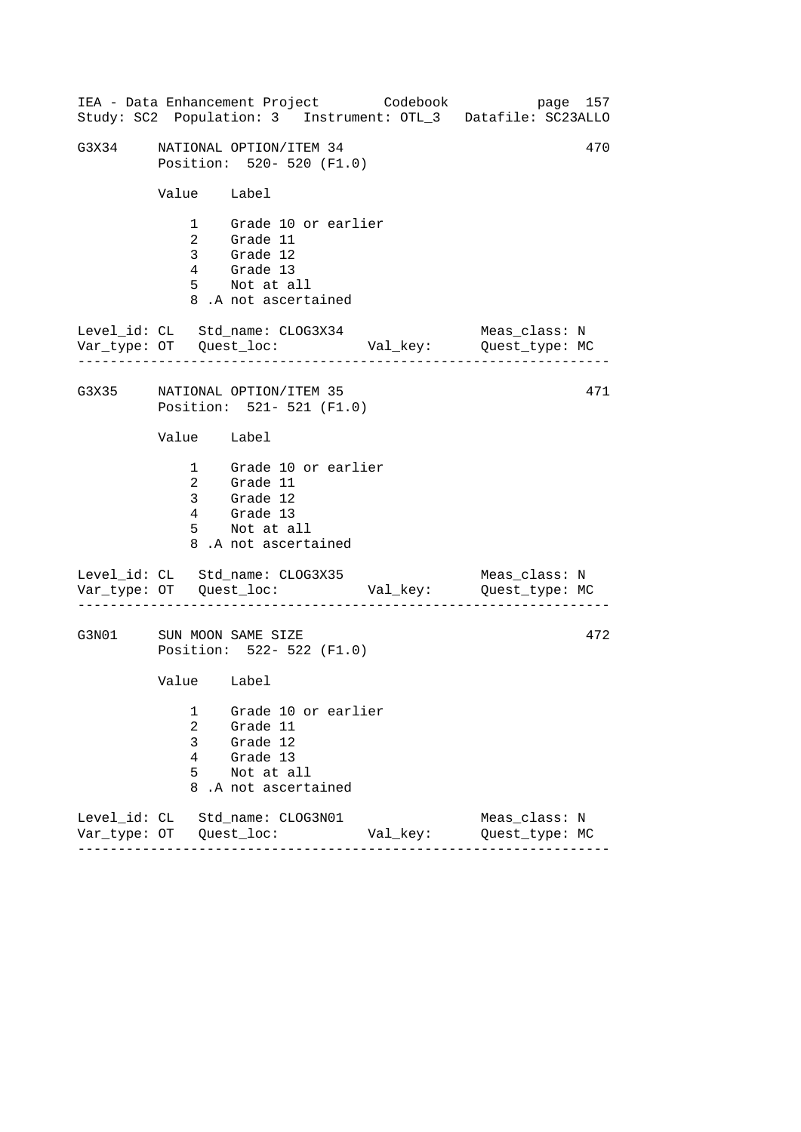|       |                            | IEA - Data Enhancement Project Codebook                                                                |          | page 157<br>Study: SC2 Population: 3 Instrument: OTL_3 Datafile: SC23ALLO |
|-------|----------------------------|--------------------------------------------------------------------------------------------------------|----------|---------------------------------------------------------------------------|
| G3X34 |                            | NATIONAL OPTION/ITEM 34<br>Position: 520- 520 (F1.0)                                                   |          | 470                                                                       |
|       | Value Label                |                                                                                                        |          |                                                                           |
|       |                            | 1 Grade 10 or earlier<br>2 Grade 11<br>3 Grade 12<br>4 Grade 13<br>5 Not at all<br>8.A not ascertained |          |                                                                           |
|       |                            | Level_id: CL Std_name: CLOG3X34                                                                        |          | Meas_class: N                                                             |
|       |                            | G3X35 NATIONAL OPTION/ITEM 35<br>Position: 521- 521 (F1.0)                                             |          | 471                                                                       |
|       | Value Label                |                                                                                                        |          |                                                                           |
|       |                            | 1 Grade 10 or earlier<br>2 Grade 11<br>3 Grade 12<br>4 Grade 13<br>5 Not at all<br>8.A not ascertained |          |                                                                           |
|       |                            | Level_id: CL Std_name: CLOG3X35                                                                        |          | Meas_class: N                                                             |
|       |                            | G3N01 SUN MOON SAME SIZE<br>Position: 522- 522 (F1.0)                                                  |          | 472                                                                       |
|       | Value Label                |                                                                                                        |          |                                                                           |
|       | 1<br>2<br>3<br>4<br>5<br>8 | Grade 10 or earlier<br>Grade 11<br>Grade 12<br>Grade 13<br>Not at all<br>.A not ascertained            |          |                                                                           |
|       |                            | Level_id: CL Std_name: CLOG3N01                                                                        | Val_key: | Meas class: N<br>Quest_type: MC                                           |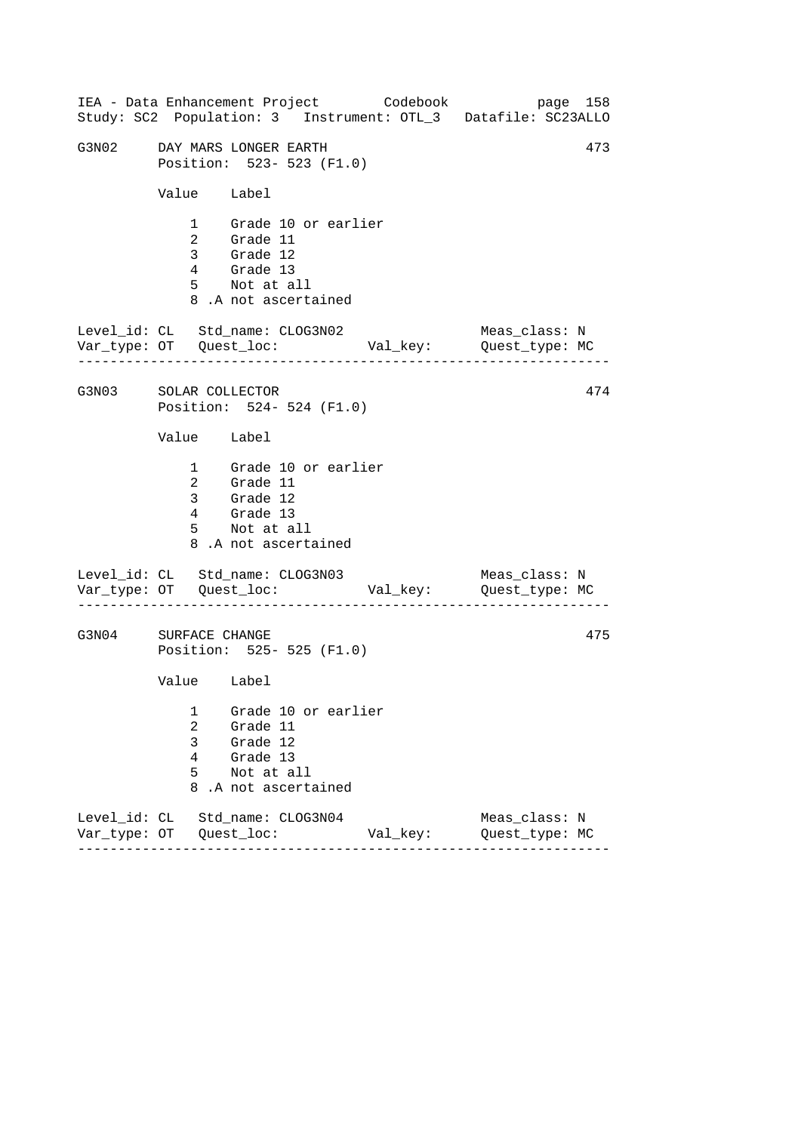------------------------------------------------------------------ ------------------------------------------------------------------ ------------------------------------------------------------------ IEA - Data Enhancement Project Codebook page 158 Study: SC2 Population: 3 Instrument: OTL\_3 Datafile: SC23ALLO G3N02 DAY MARS LONGER EARTH 673 Position: 523- 523 (F1.0) Value Label 1 Grade 10 or earlier 2 Grade 11 3 Grade 12 4 Grade 13 5 Not at all 8 .A not ascertained Level\_id: CL Std\_name: CLOG3N02 Meas\_class: N Var\_type: OT Quest\_loc: Val\_key: Quest\_type: MC G3N03 SOLAR COLLECTOR Position: 524- 524 (F1.0) Value Label 1 Grade 10 or earlier 2 Grade 11 3 Grade 12 4 Grade 13 5 Not at all 8 .A not ascertained Level\_id: CL Std\_name: CLOG3N03 Var\_type: OT Quest\_loc: Val\_key: Quest\_type: MC Meas\_class: N G3N04 SURFACE CHANGE Position: 525- 525 (F1.0) Value Label 1 Grade 10 or earlier 2 Grade 11 3 Grade 12 4 Grade 13 5 Not at all 8 .A not ascertained Level\_id: CL Std\_name: CLOG3N04 Meas\_class: N Var\_type: OT Quest\_loc: Val\_key: Quest\_type: MC 474 475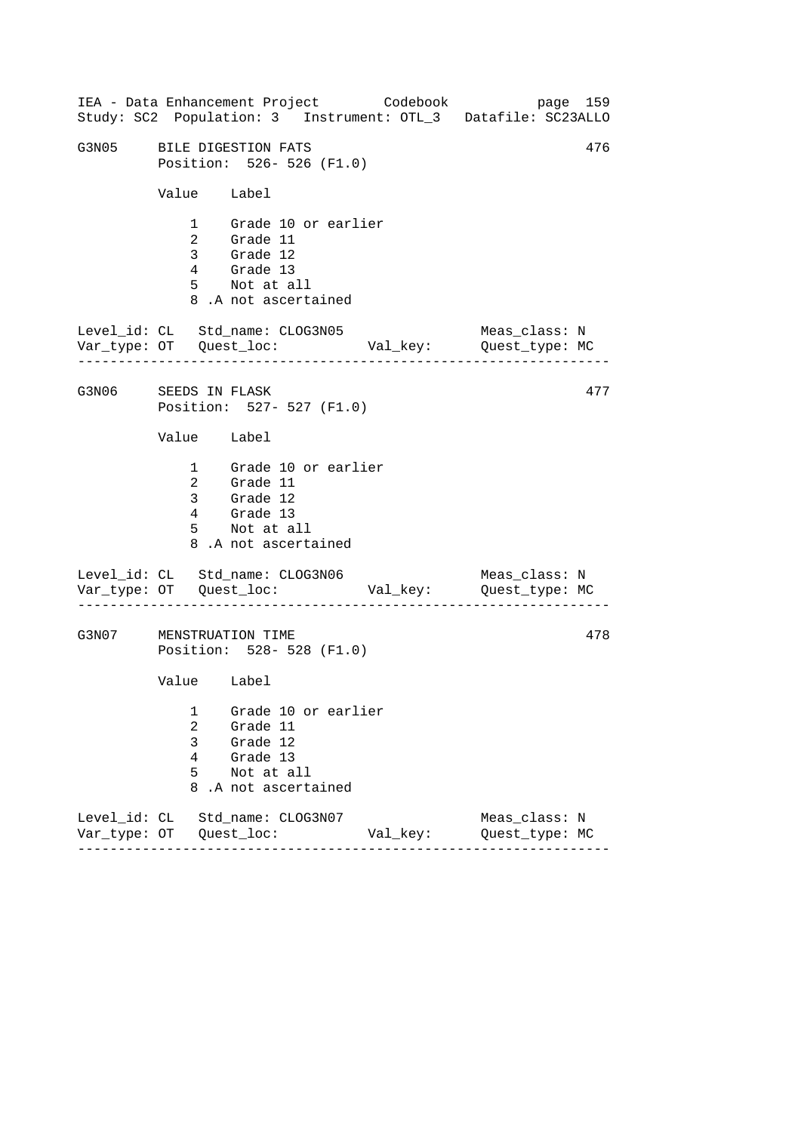------------------------------------------------------------------ ------------------------------------------------------------------ ------------------------------------------------------------------ IEA - Data Enhancement Project Codebook page 159 Study: SC2 Population: 3 Instrument: OTL\_3 Datafile: SC23ALLO G3N05 BILE DIGESTION FATS 476 Position: 526- 526 (F1.0) Value Label 1 Grade 10 or earlier 2 Grade 11 3 Grade 12 4 Grade 13 5 Not at all 8 .A not ascertained Level\_id: CL Std\_name: CLOG3N05 Meas\_class: N Var\_type: OT Quest\_loc: Val\_key: Quest\_type: MC G3N06 SEEDS IN FLASK Position: 527- 527 (F1.0) Value Label 1 Grade 10 or earlier 2 Grade 11 3 Grade 12 4 Grade 13 5 Not at all 8 .A not ascertained Level\_id: CL Std\_name: CLOG3N06 Var\_type: OT Quest\_loc: Val\_key: Quest\_type: MC Meas\_class: N G3N07 MENSTRUATION TIME Position: 528- 528 (F1.0) Value Label 1 Grade 10 or earlier 2 Grade 11 3 Grade 12 4 Grade 13 5 Not at all 8 .A not ascertained Level\_id: CL Std\_name: CLOG3N07 Meas\_class: N Var\_type: OT Quest\_loc: Val\_key: Quest\_type: MC 477 478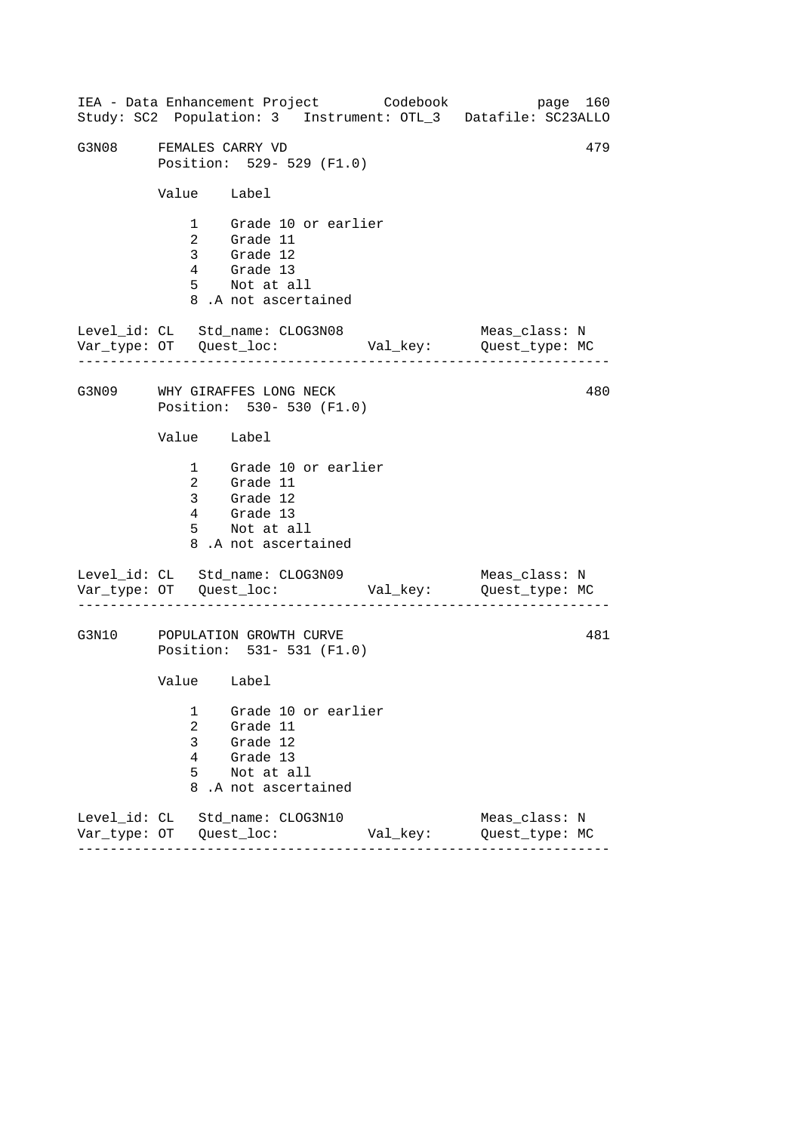------------------------------------------------------------------ ------------------------------------------------------------------ ------------------------------------------------------------------ IEA - Data Enhancement Project Codebook page 160 Study: SC2 Population: 3 Instrument: OTL\_3 Datafile: SC23ALLO G3N08 FEMALES CARRY VD 479 Position: 529- 529 (F1.0) Value Label 1 Grade 10 or earlier 2 Grade 11 3 Grade 12 4 Grade 13 5 Not at all 8 .A not ascertained Level\_id: CL Std\_name: CLOG3N08 Meas\_class: N Var\_type: OT Quest\_loc: Val\_key: Quest\_type: MC G3N09 WHY GIRAFFES LONG NECK Position: 530- 530 (F1.0) Value Label 1 Grade 10 or earlier 2 Grade 11 3 Grade 12 4 Grade 13 5 Not at all 8 .A not ascertained Level\_id: CL Std\_name: CLOG3N09 Var\_type: OT Quest\_loc: Val\_key: Quest\_type: MC Meas\_class: N G3N10 POPULATION GROWTH CURVE Position: 531- 531 (F1.0) Value Label 1 Grade 10 or earlier 2 Grade 11 3 Grade 12 4 Grade 13 5 Not at all 8 .A not ascertained Level\_id: CL Std\_name: CLOG3N10 Meas\_class: N Var\_type: OT Quest\_loc: Val\_key: Quest\_type: MC 480 481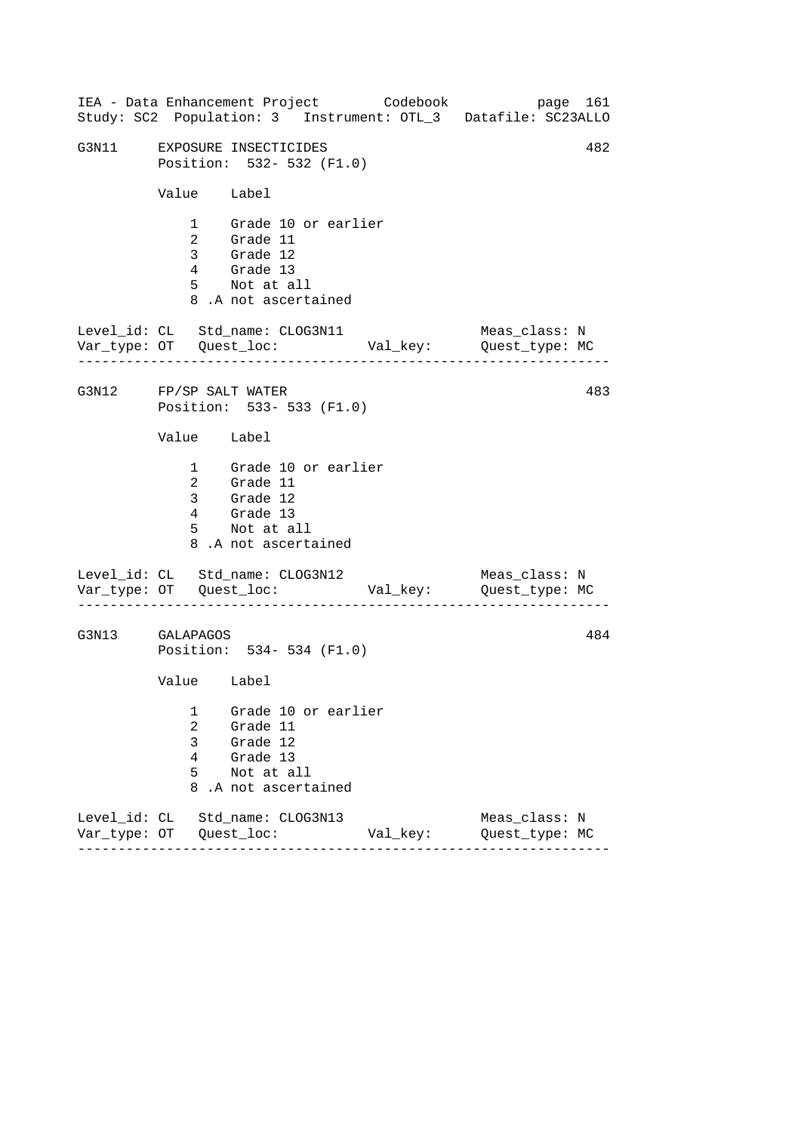------------------------------------------------------------------ ------------------------------------------------------------------ ------------------------------------------------------------------ IEA - Data Enhancement Project Codebook page 161 Study: SC2 Population: 3 Instrument: OTL\_3 Datafile: SC23ALLO G3N11 EXPOSURE INSECTICIDES 482 Position: 532- 532 (F1.0) Value Label 1 Grade 10 or earlier 2 Grade 11 3 Grade 12 4 Grade 13 5 Not at all 8 .A not ascertained Level\_id: CL Std\_name: CLOG3N11 Meas\_class: N Var\_type: OT Quest\_loc: Val\_key: Quest\_type: MC G3N12 FP/SP SALT WATER Position: 533- 533 (F1.0) Value Label 1 Grade 10 or earlier 2 Grade 11 3 Grade 12 4 Grade 13 5 Not at all 8 .A not ascertained Level\_id: CL Std\_name: CLOG3N12 Meas\_class: N Var\_type: OT Quest\_loc: Val\_key: Quest\_type: MC G3N13 GALAPAGOS Position: 534- 534 (F1.0) Value Label 1 Grade 10 or earlier 2 Grade 11 3 Grade 12 4 Grade 13 5 Not at all 8 .A not ascertained Level\_id: CL Std\_name: CLOG3N13 Meas\_class: N Var\_type: OT Quest\_loc: Val\_key: Quest\_type: MC 483 484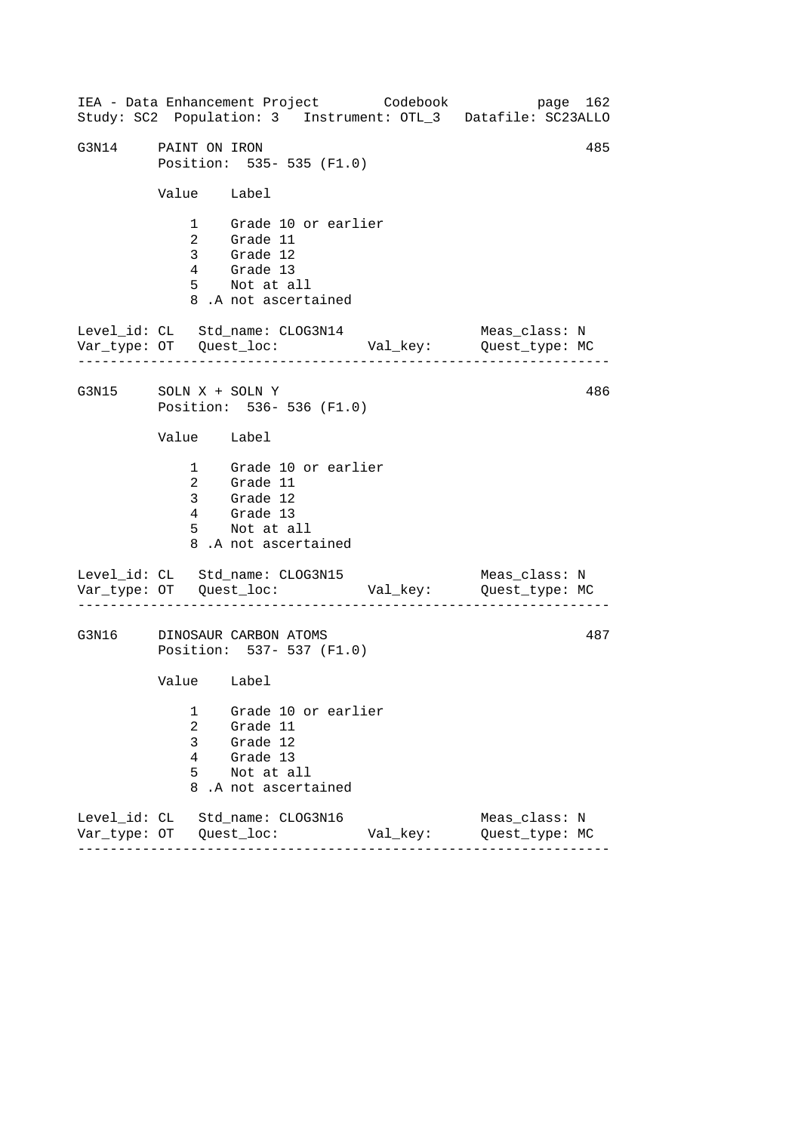------------------------------------------------------------------ ------------------------------------------------------------------ ------------------------------------------------------------------ IEA - Data Enhancement Project Codebook page 162 Study: SC2 Population: 3 Instrument: OTL\_3 Datafile: SC23ALLO G3N14 PAINT ON IRON 485 Position: 535- 535 (F1.0) Value Label 1 Grade 10 or earlier 2 Grade 11 3 Grade 12 4 Grade 13 5 Not at all 8 .A not ascertained Level\_id: CL Std\_name: CLOG3N14 Meas\_class: N Var\_type: OT Quest\_loc: Val\_key: Quest\_type: MC G3N15 SOLN X + SOLN Y Position: 536- 536 (F1.0) Value Label 1 Grade 10 or earlier 2 Grade 11 3 Grade 12 4 Grade 13 5 Not at all 8 .A not ascertained Level\_id: CL Std\_name: CLOG3N15 Var\_type: OT Quest\_loc: Val\_key: Quest\_type: MC Meas\_class: N G3N16 DINOSAUR CARBON ATOMS Position: 537- 537 (F1.0) Value Label 1 Grade 10 or earlier 2 Grade 11 3 Grade 12 4 Grade 13 5 Not at all 8 .A not ascertained Level\_id: CL Std\_name: CLOG3N16 Meas\_class: N Var\_type: OT Quest\_loc: Val\_key: Quest\_type: MC 486 487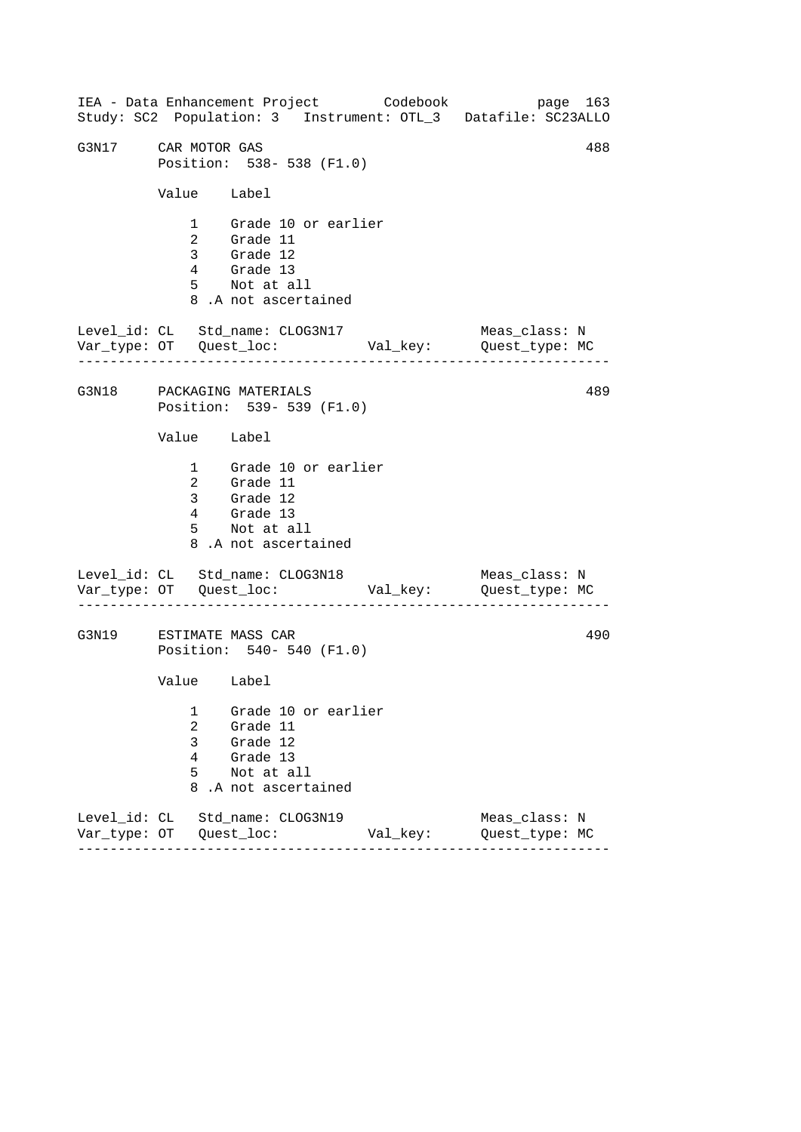------------------------------------------------------------------ ------------------------------------------------------------------ ------------------------------------------------------------------ IEA - Data Enhancement Project Codebook page 163 Study: SC2 Population: 3 Instrument: OTL\_3 Datafile: SC23ALLO G3N17 CAR MOTOR GAS 288 Position: 538- 538 (F1.0) Value Label 1 Grade 10 or earlier 2 Grade 11 3 Grade 12 4 Grade 13 5 Not at all 8 .A not ascertained Level\_id: CL Std\_name: CLOG3N17 Meas\_class: N Var\_type: OT Quest\_loc: Val\_key: Quest\_type: MC G3N18 PACKAGING MATERIALS Position: 539- 539 (F1.0) Value Label 1 Grade 10 or earlier 2 Grade 11 3 Grade 12 4 Grade 13 5 Not at all 8 .A not ascertained Level\_id: CL Std\_name: CLOG3N18 Var\_type: OT Quest\_loc: Val\_key: Quest\_type: MC Meas\_class: N G3N19 ESTIMATE MASS CAR Position: 540- 540 (F1.0) Value Label 1 Grade 10 or earlier 2 Grade 11 3 Grade 12 4 Grade 13 5 Not at all 8 .A not ascertained Level\_id: CL Std\_name: CLOG3N19 Meas\_class: N Var\_type: OT Quest\_loc: Val\_key: Quest\_type: MC 489 490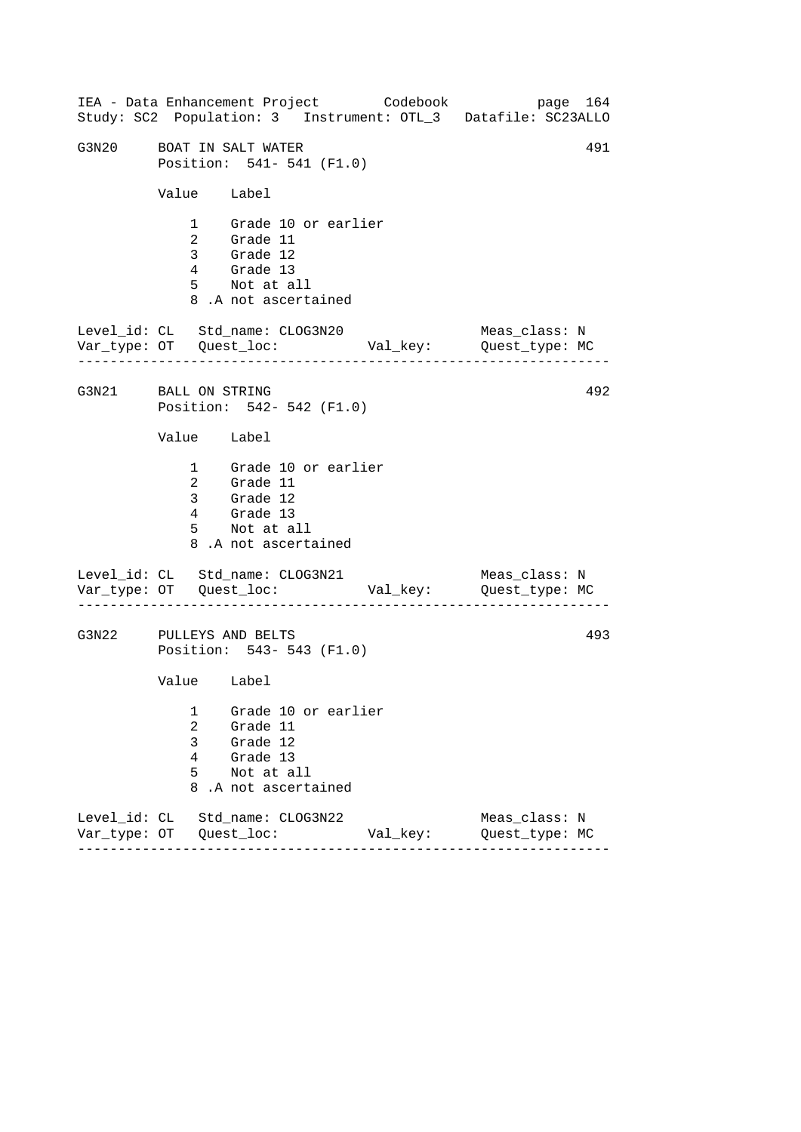------------------------------------------------------------------ ------------------------------------------------------------------ ------------------------------------------------------------------ IEA - Data Enhancement Project Codebook page 164 Study: SC2 Population: 3 Instrument: OTL\_3 Datafile: SC23ALLO G3N20 BOAT IN SALT WATER 491 Position: 541- 541 (F1.0) Value Label 1 Grade 10 or earlier 2 Grade 11 3 Grade 12 4 Grade 13 5 Not at all 8 .A not ascertained Level\_id: CL Std\_name: CLOG3N20 Meas\_class: N Var\_type: OT Quest\_loc: Val\_key: Quest\_type: MC G3N21 BALL ON STRING Position: 542- 542 (F1.0) Value Label 1 Grade 10 or earlier 2 Grade 11 3 Grade 12 4 Grade 13 5 Not at all 8 .A not ascertained Level\_id: CL Std\_name: CLOG3N21 Var\_type: OT Quest\_loc: Val\_key: Quest\_type: MC Meas\_class: N G3N22 PULLEYS AND BELTS Position: 543- 543 (F1.0) Value Label 1 Grade 10 or earlier 2 Grade 11 3 Grade 12 4 Grade 13 5 Not at all 8 .A not ascertained Level\_id: CL Std\_name: CLOG3N22 Meas\_class: N Var\_type: OT Quest\_loc: Val\_key: Quest\_type: MC 492 493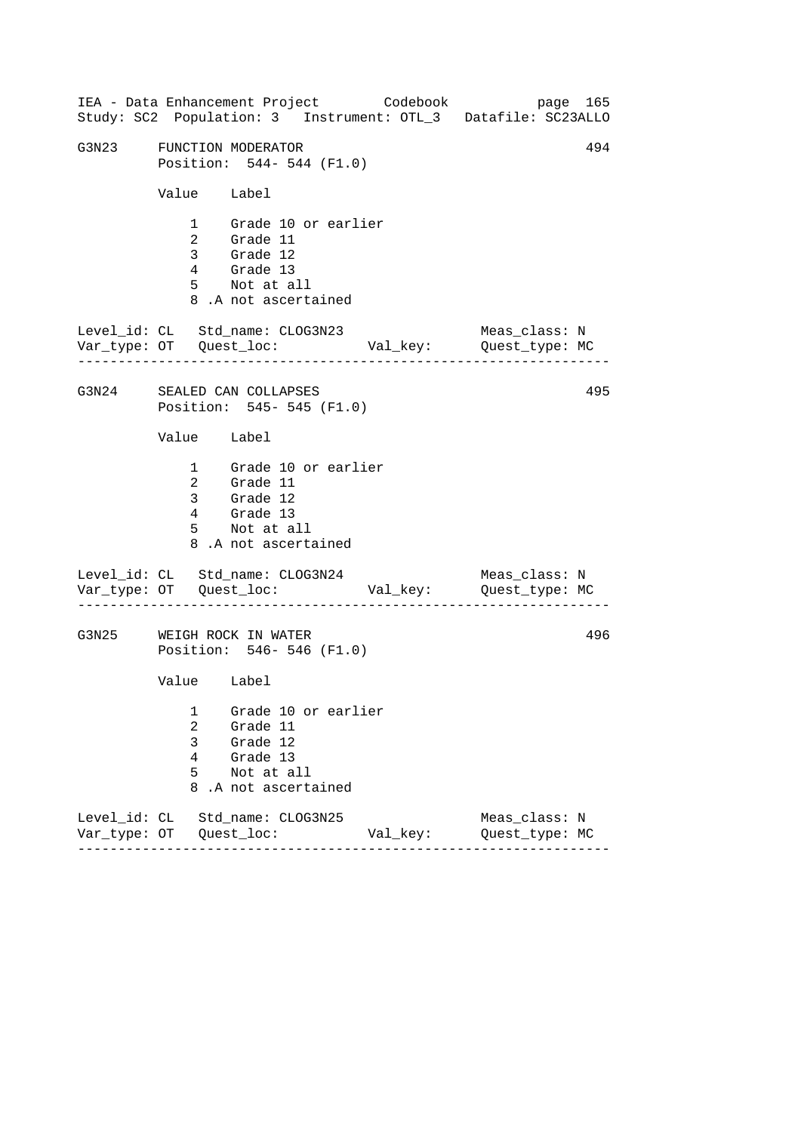------------------------------------------------------------------ ------------------------------------------------------------------ ------------------------------------------------------------------ IEA - Data Enhancement Project Codebook page 165 Study: SC2 Population: 3 Instrument: OTL\_3 Datafile: SC23ALLO G3N23 FUNCTION MODERATOR 63N23 494 Position: 544- 544 (F1.0) Value Label 1 Grade 10 or earlier 2 Grade 11 3 Grade 12 4 Grade 13 5 Not at all 8 .A not ascertained Level\_id: CL Std\_name: CLOG3N23 Meas\_class: N Var\_type: OT Quest\_loc: Val\_key: Quest\_type: MC G3N24 SEALED CAN COLLAPSES Position: 545- 545 (F1.0) Value Label 1 Grade 10 or earlier 2 Grade 11 3 Grade 12 4 Grade 13 5 Not at all 8 .A not ascertained Level\_id: CL Std\_name: CLOG3N24 Var\_type: OT Quest\_loc: Val\_key: Quest\_type: MC Meas\_class: N G3N25 WEIGH ROCK IN WATER Position: 546- 546 (F1.0) Value Label 1 Grade 10 or earlier 2 Grade 11 3 Grade 12 4 Grade 13 5 Not at all 8 .A not ascertained Level\_id: CL Std\_name: CLOG3N25 Meas\_class: N Var\_type: OT Quest\_loc: Val\_key: Quest\_type: MC 495 496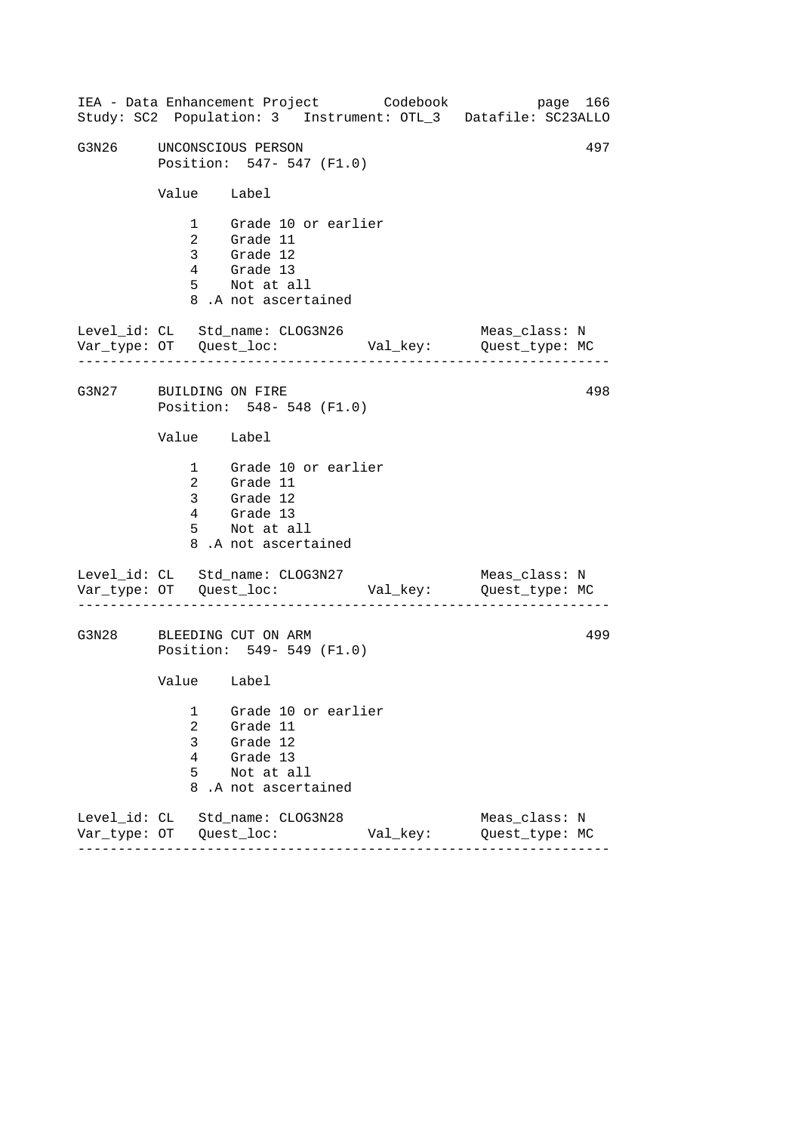------------------------------------------------------------------ ------------------------------------------------------------------ ------------------------------------------------------------------ IEA - Data Enhancement Project Codebook page 166 Study: SC2 Population: 3 Instrument: OTL\_3 Datafile: SC23ALLO G3N26 UNCONSCIOUS PERSON 497 Position: 547- 547 (F1.0) Value Label 1 Grade 10 or earlier 2 Grade 11 3 Grade 12 4 Grade 13 5 Not at all 8 .A not ascertained Level\_id: CL Std\_name: CLOG3N26 Meas\_class: N Var\_type: OT Quest\_loc: Val\_key: Quest\_type: MC G3N27 BUILDING ON FIRE Position: 548- 548 (F1.0) Value Label 1 Grade 10 or earlier 2 Grade 11 3 Grade 12 4 Grade 13 5 Not at all 8 .A not ascertained Level\_id: CL Std\_name: CLOG3N27 Var\_type: OT Quest\_loc: Val\_key: Quest\_type: MC Meas\_class: N G3N28 BLEEDING CUT ON ARM Position: 549- 549 (F1.0) Value Label 1 Grade 10 or earlier 2 Grade 11 3 Grade 12 4 Grade 13 5 Not at all 8 .A not ascertained Level\_id: CL Std\_name: CLOG3N28 Meas\_class: N Var\_type: OT Quest\_loc: Val\_key: Quest\_type: MC 498 499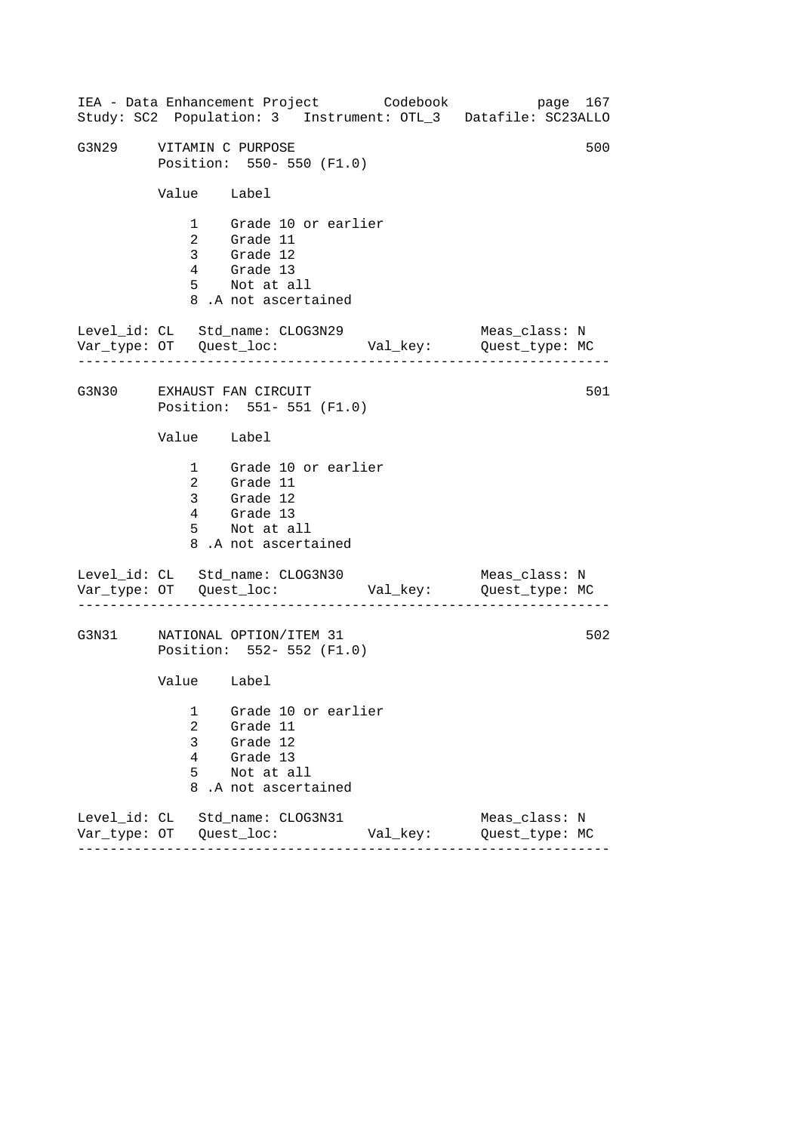------------------------------------------------------------------ ------------------------------------------------------------------ ------------------------------------------------------------------ IEA - Data Enhancement Project Codebook page 167 Study: SC2 Population: 3 Instrument: OTL\_3 Datafile: SC23ALLO G3N29 VITAMIN C PURPOSE 500 Position: 550- 550 (F1.0) Value Label 1 Grade 10 or earlier 2 Grade 11 3 Grade 12 4 Grade 13 5 Not at all 8 .A not ascertained Level\_id: CL Std\_name: CLOG3N29 Meas\_class: N Var\_type: OT Quest\_loc: Val\_key: Quest\_type: MC G3N30 EXHAUST FAN CIRCUIT Position: 551- 551 (F1.0) Value Label 1 Grade 10 or earlier 2 Grade 11 3 Grade 12 4 Grade 13 5 Not at all 8 .A not ascertained Level\_id: CL Std\_name: CLOG3N30 Var\_type: OT Quest\_loc: Val\_key: Quest\_type: MC Meas\_class: N G3N31 NATIONAL OPTION/ITEM 31 Position: 552- 552 (F1.0) Value Label 1 Grade 10 or earlier 2 Grade 11 3 Grade 12 4 Grade 13 5 Not at all 8 .A not ascertained Level\_id: CL Std\_name: CLOG3N31 Meas\_class: N Var\_type: OT Quest\_loc: Val\_key: Quest\_type: MC 501 502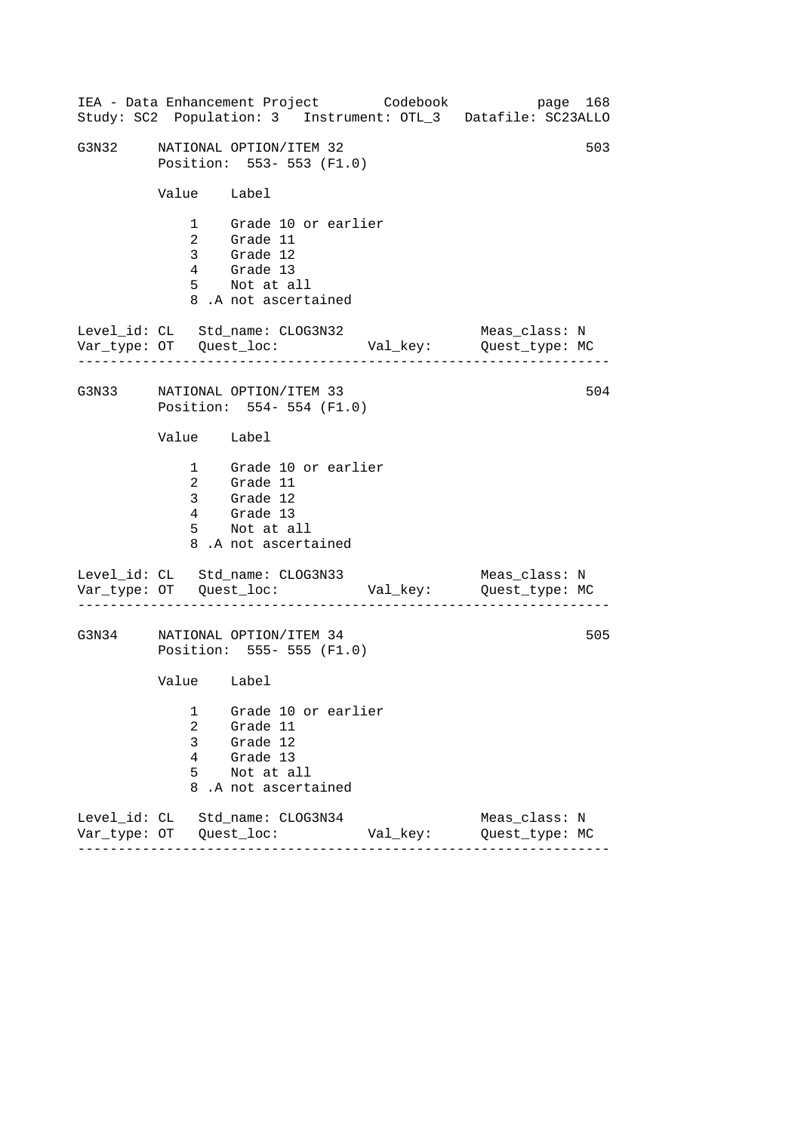|       |                            | IEA - Data Enhancement Project Codebook                                                                |          | page 168<br>Study: SC2 Population: 3 Instrument: OTL_3 Datafile: SC23ALLO |
|-------|----------------------------|--------------------------------------------------------------------------------------------------------|----------|---------------------------------------------------------------------------|
| G3N32 |                            | NATIONAL OPTION/ITEM 32<br>Position: 553- 553 (F1.0)                                                   |          | 503                                                                       |
|       | Value Label                |                                                                                                        |          |                                                                           |
|       |                            | 1 Grade 10 or earlier<br>2 Grade 11<br>3 Grade 12<br>4 Grade 13<br>5 Not at all<br>8.A not ascertained |          |                                                                           |
|       |                            | Level_id: CL Std_name: CLOG3N32                                                                        |          | Meas_class: N<br>Var_type: OT    Quest_loc:    Val_key:    Quest_type: MC |
|       |                            | G3N33 NATIONAL OPTION/ITEM 33<br>Position: 554- 554 (F1.0)                                             |          | 504                                                                       |
|       | Value Label                |                                                                                                        |          |                                                                           |
|       |                            | 1 Grade 10 or earlier<br>2 Grade 11<br>3 Grade 12<br>4 Grade 13<br>5 Not at all<br>8.A not ascertained |          |                                                                           |
|       |                            | Level_id: CL Std_name: CLOG3N33                                                                        |          | Meas_class: N                                                             |
| G3N34 |                            | NATIONAL OPTION/ITEM 34<br>Position: 555- 555 (F1.0)                                                   |          | 505                                                                       |
|       | Value Label                |                                                                                                        |          |                                                                           |
|       | 1<br>2<br>3<br>4<br>5<br>8 | Grade 10 or earlier<br>Grade 11<br>Grade 12<br>Grade 13<br>Not at all<br>.A not ascertained            |          |                                                                           |
|       |                            | Level_id: CL Std_name: CLOG3N34                                                                        | Val_key: | Meas class: N<br>Quest_type: MC                                           |